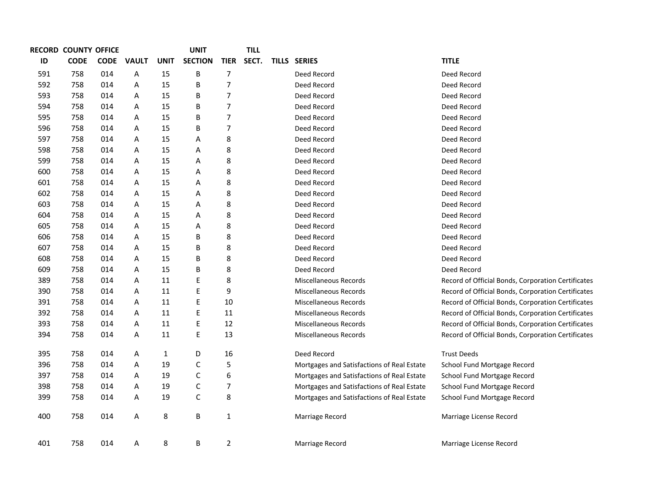|     | RECORD COUNTY OFFICE |             |              |             | <b>UNIT</b>    |                          | <b>TILL</b> |                                            |                                                    |
|-----|----------------------|-------------|--------------|-------------|----------------|--------------------------|-------------|--------------------------------------------|----------------------------------------------------|
| ID  | <b>CODE</b>          | <b>CODE</b> | <b>VAULT</b> | <b>UNIT</b> | <b>SECTION</b> | <b>TIER</b>              | SECT.       | <b>TILLS SERIES</b>                        | <b>TITLE</b>                                       |
| 591 | 758                  | 014         | A            | 15          | B              | $\overline{7}$           |             | Deed Record                                | Deed Record                                        |
| 592 | 758                  | 014         | Α            | 15          | B              | $\overline{7}$           |             | Deed Record                                | Deed Record                                        |
| 593 | 758                  | 014         | Α            | 15          | B              | $\overline{7}$           |             | Deed Record                                | Deed Record                                        |
| 594 | 758                  | 014         | Α            | 15          | В              | $\overline{7}$           |             | Deed Record                                | Deed Record                                        |
| 595 | 758                  | 014         | Α            | 15          | B              | $\overline{7}$           |             | Deed Record                                | Deed Record                                        |
| 596 | 758                  | 014         | Α            | 15          | B              | $\overline{7}$           |             | Deed Record                                | Deed Record                                        |
| 597 | 758                  | 014         | Α            | 15          | Α              | 8                        |             | Deed Record                                | Deed Record                                        |
| 598 | 758                  | 014         | Α            | 15          | Α              | 8                        |             | Deed Record                                | Deed Record                                        |
| 599 | 758                  | 014         | Α            | 15          | Α              | 8                        |             | Deed Record                                | Deed Record                                        |
| 600 | 758                  | 014         | Α            | 15          | Α              | 8                        |             | Deed Record                                | Deed Record                                        |
| 601 | 758                  | 014         | Α            | 15          | Α              | 8                        |             | Deed Record                                | Deed Record                                        |
| 602 | 758                  | 014         | Α            | 15          | Α              | 8                        |             | Deed Record                                | Deed Record                                        |
| 603 | 758                  | 014         | Α            | 15          | Α              | 8                        |             | Deed Record                                | Deed Record                                        |
| 604 | 758                  | 014         | Α            | 15          | Α              | 8                        |             | Deed Record                                | Deed Record                                        |
| 605 | 758                  | 014         | Α            | 15          | Α              | 8                        |             | Deed Record                                | Deed Record                                        |
| 606 | 758                  | 014         | Α            | 15          | B              | 8                        |             | Deed Record                                | Deed Record                                        |
| 607 | 758                  | 014         | Α            | 15          | B              | 8                        |             | Deed Record                                | Deed Record                                        |
| 608 | 758                  | 014         | Α            | 15          | B              | 8                        |             | Deed Record                                | Deed Record                                        |
| 609 | 758                  | 014         | Α            | 15          | B              | 8                        |             | Deed Record                                | Deed Record                                        |
| 389 | 758                  | 014         | Α            | 11          | Е              | 8                        |             | Miscellaneous Records                      | Record of Official Bonds, Corporation Certificates |
| 390 | 758                  | 014         | Α            | 11          | E              | 9                        |             | Miscellaneous Records                      | Record of Official Bonds, Corporation Certificates |
| 391 | 758                  | 014         | Α            | 11          | E              | $10\,$                   |             | Miscellaneous Records                      | Record of Official Bonds, Corporation Certificates |
| 392 | 758                  | 014         | Α            | 11          | E              | 11                       |             | Miscellaneous Records                      | Record of Official Bonds, Corporation Certificates |
| 393 | 758                  | 014         | Α            | 11          | E              | 12                       |             | Miscellaneous Records                      | Record of Official Bonds, Corporation Certificates |
| 394 | 758                  | 014         | Α            | 11          | E              | 13                       |             | Miscellaneous Records                      | Record of Official Bonds, Corporation Certificates |
| 395 | 758                  | 014         | Α            | 1           | D              | 16                       |             | Deed Record                                | <b>Trust Deeds</b>                                 |
| 396 | 758                  | 014         | Α            | 19          | $\mathsf C$    | 5                        |             | Mortgages and Satisfactions of Real Estate | School Fund Mortgage Record                        |
| 397 | 758                  | 014         | Α            | 19          | C              | 6                        |             | Mortgages and Satisfactions of Real Estate | School Fund Mortgage Record                        |
| 398 | 758                  | 014         | Α            | 19          | $\mathsf C$    | $\overline{\phantom{a}}$ |             | Mortgages and Satisfactions of Real Estate | School Fund Mortgage Record                        |
| 399 | 758                  | 014         | Α            | 19          | $\mathsf C$    | 8                        |             | Mortgages and Satisfactions of Real Estate | School Fund Mortgage Record                        |
| 400 | 758                  | 014         | Α            | 8           | В              | $\mathbf{1}$             |             | Marriage Record                            | Marriage License Record                            |
| 401 | 758                  | 014         | Α            | 8           | В              | $\overline{2}$           |             | Marriage Record                            | Marriage License Record                            |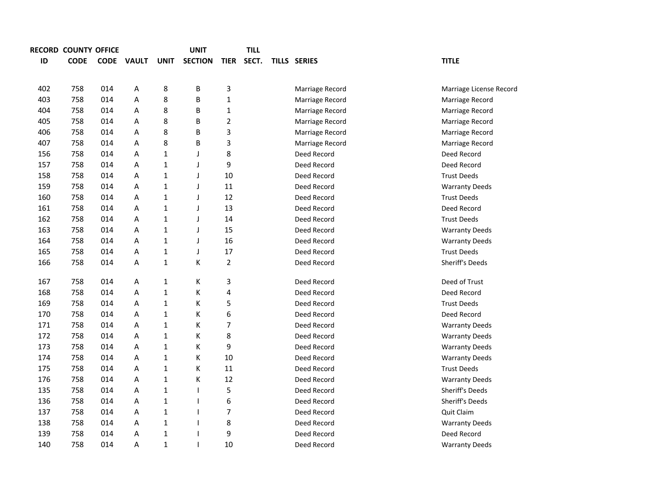|     | <b>RECORD COUNTY OFFICE</b> |             |              |              | <b>UNIT</b>              |                | <b>TILL</b> |                     |                         |
|-----|-----------------------------|-------------|--------------|--------------|--------------------------|----------------|-------------|---------------------|-------------------------|
| ID  | <b>CODE</b>                 | <b>CODE</b> | <b>VAULT</b> | <b>UNIT</b>  | <b>SECTION</b>           | <b>TIER</b>    | SECT.       | <b>TILLS SERIES</b> | <b>TITLE</b>            |
|     |                             |             |              |              |                          |                |             |                     |                         |
| 402 | 758                         | 014         | Α            | 8            | B                        | 3              |             | Marriage Record     | Marriage License Record |
| 403 | 758                         | 014         | A            | 8            | B                        | $\mathbf 1$    |             | Marriage Record     | Marriage Record         |
| 404 | 758                         | 014         | A            | 8            | B                        | $\mathbf 1$    |             | Marriage Record     | Marriage Record         |
| 405 | 758                         | 014         | Α            | 8            | B                        | $\overline{2}$ |             | Marriage Record     | Marriage Record         |
| 406 | 758                         | 014         | Α            | 8            | B                        | 3              |             | Marriage Record     | Marriage Record         |
| 407 | 758                         | 014         | Α            | 8            | B                        | 3              |             | Marriage Record     | Marriage Record         |
| 156 | 758                         | 014         | Α            | $\mathbf{1}$ | J                        | 8              |             | Deed Record         | Deed Record             |
| 157 | 758                         | 014         | Α            | $\mathbf{1}$ | $\mathsf{l}$             | 9              |             | Deed Record         | Deed Record             |
| 158 | 758                         | 014         | Α            | $\mathbf{1}$ | $\mathsf{l}$             | 10             |             | Deed Record         | <b>Trust Deeds</b>      |
| 159 | 758                         | 014         | А            | $\mathbf{1}$ | J                        | $11\,$         |             | Deed Record         | <b>Warranty Deeds</b>   |
| 160 | 758                         | 014         | Α            | $\mathbf{1}$ | $\mathsf{l}$             | 12             |             | Deed Record         | <b>Trust Deeds</b>      |
| 161 | 758                         | 014         | А            | $\mathbf{1}$ | J                        | 13             |             | Deed Record         | Deed Record             |
| 162 | 758                         | 014         | Α            | $\mathbf{1}$ | J                        | 14             |             | Deed Record         | <b>Trust Deeds</b>      |
| 163 | 758                         | 014         | Α            | $\mathbf{1}$ | J                        | 15             |             | Deed Record         | <b>Warranty Deeds</b>   |
| 164 | 758                         | 014         | А            | $\mathbf{1}$ | J                        | 16             |             | Deed Record         | <b>Warranty Deeds</b>   |
| 165 | 758                         | 014         | А            | $\mathbf 1$  | J                        | 17             |             | Deed Record         | <b>Trust Deeds</b>      |
| 166 | 758                         | 014         | А            | $\mathbf 1$  | К                        | $\overline{2}$ |             | Deed Record         | Sheriff's Deeds         |
|     |                             |             |              |              |                          |                |             |                     |                         |
| 167 | 758                         | 014         | Α            | 1            | K                        | 3              |             | Deed Record         | Deed of Trust           |
| 168 | 758                         | 014         | А            | $\mathbf{1}$ | К                        | 4              |             | Deed Record         | Deed Record             |
| 169 | 758                         | 014         | Α            | 1            | К                        | 5              |             | Deed Record         | <b>Trust Deeds</b>      |
| 170 | 758                         | 014         | Α            | $\mathbf 1$  | К                        | 6              |             | Deed Record         | Deed Record             |
| 171 | 758                         | 014         | Α            | $\mathbf{1}$ | К                        | 7              |             | Deed Record         | <b>Warranty Deeds</b>   |
| 172 | 758                         | 014         | Α            | $\mathbf{1}$ | К                        | 8              |             | Deed Record         | <b>Warranty Deeds</b>   |
| 173 | 758                         | 014         | Α            | $\mathbf 1$  | К                        | 9              |             | Deed Record         | <b>Warranty Deeds</b>   |
| 174 | 758                         | 014         | Α            | $\mathbf 1$  | К                        | 10             |             | Deed Record         | <b>Warranty Deeds</b>   |
| 175 | 758                         | 014         | Α            | $\mathbf{1}$ | К                        | 11             |             | Deed Record         | <b>Trust Deeds</b>      |
| 176 | 758                         | 014         | Α            | $\mathbf{1}$ | К                        | 12             |             | Deed Record         | <b>Warranty Deeds</b>   |
| 135 | 758                         | 014         | Α            | $\mathbf{1}$ | $\mathbf{I}$             | 5              |             | Deed Record         | Sheriff's Deeds         |
| 136 | 758                         | 014         | Α            | $\mathbf{1}$ | $\mathbf{I}$             | 6              |             | Deed Record         | Sheriff's Deeds         |
| 137 | 758                         | 014         | Α            | $\mathbf{1}$ | $\mathbf{I}$             | $\overline{7}$ |             | Deed Record         | Quit Claim              |
| 138 | 758                         | 014         | Α            | 1            | $\mathbf{I}$             | 8              |             | Deed Record         | <b>Warranty Deeds</b>   |
| 139 | 758                         | 014         | Α            | $\mathbf 1$  | $\overline{\phantom{a}}$ | 9              |             | Deed Record         | Deed Record             |
| 140 | 758                         | 014         | Α            | $\mathbf{1}$ | $\mathbf{I}$             | 10             |             | Deed Record         | <b>Warranty Deeds</b>   |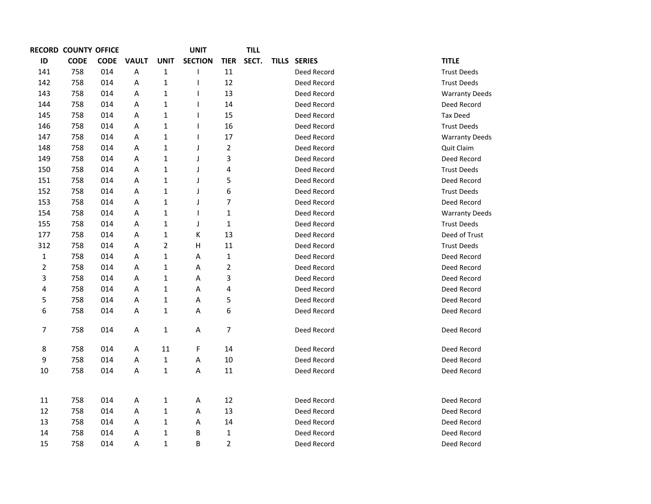| <b>RECORD COUNTY OFFICE</b> |             |             |                         |              | <b>UNIT</b>    |                | <b>TILL</b> |              |                       |
|-----------------------------|-------------|-------------|-------------------------|--------------|----------------|----------------|-------------|--------------|-----------------------|
| ID                          | <b>CODE</b> | <b>CODE</b> | <b>VAULT</b>            | <b>UNIT</b>  | <b>SECTION</b> | <b>TIER</b>    | SECT.       | TILLS SERIES | <b>TITLE</b>          |
| 141                         | 758         | 014         | $\overline{\mathsf{A}}$ | $\mathbf{1}$ | ı              | 11             |             | Deed Record  | <b>Trust Deeds</b>    |
| 142                         | 758         | 014         | Α                       | $\mathbf{1}$ | 1              | 12             |             | Deed Record  | <b>Trust Deeds</b>    |
| 143                         | 758         | 014         | Α                       | $\mathbf{1}$ | <b>I</b>       | 13             |             | Deed Record  | <b>Warranty Deeds</b> |
| 144                         | 758         | 014         | Α                       | $\mathbf 1$  |                | 14             |             | Deed Record  | Deed Record           |
| 145                         | 758         | 014         | Α                       | $\mathbf 1$  |                | 15             |             | Deed Record  | <b>Tax Deed</b>       |
| 146                         | 758         | 014         | Α                       | $\mathbf 1$  |                | 16             |             | Deed Record  | <b>Trust Deeds</b>    |
| 147                         | 758         | 014         | Α                       | 1            |                | 17             |             | Deed Record  | <b>Warranty Deeds</b> |
| 148                         | 758         | 014         | Α                       | 1            | J              | $\overline{2}$ |             | Deed Record  | Quit Claim            |
| 149                         | 758         | 014         | Α                       | $\mathbf 1$  | J              | 3              |             | Deed Record  | Deed Record           |
| 150                         | 758         | 014         | Α                       | $\mathbf 1$  | J              | 4              |             | Deed Record  | <b>Trust Deeds</b>    |
| 151                         | 758         | 014         | Α                       | $\mathbf 1$  | J              | 5              |             | Deed Record  | Deed Record           |
| 152                         | 758         | 014         | Α                       | $\mathbf 1$  | J              | 6              |             | Deed Record  | <b>Trust Deeds</b>    |
| 153                         | 758         | 014         | A                       | $\mathbf 1$  | J              | 7              |             | Deed Record  | Deed Record           |
| 154                         | 758         | 014         | Α                       | 1            | 1              | $\mathbf 1$    |             | Deed Record  | <b>Warranty Deeds</b> |
| 155                         | 758         | 014         | A                       | 1            | J              | $\mathbf{1}$   |             | Deed Record  | <b>Trust Deeds</b>    |
| 177                         | 758         | 014         | A                       | 1            | К              | 13             |             | Deed Record  | Deed of Trust         |
| 312                         | 758         | 014         | A                       | 2            | н              | 11             |             | Deed Record  | <b>Trust Deeds</b>    |
| 1                           | 758         | 014         | A                       | 1            | Α              | $\mathbf{1}$   |             | Deed Record  | Deed Record           |
| 2                           | 758         | 014         | A                       | 1            | Α              | $\overline{2}$ |             | Deed Record  | Deed Record           |
| 3                           | 758         | 014         | A                       | 1            | Α              | 3              |             | Deed Record  | Deed Record           |
| 4                           | 758         | 014         | A                       | 1            | Α              | 4              |             | Deed Record  | Deed Record           |
| 5                           | 758         | 014         | A                       | 1            | Α              | 5              |             | Deed Record  | Deed Record           |
| 6                           | 758         | 014         | A                       | $\mathbf{1}$ | Α              | 6              |             | Deed Record  | Deed Record           |
| 7                           | 758         | 014         | Α                       | $\mathbf{1}$ | Α              | 7              |             | Deed Record  | Deed Record           |
| 8                           | 758         | 014         | Α                       | 11           | F              | 14             |             | Deed Record  | Deed Record           |
| 9                           | 758         | 014         | Α                       | $\mathbf{1}$ | Α              | 10             |             | Deed Record  | Deed Record           |
| 10                          | 758         | 014         | Α                       | $\mathbf{1}$ | Α              | 11             |             | Deed Record  | Deed Record           |
|                             |             |             |                         |              |                |                |             |              |                       |
| 11                          | 758         | 014         | Α                       | $\mathbf{1}$ | A              | 12             |             | Deed Record  | Deed Record           |
| 12                          | 758         | 014         | Α                       | 1            | Α              | 13             |             | Deed Record  | Deed Record           |
| 13                          | 758         | 014         | A                       | 1            | Α              | 14             |             | Deed Record  | Deed Record           |
| 14                          | 758         | 014         | Α                       | 1            | В              | $\mathbf{1}$   |             | Deed Record  | Deed Record           |
| 15                          | 758         | 014         | A                       | 1            | B              | $\overline{2}$ |             | Deed Record  | Deed Record           |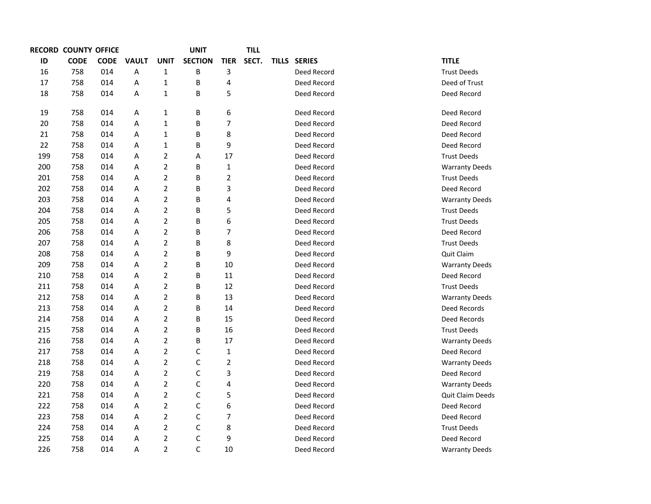|     | <b>RECORD COUNTY OFFICE</b> |             |              |                         | UNIT           |                | TILL  |              |               |                       |
|-----|-----------------------------|-------------|--------------|-------------------------|----------------|----------------|-------|--------------|---------------|-----------------------|
| ID  | <b>CODE</b>                 | <b>CODE</b> | <b>VAULT</b> | <b>UNIT</b>             | <b>SECTION</b> | <b>TIER</b>    | SECT. | <b>TILLS</b> | <b>SERIES</b> | <b>TITLE</b>          |
| 16  | 758                         | 014         | A            | $\mathbf 1$             | B              | 3              |       |              | Deed Record   | <b>Trust Deeds</b>    |
| 17  | 758                         | 014         | Α            | $\mathbf{1}$            | B              | 4              |       |              | Deed Record   | Deed of Trust         |
| 18  | 758                         | 014         | А            | $\mathbf 1$             | B              | 5              |       |              | Deed Record   | Deed Record           |
| 19  | 758                         | 014         | А            | 1                       | В              | 6              |       |              | Deed Record   | Deed Record           |
| 20  | 758                         | 014         | А            | $\mathbf 1$             | В              | 7              |       |              | Deed Record   | Deed Record           |
| 21  | 758                         | 014         | А            | $\mathbf 1$             | B              | 8              |       |              | Deed Record   | Deed Record           |
| 22  | 758                         | 014         | А            | $\mathbf 1$             | B              | 9              |       |              | Deed Record   | Deed Record           |
| 199 | 758                         | 014         | A            | $\overline{2}$          | Α              | 17             |       |              | Deed Record   | <b>Trust Deeds</b>    |
| 200 | 758                         | 014         | A            | $\overline{2}$          | B              | $\mathbf 1$    |       |              | Deed Record   | <b>Warranty Deeds</b> |
| 201 | 758                         | 014         | A            | $\mathbf 2$             | В              | $\overline{2}$ |       |              | Deed Record   | <b>Trust Deeds</b>    |
| 202 | 758                         | 014         | А            | $\mathbf 2$             | B              | 3              |       |              | Deed Record   | Deed Record           |
| 203 | 758                         | 014         | А            | $\overline{2}$          | B              | 4              |       |              | Deed Record   | <b>Warranty Deeds</b> |
| 204 | 758                         | 014         | А            | $\overline{2}$          | B              | 5              |       |              | Deed Record   | <b>Trust Deeds</b>    |
| 205 | 758                         | 014         | A            | $\overline{2}$          | B              | 6              |       |              | Deed Record   | <b>Trust Deeds</b>    |
| 206 | 758                         | 014         | A            | $\overline{2}$          | В              | $\overline{7}$ |       |              | Deed Record   | Deed Record           |
| 207 | 758                         | 014         | А            | $\mathbf 2$             | B              | 8              |       |              | Deed Record   | <b>Trust Deeds</b>    |
| 208 | 758                         | 014         | А            | $\overline{2}$          | B              | 9              |       |              | Deed Record   | Quit Claim            |
| 209 | 758                         | 014         | А            | $\overline{2}$          | B              | 10             |       |              | Deed Record   | <b>Warranty Deeds</b> |
| 210 | 758                         | 014         | A            | $\overline{2}$          | B              | 11             |       |              | Deed Record   | Deed Record           |
| 211 | 758                         | 014         | A            | $\overline{2}$          | B              | 12             |       |              | Deed Record   | <b>Trust Deeds</b>    |
| 212 | 758                         | 014         | A            | $\overline{2}$          | В              | 13             |       |              | Deed Record   | <b>Warranty Deeds</b> |
| 213 | 758                         | 014         | А            | $\mathbf 2$             | B              | 14             |       |              | Deed Record   | Deed Records          |
| 214 | 758                         | 014         | А            | $\overline{2}$          | B              | 15             |       |              | Deed Record   | Deed Records          |
| 215 | 758                         | 014         | А            | $\overline{2}$          | B              | 16             |       |              | Deed Record   | <b>Trust Deeds</b>    |
| 216 | 758                         | 014         | A            | $\overline{2}$          | B              | 17             |       |              | Deed Record   | <b>Warranty Deeds</b> |
| 217 | 758                         | 014         | A            | $\overline{2}$          | C              | $\mathbf 1$    |       |              | Deed Record   | Deed Record           |
| 218 | 758                         | 014         | A            | $\mathbf 2$             | C              | $\overline{2}$ |       |              | Deed Record   | <b>Warranty Deeds</b> |
| 219 | 758                         | 014         | А            | $\overline{2}$          | C              | 3              |       |              | Deed Record   | Deed Record           |
| 220 | 758                         | 014         | А            | $\overline{2}$          | C              | 4              |       |              | Deed Record   | <b>Warranty Deeds</b> |
| 221 | 758                         | 014         | А            | $\overline{2}$          | C              | 5              |       |              | Deed Record   | Quit Claim Deeds      |
| 222 | 758                         | 014         | Α            | $\overline{2}$          | C              | 6              |       |              | Deed Record   | Deed Record           |
| 223 | 758                         | 014         | A            | $\overline{2}$          | C              | $\overline{7}$ |       |              | Deed Record   | Deed Record           |
| 224 | 758                         | 014         | Α            | $\overline{2}$          | C              | 8              |       |              | Deed Record   | <b>Trust Deeds</b>    |
| 225 | 758                         | 014         | Α            | $\overline{\mathbf{c}}$ | C              | 9              |       |              | Deed Record   | Deed Record           |
| 226 | 758                         | 014         | A            | $\overline{2}$          | C              | 10             |       |              | Deed Record   | <b>Warranty Deeds</b> |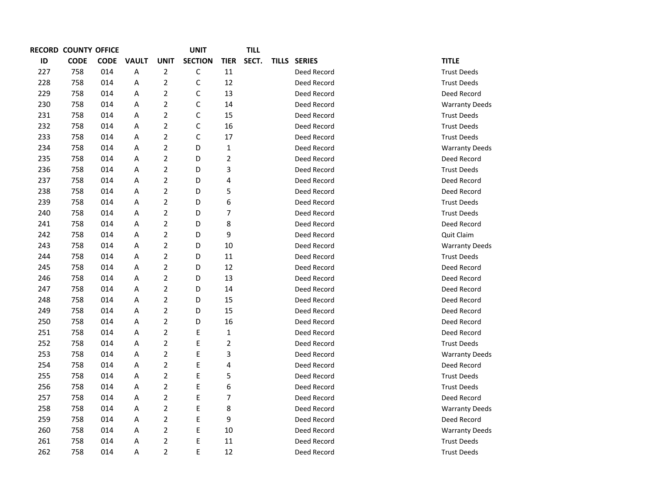|     | <b>RECORD COUNTY OFFICE</b> |             |              |                         | UNIT           |                | TILL  |              |                       |
|-----|-----------------------------|-------------|--------------|-------------------------|----------------|----------------|-------|--------------|-----------------------|
| ID  | <b>CODE</b>                 | <b>CODE</b> | <b>VAULT</b> | <b>UNIT</b>             | <b>SECTION</b> | <b>TIER</b>    | SECT. | TILLS SERIES | <b>TITLE</b>          |
| 227 | 758                         | 014         | Α            | $\overline{2}$          | C              | 11             |       | Deed Record  | <b>Trust Deeds</b>    |
| 228 | 758                         | 014         | A            | $\overline{2}$          | $\mathsf{C}$   | 12             |       | Deed Record  | <b>Trust Deeds</b>    |
| 229 | 758                         | 014         | Α            | 2                       | C              | 13             |       | Deed Record  | Deed Record           |
| 230 | 758                         | 014         | A            | $\overline{2}$          | $\mathsf{C}$   | 14             |       | Deed Record  | <b>Warranty Deeds</b> |
| 231 | 758                         | 014         | Α            | 2                       | $\mathsf C$    | 15             |       | Deed Record  | <b>Trust Deeds</b>    |
| 232 | 758                         | 014         | A            | $\overline{2}$          | $\mathsf C$    | 16             |       | Deed Record  | <b>Trust Deeds</b>    |
| 233 | 758                         | 014         | A            | $\overline{2}$          | $\mathsf{C}$   | 17             |       | Deed Record  | <b>Trust Deeds</b>    |
| 234 | 758                         | 014         | A            | $\overline{2}$          | D              | $\mathbf{1}$   |       | Deed Record  | <b>Warranty Deeds</b> |
| 235 | 758                         | 014         | A            | $\overline{2}$          | D              | $\overline{2}$ |       | Deed Record  | Deed Record           |
| 236 | 758                         | 014         | A            | $\overline{2}$          | D              | 3              |       | Deed Record  | <b>Trust Deeds</b>    |
| 237 | 758                         | 014         | A            | $\overline{2}$          | D              | 4              |       | Deed Record  | Deed Record           |
| 238 | 758                         | 014         | A            | $\overline{2}$          | D              | 5              |       | Deed Record  | Deed Record           |
| 239 | 758                         | 014         | A            | $\overline{\mathbf{c}}$ | D              | 6              |       | Deed Record  | <b>Trust Deeds</b>    |
| 240 | 758                         | 014         | A            | $\overline{2}$          | D              | $\overline{7}$ |       | Deed Record  | <b>Trust Deeds</b>    |
| 241 | 758                         | 014         | A            | $\overline{2}$          | D              | 8              |       | Deed Record  | Deed Record           |
| 242 | 758                         | 014         | Α            | 2                       | D              | 9              |       | Deed Record  | Quit Claim            |
| 243 | 758                         | 014         | Α            | $\overline{2}$          | D              | 10             |       | Deed Record  | <b>Warranty Deeds</b> |
| 244 | 758                         | 014         | A            | $\overline{2}$          | D              | 11             |       | Deed Record  | <b>Trust Deeds</b>    |
| 245 | 758                         | 014         | Α            | $\overline{2}$          | D              | 12             |       | Deed Record  | Deed Record           |
| 246 | 758                         | 014         | Α            | $\overline{2}$          | D              | 13             |       | Deed Record  | Deed Record           |
| 247 | 758                         | 014         | A            | $\overline{2}$          | D              | 14             |       | Deed Record  | Deed Record           |
| 248 | 758                         | 014         | A            | $\overline{2}$          | D              | 15             |       | Deed Record  | Deed Record           |
| 249 | 758                         | 014         | A            | $\overline{2}$          | D              | 15             |       | Deed Record  | Deed Record           |
| 250 | 758                         | 014         | Α            | 2                       | D              | 16             |       | Deed Record  | Deed Record           |
| 251 | 758                         | 014         | A            | $\overline{2}$          | Ε              | $\mathbf{1}$   |       | Deed Record  | Deed Record           |
| 252 | 758                         | 014         | A            | $\overline{2}$          | $\mathsf E$    | $\overline{2}$ |       | Deed Record  | <b>Trust Deeds</b>    |
| 253 | 758                         | 014         | Α            | 2                       | E              | 3              |       | Deed Record  | <b>Warranty Deeds</b> |
| 254 | 758                         | 014         | A            | $\overline{2}$          | E              | 4              |       | Deed Record  | Deed Record           |
| 255 | 758                         | 014         | A            | $\overline{2}$          | E              | 5              |       | Deed Record  | <b>Trust Deeds</b>    |
| 256 | 758                         | 014         | Α            | $\overline{2}$          | E              | 6              |       | Deed Record  | <b>Trust Deeds</b>    |
| 257 | 758                         | 014         | A            | $\overline{2}$          | E              | $\overline{7}$ |       | Deed Record  | Deed Record           |
| 258 | 758                         | 014         | A            | $\overline{2}$          | $\mathsf{E}$   | 8              |       | Deed Record  | <b>Warranty Deeds</b> |
| 259 | 758                         | 014         | Α            | $\overline{2}$          | $\mathsf E$    | 9              |       | Deed Record  | Deed Record           |
| 260 | 758                         | 014         | A            | $\overline{2}$          | E              | 10             |       | Deed Record  | <b>Warranty Deeds</b> |
| 261 | 758                         | 014         | Α            | $\overline{2}$          | E              | 11             |       | Deed Record  | <b>Trust Deeds</b>    |
| 262 | 758                         | 014         | A            | $\overline{2}$          | E              | 12             |       | Deed Record  | <b>Trust Deeds</b>    |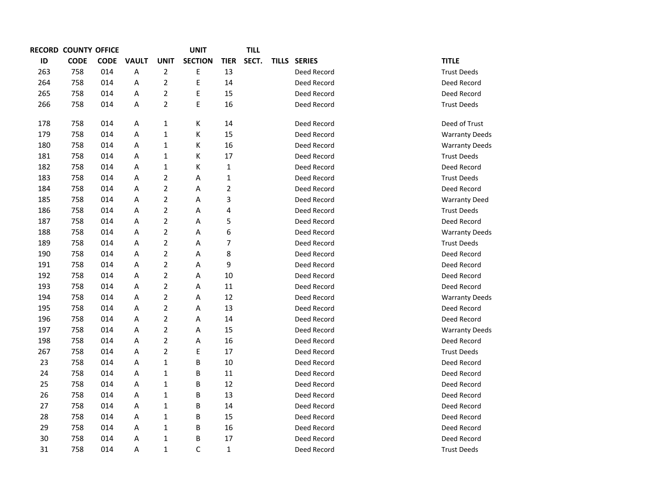| <b>RECORD COUNTY OFFICE</b> |             |             |              |                | <b>UNIT</b>    |                | <b>TILL</b> |              |               |                       |
|-----------------------------|-------------|-------------|--------------|----------------|----------------|----------------|-------------|--------------|---------------|-----------------------|
| ID                          | <b>CODE</b> | <b>CODE</b> | <b>VAULT</b> | <b>UNIT</b>    | <b>SECTION</b> | <b>TIER</b>    | SECT.       | <b>TILLS</b> | <b>SERIES</b> | <b>TITLE</b>          |
| 263                         | 758         | 014         | A            | $\overline{2}$ | E              | 13             |             |              | Deed Record   | <b>Trust Deeds</b>    |
| 264                         | 758         | 014         | A            | $\overline{2}$ | E              | 14             |             |              | Deed Record   | Deed Record           |
| 265                         | 758         | 014         | A            | $\overline{2}$ | E              | 15             |             |              | Deed Record   | Deed Record           |
| 266                         | 758         | 014         | A            | $\overline{2}$ | E              | 16             |             |              | Deed Record   | <b>Trust Deeds</b>    |
| 178                         | 758         | 014         | Α            | $\mathbf 1$    | Κ              | 14             |             |              | Deed Record   | Deed of Trust         |
| 179                         | 758         | 014         | A            | $\mathbf 1$    | К              | 15             |             |              | Deed Record   | <b>Warranty Deeds</b> |
| 180                         | 758         | 014         | Α            | $\mathbf 1$    | К              | 16             |             |              |               |                       |
|                             |             |             |              |                |                |                |             |              | Deed Record   | <b>Warranty Deeds</b> |
| 181                         | 758         | 014         | Α            | $\mathbf 1$    | К              | 17             |             |              | Deed Record   | <b>Trust Deeds</b>    |
| 182                         | 758         | 014         | Α            | $\mathbf 1$    | К              | $\mathbf 1$    |             |              | Deed Record   | Deed Record           |
| 183                         | 758         | 014         | Α            | $\mathbf 2$    | Α              | $\mathbf 1$    |             |              | Deed Record   | <b>Trust Deeds</b>    |
| 184                         | 758         | 014         | Α            | $\overline{2}$ | Α              | $\overline{c}$ |             |              | Deed Record   | Deed Record           |
| 185                         | 758         | 014         | A            | $\overline{2}$ | Α              | 3              |             |              | Deed Record   | <b>Warranty Deed</b>  |
| 186                         | 758         | 014         | Α            | $\overline{2}$ | Α              | 4              |             |              | Deed Record   | <b>Trust Deeds</b>    |
| 187                         | 758         | 014         | Α            | $\overline{2}$ | Α              | 5              |             |              | Deed Record   | Deed Record           |
| 188                         | 758         | 014         | Α            | $\overline{2}$ | Α              | 6              |             |              | Deed Record   | <b>Warranty Deeds</b> |
| 189                         | 758         | 014         | Α            | $\overline{2}$ | Α              | $\overline{7}$ |             |              | Deed Record   | <b>Trust Deeds</b>    |
| 190                         | 758         | 014         | Α            | $\overline{2}$ | Α              | 8              |             |              | Deed Record   | Deed Record           |
| 191                         | 758         | 014         | Α            | $\overline{2}$ | Α              | 9              |             |              | Deed Record   | Deed Record           |
| 192                         | 758         | 014         | Α            | $\overline{2}$ | Α              | 10             |             |              | Deed Record   | Deed Record           |
| 193                         | 758         | 014         | Α            | $\overline{c}$ | Α              | 11             |             |              | Deed Record   | Deed Record           |
| 194                         | 758         | 014         | Α            | $\overline{2}$ | Α              | 12             |             |              | Deed Record   | <b>Warranty Deeds</b> |
| 195                         | 758         | 014         | Α            | $\overline{2}$ | Α              | 13             |             |              | Deed Record   | Deed Record           |
| 196                         | 758         | 014         | Α            | $\mathbf 2$    | Α              | 14             |             |              | Deed Record   | Deed Record           |
| 197                         | 758         | 014         | Α            | $\overline{2}$ | Α              | 15             |             |              | Deed Record   | <b>Warranty Deeds</b> |
| 198                         | 758         | 014         | Α            | $\overline{2}$ | Α              | 16             |             |              | Deed Record   | Deed Record           |
| 267                         | 758         | 014         | Α            | $\overline{2}$ | E              | 17             |             |              | Deed Record   | <b>Trust Deeds</b>    |
| 23                          | 758         | 014         | A            | $\mathbf 1$    | B              | 10             |             |              | Deed Record   | Deed Record           |
| 24                          | 758         | 014         | Α            | $\mathbf{1}$   | В              | 11             |             |              | Deed Record   | Deed Record           |
| 25                          | 758         | 014         | Α            | $\mathbf{1}$   | B              | 12             |             |              | Deed Record   | Deed Record           |
| 26                          | 758         | 014         | Α            | $\mathbf{1}$   | B              | 13             |             |              | Deed Record   | Deed Record           |
| 27                          | 758         | 014         | Α            | $\mathbf 1$    | B              | 14             |             |              | Deed Record   | Deed Record           |
| 28                          | 758         | 014         | Α            | $\mathbf 1$    | B              | 15             |             |              | Deed Record   | Deed Record           |
| 29                          | 758         | 014         | Α            | $\mathbf 1$    | B              | 16             |             |              | Deed Record   | Deed Record           |
| 30                          | 758         | 014         | Α            | $\mathbf 1$    | B              | 17             |             |              | Deed Record   | Deed Record           |
| 31                          | 758         | 014         | A            | $\mathbf{1}$   | C              | $\mathbf{1}$   |             |              | Deed Record   | <b>Trust Deeds</b>    |
|                             |             |             |              |                |                |                |             |              |               |                       |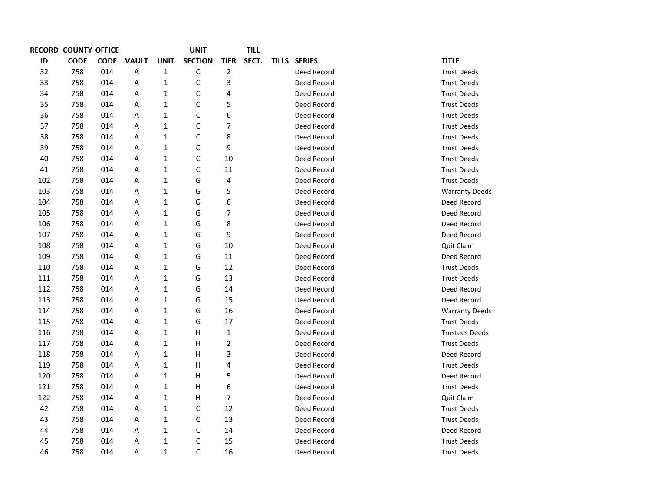|     | <b>RECORD COUNTY OFFICE</b> |             |              |              | UNIT           |                  | <b>TILL</b> |              |                       |
|-----|-----------------------------|-------------|--------------|--------------|----------------|------------------|-------------|--------------|-----------------------|
| ID  | <b>CODE</b>                 | <b>CODE</b> | <b>VAULT</b> | <b>UNIT</b>  | <b>SECTION</b> | <b>TIER</b>      | SECT.       | TILLS SERIES | <b>TITLE</b>          |
| 32  | 758                         | 014         | Α            | $\mathbf 1$  | C              | $\overline{2}$   |             | Deed Record  | <b>Trust Deeds</b>    |
| 33  | 758                         | 014         | Α            | $\mathbf{1}$ | $\mathsf{C}$   | 3                |             | Deed Record  | <b>Trust Deeds</b>    |
| 34  | 758                         | 014         | A            | 1            | C              | 4                |             | Deed Record  | <b>Trust Deeds</b>    |
| 35  | 758                         | 014         | A            | $\mathbf{1}$ | $\mathsf{C}$   | 5                |             | Deed Record  | <b>Trust Deeds</b>    |
| 36  | 758                         | 014         | A            | $\mathbf 1$  | $\mathsf{C}$   | 6                |             | Deed Record  | <b>Trust Deeds</b>    |
| 37  | 758                         | 014         | A            | 1            | $\mathsf{C}$   | 7                |             | Deed Record  | <b>Trust Deeds</b>    |
| 38  | 758                         | 014         | Α            | $\mathbf 1$  | $\mathsf C$    | 8                |             | Deed Record  | <b>Trust Deeds</b>    |
| 39  | 758                         | 014         | A            | $\mathbf 1$  | $\mathsf{C}$   | 9                |             | Deed Record  | <b>Trust Deeds</b>    |
| 40  | 758                         | 014         | A            | $\mathbf{1}$ | $\mathsf{C}$   | 10               |             | Deed Record  | <b>Trust Deeds</b>    |
| 41  | 758                         | 014         | Α            | $\mathbf 1$  | C              | 11               |             | Deed Record  | <b>Trust Deeds</b>    |
| 102 | 758                         | 014         | Α            | $\mathbf 1$  | G              | 4                |             | Deed Record  | <b>Trust Deeds</b>    |
| 103 | 758                         | 014         | A            | $\mathbf 1$  | G              | 5                |             | Deed Record  | <b>Warranty Deeds</b> |
| 104 | 758                         | 014         | A            | 1            | G              | 6                |             | Deed Record  | Deed Record           |
| 105 | 758                         | 014         | Α            | $\mathbf 1$  | G              | 7                |             | Deed Record  | Deed Record           |
| 106 | 758                         | 014         | A            | $\mathbf 1$  | G              | 8                |             | Deed Record  | Deed Record           |
| 107 | 758                         | 014         | A            | 1            | G              | 9                |             | Deed Record  | Deed Record           |
| 108 | 758                         | 014         | Α            | $\mathbf 1$  | G              | 10               |             | Deed Record  | Quit Claim            |
| 109 | 758                         | 014         | A            | $\mathbf 1$  | G              | 11               |             | Deed Record  | Deed Record           |
| 110 | 758                         | 014         | A            | $\mathbf 1$  | G              | 12               |             | Deed Record  | <b>Trust Deeds</b>    |
| 111 | 758                         | 014         | A            | $\mathbf 1$  | G              | 13               |             | Deed Record  | <b>Trust Deeds</b>    |
| 112 | 758                         | 014         | A            | 1            | G              | 14               |             | Deed Record  | Deed Record           |
| 113 | 758                         | 014         | A            | $\mathbf{1}$ | G              | 15               |             | Deed Record  | Deed Record           |
| 114 | 758                         | 014         | A            | 1            | G              | 16               |             | Deed Record  | <b>Warranty Deeds</b> |
| 115 | 758                         | 014         | Α            | $\mathbf 1$  | G              | 17               |             | Deed Record  | <b>Trust Deeds</b>    |
| 116 | 758                         | 014         | A            | $\mathbf{1}$ | Н              | 1                |             | Deed Record  | <b>Trustees Deeds</b> |
| 117 | 758                         | 014         | A            | $\mathbf{1}$ | Н              | $\overline{2}$   |             | Deed Record  | <b>Trust Deeds</b>    |
| 118 | 758                         | 014         | Α            | $\mathbf 1$  | Н              | 3                |             | Deed Record  | Deed Record           |
| 119 | 758                         | 014         | Α            | $\mathbf 1$  | Н              | 4                |             | Deed Record  | <b>Trust Deeds</b>    |
| 120 | 758                         | 014         | A            | $\mathbf{1}$ | H              | 5                |             | Deed Record  | Deed Record           |
| 121 | 758                         | 014         | A            | $\mathbf 1$  | H              | $\boldsymbol{6}$ |             | Deed Record  | <b>Trust Deeds</b>    |
| 122 | 758                         | 014         | Α            | 1            | Н              | 7                |             | Deed Record  | Quit Claim            |
| 42  | 758                         | 014         | A            | $\mathbf{1}$ | $\mathsf{C}$   | 12               |             | Deed Record  | <b>Trust Deeds</b>    |
| 43  | 758                         | 014         | A            | 1            | $\mathsf{C}$   | 13               |             | Deed Record  | <b>Trust Deeds</b>    |
| 44  | 758                         | 014         | Α            | 1            | $\mathsf C$    | 14               |             | Deed Record  | Deed Record           |
| 45  | 758                         | 014         | Α            | $\mathbf{1}$ | $\mathsf{C}$   | 15               |             | Deed Record  | <b>Trust Deeds</b>    |
| 46  | 758                         | 014         | A            | $\mathbf{1}$ | C              | 16               |             | Deed Record  | <b>Trust Deeds</b>    |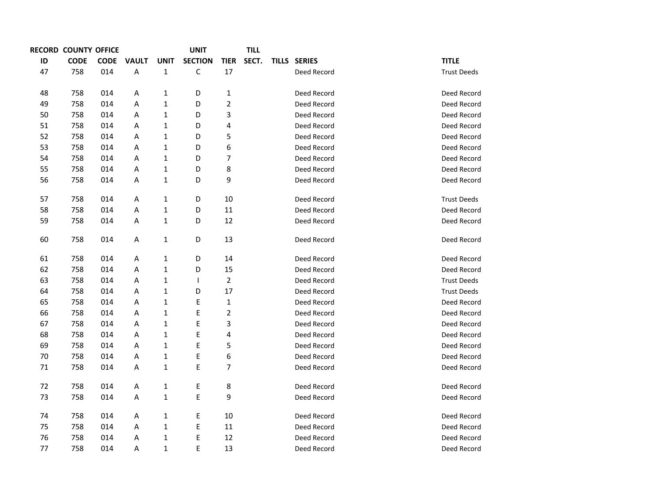|    | <b>RECORD COUNTY OFFICE</b> |             |              |              | <b>UNIT</b>    |                | <b>TILL</b> |              |                    |
|----|-----------------------------|-------------|--------------|--------------|----------------|----------------|-------------|--------------|--------------------|
| ID | <b>CODE</b>                 | <b>CODE</b> | <b>VAULT</b> | <b>UNIT</b>  | <b>SECTION</b> | <b>TIER</b>    | SECT.       | TILLS SERIES | <b>TITLE</b>       |
| 47 | 758                         | 014         | Α            | $\mathbf{1}$ | $\mathsf{C}$   | 17             |             | Deed Record  | <b>Trust Deeds</b> |
|    |                             |             |              |              |                |                |             |              |                    |
| 48 | 758                         | 014         | Α            | 1            | D              | $\mathbf{1}$   |             | Deed Record  | Deed Record        |
| 49 | 758                         | 014         | А            | $\mathbf{1}$ | D              | $\overline{2}$ |             | Deed Record  | Deed Record        |
| 50 | 758                         | 014         | А            | $\mathbf{1}$ | D              | 3              |             | Deed Record  | Deed Record        |
| 51 | 758                         | 014         | Α            | 1            | D              | 4              |             | Deed Record  | Deed Record        |
| 52 | 758                         | 014         | Α            | 1            | D              | 5              |             | Deed Record  | Deed Record        |
| 53 | 758                         | 014         | Α            | 1            | D              | 6              |             | Deed Record  | Deed Record        |
| 54 | 758                         | 014         | Α            | 1            | D              | 7              |             | Deed Record  | Deed Record        |
| 55 | 758                         | 014         | Α            | 1            | D              | 8              |             | Deed Record  | Deed Record        |
| 56 | 758                         | 014         | Α            | $\mathbf{1}$ | D              | 9              |             | Deed Record  | Deed Record        |
| 57 | 758                         | 014         | А            | 1            | D              | 10             |             | Deed Record  | <b>Trust Deeds</b> |
| 58 | 758                         | 014         | Α            | 1            | D              | 11             |             | Deed Record  | Deed Record        |
| 59 | 758                         | 014         | Α            | $\mathbf{1}$ | D              | 12             |             | Deed Record  | Deed Record        |
| 60 | 758                         | 014         | A            | 1            | D              | 13             |             | Deed Record  | Deed Record        |
| 61 | 758                         | 014         | Α            | 1            | D              | 14             |             | Deed Record  | Deed Record        |
| 62 | 758                         | 014         | Α            | 1            | D              | 15             |             | Deed Record  | Deed Record        |
| 63 | 758                         | 014         | Α            | 1            | $\mathbf{I}$   | $\overline{2}$ |             | Deed Record  | <b>Trust Deeds</b> |
| 64 | 758                         | 014         | А            | 1            | D              | 17             |             | Deed Record  | <b>Trust Deeds</b> |
| 65 | 758                         | 014         | А            | 1            | E              | $\mathbf 1$    |             | Deed Record  | Deed Record        |
| 66 | 758                         | 014         | Α            | 1            | E              | $\overline{c}$ |             | Deed Record  | Deed Record        |
| 67 | 758                         | 014         | Α            | 1            | E              | 3              |             | Deed Record  | Deed Record        |
| 68 | 758                         | 014         | А            | 1            | E              | 4              |             | Deed Record  | Deed Record        |
| 69 | 758                         | 014         | Α            | $\mathbf 1$  | E              | 5              |             | Deed Record  | Deed Record        |
| 70 | 758                         | 014         | А            | 1            | E              | 6              |             | Deed Record  | Deed Record        |
| 71 | 758                         | 014         | Α            | 1            | E              | 7              |             | Deed Record  | Deed Record        |
| 72 | 758                         | 014         | А            | 1            | E              | 8              |             | Deed Record  | Deed Record        |
| 73 | 758                         | 014         | А            | 1            | E              | 9              |             | Deed Record  | Deed Record        |
| 74 | 758                         | 014         | Α            |              | E              | 10             |             | Deed Record  | Deed Record        |
| 75 | 758                         | 014         |              | 1            |                | 11             |             | Deed Record  | Deed Record        |
|    |                             |             | Α            | 1            | E              |                |             |              |                    |
| 76 | 758                         | 014         | А            | $\mathbf 1$  | E              | 12             |             | Deed Record  | Deed Record        |
| 77 | 758                         | 014         | Α            | 1            | $\mathsf E$    | 13             |             | Deed Record  | Deed Record        |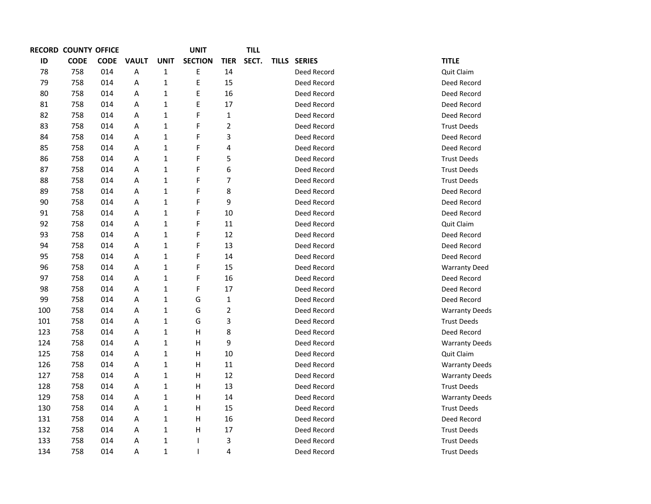|     | <b>RECORD COUNTY OFFICE</b> |             |              |              | UNIT           |                         | TILL  |                     |                       |
|-----|-----------------------------|-------------|--------------|--------------|----------------|-------------------------|-------|---------------------|-----------------------|
| ID  | <b>CODE</b>                 | <b>CODE</b> | <b>VAULT</b> | <b>UNIT</b>  | <b>SECTION</b> | <b>TIER</b>             | SECT. | <b>TILLS SERIES</b> | <b>TITLE</b>          |
| 78  | 758                         | 014         | А            | $\mathbf{1}$ | Ε              | 14                      |       | Deed Record         | Quit Claim            |
| 79  | 758                         | 014         | Α            | $\mathbf{1}$ | E              | 15                      |       | Deed Record         | Deed Record           |
| 80  | 758                         | 014         | А            | $\mathbf{1}$ | E              | 16                      |       | Deed Record         | Deed Record           |
| 81  | 758                         | 014         | Α            | $\mathbf{1}$ | $\mathsf E$    | 17                      |       | Deed Record         | Deed Record           |
| 82  | 758                         | 014         | Α            | $\mathbf{1}$ | F              | $\mathbf{1}$            |       | Deed Record         | Deed Record           |
| 83  | 758                         | 014         | А            | $\mathbf{1}$ | F              | $\overline{\mathbf{c}}$ |       | Deed Record         | <b>Trust Deeds</b>    |
| 84  | 758                         | 014         | А            | 1            | F              | 3                       |       | Deed Record         | Deed Record           |
| 85  | 758                         | 014         | Α            | $\mathbf{1}$ | F              | 4                       |       | Deed Record         | Deed Record           |
| 86  | 758                         | 014         | А            | 1            | F              | 5                       |       | Deed Record         | <b>Trust Deeds</b>    |
| 87  | 758                         | 014         | Α            | $\mathbf{1}$ | F              | 6                       |       | Deed Record         | <b>Trust Deeds</b>    |
| 88  | 758                         | 014         | Α            | $\mathbf{1}$ | F              | $\overline{7}$          |       | Deed Record         | <b>Trust Deeds</b>    |
| 89  | 758                         | 014         | А            | $\mathbf{1}$ | F              | 8                       |       | Deed Record         | Deed Record           |
| 90  | 758                         | 014         | А            | 1            | F              | 9                       |       | Deed Record         | Deed Record           |
| 91  | 758                         | 014         | Α            | $\mathbf{1}$ | F              | 10                      |       | Deed Record         | Deed Record           |
| 92  | 758                         | 014         | А            | $\mathbf{1}$ | F              | 11                      |       | Deed Record         | Quit Claim            |
| 93  | 758                         | 014         | А            | $\mathbf{1}$ | F              | 12                      |       | Deed Record         | Deed Record           |
| 94  | 758                         | 014         | Α            | $\mathbf{1}$ | F              | 13                      |       | Deed Record         | Deed Record           |
| 95  | 758                         | 014         | Α            | $\mathbf{1}$ | F              | 14                      |       | Deed Record         | Deed Record           |
| 96  | 758                         | 014         | Α            | $\mathbf{1}$ | F              | 15                      |       | Deed Record         | <b>Warranty Deed</b>  |
| 97  | 758                         | 014         | Α            | $\mathbf{1}$ | F              | 16                      |       | Deed Record         | Deed Record           |
| 98  | 758                         | 014         | А            | $\mathbf{1}$ | F              | 17                      |       | Deed Record         | Deed Record           |
| 99  | 758                         | 014         | А            | $\mathbf{1}$ | G              | $\mathbf 1$             |       | Deed Record         | Deed Record           |
| 100 | 758                         | 014         | А            | $\mathbf{1}$ | G              | $\mathbf 2$             |       | Deed Record         | <b>Warranty Deeds</b> |
| 101 | 758                         | 014         | Α            | $\mathbf{1}$ | G              | 3                       |       | Deed Record         | <b>Trust Deeds</b>    |
| 123 | 758                         | 014         | А            | $\mathbf{1}$ | H              | 8                       |       | Deed Record         | Deed Record           |
| 124 | 758                         | 014         | А            | $\mathbf{1}$ | H              | 9                       |       | Deed Record         | <b>Warranty Deeds</b> |
| 125 | 758                         | 014         | А            | $\mathbf{1}$ | Н              | 10                      |       | Deed Record         | Quit Claim            |
| 126 | 758                         | 014         | Α            | 1            | $\mathsf{H}$   | 11                      |       | Deed Record         | <b>Warranty Deeds</b> |
| 127 | 758                         | 014         | Α            | $\mathbf{1}$ | H              | 12                      |       | Deed Record         | <b>Warranty Deeds</b> |
| 128 | 758                         | 014         | Α            | $\mathbf{1}$ | H              | 13                      |       | Deed Record         | <b>Trust Deeds</b>    |
| 129 | 758                         | 014         | Α            | 1            | н              | 14                      |       | Deed Record         | <b>Warranty Deeds</b> |
| 130 | 758                         | 014         | Α            | $\mathbf{1}$ | H              | 15                      |       | Deed Record         | <b>Trust Deeds</b>    |
| 131 | 758                         | 014         | Α            | $\mathbf{1}$ | Н              | 16                      |       | Deed Record         | Deed Record           |
| 132 | 758                         | 014         | Α            | 1            | Н              | 17                      |       | Deed Record         | <b>Trust Deeds</b>    |
| 133 | 758                         | 014         | А            | $\mathbf 1$  |                | 3                       |       | Deed Record         | <b>Trust Deeds</b>    |
| 134 | 758                         | 014         | A            | $\mathbf{1}$ | $\mathsf{l}$   | 4                       |       | Deed Record         | <b>Trust Deeds</b>    |
|     |                             |             |              |              |                |                         |       |                     |                       |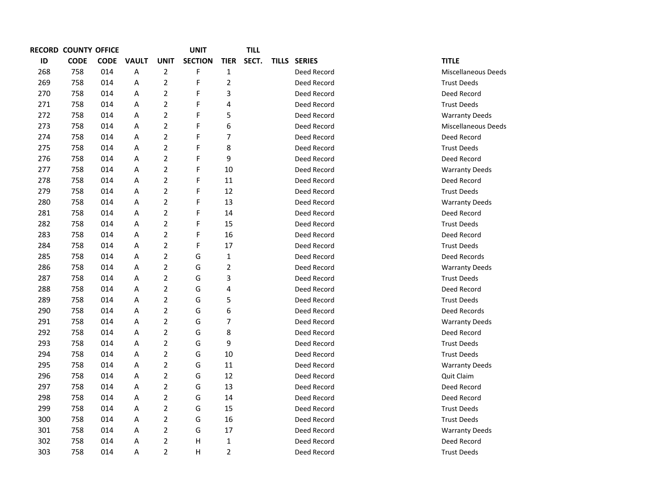|     | <b>RECORD COUNTY OFFICE</b> |             |              |                | <b>UNIT</b>    |                | TILL  |              |                       |  |
|-----|-----------------------------|-------------|--------------|----------------|----------------|----------------|-------|--------------|-----------------------|--|
| ID  | <b>CODE</b>                 | <b>CODE</b> | <b>VAULT</b> | <b>UNIT</b>    | <b>SECTION</b> | <b>TIER</b>    | SECT. | TILLS SERIES | <b>TITLE</b>          |  |
| 268 | 758                         | 014         | Α            | $\overline{2}$ | F              | $\mathbf{1}$   |       | Deed Record  | Miscellaneous Deeds   |  |
| 269 | 758                         | 014         | Α            | $\overline{2}$ | F              | $\overline{2}$ |       | Deed Record  | <b>Trust Deeds</b>    |  |
| 270 | 758                         | 014         | Α            | $\overline{2}$ | F              | 3              |       | Deed Record  | Deed Record           |  |
| 271 | 758                         | 014         | Α            | $\overline{2}$ | F              | 4              |       | Deed Record  | <b>Trust Deeds</b>    |  |
| 272 | 758                         | 014         | A            | $\overline{2}$ | F              | 5              |       | Deed Record  | <b>Warranty Deeds</b> |  |
| 273 | 758                         | 014         | Α            | $\mathbf 2$    | F              | 6              |       | Deed Record  | Miscellaneous Deeds   |  |
| 274 | 758                         | 014         | Α            | $\overline{2}$ | F              | 7              |       | Deed Record  | Deed Record           |  |
| 275 | 758                         | 014         | Α            | $\overline{2}$ | F              | 8              |       | Deed Record  | <b>Trust Deeds</b>    |  |
| 276 | 758                         | 014         | Α            | $\overline{2}$ | F              | 9              |       | Deed Record  | Deed Record           |  |
| 277 | 758                         | 014         | Α            | $\overline{2}$ | F              | 10             |       | Deed Record  | <b>Warranty Deeds</b> |  |
| 278 | 758                         | 014         | A            | $\overline{2}$ | F              | 11             |       | Deed Record  | Deed Record           |  |
| 279 | 758                         | 014         | Α            | $\overline{2}$ | F              | 12             |       | Deed Record  | <b>Trust Deeds</b>    |  |
| 280 | 758                         | 014         | Α            | $\overline{2}$ | F              | 13             |       | Deed Record  | <b>Warranty Deeds</b> |  |
| 281 | 758                         | 014         | Α            | $\mathbf 2$    | F              | 14             |       | Deed Record  | Deed Record           |  |
| 282 | 758                         | 014         | Α            | $\overline{2}$ | F              | 15             |       | Deed Record  | <b>Trust Deeds</b>    |  |
| 283 | 758                         | 014         | Α            | $\overline{2}$ | F              | 16             |       | Deed Record  | Deed Record           |  |
| 284 | 758                         | 014         | A            | $\overline{2}$ | F              | 17             |       | Deed Record  | <b>Trust Deeds</b>    |  |
| 285 | 758                         | 014         | Α            | $\overline{2}$ | G              | $\mathbf{1}$   |       | Deed Record  | Deed Records          |  |
| 286 | 758                         | 014         | Α            | $\overline{2}$ | G              | $\overline{c}$ |       | Deed Record  | <b>Warranty Deeds</b> |  |
| 287 | 758                         | 014         | Α            | $\overline{2}$ | G              | 3              |       | Deed Record  | <b>Trust Deeds</b>    |  |
| 288 | 758                         | 014         | Α            | $\overline{2}$ | G              | 4              |       | Deed Record  | Deed Record           |  |
| 289 | 758                         | 014         | Α            | $\overline{2}$ | G              | 5              |       | Deed Record  | <b>Trust Deeds</b>    |  |
| 290 | 758                         | 014         | Α            | $\overline{2}$ | G              | 6              |       | Deed Record  | Deed Records          |  |
| 291 | 758                         | 014         | Α            | $\overline{2}$ | G              | 7              |       | Deed Record  | <b>Warranty Deeds</b> |  |
| 292 | 758                         | 014         | Α            | $\overline{2}$ | G              | 8              |       | Deed Record  | Deed Record           |  |
| 293 | 758                         | 014         | Α            | $\overline{2}$ | G              | 9              |       | Deed Record  | <b>Trust Deeds</b>    |  |
| 294 | 758                         | 014         | Α            | $\overline{2}$ | G              | 10             |       | Deed Record  | <b>Trust Deeds</b>    |  |
| 295 | 758                         | 014         | Α            | $\overline{2}$ | G              | 11             |       | Deed Record  | <b>Warranty Deeds</b> |  |
| 296 | 758                         | 014         | Α            | $\mathbf 2$    | G              | 12             |       | Deed Record  | Quit Claim            |  |
| 297 | 758                         | 014         | Α            | $\overline{2}$ | G              | 13             |       | Deed Record  | Deed Record           |  |
| 298 | 758                         | 014         | Α            | $\overline{2}$ | G              | 14             |       | Deed Record  | Deed Record           |  |
| 299 | 758                         | 014         | Α            | $\overline{2}$ | G              | 15             |       | Deed Record  | <b>Trust Deeds</b>    |  |
| 300 | 758                         | 014         | Α            | $\overline{2}$ | G              | 16             |       | Deed Record  | <b>Trust Deeds</b>    |  |
| 301 | 758                         | 014         | Α            | $\overline{2}$ | G              | 17             |       | Deed Record  | <b>Warranty Deeds</b> |  |
| 302 | 758                         | 014         | Α            | $\overline{2}$ | Н              | $\mathbf 1$    |       | Deed Record  | Deed Record           |  |
| 303 | 758                         | 014         | A            | $\overline{2}$ | H              | $\overline{2}$ |       | Deed Record  | <b>Trust Deeds</b>    |  |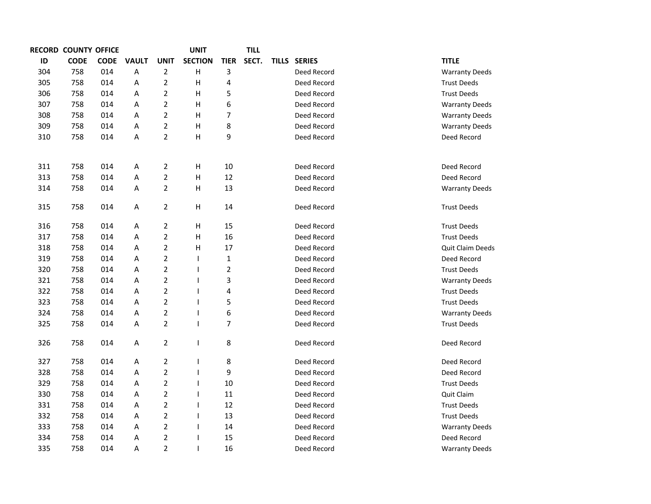|     | <b>RECORD COUNTY OFFICE</b> |             |              |                | <b>UNIT</b>              |                | <b>TILL</b> |              |             |                       |
|-----|-----------------------------|-------------|--------------|----------------|--------------------------|----------------|-------------|--------------|-------------|-----------------------|
| ID  | <b>CODE</b>                 | <b>CODE</b> | <b>VAULT</b> | <b>UNIT</b>    | <b>SECTION</b>           | <b>TIER</b>    | SECT.       | TILLS SERIES |             | <b>TITLE</b>          |
| 304 | 758                         | 014         | A            | $\overline{2}$ | $\mathsf{H}$             | 3              |             |              | Deed Record | <b>Warranty Deeds</b> |
| 305 | 758                         | 014         | Α            | $\overline{2}$ | H                        | 4              |             |              | Deed Record | <b>Trust Deeds</b>    |
| 306 | 758                         | 014         | Α            | $\overline{2}$ | H                        | 5              |             |              | Deed Record | <b>Trust Deeds</b>    |
| 307 | 758                         | 014         | Α            | $\overline{2}$ | Н                        | 6              |             |              | Deed Record | <b>Warranty Deeds</b> |
| 308 | 758                         | 014         | Α            | $\overline{2}$ | Н                        | $\overline{7}$ |             |              | Deed Record | <b>Warranty Deeds</b> |
| 309 | 758                         | 014         | Α            | $\overline{2}$ | Н                        | 8              |             |              | Deed Record | <b>Warranty Deeds</b> |
| 310 | 758                         | 014         | Α            | $\overline{2}$ | Н                        | 9              |             |              | Deed Record | Deed Record           |
|     |                             |             |              |                |                          |                |             |              |             |                       |
| 311 | 758                         | 014         | Α            | $\overline{2}$ | Н                        | 10             |             |              | Deed Record | Deed Record           |
| 313 | 758                         | 014         | Α            | $\mathbf 2$    | H                        | 12             |             |              | Deed Record | Deed Record           |
| 314 | 758                         | 014         | Α            | $\overline{2}$ | Н                        | 13             |             |              | Deed Record | <b>Warranty Deeds</b> |
|     |                             |             |              |                |                          |                |             |              |             |                       |
| 315 | 758                         | 014         | Α            | $\overline{2}$ | Н                        | 14             |             |              | Deed Record | <b>Trust Deeds</b>    |
|     |                             |             |              |                |                          |                |             |              |             |                       |
| 316 | 758                         | 014         | Α            | $\overline{2}$ | Н                        | 15             |             |              | Deed Record | <b>Trust Deeds</b>    |
| 317 | 758                         | 014         | Α            | $\overline{c}$ | H                        | 16             |             |              | Deed Record | <b>Trust Deeds</b>    |
| 318 | 758                         | 014         | Α            | $\overline{2}$ | H                        | 17             |             |              | Deed Record | Quit Claim Deeds      |
| 319 | 758                         | 014         | Α            | $\overline{2}$ | $\mathsf{I}$             | $\mathbf{1}$   |             |              | Deed Record | Deed Record           |
| 320 | 758                         | 014         | А            | $\overline{2}$ | $\overline{\phantom{a}}$ | $\mathbf 2$    |             |              | Deed Record | <b>Trust Deeds</b>    |
| 321 | 758                         | 014         | А            | $\overline{2}$ | $\overline{\phantom{a}}$ | 3              |             |              | Deed Record | <b>Warranty Deeds</b> |
| 322 | 758                         | 014         | Α            | $\overline{2}$ | $\mathsf{l}$             | 4              |             |              | Deed Record | <b>Trust Deeds</b>    |
| 323 | 758                         | 014         | Α            | $\overline{2}$ | $\overline{1}$           | 5              |             |              | Deed Record | <b>Trust Deeds</b>    |
| 324 | 758                         | 014         | А            | $\overline{2}$ | $\overline{\phantom{a}}$ | 6              |             |              | Deed Record | <b>Warranty Deeds</b> |
| 325 | 758                         | 014         | Α            | $\overline{2}$ | $\mathsf{I}$             | $\overline{7}$ |             |              | Deed Record | <b>Trust Deeds</b>    |
| 326 | 758                         | 014         | Α            | $\overline{2}$ | $\overline{\phantom{a}}$ | 8              |             |              | Deed Record | Deed Record           |
| 327 | 758                         | 014         | Α            | $\overline{2}$ | $\overline{\phantom{a}}$ | 8              |             |              | Deed Record | Deed Record           |
| 328 | 758                         | 014         | Α            | $\mathbf 2$    | $\mathsf{I}$             | 9              |             |              | Deed Record | Deed Record           |
| 329 | 758                         | 014         | Α            | $\overline{2}$ | $\overline{\phantom{a}}$ | 10             |             |              | Deed Record | <b>Trust Deeds</b>    |
| 330 | 758                         | 014         | Α            | $\overline{2}$ | $\mathsf{l}$             | 11             |             |              | Deed Record | Quit Claim            |
| 331 | 758                         | 014         | Α            | $\overline{2}$ | $\mathsf{l}$             | 12             |             |              | Deed Record | <b>Trust Deeds</b>    |
| 332 | 758                         | 014         | А            | $\overline{2}$ | $\overline{\phantom{a}}$ | 13             |             |              | Deed Record | <b>Trust Deeds</b>    |
| 333 | 758                         | 014         | Α            | $\mathbf 2$    | $\overline{\phantom{a}}$ | 14             |             |              | Deed Record | <b>Warranty Deeds</b> |
| 334 | 758                         | 014         | Α            | $\overline{2}$ | $\mathsf{l}$             | 15             |             |              | Deed Record | Deed Record           |
| 335 | 758                         | 014         | Α            | $\overline{2}$ | $\overline{\phantom{a}}$ | 16             |             |              | Deed Record |                       |
|     |                             |             |              |                |                          |                |             |              |             | <b>Warranty Deeds</b> |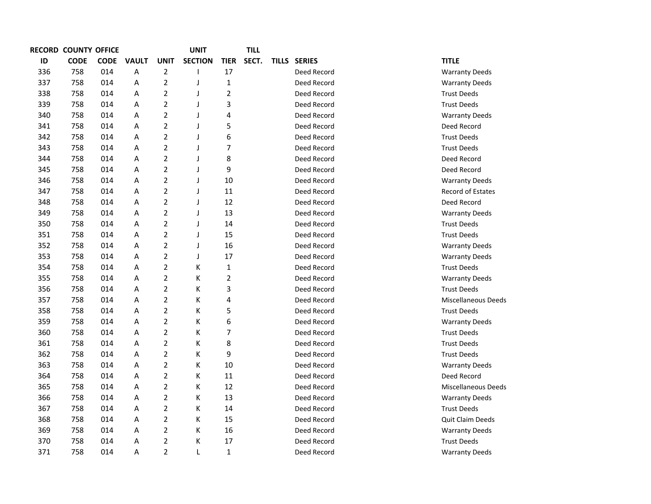|     | <b>RECORD COUNTY OFFICE</b> |             |              |                | UNIT           |                | TILL  |              |                            |
|-----|-----------------------------|-------------|--------------|----------------|----------------|----------------|-------|--------------|----------------------------|
| ID  | <b>CODE</b>                 | <b>CODE</b> | <b>VAULT</b> | <b>UNIT</b>    | <b>SECTION</b> | <b>TIER</b>    | SECT. | TILLS SERIES | <b>TITLE</b>               |
| 336 | 758                         | 014         | Α            | $\overline{2}$ |                | 17             |       | Deed Record  | <b>Warranty Deeds</b>      |
| 337 | 758                         | 014         | A            | $\overline{2}$ | J              | $\mathbf{1}$   |       | Deed Record  | <b>Warranty Deeds</b>      |
| 338 | 758                         | 014         | Α            | $\overline{2}$ | J              | $\overline{2}$ |       | Deed Record  | <b>Trust Deeds</b>         |
| 339 | 758                         | 014         | A            | $\overline{2}$ | J              | 3              |       | Deed Record  | <b>Trust Deeds</b>         |
| 340 | 758                         | 014         | A            | $\overline{2}$ | J              | 4              |       | Deed Record  | <b>Warranty Deeds</b>      |
| 341 | 758                         | 014         | A            | $\overline{2}$ | J              | 5              |       | Deed Record  | Deed Record                |
| 342 | 758                         | 014         | A            | $\overline{2}$ | J              | 6              |       | Deed Record  | <b>Trust Deeds</b>         |
| 343 | 758                         | 014         | A            | $\overline{2}$ | J              | $\overline{7}$ |       | Deed Record  | <b>Trust Deeds</b>         |
| 344 | 758                         | 014         | Α            | $\overline{2}$ | J              | 8              |       | Deed Record  | Deed Record                |
| 345 | 758                         | 014         | A            | $\overline{2}$ | J              | 9              |       | Deed Record  | Deed Record                |
| 346 | 758                         | 014         | A            | $\overline{2}$ | J              | 10             |       | Deed Record  | <b>Warranty Deeds</b>      |
| 347 | 758                         | 014         | A            | $\overline{2}$ | J              | 11             |       | Deed Record  | <b>Record of Estates</b>   |
| 348 | 758                         | 014         | A            | $\overline{2}$ | J              | 12             |       | Deed Record  | Deed Record                |
| 349 | 758                         | 014         | A            | $\overline{2}$ | J              | 13             |       | Deed Record  | <b>Warranty Deeds</b>      |
| 350 | 758                         | 014         | A            | 2              | J              | 14             |       | Deed Record  | <b>Trust Deeds</b>         |
| 351 | 758                         | 014         | A            | $\overline{2}$ | J              | 15             |       | Deed Record  | <b>Trust Deeds</b>         |
| 352 | 758                         | 014         | A            | $\overline{2}$ | J              | 16             |       | Deed Record  | <b>Warranty Deeds</b>      |
| 353 | 758                         | 014         | A            | $\overline{2}$ | J              | 17             |       | Deed Record  | <b>Warranty Deeds</b>      |
| 354 | 758                         | 014         | A            | $\overline{2}$ | Κ              | $\mathbf{1}$   |       | Deed Record  | <b>Trust Deeds</b>         |
| 355 | 758                         | 014         | A            | $\overline{2}$ | K              | $\overline{2}$ |       | Deed Record  | <b>Warranty Deeds</b>      |
| 356 | 758                         | 014         | A            | $\overline{2}$ | Κ              | 3              |       | Deed Record  | <b>Trust Deeds</b>         |
| 357 | 758                         | 014         | Α            | $\overline{2}$ | Κ              | 4              |       | Deed Record  | <b>Miscellaneous Deeds</b> |
| 358 | 758                         | 014         | A            | $\overline{2}$ | Κ              | 5              |       | Deed Record  | <b>Trust Deeds</b>         |
| 359 | 758                         | 014         | A            | $\overline{2}$ | Κ              | 6              |       | Deed Record  | <b>Warranty Deeds</b>      |
| 360 | 758                         | 014         | A            | $\overline{2}$ | Κ              | $\overline{7}$ |       | Deed Record  | <b>Trust Deeds</b>         |
| 361 | 758                         | 014         | A            | $\overline{2}$ | Κ              | 8              |       | Deed Record  | <b>Trust Deeds</b>         |
| 362 | 758                         | 014         | A            | $\overline{2}$ | Κ              | 9              |       | Deed Record  | <b>Trust Deeds</b>         |
| 363 | 758                         | 014         | Α            | $\overline{2}$ | Κ              | 10             |       | Deed Record  | <b>Warranty Deeds</b>      |
| 364 | 758                         | 014         | Α            | $\overline{2}$ | K              | 11             |       | Deed Record  | Deed Record                |
| 365 | 758                         | 014         | A            | $\overline{2}$ | Κ              | 12             |       | Deed Record  | <b>Miscellaneous Deeds</b> |
| 366 | 758                         | 014         | Α            | $\overline{2}$ | Κ              | 13             |       | Deed Record  | <b>Warranty Deeds</b>      |
| 367 | 758                         | 014         | Α            | $\overline{2}$ | Κ              | 14             |       | Deed Record  | <b>Trust Deeds</b>         |
| 368 | 758                         | 014         | A            | $\overline{2}$ | Κ              | 15             |       | Deed Record  | Quit Claim Deeds           |
| 369 | 758                         | 014         | Α            | $\overline{2}$ | Κ              | 16             |       | Deed Record  | <b>Warranty Deeds</b>      |
| 370 | 758                         | 014         | A            | $\overline{2}$ | К              | 17             |       | Deed Record  | <b>Trust Deeds</b>         |
| 371 | 758                         | 014         | A            | $\overline{2}$ | L              | $\mathbf{1}$   |       | Deed Record  | <b>Warranty Deeds</b>      |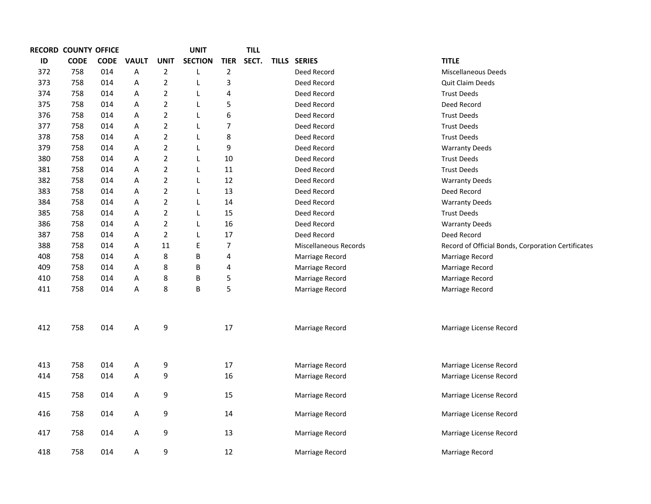|     | RECORD COUNTY OFFICE |             |              |                | <b>UNIT</b>    |                | <b>TILL</b> |                       |                                                    |
|-----|----------------------|-------------|--------------|----------------|----------------|----------------|-------------|-----------------------|----------------------------------------------------|
| ID  | <b>CODE</b>          | <b>CODE</b> | <b>VAULT</b> | <b>UNIT</b>    | <b>SECTION</b> | <b>TIER</b>    | SECT.       | TILLS SERIES          | <b>TITLE</b>                                       |
| 372 | 758                  | 014         | Α            | $\overline{2}$ | L              | $\overline{2}$ |             | Deed Record           | Miscellaneous Deeds                                |
| 373 | 758                  | 014         | A            | $\overline{2}$ | L              | $\mathsf 3$    |             | Deed Record           | <b>Quit Claim Deeds</b>                            |
| 374 | 758                  | 014         | A            | $\overline{2}$ | L              | 4              |             | Deed Record           | <b>Trust Deeds</b>                                 |
| 375 | 758                  | 014         | Α            | $\overline{2}$ | L              | 5              |             | Deed Record           | Deed Record                                        |
| 376 | 758                  | 014         | Α            | $\overline{2}$ | L              | 6              |             | Deed Record           | <b>Trust Deeds</b>                                 |
| 377 | 758                  | 014         | Α            | $\overline{2}$ | L              | 7              |             | Deed Record           | <b>Trust Deeds</b>                                 |
| 378 | 758                  | 014         | Α            | $\overline{2}$ | L              | 8              |             | Deed Record           | <b>Trust Deeds</b>                                 |
| 379 | 758                  | 014         | Α            | $\overline{2}$ | L              | 9              |             | Deed Record           | <b>Warranty Deeds</b>                              |
| 380 | 758                  | 014         | Α            | $\overline{2}$ | L              | 10             |             | Deed Record           | <b>Trust Deeds</b>                                 |
| 381 | 758                  | 014         | Α            | $\overline{2}$ | L              | 11             |             | Deed Record           | <b>Trust Deeds</b>                                 |
| 382 | 758                  | 014         | Α            | $\overline{2}$ | L              | 12             |             | Deed Record           | <b>Warranty Deeds</b>                              |
| 383 | 758                  | 014         | Α            | $\overline{2}$ | L              | 13             |             | Deed Record           | Deed Record                                        |
| 384 | 758                  | 014         | Α            | $\overline{2}$ | L              | 14             |             | Deed Record           | <b>Warranty Deeds</b>                              |
| 385 | 758                  | 014         | Α            | $\overline{2}$ | L              | 15             |             | Deed Record           | <b>Trust Deeds</b>                                 |
| 386 | 758                  | 014         | Α            | $\overline{2}$ | L              | 16             |             | Deed Record           | <b>Warranty Deeds</b>                              |
| 387 | 758                  | 014         | Α            | $\overline{2}$ | L              | 17             |             | Deed Record           | Deed Record                                        |
| 388 | 758                  | 014         | Α            | 11             | $\mathsf E$    | 7              |             | Miscellaneous Records | Record of Official Bonds, Corporation Certificates |
| 408 | 758                  | 014         | Α            | 8              | B              | $\pmb{4}$      |             | Marriage Record       | Marriage Record                                    |
| 409 | 758                  | 014         | Α            | 8              | B              | 4              |             | Marriage Record       | Marriage Record                                    |
| 410 | 758                  | 014         | Α            | 8              | B              | 5              |             | Marriage Record       | Marriage Record                                    |
| 411 | 758                  | 014         | Α            | 8              | B              | 5              |             | Marriage Record       | Marriage Record                                    |
|     |                      |             |              |                |                |                |             |                       |                                                    |
| 412 | 758                  | 014         | Α            | 9              |                | 17             |             | Marriage Record       | Marriage License Record                            |
|     |                      |             |              |                |                |                |             |                       |                                                    |
| 413 | 758                  | 014         | A            | 9              |                | 17             |             | Marriage Record       | Marriage License Record                            |
| 414 | 758                  | 014         | А            | 9              |                | 16             |             | Marriage Record       | Marriage License Record                            |
| 415 | 758                  | 014         | Α            | 9              |                | 15             |             | Marriage Record       | Marriage License Record                            |
| 416 | 758                  | 014         | Α            | 9              |                | 14             |             | Marriage Record       | Marriage License Record                            |
| 417 | 758                  | 014         | Α            | 9              |                | 13             |             | Marriage Record       | Marriage License Record                            |
| 418 | 758                  | 014         | А            | 9              |                | 12             |             | Marriage Record       | Marriage Record                                    |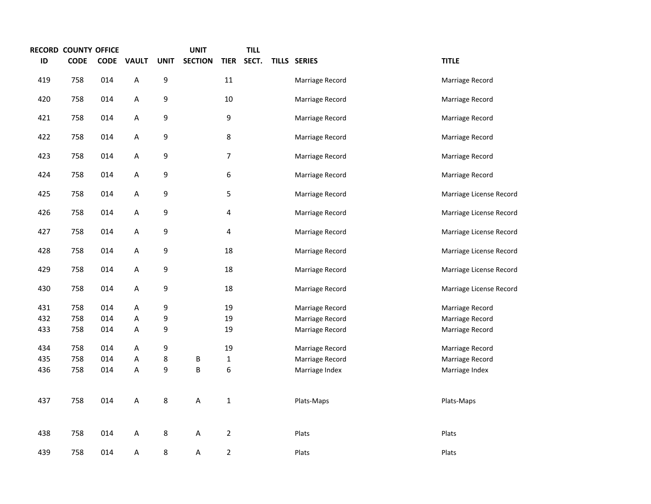|     | RECORD COUNTY OFFICE |             |              |             | <b>UNIT</b>    |                | <b>TILL</b> |                 |                         |
|-----|----------------------|-------------|--------------|-------------|----------------|----------------|-------------|-----------------|-------------------------|
| ID  | <b>CODE</b>          | <b>CODE</b> | <b>VAULT</b> | <b>UNIT</b> | <b>SECTION</b> | <b>TIER</b>    | SECT.       | TILLS SERIES    | <b>TITLE</b>            |
| 419 | 758                  | 014         | $\sf A$      | 9           |                | $11\,$         |             | Marriage Record | Marriage Record         |
| 420 | 758                  | 014         | A            | 9           |                | $10\,$         |             | Marriage Record | Marriage Record         |
| 421 | 758                  | 014         | A            | 9           |                | 9              |             | Marriage Record | Marriage Record         |
| 422 | 758                  | 014         | A            | 9           |                | 8              |             | Marriage Record | Marriage Record         |
| 423 | 758                  | 014         | A            | 9           |                | 7              |             | Marriage Record | Marriage Record         |
| 424 | 758                  | 014         | A            | 9           |                | 6              |             | Marriage Record | Marriage Record         |
| 425 | 758                  | 014         | A            | 9           |                | 5              |             | Marriage Record | Marriage License Record |
| 426 | 758                  | 014         | Α            | 9           |                | 4              |             | Marriage Record | Marriage License Record |
| 427 | 758                  | 014         | A            | 9           |                | 4              |             | Marriage Record | Marriage License Record |
| 428 | 758                  | 014         | A            | 9           |                | 18             |             | Marriage Record | Marriage License Record |
| 429 | 758                  | 014         | $\sf A$      | 9           |                | 18             |             | Marriage Record | Marriage License Record |
| 430 | 758                  | 014         | A            | 9           |                | 18             |             | Marriage Record | Marriage License Record |
| 431 | 758                  | 014         | Α            | 9           |                | 19             |             | Marriage Record | Marriage Record         |
| 432 | 758                  | 014         | А            | 9           |                | 19             |             | Marriage Record | Marriage Record         |
| 433 | 758                  | 014         | Α            | 9           |                | 19             |             | Marriage Record | Marriage Record         |
| 434 | 758                  | 014         | A            | 9           |                | 19             |             | Marriage Record | Marriage Record         |
| 435 | 758                  | 014         | A            | 8           | B              | $\mathbf 1$    |             | Marriage Record | Marriage Record         |
| 436 | 758                  | 014         | A            | 9           | B              | 6              |             | Marriage Index  | Marriage Index          |
| 437 | 758                  | 014         | A            | 8           | А              | $\mathbf 1$    |             | Plats-Maps      | Plats-Maps              |
| 438 | 758                  | 014         | A            | 8           | А              | $\overline{2}$ |             | Plats           | Plats                   |
| 439 | 758                  | 014         | Α            | 8           | Α              | $\overline{2}$ |             | Plats           | Plats                   |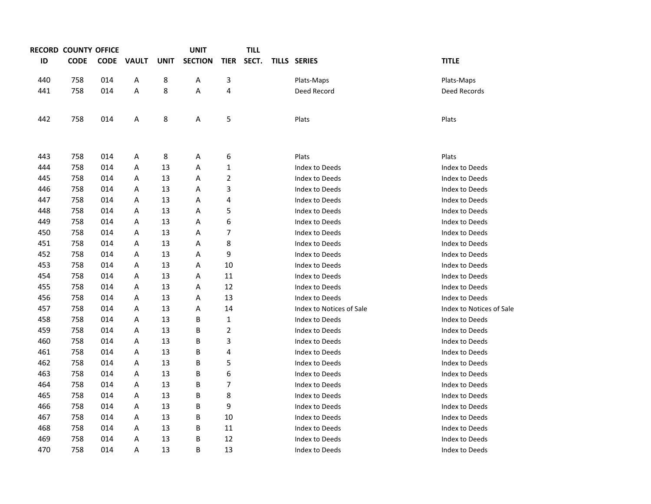|     | RECORD COUNTY OFFICE |             |              |             | <b>UNIT</b>    |                | <b>TILL</b> |                          |                          |
|-----|----------------------|-------------|--------------|-------------|----------------|----------------|-------------|--------------------------|--------------------------|
| ID  | <b>CODE</b>          | <b>CODE</b> | <b>VAULT</b> | <b>UNIT</b> | <b>SECTION</b> | <b>TIER</b>    | SECT.       | TILLS SERIES             | <b>TITLE</b>             |
| 440 | 758                  | 014         | Α            | 8           | Α              | 3              |             | Plats-Maps               | Plats-Maps               |
| 441 | 758                  | 014         | Α            | 8           | Α              | 4              |             | Deed Record              | Deed Records             |
| 442 | 758                  | 014         | A            | 8           | A              | 5              |             | Plats                    | Plats                    |
| 443 | 758                  | 014         | A            | 8           | Α              | 6              |             | Plats                    | Plats                    |
| 444 | 758                  | 014         | Α            | 13          | Α              | 1              |             | Index to Deeds           | Index to Deeds           |
| 445 | 758                  | 014         | Α            | 13          | Α              | 2              |             | Index to Deeds           | Index to Deeds           |
| 446 | 758                  | 014         | Α            | 13          | Α              | 3              |             | Index to Deeds           | Index to Deeds           |
| 447 | 758                  | 014         | Α            | 13          | Α              | 4              |             | Index to Deeds           | Index to Deeds           |
| 448 | 758                  | 014         | Α            | 13          | Α              | 5              |             | Index to Deeds           | Index to Deeds           |
| 449 | 758                  | 014         | Α            | 13          | Α              | 6              |             | Index to Deeds           | Index to Deeds           |
| 450 | 758                  | 014         | Α            | 13          | Α              | 7              |             | Index to Deeds           | Index to Deeds           |
| 451 | 758                  | 014         | Α            | 13          | Α              | 8              |             | Index to Deeds           | Index to Deeds           |
| 452 | 758                  | 014         | Α            | 13          | Α              | 9              |             | Index to Deeds           | Index to Deeds           |
| 453 | 758                  | 014         | Α            | 13          | Α              | 10             |             | Index to Deeds           | Index to Deeds           |
| 454 | 758                  | 014         | Α            | 13          | Α              | 11             |             | Index to Deeds           | Index to Deeds           |
| 455 | 758                  | 014         | Α            | 13          | Α              | 12             |             | Index to Deeds           | Index to Deeds           |
| 456 | 758                  | 014         | Α            | 13          | Α              | 13             |             | Index to Deeds           | Index to Deeds           |
| 457 | 758                  | 014         | Α            | 13          | Α              | 14             |             | Index to Notices of Sale | Index to Notices of Sale |
| 458 | 758                  | 014         | Α            | 13          | В              | 1              |             | Index to Deeds           | Index to Deeds           |
| 459 | 758                  | 014         | Α            | 13          | B              | $\overline{2}$ |             | Index to Deeds           | Index to Deeds           |
| 460 | 758                  | 014         | Α            | 13          | В              | 3              |             | Index to Deeds           | Index to Deeds           |
| 461 | 758                  | 014         | Α            | 13          | В              | 4              |             | Index to Deeds           | Index to Deeds           |
| 462 | 758                  | 014         | Α            | 13          | В              | 5              |             | Index to Deeds           | Index to Deeds           |
| 463 | 758                  | 014         | Α            | 13          | В              | 6              |             | Index to Deeds           | Index to Deeds           |
| 464 | 758                  | 014         | Α            | 13          | В              | 7              |             | Index to Deeds           | Index to Deeds           |
| 465 | 758                  | 014         | Α            | 13          | В              | 8              |             | Index to Deeds           | Index to Deeds           |
| 466 | 758                  | 014         | Α            | 13          | В              | 9              |             | Index to Deeds           | Index to Deeds           |
| 467 | 758                  | 014         | Α            | 13          | B              | 10             |             | Index to Deeds           | Index to Deeds           |
| 468 | 758                  | 014         | Α            | 13          | В              | 11             |             | Index to Deeds           | Index to Deeds           |
| 469 | 758                  | 014         | Α            | 13          | В              | 12             |             | Index to Deeds           | Index to Deeds           |
| 470 | 758                  | 014         | A            | 13          | B              | 13             |             | Index to Deeds           | Index to Deeds           |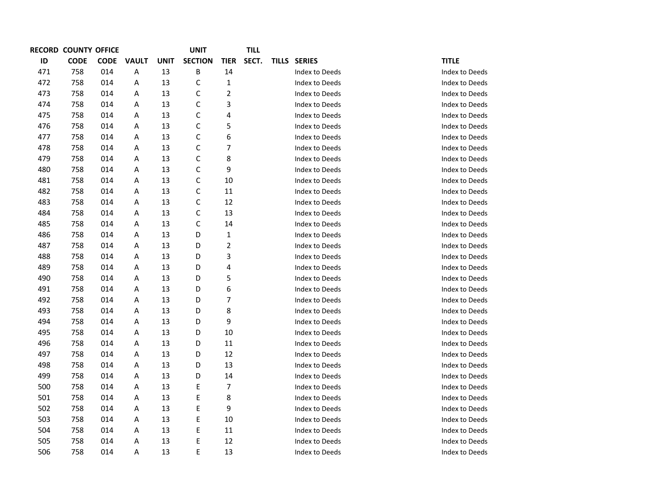|     | <b>RECORD COUNTY OFFICE</b> |             |              |             | <b>UNIT</b>    |                          | <b>TILL</b> |                |                |
|-----|-----------------------------|-------------|--------------|-------------|----------------|--------------------------|-------------|----------------|----------------|
| ID  | <b>CODE</b>                 | <b>CODE</b> | <b>VAULT</b> | <b>UNIT</b> | <b>SECTION</b> | <b>TIER</b>              | SECT.       | TILLS SERIES   | <b>TITLE</b>   |
| 471 | 758                         | 014         | А            | 13          | В              | 14                       |             | Index to Deeds | Index to Deeds |
| 472 | 758                         | 014         | Α            | 13          | $\mathsf{C}$   | $\mathbf{1}$             |             | Index to Deeds | Index to Deeds |
| 473 | 758                         | 014         | Α            | 13          | $\mathsf C$    | $\overline{2}$           |             | Index to Deeds | Index to Deeds |
| 474 | 758                         | 014         | Α            | 13          | $\mathsf C$    | 3                        |             | Index to Deeds | Index to Deeds |
| 475 | 758                         | 014         | Α            | 13          | $\mathsf{C}$   | 4                        |             | Index to Deeds | Index to Deeds |
| 476 | 758                         | 014         | Α            | 13          | $\mathsf C$    | 5                        |             | Index to Deeds | Index to Deeds |
| 477 | 758                         | 014         | Α            | 13          | $\mathsf C$    | 6                        |             | Index to Deeds | Index to Deeds |
| 478 | 758                         | 014         | Α            | 13          | C              | 7                        |             | Index to Deeds | Index to Deeds |
| 479 | 758                         | 014         | Α            | 13          | $\mathsf C$    | 8                        |             | Index to Deeds | Index to Deeds |
| 480 | 758                         | 014         | Α            | 13          | $\mathsf C$    | 9                        |             | Index to Deeds | Index to Deeds |
| 481 | 758                         | 014         | А            | 13          | C              | 10                       |             | Index to Deeds | Index to Deeds |
| 482 | 758                         | 014         | Α            | 13          | $\mathsf C$    | 11                       |             | Index to Deeds | Index to Deeds |
| 483 | 758                         | 014         | Α            | 13          | $\mathsf C$    | 12                       |             | Index to Deeds | Index to Deeds |
| 484 | 758                         | 014         | Α            | 13          | C              | 13                       |             | Index to Deeds | Index to Deeds |
| 485 | 758                         | 014         | Α            | 13          | C              | 14                       |             | Index to Deeds | Index to Deeds |
| 486 | 758                         | 014         | Α            | 13          | D              | 1                        |             | Index to Deeds | Index to Deeds |
| 487 | 758                         | 014         | Α            | 13          | D              | $\overline{\mathbf{c}}$  |             | Index to Deeds | Index to Deeds |
| 488 | 758                         | 014         | Α            | 13          | D              | 3                        |             | Index to Deeds | Index to Deeds |
| 489 | 758                         | 014         | Α            | 13          | D              | 4                        |             | Index to Deeds | Index to Deeds |
| 490 | 758                         | 014         | А            | 13          | D              | 5                        |             | Index to Deeds | Index to Deeds |
| 491 | 758                         | 014         | Α            | 13          | D              | $\boldsymbol{6}$         |             | Index to Deeds | Index to Deeds |
| 492 | 758                         | 014         | Α            | 13          | D              | $\overline{\phantom{a}}$ |             | Index to Deeds | Index to Deeds |
| 493 | 758                         | 014         | Α            | 13          | D              | 8                        |             | Index to Deeds | Index to Deeds |
| 494 | 758                         | 014         | Α            | 13          | D              | 9                        |             | Index to Deeds | Index to Deeds |
| 495 | 758                         | 014         | Α            | 13          | D              | 10                       |             | Index to Deeds | Index to Deeds |
| 496 | 758                         | 014         | Α            | 13          | D              | 11                       |             | Index to Deeds | Index to Deeds |
| 497 | 758                         | 014         | Α            | 13          | D              | 12                       |             | Index to Deeds | Index to Deeds |
| 498 | 758                         | 014         | Α            | 13          | D              | 13                       |             | Index to Deeds | Index to Deeds |
| 499 | 758                         | 014         | Α            | 13          | D              | 14                       |             | Index to Deeds | Index to Deeds |
| 500 | 758                         | 014         | Α            | 13          | Е              | 7                        |             | Index to Deeds | Index to Deeds |
| 501 | 758                         | 014         | Α            | 13          | E              | 8                        |             | Index to Deeds | Index to Deeds |
| 502 | 758                         | 014         | Α            | 13          | E              | 9                        |             | Index to Deeds | Index to Deeds |
| 503 | 758                         | 014         | Α            | 13          | E              | 10                       |             | Index to Deeds | Index to Deeds |
| 504 | 758                         | 014         | Α            | 13          | E              | 11                       |             | Index to Deeds | Index to Deeds |
| 505 | 758                         | 014         | Α            | 13          | E              | 12                       |             | Index to Deeds | Index to Deeds |
| 506 | 758                         | 014         | Α            | 13          | E              | 13                       |             | Index to Deeds | Index to Deeds |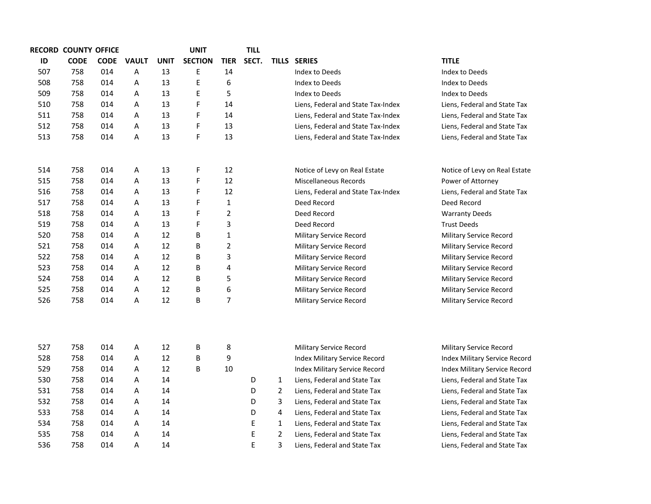|     | <b>RECORD COUNTY OFFICE</b> |             |              |      | <b>UNIT</b>    |                | <b>TILL</b> |                |                                    |                                |
|-----|-----------------------------|-------------|--------------|------|----------------|----------------|-------------|----------------|------------------------------------|--------------------------------|
| ID  | <b>CODE</b>                 | <b>CODE</b> | <b>VAULT</b> | UNIT | <b>SECTION</b> | <b>TIER</b>    | SECT.       |                | TILLS SERIES                       | <b>TITLE</b>                   |
| 507 | 758                         | 014         | Α            | 13   | E              | 14             |             |                | Index to Deeds                     | Index to Deeds                 |
| 508 | 758                         | 014         | A            | 13   | E              | 6              |             |                | Index to Deeds                     | Index to Deeds                 |
| 509 | 758                         | 014         | A            | 13   | E              | 5              |             |                | Index to Deeds                     | Index to Deeds                 |
| 510 | 758                         | 014         | A            | 13   | F              | 14             |             |                | Liens, Federal and State Tax-Index | Liens, Federal and State Tax   |
| 511 | 758                         | 014         | A            | 13   | F              | 14             |             |                | Liens, Federal and State Tax-Index | Liens, Federal and State Tax   |
| 512 | 758                         | 014         | A            | 13   | F              | 13             |             |                | Liens, Federal and State Tax-Index | Liens, Federal and State Tax   |
| 513 | 758                         | 014         | A            | 13   | F              | 13             |             |                | Liens, Federal and State Tax-Index | Liens, Federal and State Tax   |
|     |                             |             |              |      |                |                |             |                |                                    |                                |
| 514 | 758                         | 014         | Α            | 13   | F              | 12             |             |                | Notice of Levy on Real Estate      | Notice of Levy on Real Estate  |
| 515 | 758                         | 014         | A            | 13   | F              | 12             |             |                | <b>Miscellaneous Records</b>       | Power of Attorney              |
| 516 | 758                         | 014         | Α            | 13   | F              | 12             |             |                | Liens, Federal and State Tax-Index | Liens, Federal and State Tax   |
| 517 | 758                         | 014         | Α            | 13   | F              | $\mathbf{1}$   |             |                | Deed Record                        | Deed Record                    |
| 518 | 758                         | 014         | Α            | 13   | F              | $\overline{2}$ |             |                | Deed Record                        | <b>Warranty Deeds</b>          |
| 519 | 758                         | 014         | Α            | 13   | F              | 3              |             |                | Deed Record                        | <b>Trust Deeds</b>             |
| 520 | 758                         | 014         | A            | 12   | B              | $\mathbf{1}$   |             |                | <b>Military Service Record</b>     | Military Service Record        |
| 521 | 758                         | 014         | A            | 12   | B              | $\overline{2}$ |             |                | <b>Military Service Record</b>     | <b>Military Service Record</b> |
| 522 | 758                         | 014         | A            | 12   | В              | 3              |             |                | <b>Military Service Record</b>     | <b>Military Service Record</b> |
| 523 | 758                         | 014         | A            | 12   | В              | 4              |             |                | <b>Military Service Record</b>     | <b>Military Service Record</b> |
| 524 | 758                         | 014         | A            | 12   | B              | 5              |             |                | <b>Military Service Record</b>     | <b>Military Service Record</b> |
| 525 | 758                         | 014         | A            | 12   | В              | 6              |             |                | Military Service Record            | <b>Military Service Record</b> |
| 526 | 758                         | 014         | A            | 12   | В              | $\overline{7}$ |             |                | Military Service Record            | Military Service Record        |
|     |                             |             |              |      |                |                |             |                |                                    |                                |
| 527 | 758                         | 014         | Α            | 12   | B              | 8              |             |                | <b>Military Service Record</b>     | <b>Military Service Record</b> |
| 528 | 758                         | 014         | Α            | 12   | B              | 9              |             |                | Index Military Service Record      | Index Military Service Record  |
| 529 | 758                         | 014         | Α            | 12   | B              | 10             |             |                | Index Military Service Record      | Index Military Service Record  |
| 530 | 758                         | 014         | A            | 14   |                |                | D           | $\mathbf{1}$   | Liens, Federal and State Tax       | Liens, Federal and State Tax   |
| 531 | 758                         | 014         | A            | 14   |                |                | D           | $\overline{2}$ | Liens, Federal and State Tax       | Liens, Federal and State Tax   |
| 532 | 758                         | 014         | A            | 14   |                |                | D           | 3              | Liens, Federal and State Tax       | Liens, Federal and State Tax   |
| 533 | 758                         | 014         | Α            | 14   |                |                | D           | 4              | Liens, Federal and State Tax       | Liens, Federal and State Tax   |
| 534 | 758                         | 014         | Α            | 14   |                |                | Е           | $\mathbf{1}$   | Liens, Federal and State Tax       | Liens, Federal and State Tax   |
| 535 | 758                         | 014         | Α            | 14   |                |                | E           | $\overline{2}$ | Liens, Federal and State Tax       | Liens, Federal and State Tax   |
| 536 | 758                         | 014         | A            | 14   |                |                | E           | 3              | Liens, Federal and State Tax       | Liens, Federal and State Tax   |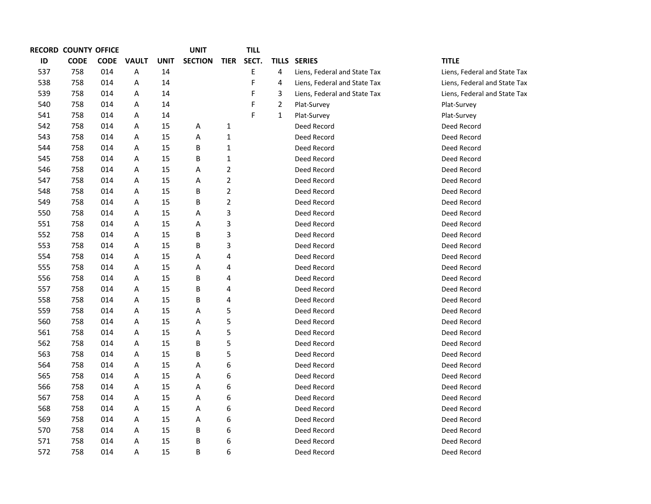|     | <b>RECORD COUNTY OFFICE</b> |             |              |             | <b>UNIT</b>    |                  | TILL  |                |                              |                              |
|-----|-----------------------------|-------------|--------------|-------------|----------------|------------------|-------|----------------|------------------------------|------------------------------|
| ID  | <b>CODE</b>                 | <b>CODE</b> | <b>VAULT</b> | <b>UNIT</b> | <b>SECTION</b> | <b>TIER</b>      | SECT. | <b>TILLS</b>   | <b>SERIES</b>                | <b>TITLE</b>                 |
| 537 | 758                         | 014         | Α            | 14          |                |                  | E     | 4              | Liens, Federal and State Tax | Liens, Federal and State Tax |
| 538 | 758                         | 014         | Α            | 14          |                |                  | F     | 4              | Liens, Federal and State Tax | Liens, Federal and State Tax |
| 539 | 758                         | 014         | Α            | 14          |                |                  | F     | 3              | Liens, Federal and State Tax | Liens, Federal and State Tax |
| 540 | 758                         | 014         | Α            | 14          |                |                  | F     | $\overline{2}$ | Plat-Survey                  | Plat-Survey                  |
| 541 | 758                         | 014         | Α            | 14          |                |                  | F     | $\mathbf{1}$   | Plat-Survey                  | Plat-Survey                  |
| 542 | 758                         | 014         | Α            | 15          | Α              | $\mathbf{1}$     |       |                | Deed Record                  | Deed Record                  |
| 543 | 758                         | 014         | Α            | 15          | Α              | $\mathbf{1}$     |       |                | Deed Record                  | Deed Record                  |
| 544 | 758                         | 014         | Α            | 15          | В              | 1                |       |                | Deed Record                  | Deed Record                  |
| 545 | 758                         | 014         | Α            | 15          | B              | $\mathbf 1$      |       |                | Deed Record                  | Deed Record                  |
| 546 | 758                         | 014         | Α            | 15          | Α              | $\overline{2}$   |       |                | Deed Record                  | Deed Record                  |
| 547 | 758                         | 014         | Α            | 15          | Α              | $\overline{2}$   |       |                | Deed Record                  | Deed Record                  |
| 548 | 758                         | 014         | Α            | 15          | B              | $\overline{2}$   |       |                | Deed Record                  | Deed Record                  |
| 549 | 758                         | 014         | Α            | 15          | Β              | $\overline{2}$   |       |                | Deed Record                  | Deed Record                  |
| 550 | 758                         | 014         | Α            | 15          | Α              | $\mathsf 3$      |       |                | Deed Record                  | Deed Record                  |
| 551 | 758                         | 014         | Α            | 15          | Α              | 3                |       |                | Deed Record                  | Deed Record                  |
| 552 | 758                         | 014         | А            | 15          | Β              | $\mathsf 3$      |       |                | Deed Record                  | Deed Record                  |
| 553 | 758                         | 014         | А            | 15          | Β              | 3                |       |                | Deed Record                  | Deed Record                  |
| 554 | 758                         | 014         | А            | 15          | Α              | 4                |       |                | Deed Record                  | Deed Record                  |
| 555 | 758                         | 014         | А            | 15          | Α              | 4                |       |                | Deed Record                  | Deed Record                  |
| 556 | 758                         | 014         | А            | 15          | B              | 4                |       |                | Deed Record                  | Deed Record                  |
| 557 | 758                         | 014         | А            | 15          | B              | 4                |       |                | Deed Record                  | Deed Record                  |
| 558 | 758                         | 014         | А            | 15          | B              | 4                |       |                | Deed Record                  | Deed Record                  |
| 559 | 758                         | 014         | Α            | 15          | Α              | 5                |       |                | Deed Record                  | Deed Record                  |
| 560 | 758                         | 014         | А            | 15          | Α              | 5                |       |                | Deed Record                  | Deed Record                  |
| 561 | 758                         | 014         | Α            | 15          | Α              | 5                |       |                | Deed Record                  | Deed Record                  |
| 562 | 758                         | 014         | А            | 15          | B              | 5                |       |                | Deed Record                  | Deed Record                  |
| 563 | 758                         | 014         | А            | 15          | Β              | 5                |       |                | Deed Record                  | Deed Record                  |
| 564 | 758                         | 014         | Α            | 15          | Α              | 6                |       |                | Deed Record                  | Deed Record                  |
| 565 | 758                         | 014         | А            | 15          | Α              | 6                |       |                | Deed Record                  | Deed Record                  |
| 566 | 758                         | 014         | А            | 15          | Α              | 6                |       |                | Deed Record                  | Deed Record                  |
| 567 | 758                         | 014         | Α            | 15          | Α              | 6                |       |                | Deed Record                  | Deed Record                  |
| 568 | 758                         | 014         | А            | 15          | Α              | $\boldsymbol{6}$ |       |                | Deed Record                  | Deed Record                  |
| 569 | 758                         | 014         | А            | 15          | Α              | 6                |       |                | Deed Record                  | Deed Record                  |
| 570 | 758                         | 014         | А            | 15          | B              | 6                |       |                | Deed Record                  | Deed Record                  |
| 571 | 758                         | 014         | А            | 15          | Β              | 6                |       |                | Deed Record                  | Deed Record                  |
| 572 | 758                         | 014         | Α            | 15          | B              | 6                |       |                | Deed Record                  | Deed Record                  |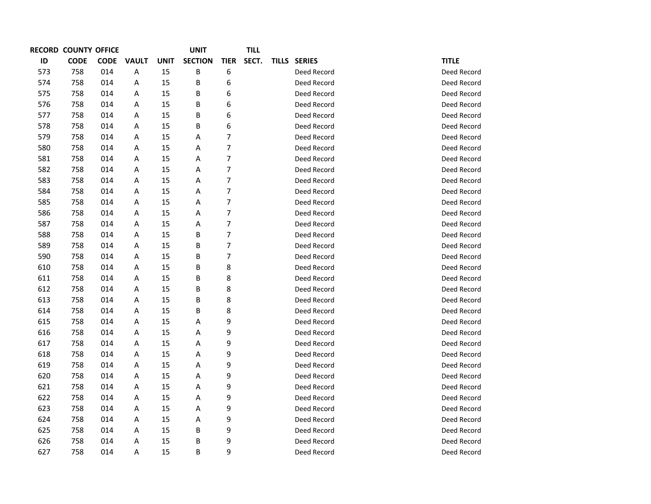| <b>RECORD</b> | <b>COUNTY</b> | <b>OFFICE</b> |              |             | <b>UNIT</b>    |             | TILL  |              |              |
|---------------|---------------|---------------|--------------|-------------|----------------|-------------|-------|--------------|--------------|
| ID            | <b>CODE</b>   | <b>CODE</b>   | <b>VAULT</b> | <b>UNIT</b> | <b>SECTION</b> | <b>TIER</b> | SECT. | TILLS SERIES | <b>TITLE</b> |
| 573           | 758           | 014           | Α            | 15          | B              | 6           |       | Deed Record  | Deed Record  |
| 574           | 758           | 014           | A            | 15          | B              | 6           |       | Deed Record  | Deed Record  |
| 575           | 758           | 014           | Α            | 15          | B              | 6           |       | Deed Record  | Deed Record  |
| 576           | 758           | 014           | A            | 15          | B              | 6           |       | Deed Record  | Deed Record  |
| 577           | 758           | 014           | A            | 15          | B              | 6           |       | Deed Record  | Deed Record  |
| 578           | 758           | 014           | Α            | 15          | B              | 6           |       | Deed Record  | Deed Record  |
| 579           | 758           | 014           | Α            | 15          | А              | 7           |       | Deed Record  | Deed Record  |
| 580           | 758           | 014           | A            | 15          | А              | 7           |       | Deed Record  | Deed Record  |
| 581           | 758           | 014           | Α            | 15          | А              | 7           |       | Deed Record  | Deed Record  |
| 582           | 758           | 014           | Α            | 15          | А              | 7           |       | Deed Record  | Deed Record  |
| 583           | 758           | 014           | A            | 15          | А              | 7           |       | Deed Record  | Deed Record  |
| 584           | 758           | 014           | Α            | 15          | А              | 7           |       | Deed Record  | Deed Record  |
| 585           | 758           | 014           | Α            | 15          | А              | 7           |       | Deed Record  | Deed Record  |
| 586           | 758           | 014           | Α            | 15          | А              | 7           |       | Deed Record  | Deed Record  |
| 587           | 758           | 014           | Α            | 15          | Α              | 7           |       | Deed Record  | Deed Record  |
| 588           | 758           | 014           | Α            | 15          | B              | 7           |       | Deed Record  | Deed Record  |
| 589           | 758           | 014           | A            | 15          | B              | 7           |       | Deed Record  | Deed Record  |
| 590           | 758           | 014           | Α            | 15          | B              | 7           |       | Deed Record  | Deed Record  |
| 610           | 758           | 014           | Α            | 15          | B              | 8           |       | Deed Record  | Deed Record  |
| 611           | 758           | 014           | A            | 15          | B              | 8           |       | Deed Record  | Deed Record  |
| 612           | 758           | 014           | Α            | 15          | B              | 8           |       | Deed Record  | Deed Record  |
| 613           | 758           | 014           | Α            | 15          | B              | 8           |       | Deed Record  | Deed Record  |
| 614           | 758           | 014           | A            | 15          | $\sf B$        | 8           |       | Deed Record  | Deed Record  |
| 615           | 758           | 014           | Α            | 15          | Α              | 9           |       | Deed Record  | Deed Record  |
| 616           | 758           | 014           | Α            | 15          | А              | 9           |       | Deed Record  | Deed Record  |
| 617           | 758           | 014           | Α            | 15          | А              | 9           |       | Deed Record  | Deed Record  |
| 618           | 758           | 014           | A            | 15          | Α              | 9           |       | Deed Record  | Deed Record  |
| 619           | 758           | 014           | Α            | 15          | А              | 9           |       | Deed Record  | Deed Record  |
| 620           | 758           | 014           | Α            | 15          | А              | 9           |       | Deed Record  | Deed Record  |
| 621           | 758           | 014           | Α            | 15          | Α              | 9           |       | Deed Record  | Deed Record  |
| 622           | 758           | 014           | А            | 15          | А              | 9           |       | Deed Record  | Deed Record  |
| 623           | 758           | 014           | Α            | 15          | Α              | 9           |       | Deed Record  | Deed Record  |
| 624           | 758           | 014           | A            | 15          | Α              | 9           |       | Deed Record  | Deed Record  |
| 625           | 758           | 014           | Α            | 15          | B              | 9           |       | Deed Record  | Deed Record  |
| 626           | 758           | 014           | A            | 15          | B              | 9           |       | Deed Record  | Deed Record  |
| 627           | 758           | 014           | A            | 15          | B              | 9           |       | Deed Record  | Deed Record  |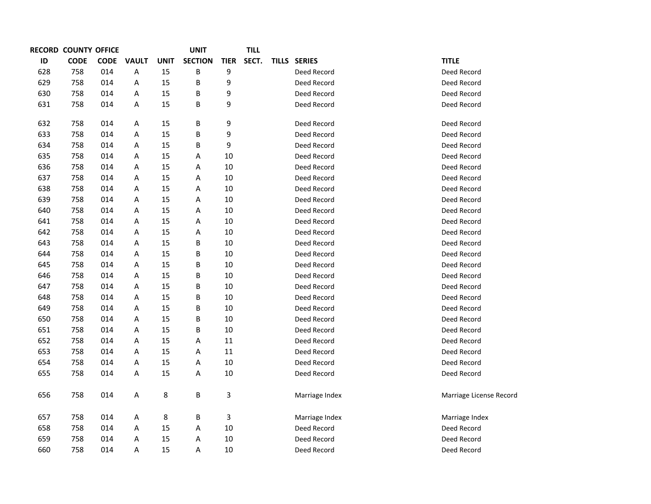|     | <b>RECORD COUNTY OFFICE</b> |             |                         |             | <b>UNIT</b>    |             | <b>TILL</b> |                |                         |
|-----|-----------------------------|-------------|-------------------------|-------------|----------------|-------------|-------------|----------------|-------------------------|
| ID  | <b>CODE</b>                 | <b>CODE</b> | <b>VAULT</b>            | <b>UNIT</b> | <b>SECTION</b> | <b>TIER</b> | SECT.       | TILLS SERIES   | <b>TITLE</b>            |
| 628 | 758                         | 014         | $\overline{\mathsf{A}}$ | 15          | B              | 9           |             | Deed Record    | Deed Record             |
| 629 | 758                         | 014         | Α                       | 15          | B              | 9           |             | Deed Record    | Deed Record             |
| 630 | 758                         | 014         | A                       | 15          | B              | 9           |             | Deed Record    | Deed Record             |
| 631 | 758                         | 014         | A                       | 15          | B              | 9           |             | Deed Record    | Deed Record             |
| 632 | 758                         | 014         | $\overline{\mathsf{A}}$ | 15          | B              | 9           |             | Deed Record    | Deed Record             |
| 633 | 758                         | 014         | A                       | 15          | B              | 9           |             | Deed Record    | Deed Record             |
| 634 | 758                         | 014         | A                       | 15          | B              | 9           |             | Deed Record    | Deed Record             |
| 635 | 758                         | 014         | Α                       | 15          | Α              | 10          |             | Deed Record    | Deed Record             |
| 636 | 758                         | 014         | A                       | 15          | Α              | 10          |             | Deed Record    | Deed Record             |
| 637 | 758                         | 014         | Α                       | 15          | A              | 10          |             | Deed Record    | Deed Record             |
| 638 | 758                         | 014         | Α                       | 15          | Α              | 10          |             | Deed Record    | Deed Record             |
| 639 | 758                         | 014         | Α                       | 15          | Α              | 10          |             | Deed Record    | Deed Record             |
| 640 | 758                         | 014         | Α                       | 15          | Α              | 10          |             | Deed Record    | Deed Record             |
| 641 | 758                         | 014         | Α                       | 15          | Α              | 10          |             | Deed Record    | Deed Record             |
| 642 | 758                         | 014         | Α                       | 15          | Α              | 10          |             | Deed Record    | Deed Record             |
| 643 | 758                         | 014         | Α                       | 15          | B              | 10          |             | Deed Record    | Deed Record             |
| 644 | 758                         | 014         | Α                       | 15          | B              | 10          |             | Deed Record    | Deed Record             |
| 645 | 758                         | 014         | Α                       | 15          | B              | 10          |             | Deed Record    | Deed Record             |
| 646 | 758                         | 014         | Α                       | 15          | B              | 10          |             | Deed Record    | Deed Record             |
| 647 | 758                         | 014         | Α                       | 15          | B              | 10          |             | Deed Record    | Deed Record             |
| 648 | 758                         | 014         | A                       | 15          | B              | 10          |             | Deed Record    | Deed Record             |
| 649 | 758                         | 014         | Α                       | 15          | B              | 10          |             | Deed Record    | Deed Record             |
| 650 | 758                         | 014         | A                       | 15          | B              | 10          |             | Deed Record    | Deed Record             |
| 651 | 758                         | 014         | Α                       | 15          | B              | 10          |             | Deed Record    | Deed Record             |
| 652 | 758                         | 014         | Α                       | 15          | Α              | 11          |             | Deed Record    | Deed Record             |
| 653 | 758                         | 014         | A                       | 15          | A              | 11          |             | Deed Record    | Deed Record             |
| 654 | 758                         | 014         | A                       | 15          | A              | 10          |             | Deed Record    | Deed Record             |
| 655 | 758                         | 014         | $\overline{\mathsf{A}}$ | 15          | Α              | 10          |             | Deed Record    | Deed Record             |
| 656 | 758                         | 014         | $\overline{\mathsf{A}}$ | $\,8\,$     | $\, {\bf B}$   | 3           |             | Marriage Index | Marriage License Record |
| 657 | 758                         | 014         | A                       | 8           | B              | 3           |             | Marriage Index | Marriage Index          |
| 658 | 758                         | 014         | A                       | 15          | Α              | 10          |             | Deed Record    | Deed Record             |
| 659 | 758                         | 014         | A                       | 15          | A              | 10          |             | Deed Record    | Deed Record             |
| 660 | 758                         | 014         | A                       | 15          | Α              | 10          |             | Deed Record    | Deed Record             |
|     |                             |             |                         |             |                |             |             |                |                         |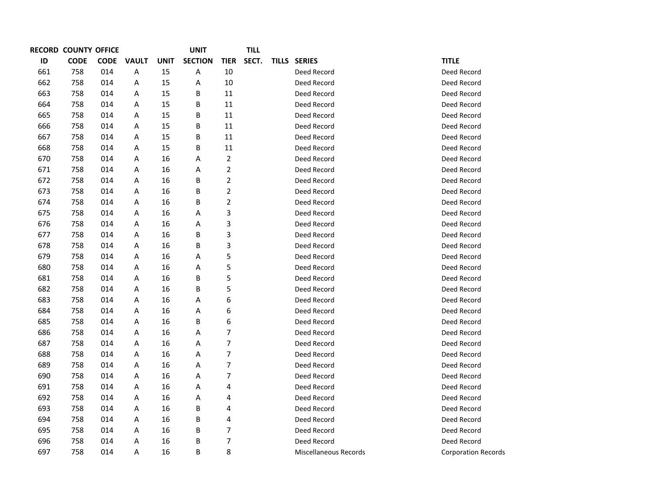|     | <b>RECORD COUNTY OFFICE</b> |             |              |             | <b>UNIT</b>    |                | <b>TILL</b> |                       |                            |
|-----|-----------------------------|-------------|--------------|-------------|----------------|----------------|-------------|-----------------------|----------------------------|
| ID  | <b>CODE</b>                 | <b>CODE</b> | <b>VAULT</b> | <b>UNIT</b> | <b>SECTION</b> | <b>TIER</b>    | SECT.       | TILLS SERIES          | <b>TITLE</b>               |
| 661 | 758                         | 014         | Α            | 15          | Α              | 10             |             | Deed Record           | Deed Record                |
| 662 | 758                         | 014         | Α            | 15          | Α              | 10             |             | Deed Record           | Deed Record                |
| 663 | 758                         | 014         | Α            | 15          | В              | 11             |             | Deed Record           | Deed Record                |
| 664 | 758                         | 014         | Α            | 15          | B              | 11             |             | Deed Record           | Deed Record                |
| 665 | 758                         | 014         | Α            | 15          | Β              | 11             |             | Deed Record           | Deed Record                |
| 666 | 758                         | 014         | Α            | 15          | B              | 11             |             | Deed Record           | Deed Record                |
| 667 | 758                         | 014         | A            | 15          | Β              | 11             |             | Deed Record           | Deed Record                |
| 668 | 758                         | 014         | Α            | 15          | Β              | $11\,$         |             | Deed Record           | Deed Record                |
| 670 | 758                         | 014         | Α            | 16          | Α              | $\overline{2}$ |             | Deed Record           | Deed Record                |
| 671 | 758                         | 014         | Α            | 16          | Α              | $\overline{2}$ |             | Deed Record           | Deed Record                |
| 672 | 758                         | 014         | Α            | 16          | Β              | $\overline{2}$ |             | Deed Record           | Deed Record                |
| 673 | 758                         | 014         | A            | 16          | В              | $\overline{2}$ |             | Deed Record           | Deed Record                |
| 674 | 758                         | 014         | Α            | 16          | В              | $\overline{2}$ |             | Deed Record           | Deed Record                |
| 675 | 758                         | 014         | Α            | 16          | Α              | 3              |             | Deed Record           | Deed Record                |
| 676 | 758                         | 014         | Α            | 16          | Α              | 3              |             | Deed Record           | Deed Record                |
| 677 | 758                         | 014         | Α            | 16          | В              | 3              |             | Deed Record           | Deed Record                |
| 678 | 758                         | 014         | A            | 16          | В              | 3              |             | Deed Record           | Deed Record                |
| 679 | 758                         | 014         | Α            | 16          | Α              | 5              |             | Deed Record           | Deed Record                |
| 680 | 758                         | 014         | Α            | 16          | Α              | 5              |             | Deed Record           | Deed Record                |
| 681 | 758                         | 014         | Α            | 16          | В              | 5              |             | Deed Record           | Deed Record                |
| 682 | 758                         | 014         | Α            | 16          | B              | 5              |             | Deed Record           | Deed Record                |
| 683 | 758                         | 014         | A            | 16          | Α              | 6              |             | Deed Record           | Deed Record                |
| 684 | 758                         | 014         | Α            | 16          | Α              | 6              |             | Deed Record           | Deed Record                |
| 685 | 758                         | 014         | Α            | 16          | B              | 6              |             | Deed Record           | Deed Record                |
| 686 | 758                         | 014         | A            | 16          | Α              | 7              |             | Deed Record           | Deed Record                |
| 687 | 758                         | 014         | Α            | 16          | Α              | $\overline{7}$ |             | Deed Record           | Deed Record                |
| 688 | 758                         | 014         | Α            | 16          | Α              | $\overline{7}$ |             | Deed Record           | Deed Record                |
| 689 | 758                         | 014         | Α            | 16          | Α              | $\overline{7}$ |             | Deed Record           | Deed Record                |
| 690 | 758                         | 014         | Α            | 16          | Α              | 7              |             | Deed Record           | Deed Record                |
| 691 | 758                         | 014         | A            | 16          | Α              | 4              |             | Deed Record           | Deed Record                |
| 692 | 758                         | 014         | Α            | 16          | Α              | 4              |             | Deed Record           | Deed Record                |
| 693 | 758                         | 014         | Α            | 16          | B              | 4              |             | Deed Record           | Deed Record                |
| 694 | 758                         | 014         | Α            | 16          | В              | 4              |             | Deed Record           | Deed Record                |
| 695 | 758                         | 014         | Α            | 16          | В              | 7              |             | Deed Record           | Deed Record                |
| 696 | 758                         | 014         | Α            | 16          | Β              | $\overline{7}$ |             | Deed Record           | Deed Record                |
| 697 | 758                         | 014         | Α            | 16          | B              | 8              |             | Miscellaneous Records | <b>Corporation Records</b> |
|     |                             |             |              |             |                |                |             |                       |                            |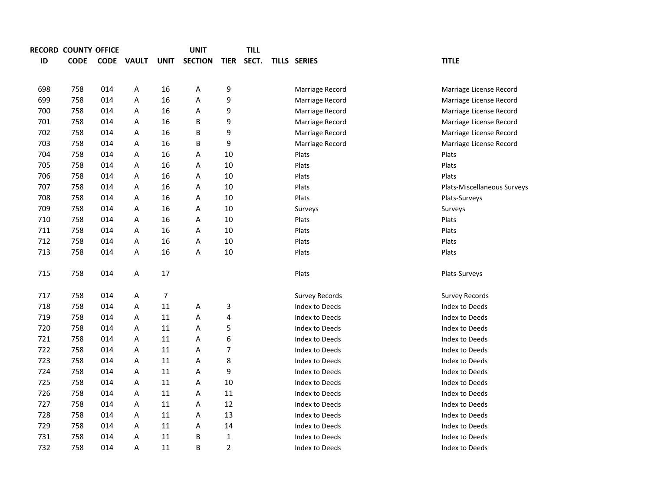|             |     |   |                                    | <b>UNIT</b>    |                | <b>TILL</b> |                       |                             |
|-------------|-----|---|------------------------------------|----------------|----------------|-------------|-----------------------|-----------------------------|
| <b>CODE</b> |     |   | <b>UNIT</b>                        | <b>SECTION</b> | <b>TIER</b>    | SECT.       |                       | <b>TITLE</b>                |
|             |     |   |                                    |                |                |             |                       |                             |
| 758         | 014 | Α | 16                                 | А              | 9              |             | Marriage Record       | Marriage License Record     |
| 758         | 014 | A | 16                                 | A              | 9              |             | Marriage Record       | Marriage License Record     |
| 758         | 014 | A | 16                                 | Α              | 9              |             | Marriage Record       | Marriage License Record     |
| 758         | 014 | Α | 16                                 | В              | 9              |             | Marriage Record       | Marriage License Record     |
| 758         | 014 | A | 16                                 | В              | 9              |             | Marriage Record       | Marriage License Record     |
| 758         | 014 | Α | 16                                 | В              | 9              |             | Marriage Record       | Marriage License Record     |
| 758         | 014 | Α | 16                                 | А              | 10             |             | Plats                 | Plats                       |
| 758         | 014 | A | 16                                 | Α              | 10             |             | Plats                 | Plats                       |
| 758         | 014 | A | 16                                 | A              | 10             |             | Plats                 | Plats                       |
| 758         | 014 | Α | 16                                 | Α              | 10             |             | Plats                 | Plats-Miscellaneous Surveys |
| 758         | 014 | Α | 16                                 | Α              | 10             |             | Plats                 | Plats-Surveys               |
| 758         | 014 | A | 16                                 | А              | 10             |             | Surveys               | Surveys                     |
| 758         | 014 | A | 16                                 | Α              | 10             |             | Plats                 | Plats                       |
| 758         | 014 | A | 16                                 | Α              | 10             |             | Plats                 | Plats                       |
| 758         | 014 | A | 16                                 | Α              | 10             |             | Plats                 | Plats                       |
| 758         | 014 | A | 16                                 | A              | 10             |             | Plats                 | Plats                       |
|             |     |   |                                    |                |                |             |                       |                             |
| 758         | 014 | Α | 17                                 |                |                |             | Plats                 | Plats-Surveys               |
|             |     |   |                                    |                |                |             |                       |                             |
| 758         | 014 | A | 7                                  |                |                |             | <b>Survey Records</b> | <b>Survey Records</b>       |
| 758         | 014 | A | 11                                 | A              | 3              |             | Index to Deeds        | Index to Deeds              |
| 758         | 014 | A | 11                                 | A              | 4              |             | Index to Deeds        | Index to Deeds              |
| 758         | 014 | A | 11                                 | A              | 5              |             | Index to Deeds        | Index to Deeds              |
| 758         | 014 | Α | 11                                 | Α              | 6              |             | Index to Deeds        | Index to Deeds              |
| 758         | 014 | А | 11                                 | Α              | 7              |             | Index to Deeds        | Index to Deeds              |
| 758         | 014 | A | 11                                 | Α              | 8              |             | Index to Deeds        | Index to Deeds              |
| 758         | 014 | A | 11                                 | Α              | 9              |             | Index to Deeds        | Index to Deeds              |
| 758         | 014 | A | 11                                 | Α              | 10             |             | Index to Deeds        | Index to Deeds              |
| 758         | 014 | A | 11                                 | A              | 11             |             | Index to Deeds        | Index to Deeds              |
| 758         | 014 | Α | 11                                 | Α              | 12             |             | Index to Deeds        | Index to Deeds              |
| 758         | 014 | Α | 11                                 | Α              | 13             |             | Index to Deeds        | Index to Deeds              |
| 758         | 014 | А | 11                                 | Α              | 14             |             | Index to Deeds        | Index to Deeds              |
| 758         | 014 | A | 11                                 | В              | $\mathbf 1$    |             | Index to Deeds        | Index to Deeds              |
| 758         | 014 | A | 11                                 | B              | $\overline{2}$ |             | Index to Deeds        | Index to Deeds              |
|             |     |   | RECORD COUNTY OFFICE<br>CODE VAULT |                |                |             |                       | <b>TILLS SERIES</b>         |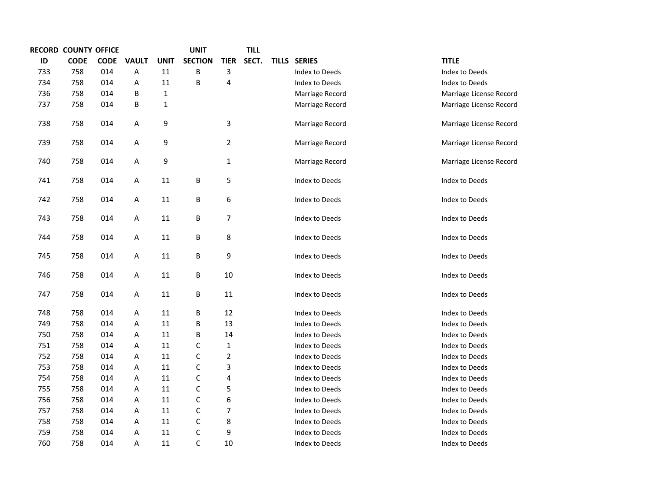|     | <b>RECORD COUNTY OFFICE</b> |             |              |              | <b>UNIT</b>    |                | <b>TILL</b> |                 |                         |
|-----|-----------------------------|-------------|--------------|--------------|----------------|----------------|-------------|-----------------|-------------------------|
| ID  | <b>CODE</b>                 | <b>CODE</b> | <b>VAULT</b> | <b>UNIT</b>  | <b>SECTION</b> | <b>TIER</b>    | SECT.       | TILLS SERIES    | <b>TITLE</b>            |
| 733 | 758                         | 014         | А            | 11           | B              | 3              |             | Index to Deeds  | Index to Deeds          |
| 734 | 758                         | 014         | А            | 11           | B              | 4              |             | Index to Deeds  | Index to Deeds          |
| 736 | 758                         | 014         | B            | $\mathbf{1}$ |                |                |             | Marriage Record | Marriage License Record |
| 737 | 758                         | 014         | B            | 1            |                |                |             | Marriage Record | Marriage License Record |
| 738 | 758                         | 014         | А            | 9            |                | 3              |             | Marriage Record | Marriage License Record |
| 739 | 758                         | 014         | А            | 9            |                | $\overline{2}$ |             | Marriage Record | Marriage License Record |
| 740 | 758                         | 014         | А            | 9            |                | 1              |             | Marriage Record | Marriage License Record |
| 741 | 758                         | 014         | А            | 11           | B              | 5              |             | Index to Deeds  | Index to Deeds          |
| 742 | 758                         | 014         | А            | 11           | B              | 6              |             | Index to Deeds  | Index to Deeds          |
| 743 | 758                         | 014         | А            | $11\,$       | B              | 7              |             | Index to Deeds  | Index to Deeds          |
| 744 | 758                         | 014         | A            | 11           | B              | 8              |             | Index to Deeds  | Index to Deeds          |
| 745 | 758                         | 014         | А            | 11           | B              | 9              |             | Index to Deeds  | Index to Deeds          |
| 746 | 758                         | 014         | Α            | 11           | B              | 10             |             | Index to Deeds  | Index to Deeds          |
| 747 | 758                         | 014         | А            | 11           | B              | 11             |             | Index to Deeds  | Index to Deeds          |
| 748 | 758                         | 014         | А            | 11           | В              | 12             |             | Index to Deeds  | Index to Deeds          |
| 749 | 758                         | 014         | Α            | 11           | B              | 13             |             | Index to Deeds  | Index to Deeds          |
| 750 | 758                         | 014         | Α            | 11           | B              | 14             |             | Index to Deeds  | Index to Deeds          |
| 751 | 758                         | 014         | А            | 11           | C              | 1              |             | Index to Deeds  | Index to Deeds          |
| 752 | 758                         | 014         | Α            | 11           | $\mathsf{C}$   | 2              |             | Index to Deeds  | Index to Deeds          |
| 753 | 758                         | 014         | Α            | 11           | C              | 3              |             | Index to Deeds  | Index to Deeds          |
| 754 | 758                         | 014         | Α            | 11           | $\mathsf{C}$   | 4              |             | Index to Deeds  | Index to Deeds          |
| 755 | 758                         | 014         | Α            | 11           | $\mathsf{C}$   | 5              |             | Index to Deeds  | Index to Deeds          |
| 756 | 758                         | 014         | А            | 11           | $\mathsf{C}$   | 6              |             | Index to Deeds  | Index to Deeds          |
| 757 | 758                         | 014         | Α            | 11           | $\mathsf{C}$   | 7              |             | Index to Deeds  | Index to Deeds          |
| 758 | 758                         | 014         | Α            | 11           | $\mathsf C$    | 8              |             | Index to Deeds  | Index to Deeds          |
| 759 | 758                         | 014         | Α            | 11           | $\mathsf{C}$   | 9              |             | Index to Deeds  | Index to Deeds          |
| 760 | 758                         | 014         | Α            | 11           | $\mathsf C$    | 10             |             | Index to Deeds  | Index to Deeds          |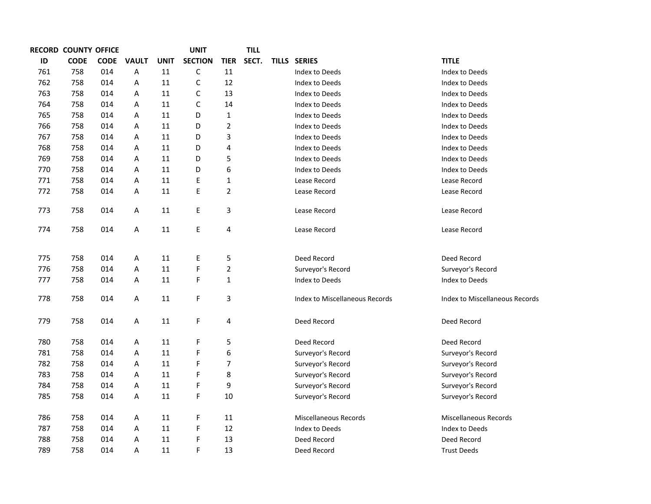|     | <b>RECORD COUNTY OFFICE</b> |             |              |             | <b>UNIT</b>    |                | <b>TILL</b> |                                |                                |
|-----|-----------------------------|-------------|--------------|-------------|----------------|----------------|-------------|--------------------------------|--------------------------------|
| ID  | <b>CODE</b>                 | <b>CODE</b> | <b>VAULT</b> | <b>UNIT</b> | <b>SECTION</b> | <b>TIER</b>    | SECT.       | TILLS SERIES                   | <b>TITLE</b>                   |
| 761 | 758                         | 014         | Α            | 11          | $\mathsf C$    | 11             |             | Index to Deeds                 | Index to Deeds                 |
| 762 | 758                         | 014         | A            | 11          | C              | 12             |             | Index to Deeds                 | Index to Deeds                 |
| 763 | 758                         | 014         | Α            | 11          | C              | 13             |             | Index to Deeds                 | Index to Deeds                 |
| 764 | 758                         | 014         | A            | 11          | C              | 14             |             | Index to Deeds                 | Index to Deeds                 |
| 765 | 758                         | 014         | A            | 11          | D              | 1              |             | Index to Deeds                 | Index to Deeds                 |
| 766 | 758                         | 014         | Α            | 11          | D              | $\overline{2}$ |             | Index to Deeds                 | Index to Deeds                 |
| 767 | 758                         | 014         | Α            | 11          | D              | 3              |             | Index to Deeds                 | Index to Deeds                 |
| 768 | 758                         | 014         | A            | 11          | D              | 4              |             | Index to Deeds                 | Index to Deeds                 |
| 769 | 758                         | 014         | Α            | 11          | D              | 5              |             | Index to Deeds                 | Index to Deeds                 |
| 770 | 758                         | 014         | Α            | 11          | D              | 6              |             | Index to Deeds                 | Index to Deeds                 |
| 771 | 758                         | 014         | A            | 11          | E              | 1              |             | Lease Record                   | Lease Record                   |
| 772 | 758                         | 014         | Α            | 11          | E              | $\overline{2}$ |             | Lease Record                   | Lease Record                   |
| 773 | 758                         | 014         | A            | 11          | Ε              | 3              |             | Lease Record                   | Lease Record                   |
| 774 | 758                         | 014         | A            | 11          | E              | 4              |             | Lease Record                   | Lease Record                   |
| 775 | 758                         | 014         | A            | 11          | $\mathsf E$    | 5              |             | Deed Record                    | Deed Record                    |
| 776 | 758                         | 014         | A            | 11          | F              | 2              |             | Surveyor's Record              | Surveyor's Record              |
| 777 | 758                         | 014         | Α            | 11          | F              | $\mathbf{1}$   |             | Index to Deeds                 | Index to Deeds                 |
| 778 | 758                         | 014         | A            | 11          | F              | 3              |             | Index to Miscellaneous Records | Index to Miscellaneous Records |
| 779 | 758                         | 014         | A            | 11          | $\mathsf F$    | 4              |             | Deed Record                    | Deed Record                    |
| 780 | 758                         | 014         | Α            | 11          | F              | 5              |             | Deed Record                    | Deed Record                    |
| 781 | 758                         | 014         | A            | 11          | F              | 6              |             | Surveyor's Record              | Surveyor's Record              |
| 782 | 758                         | 014         | A            | 11          | F              | 7              |             | Surveyor's Record              | Surveyor's Record              |
| 783 | 758                         | 014         | Α            | 11          | F              | 8              |             | Surveyor's Record              | Surveyor's Record              |
| 784 | 758                         | 014         | A            | 11          | F              | 9              |             | Surveyor's Record              | Surveyor's Record              |
| 785 | 758                         | 014         | A            | 11          | $\mathsf F$    | 10             |             | Surveyor's Record              | Surveyor's Record              |
| 786 | 758                         | 014         | Α            | 11          | F              | 11             |             | Miscellaneous Records          | Miscellaneous Records          |
| 787 | 758                         | 014         | Α            | 11          | F              | 12             |             | Index to Deeds                 | Index to Deeds                 |
| 788 | 758                         | 014         | A            | 11          | $\mathsf F$    | 13             |             | Deed Record                    | Deed Record                    |
| 789 | 758                         | 014         | A            | 11          | F              | 13             |             | Deed Record                    | <b>Trust Deeds</b>             |
|     |                             |             |              |             |                |                |             |                                |                                |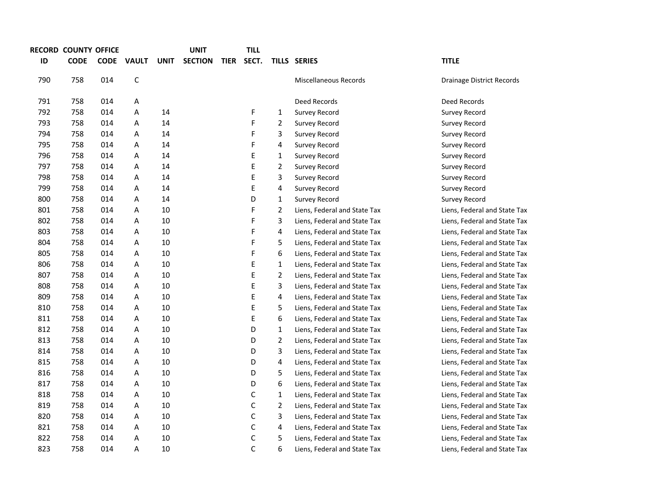|     | <b>RECORD COUNTY OFFICE</b> |             |              |             | <b>UNIT</b>    |             | <b>TILL</b> |                |                              |                              |
|-----|-----------------------------|-------------|--------------|-------------|----------------|-------------|-------------|----------------|------------------------------|------------------------------|
| ID  | <b>CODE</b>                 | <b>CODE</b> | <b>VAULT</b> | <b>UNIT</b> | <b>SECTION</b> | <b>TIER</b> | SECT.       |                | TILLS SERIES                 | <b>TITLE</b>                 |
| 790 | 758                         | 014         | $\mathsf C$  |             |                |             |             |                | Miscellaneous Records        | Drainage District Records    |
| 791 | 758                         | 014         | A            |             |                |             |             |                | Deed Records                 | Deed Records                 |
| 792 | 758                         | 014         | Α            | 14          |                |             | F           | $\mathbf{1}$   | Survey Record                | Survey Record                |
| 793 | 758                         | 014         | Α            | 14          |                |             | F           | $\overline{2}$ | Survey Record                | Survey Record                |
| 794 | 758                         | 014         | Α            | 14          |                |             | F           | 3              | Survey Record                | Survey Record                |
| 795 | 758                         | 014         | А            | 14          |                |             | F           | 4              | Survey Record                | Survey Record                |
| 796 | 758                         | 014         | Α            | 14          |                |             | E           | $\mathbf{1}$   | Survey Record                | Survey Record                |
| 797 | 758                         | 014         | Α            | 14          |                |             | E           | $\overline{2}$ | Survey Record                | Survey Record                |
| 798 | 758                         | 014         | Α            | 14          |                |             | E           | 3              | Survey Record                | Survey Record                |
| 799 | 758                         | 014         | Α            | 14          |                |             | E           | 4              | Survey Record                | Survey Record                |
| 800 | 758                         | 014         | Α            | 14          |                |             | D           | $\mathbf{1}$   | Survey Record                | Survey Record                |
| 801 | 758                         | 014         | Α            | 10          |                |             | F           | $\overline{2}$ | Liens, Federal and State Tax | Liens, Federal and State Tax |
| 802 | 758                         | 014         | Α            | 10          |                |             | F           | 3              | Liens, Federal and State Tax | Liens, Federal and State Tax |
| 803 | 758                         | 014         | Α            | 10          |                |             | F           | 4              | Liens, Federal and State Tax | Liens, Federal and State Tax |
| 804 | 758                         | 014         | Α            | 10          |                |             | F           | 5              | Liens, Federal and State Tax | Liens, Federal and State Tax |
| 805 | 758                         | 014         | А            | 10          |                |             | F           | 6              | Liens, Federal and State Tax | Liens, Federal and State Tax |
| 806 | 758                         | 014         | Α            | 10          |                |             | E           | $\mathbf{1}$   | Liens, Federal and State Tax | Liens, Federal and State Tax |
| 807 | 758                         | 014         | Α            | 10          |                |             | E           | $\overline{2}$ | Liens, Federal and State Tax | Liens, Federal and State Tax |
| 808 | 758                         | 014         | Α            | 10          |                |             | E           | 3              | Liens, Federal and State Tax | Liens, Federal and State Tax |
| 809 | 758                         | 014         | Α            | 10          |                |             | E           | 4              | Liens, Federal and State Tax | Liens, Federal and State Tax |
| 810 | 758                         | 014         | А            | 10          |                |             | E           | 5              | Liens, Federal and State Tax | Liens, Federal and State Tax |
| 811 | 758                         | 014         | Α            | 10          |                |             | Ε           | 6              | Liens, Federal and State Tax | Liens, Federal and State Tax |
| 812 | 758                         | 014         | Α            | 10          |                |             | D           | $\mathbf{1}$   | Liens, Federal and State Tax | Liens, Federal and State Tax |
| 813 | 758                         | 014         | Α            | 10          |                |             | D           | $\overline{2}$ | Liens, Federal and State Tax | Liens, Federal and State Tax |
| 814 | 758                         | 014         | Α            | 10          |                |             | D           | 3              | Liens, Federal and State Tax | Liens, Federal and State Tax |
| 815 | 758                         | 014         | Α            | 10          |                |             | D           | 4              | Liens, Federal and State Tax | Liens, Federal and State Tax |
| 816 | 758                         | 014         | Α            | 10          |                |             | D           | 5              | Liens, Federal and State Tax | Liens, Federal and State Tax |
| 817 | 758                         | 014         | Α            | 10          |                |             | D           | 6              | Liens, Federal and State Tax | Liens, Federal and State Tax |
| 818 | 758                         | 014         | Α            | 10          |                |             | С           | $\mathbf{1}$   | Liens, Federal and State Tax | Liens, Federal and State Tax |
| 819 | 758                         | 014         | Α            | 10          |                |             | C           | $\overline{2}$ | Liens, Federal and State Tax | Liens, Federal and State Tax |
| 820 | 758                         | 014         | Α            | 10          |                |             | C           | 3              | Liens, Federal and State Tax | Liens, Federal and State Tax |
| 821 | 758                         | 014         | Α            | 10          |                |             | С           | 4              | Liens, Federal and State Tax | Liens, Federal and State Tax |
| 822 | 758                         | 014         | Α            | 10          |                |             | С           | 5              | Liens, Federal and State Tax | Liens, Federal and State Tax |
| 823 | 758                         | 014         | А            | 10          |                |             | C           | 6              | Liens, Federal and State Tax | Liens, Federal and State Tax |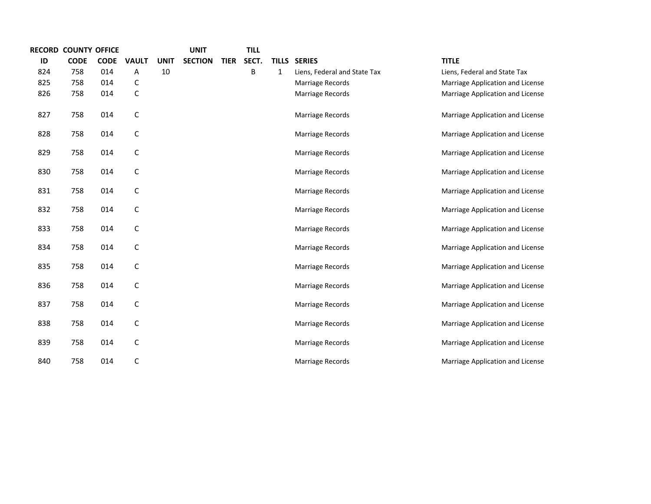|     | <b>RECORD COUNTY OFFICE</b> |             |              |             | <b>UNIT</b>    |             | <b>TILL</b> |   |                              |                                  |
|-----|-----------------------------|-------------|--------------|-------------|----------------|-------------|-------------|---|------------------------------|----------------------------------|
| ID  | <b>CODE</b>                 | <b>CODE</b> | <b>VAULT</b> | <b>UNIT</b> | <b>SECTION</b> | <b>TIER</b> | SECT.       |   | TILLS SERIES                 | <b>TITLE</b>                     |
| 824 | 758                         | 014         | Α            | 10          |                |             | B           | 1 | Liens, Federal and State Tax | Liens, Federal and State Tax     |
| 825 | 758                         | 014         | С            |             |                |             |             |   | Marriage Records             | Marriage Application and License |
| 826 | 758                         | 014         | $\mathsf C$  |             |                |             |             |   | Marriage Records             | Marriage Application and License |
| 827 | 758                         | 014         | $\mathsf C$  |             |                |             |             |   | Marriage Records             | Marriage Application and License |
| 828 | 758                         | 014         | $\mathsf C$  |             |                |             |             |   | Marriage Records             | Marriage Application and License |
| 829 | 758                         | 014         | $\mathsf C$  |             |                |             |             |   | Marriage Records             | Marriage Application and License |
| 830 | 758                         | 014         | $\mathsf C$  |             |                |             |             |   | Marriage Records             | Marriage Application and License |
| 831 | 758                         | 014         | $\mathsf C$  |             |                |             |             |   | Marriage Records             | Marriage Application and License |
| 832 | 758                         | 014         | $\mathsf C$  |             |                |             |             |   | Marriage Records             | Marriage Application and License |
| 833 | 758                         | 014         | $\mathsf C$  |             |                |             |             |   | Marriage Records             | Marriage Application and License |
| 834 | 758                         | 014         | $\mathsf C$  |             |                |             |             |   | Marriage Records             | Marriage Application and License |
| 835 | 758                         | 014         | $\mathsf C$  |             |                |             |             |   | Marriage Records             | Marriage Application and License |
| 836 | 758                         | 014         | $\mathsf C$  |             |                |             |             |   | Marriage Records             | Marriage Application and License |
| 837 | 758                         | 014         | $\mathsf C$  |             |                |             |             |   | Marriage Records             | Marriage Application and License |
| 838 | 758                         | 014         | $\mathsf C$  |             |                |             |             |   | Marriage Records             | Marriage Application and License |
| 839 | 758                         | 014         | $\mathsf C$  |             |                |             |             |   | Marriage Records             | Marriage Application and License |
| 840 | 758                         | 014         | C            |             |                |             |             |   | Marriage Records             | Marriage Application and License |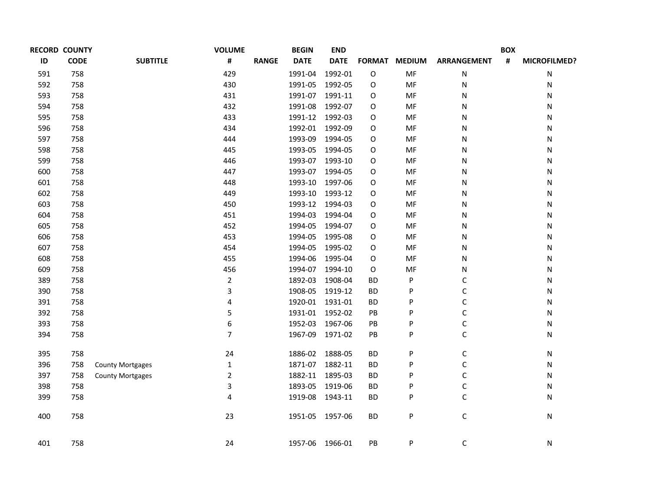| <b>RECORD COUNTY</b> |             |                         | <b>VOLUME</b>     | <b>BEGIN</b>    | <b>END</b>      |               |               |                    | <b>BOX</b> |                     |
|----------------------|-------------|-------------------------|-------------------|-----------------|-----------------|---------------|---------------|--------------------|------------|---------------------|
| ID                   | <b>CODE</b> | <b>SUBTITLE</b>         | #<br><b>RANGE</b> | <b>DATE</b>     | <b>DATE</b>     | <b>FORMAT</b> | <b>MEDIUM</b> | <b>ARRANGEMENT</b> | #          | <b>MICROFILMED?</b> |
| 591                  | 758         |                         | 429               | 1991-04         | 1992-01         | $\mathsf O$   | MF            | N                  |            | N                   |
| 592                  | 758         |                         | 430               | 1991-05         | 1992-05         | O             | MF            | N                  |            | N                   |
| 593                  | 758         |                         | 431               | 1991-07         | 1991-11         | 0             | MF            | N                  |            | Ν                   |
| 594                  | 758         |                         | 432               | 1991-08         | 1992-07         | 0             | MF            | N                  |            | Ν                   |
| 595                  | 758         |                         | 433               |                 | 1991-12 1992-03 | 0             | MF            | N                  |            | Ν                   |
| 596                  | 758         |                         | 434               | 1992-01         | 1992-09         | 0             | MF            | N                  |            | Ν                   |
| 597                  | 758         |                         | 444               | 1993-09         | 1994-05         | 0             | MF            | N                  |            | Ν                   |
| 598                  | 758         |                         | 445               | 1993-05         | 1994-05         | 0             | MF            | N                  |            | Ν                   |
| 599                  | 758         |                         | 446               |                 | 1993-07 1993-10 | 0             | MF            | N                  |            | N                   |
| 600                  | 758         |                         | 447               | 1993-07         | 1994-05         | 0             | MF            | N                  |            | N                   |
| 601                  | 758         |                         | 448               | 1993-10         | 1997-06         | 0             | MF            | N                  |            | N                   |
| 602                  | 758         |                         | 449               | 1993-10         | 1993-12         | O             | MF            | N                  |            | N                   |
| 603                  | 758         |                         | 450               | 1993-12         | 1994-03         | O             | MF            | N                  |            | N                   |
| 604                  | 758         |                         | 451               | 1994-03         | 1994-04         | 0             | MF            | N                  |            | Ν                   |
| 605                  | 758         |                         | 452               | 1994-05         | 1994-07         | 0             | MF            | N                  |            | N                   |
| 606                  | 758         |                         | 453               | 1994-05         | 1995-08         | 0             | MF            | N                  |            | N                   |
| 607                  | 758         |                         | 454               | 1994-05         | 1995-02         | 0             | MF            | N                  |            | N                   |
| 608                  | 758         |                         | 455               | 1994-06         | 1995-04         | 0             | MF            | N                  |            | N                   |
| 609                  | 758         |                         | 456               | 1994-07         | 1994-10         | 0             | MF            | N                  |            | N                   |
| 389                  | 758         |                         | $\overline{2}$    | 1892-03         | 1908-04         | <b>BD</b>     | P             | С                  |            | N                   |
| 390                  | 758         |                         | 3                 | 1908-05         | 1919-12         | <b>BD</b>     | P             | С                  |            | N                   |
| 391                  | 758         |                         | 4                 | 1920-01         | 1931-01         | <b>BD</b>     | P             | С                  |            | N                   |
| 392                  | 758         |                         | 5                 | 1931-01         | 1952-02         | PB            | P             | C                  |            | N                   |
| 393                  | 758         |                         | 6                 | 1952-03         | 1967-06         | PB            | P             | C                  |            | N                   |
| 394                  | 758         |                         | $\overline{7}$    | 1967-09         | 1971-02         | PB            | P             | C                  |            | Ν                   |
| 395                  | 758         |                         | 24                | 1886-02         | 1888-05         | <b>BD</b>     | P             | С                  |            | N                   |
| 396                  | 758         | <b>County Mortgages</b> | $\mathbf{1}$      | 1871-07         | 1882-11         | <b>BD</b>     | P             | C                  |            | Ν                   |
| 397                  | 758         | <b>County Mortgages</b> | $\overline{2}$    | 1882-11         | 1895-03         | <b>BD</b>     | P             | С                  |            | N                   |
| 398                  | 758         |                         | 3                 | 1893-05         | 1919-06         | <b>BD</b>     | P             | C                  |            | N                   |
| 399                  | 758         |                         | 4                 | 1919-08         | 1943-11         | <b>BD</b>     | P             | C                  |            | Ν                   |
| 400                  | 758         |                         | 23                |                 | 1951-05 1957-06 | <b>BD</b>     | P             | $\mathsf C$        |            | Ν                   |
| 401                  | 758         |                         | 24                | 1957-06 1966-01 |                 | PB            | P             | C                  |            | N                   |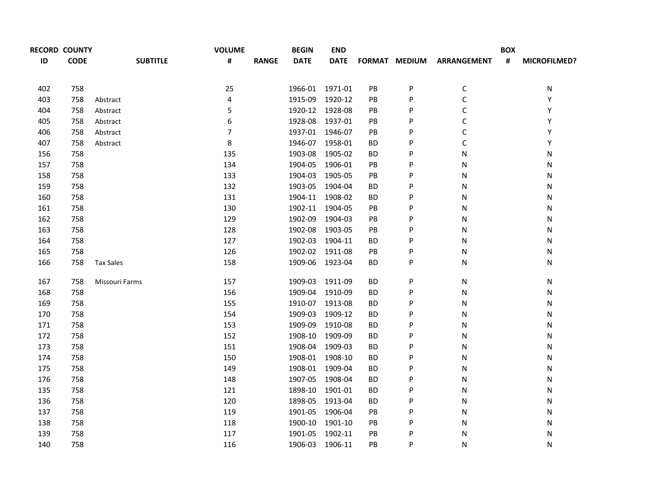|     | <b>RECORD COUNTY</b> |                  | <b>VOLUME</b> |              | <b>BEGIN</b>    | <b>END</b>      |           |               |                    | <b>BOX</b> |                     |
|-----|----------------------|------------------|---------------|--------------|-----------------|-----------------|-----------|---------------|--------------------|------------|---------------------|
| ID  | <b>CODE</b>          | <b>SUBTITLE</b>  | #             | <b>RANGE</b> | <b>DATE</b>     | <b>DATE</b>     |           | FORMAT MEDIUM | <b>ARRANGEMENT</b> | #          | <b>MICROFILMED?</b> |
| 402 | 758                  |                  | 25            |              | 1966-01 1971-01 |                 | PB        | P             | C                  |            | N                   |
| 403 | 758                  | Abstract         | $\pmb{4}$     |              | 1915-09         | 1920-12         | PB        | P             | $\mathsf C$        |            | Υ                   |
| 404 | 758                  | Abstract         | 5             |              | 1920-12 1928-08 |                 | PB        | P             | $\mathsf C$        |            | Υ                   |
| 405 | 758                  | Abstract         | 6             |              | 1928-08 1937-01 |                 | PB        | P             | $\mathsf C$        |            | Υ                   |
| 406 | 758                  | Abstract         | 7             |              | 1937-01 1946-07 |                 | PB        | P             | $\mathsf C$        |            | Υ                   |
| 407 | 758                  | Abstract         | 8             |              | 1946-07 1958-01 |                 | <b>BD</b> | P             | $\mathsf C$        |            | Υ                   |
| 156 | 758                  |                  | 135           |              | 1903-08         | 1905-02         | <b>BD</b> | P             | N                  |            | Ν                   |
| 157 | 758                  |                  | 134           |              | 1904-05         | 1906-01         | PB        | P             | N                  |            | Ν                   |
| 158 | 758                  |                  | 133           |              | 1904-03         | 1905-05         | PB        | P             | N                  |            | N                   |
| 159 | 758                  |                  | 132           |              | 1903-05         | 1904-04         | <b>BD</b> | P             | N                  |            | Ν                   |
| 160 | 758                  |                  | 131           |              | 1904-11         | 1908-02         | <b>BD</b> | P             | N                  |            | Ν                   |
| 161 | 758                  |                  | 130           |              | 1902-11         | 1904-05         | PB        | P             | N                  |            | Ν                   |
| 162 | 758                  |                  | 129           |              | 1902-09         | 1904-03         | PB        | P             | N                  |            | N                   |
| 163 | 758                  |                  | 128           |              | 1902-08         | 1903-05         | PB        | P             | N                  |            | N                   |
| 164 | 758                  |                  | 127           |              | 1902-03         | 1904-11         | <b>BD</b> | P             | N                  |            | N                   |
| 165 | 758                  |                  | 126           |              | 1902-02 1911-08 |                 | PB        | P             | N                  |            | N                   |
| 166 | 758                  | <b>Tax Sales</b> | 158           |              |                 | 1909-06 1923-04 | ВD        | P             | N                  |            | N                   |
| 167 | 758                  | Missouri Farms   | 157           |              | 1909-03         | 1911-09         | ВD        | P             | Ν                  |            | Ν                   |
| 168 | 758                  |                  | 156           |              | 1909-04 1910-09 |                 | ВD        | P             | Ν                  |            | Ν                   |
| 169 | 758                  |                  | 155           |              |                 | 1910-07 1913-08 | ВD        | P             | N                  |            | Ν                   |
| 170 | 758                  |                  | 154           |              | 1909-03         | 1909-12         | ВD        | P             | N                  |            | Ν                   |
| 171 | 758                  |                  | 153           |              | 1909-09         | 1910-08         | <b>BD</b> | P             | N                  |            | N                   |
| 172 | 758                  |                  | 152           |              | 1908-10         | 1909-09         | <b>BD</b> | P             | N                  |            | Ν                   |
| 173 | 758                  |                  | 151           |              | 1908-04 1909-03 |                 | <b>BD</b> | P             | N                  |            | Ν                   |
| 174 | 758                  |                  | 150           |              | 1908-01 1908-10 |                 | <b>BD</b> | P             | Ν                  |            | N                   |
| 175 | 758                  |                  | 149           |              | 1908-01 1909-04 |                 | <b>BD</b> | P             | N                  |            | N                   |
| 176 | 758                  |                  | 148           |              | 1907-05         | 1908-04         | BD        | P             | N                  |            | N                   |
| 135 | 758                  |                  | 121           |              | 1898-10         | 1901-01         | <b>BD</b> | P             | N                  |            | N                   |
| 136 | 758                  |                  | 120           |              | 1898-05         | 1913-04         | <b>BD</b> | P             | N                  |            | Ν                   |
| 137 | 758                  |                  | 119           |              | 1901-05         | 1906-04         | PB        | P             | N                  |            | N                   |
| 138 | 758                  |                  | 118           |              | 1900-10         | 1901-10         | PB        | P             | N                  |            | N                   |
| 139 | 758                  |                  | 117           |              | 1901-05         | 1902-11         | PB.       | P             | N                  |            | N                   |
| 140 | 758                  |                  | 116           |              | 1906-03         | 1906-11         | PB        | P             | N                  |            | N                   |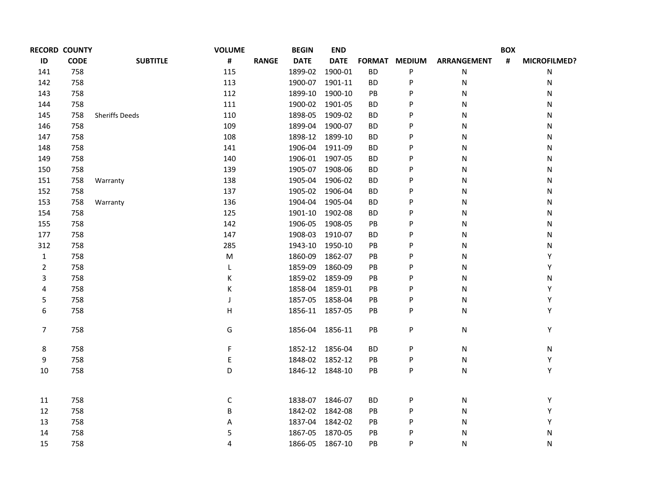|                         | <b>RECORD COUNTY</b> |                       | <b>VOLUME</b> |              | <b>BEGIN</b>    | <b>END</b>  |           |               |             | <b>BOX</b> |              |
|-------------------------|----------------------|-----------------------|---------------|--------------|-----------------|-------------|-----------|---------------|-------------|------------|--------------|
| ID                      | <b>CODE</b>          | <b>SUBTITLE</b>       | #             | <b>RANGE</b> | <b>DATE</b>     | <b>DATE</b> |           | FORMAT MEDIUM | ARRANGEMENT | #          | MICROFILMED? |
| 141                     | 758                  |                       | 115           |              | 1899-02 1900-01 |             | <b>BD</b> | P             | N           |            | N            |
| 142                     | 758                  |                       | 113           |              | 1900-07 1901-11 |             | <b>BD</b> | P             | Ν           |            | N            |
| 143                     | 758                  |                       | 112           |              | 1899-10 1900-10 |             | PB        | P             | N           |            | N            |
| 144                     | 758                  |                       | 111           |              | 1900-02 1901-05 |             | <b>BD</b> | P             | N           |            | N            |
| 145                     | 758                  | <b>Sheriffs Deeds</b> | 110           |              | 1898-05 1909-02 |             | <b>BD</b> | P             | N           |            | N            |
| 146                     | 758                  |                       | 109           |              | 1899-04 1900-07 |             | <b>BD</b> | P             | N           |            | N            |
| 147                     | 758                  |                       | 108           |              | 1898-12 1899-10 |             | <b>BD</b> | P             | N           |            | N            |
| 148                     | 758                  |                       | 141           |              | 1906-04 1911-09 |             | <b>BD</b> | P             | N           |            | N            |
| 149                     | 758                  |                       | 140           |              | 1906-01 1907-05 |             | <b>BD</b> | P             | N           |            | N            |
| 150                     | 758                  |                       | 139           |              | 1905-07 1908-06 |             | <b>BD</b> | P             | N           |            | N            |
| 151                     | 758                  | Warranty              | 138           |              | 1905-04 1906-02 |             | <b>BD</b> | P             | N           |            | N            |
| 152                     | 758                  |                       | 137           |              | 1905-02 1906-04 |             | <b>BD</b> | P             | ${\sf N}$   |            | N            |
| 153                     | 758                  | Warranty              | 136           |              | 1904-04 1905-04 |             | <b>BD</b> | P             | N           |            | N            |
| 154                     | 758                  |                       | 125           |              | 1901-10 1902-08 |             | ВD        | P             | N           |            | N            |
| 155                     | 758                  |                       | 142           |              | 1906-05         | 1908-05     | PB        | P             | N           |            | N            |
| 177                     | 758                  |                       | 147           |              | 1908-03 1910-07 |             | ВD        | P             | N           |            | N            |
| 312                     | 758                  |                       | 285           |              | 1943-10 1950-10 |             | PB        | P             | N           |            | N            |
| $\mathbf{1}$            | 758                  |                       | M             |              | 1860-09         | 1862-07     | PB        | P             | N           |            | Υ            |
| $\overline{2}$          | 758                  |                       | L             |              | 1859-09         | 1860-09     | PB        | P             | N           |            | Υ            |
| 3                       | 758                  |                       | Κ             |              | 1859-02 1859-09 |             | PB        | P             | N           |            | N            |
| $\overline{\mathbf{4}}$ | 758                  |                       | К             |              | 1858-04         | 1859-01     | PB        | P             | N           |            | Υ            |
| 5                       | 758                  |                       | J             |              | 1857-05         | 1858-04     | PB        | P             | N           |            | Υ            |
| 6                       | 758                  |                       | Н             |              | 1856-11 1857-05 |             | PB        | P             | N           |            | Y            |
| $\overline{7}$          | 758                  |                       | G             |              | 1856-04 1856-11 |             | PB        | P             | N           |            | Υ            |
| 8                       | 758                  |                       | F             |              | 1852-12 1856-04 |             | ВD        | P             | ${\sf N}$   |            | N            |
| 9                       | 758                  |                       | E             |              | 1848-02 1852-12 |             | PB        | P             | ${\sf N}$   |            | Υ            |
| 10                      | 758                  |                       | D             |              | 1846-12 1848-10 |             | PB        | P             | N           |            | Υ            |
| 11                      | 758                  |                       | C             |              | 1838-07 1846-07 |             | ВD        | P             | ${\sf N}$   |            | Υ            |
| 12                      | 758                  |                       | В             |              | 1842-02 1842-08 |             | PB        | P             | N           |            | Υ            |
| 13                      | 758                  |                       | А             |              | 1837-04 1842-02 |             | PB        | P             | N           |            | Υ            |
| 14                      | 758                  |                       | 5             |              | 1867-05 1870-05 |             | PB        | P             | N           |            | N            |
| 15                      | 758                  |                       | 4             |              | 1866-05 1867-10 |             | PB        | P             | Ν           |            | N            |
|                         |                      |                       |               |              |                 |             |           |               |             |            |              |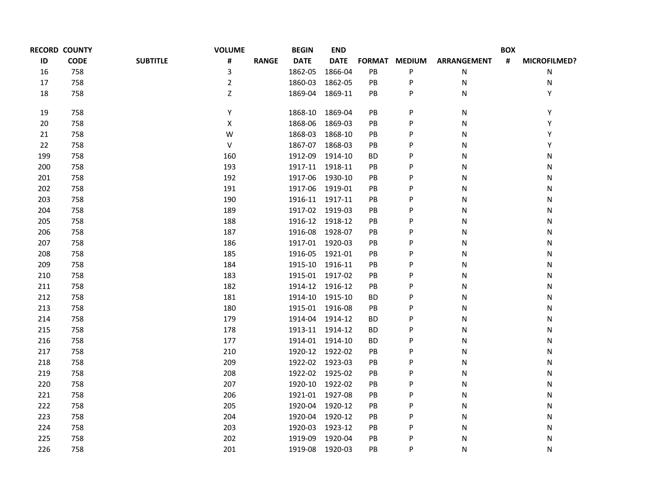|     | <b>RECORD COUNTY</b> |                 | <b>VOLUME</b>  |              | <b>BEGIN</b>    | <b>END</b>  |               |               |                    | <b>BOX</b>     |              |
|-----|----------------------|-----------------|----------------|--------------|-----------------|-------------|---------------|---------------|--------------------|----------------|--------------|
| ID  | <b>CODE</b>          | <b>SUBTITLE</b> | #              | <b>RANGE</b> | <b>DATE</b>     | <b>DATE</b> |               | FORMAT MEDIUM | <b>ARRANGEMENT</b> | $\pmb{\sharp}$ | MICROFILMED? |
| 16  | 758                  |                 | 3              |              | 1862-05         | 1866-04     | $\mathsf{PB}$ | P             | N                  |                | Ν            |
| 17  | 758                  |                 | $\overline{2}$ |              | 1860-03         | 1862-05     | PB            | P             | Ν                  |                | Ν            |
| 18  | 758                  |                 | Z              |              | 1869-04         | 1869-11     | PB            | P             | N                  |                | Υ            |
| 19  | 758                  |                 | Υ              |              | 1868-10         | 1869-04     | PB            | P             | Ν                  |                | Υ            |
| 20  | 758                  |                 | Χ              |              | 1868-06         | 1869-03     | PB            | P             | N                  |                | Υ            |
| 21  | 758                  |                 | W              |              | 1868-03         | 1868-10     | $\mathsf{PB}$ | P             | N                  |                | Υ            |
| 22  | 758                  |                 | $\sf V$        |              | 1867-07         | 1868-03     | PB            | P             | N                  |                | Υ            |
| 199 | 758                  |                 | 160            |              | 1912-09         | 1914-10     | <b>BD</b>     | P             | N                  |                | Ν            |
| 200 | 758                  |                 | 193            |              | 1917-11         | 1918-11     | $\mathsf{PB}$ | P             | N                  |                | N            |
| 201 | 758                  |                 | 192            |              | 1917-06         | 1930-10     | PB            | P             | N                  |                | Ν            |
| 202 | 758                  |                 | 191            |              | 1917-06         | 1919-01     | PB            | P             | N                  |                | Ν            |
| 203 | 758                  |                 | 190            |              | 1916-11 1917-11 |             | PB            | P             | N                  |                | N            |
| 204 | 758                  |                 | 189            |              | 1917-02 1919-03 |             | PB            | P             | N                  |                | Ν            |
| 205 | 758                  |                 | 188            |              | 1916-12 1918-12 |             | PB            | P             | N                  |                | Ν            |
| 206 | 758                  |                 | 187            |              | 1916-08         | 1928-07     | <b>PB</b>     | P             | N                  |                | N            |
| 207 | 758                  |                 | 186            |              | 1917-01 1920-03 |             | PB            | P             | N                  |                | N            |
| 208 | 758                  |                 | 185            |              | 1916-05         | 1921-01     | PB            | P             | N                  |                | Ν            |
| 209 | 758                  |                 | 184            |              | 1915-10 1916-11 |             | <b>PB</b>     | P             | N                  |                | N            |
| 210 | 758                  |                 | 183            |              | 1915-01 1917-02 |             | PB            | P             | N                  |                | N            |
| 211 | 758                  |                 | 182            |              | 1914-12 1916-12 |             | PB            | P             | N                  |                | Ν            |
| 212 | 758                  |                 | 181            |              | 1914-10 1915-10 |             | ВD            | P             | N                  |                | N            |
| 213 | 758                  |                 | 180            |              | 1915-01 1916-08 |             | PB            | P             | N                  |                | N            |
| 214 | 758                  |                 | 179            |              | 1914-04 1914-12 |             | ВD            | P             | N                  |                | Ν            |
| 215 | 758                  |                 | 178            |              | 1913-11 1914-12 |             | <b>BD</b>     | P             | N                  |                | N            |
| 216 | 758                  |                 | 177            |              | 1914-01 1914-10 |             | ВD            | P             | N                  |                | N            |
| 217 | 758                  |                 | 210            |              | 1920-12 1922-02 |             | PB            | P             | N                  |                | N            |
| 218 | 758                  |                 | 209            |              | 1922-02 1923-03 |             | PB            | P             | N                  |                | Ν            |
| 219 | 758                  |                 | 208            |              | 1922-02 1925-02 |             | PB            | P             | N                  |                | N            |
| 220 | 758                  |                 | 207            |              | 1920-10 1922-02 |             | PB            | P             | N                  |                | N            |
| 221 | 758                  |                 | 206            |              | 1921-01 1927-08 |             | PB            | P             | N                  |                | Ν            |
| 222 | 758                  |                 | 205            |              | 1920-04 1920-12 |             | PB            | P             | N                  |                | N            |
| 223 | 758                  |                 | 204            |              | 1920-04 1920-12 |             | PB            | P             | N                  |                | Ν            |
| 224 | 758                  |                 | 203            |              | 1920-03         | 1923-12     | PB            | P             | N                  |                | Ν            |
| 225 | 758                  |                 | 202            |              | 1919-09         | 1920-04     | PB            | P             | Ν                  |                | Ν            |
| 226 | 758                  |                 | 201            |              | 1919-08         | 1920-03     | PB            | P             | N                  |                | N            |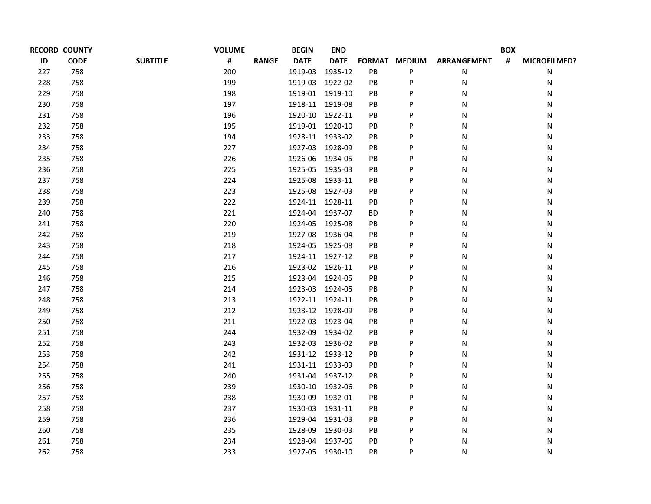| <b>RECORD COUNTY</b> |             |                 | <b>VOLUME</b> |              | <b>BEGIN</b>    | <b>END</b>  |                        |               |                    | <b>BOX</b>     |                     |
|----------------------|-------------|-----------------|---------------|--------------|-----------------|-------------|------------------------|---------------|--------------------|----------------|---------------------|
| ID                   | <b>CODE</b> | <b>SUBTITLE</b> | #             | <b>RANGE</b> | <b>DATE</b>     | <b>DATE</b> |                        | FORMAT MEDIUM | <b>ARRANGEMENT</b> | $\pmb{\sharp}$ | <b>MICROFILMED?</b> |
| 227                  | 758         |                 | 200           |              | 1919-03         | 1935-12     | PB                     | P             | N                  |                | N                   |
| 228                  | 758         |                 | 199           |              | 1919-03         | 1922-02     | PB                     | P             | N                  |                | N                   |
| 229                  | 758         |                 | 198           |              | 1919-01 1919-10 |             | PB                     | P             | N                  |                | N                   |
| 230                  | 758         |                 | 197           |              | 1918-11 1919-08 |             | PB                     | P             | N                  |                | N                   |
| 231                  | 758         |                 | 196           |              | 1920-10         | 1922-11     | PB                     | P             | N                  |                | N                   |
| 232                  | 758         |                 | 195           |              | 1919-01 1920-10 |             | PB                     | P             | N                  |                | N                   |
| 233                  | 758         |                 | 194           |              | 1928-11 1933-02 |             | PB                     | P             | N                  |                | N                   |
| 234                  | 758         |                 | 227           |              | 1927-03         | 1928-09     | PB                     | P             | N                  |                | N                   |
| 235                  | 758         |                 | 226           |              | 1926-06 1934-05 |             | PB                     | P             | N                  |                | N                   |
| 236                  | 758         |                 | 225           |              | 1925-05 1935-03 |             | PB                     | P             | N                  |                | N                   |
| 237                  | 758         |                 | 224           |              | 1925-08         | 1933-11     | PB                     | P             | N                  |                | N                   |
| 238                  | 758         |                 | 223           |              | 1925-08 1927-03 |             | PB                     | P             | N                  |                | N                   |
| 239                  | 758         |                 | 222           |              | 1924-11 1928-11 |             | PB                     | P             | N                  |                | N                   |
| 240                  | 758         |                 | 221           |              | 1924-04 1937-07 |             | <b>BD</b>              | P             | N                  |                | N                   |
| 241                  | 758         |                 | 220           |              | 1924-05 1925-08 |             | PB                     | P             | N                  |                | N                   |
| 242                  | 758         |                 | 219           |              | 1927-08 1936-04 |             | PB                     | P             | N                  |                | N                   |
| 243                  | 758         |                 | 218           |              | 1924-05 1925-08 |             | PB                     | P             | N                  |                | N                   |
| 244                  | 758         |                 | 217           |              | 1924-11 1927-12 |             | PB                     | P             | N                  |                | N                   |
| 245                  | 758         |                 | 216           |              | 1923-02 1926-11 |             | PB                     | Ρ             | N                  |                | N                   |
| 246                  | 758         |                 | 215           |              | 1923-04         | 1924-05     | PB                     | P             | N                  |                | N                   |
| 247                  | 758         |                 | 214           |              | 1923-03 1924-05 |             | PB                     | P             | N                  |                | N                   |
| 248                  | 758         |                 | 213           |              | 1922-11 1924-11 |             | PB                     | P             | N                  |                | N                   |
| 249                  | 758         |                 | 212           |              | 1923-12 1928-09 |             | PB                     | Ρ             | N                  |                | N                   |
| 250                  | 758         |                 | 211           |              | 1922-03         | 1923-04     | PB                     | P             | N                  |                | N                   |
| 251                  | 758         |                 | 244           |              | 1932-09         | 1934-02     | PB                     | P             | N                  |                | N                   |
| 252                  | 758         |                 | 243           |              | 1932-03         | 1936-02     | PB                     | P             | N                  |                | N                   |
| 253                  | 758         |                 | 242           |              | 1931-12         | 1933-12     | PB                     | P             | N                  |                | Ν                   |
| 254                  | 758         |                 | 241           |              | 1931-11         | 1933-09     | PB                     | P             | N                  |                | N                   |
| 255                  | 758         |                 | 240           |              | 1931-04         | 1937-12     | $\mathsf{P}\mathsf{B}$ | P             | N                  |                | N                   |
| 256                  | 758         |                 | 239           |              | 1930-10         | 1932-06     | PB                     | P             | N                  |                | N                   |
| 257                  | 758         |                 | 238           |              | 1930-09         | 1932-01     | PB                     | P             | N                  |                | N                   |
| 258                  | 758         |                 | 237           |              | 1930-03         | 1931-11     | PB                     | P             | N                  |                | N                   |
| 259                  | 758         |                 | 236           |              | 1929-04         | 1931-03     | $\mathsf{P}\mathsf{B}$ | P             | N                  |                | N                   |
| 260                  | 758         |                 | 235           |              | 1928-09         | 1930-03     | PB                     | P             | N                  |                | N                   |
| 261                  | 758         |                 | 234           |              | 1928-04         | 1937-06     | PB                     | P             | N                  |                | N                   |
| 262                  | 758         |                 | 233           |              | 1927-05         | 1930-10     | PB                     | P             | N                  |                | N                   |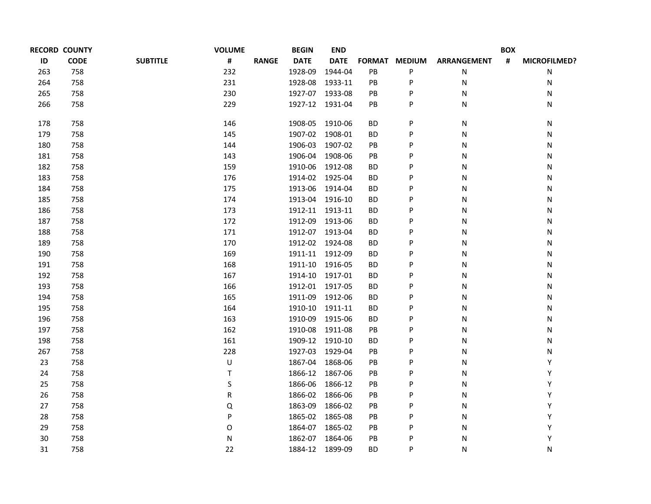|     | <b>RECORD COUNTY</b> |                 | <b>VOLUME</b>     | <b>BEGIN</b> | <b>END</b>      |                        |               |                    | <b>BOX</b>     |                     |
|-----|----------------------|-----------------|-------------------|--------------|-----------------|------------------------|---------------|--------------------|----------------|---------------------|
| ID  | <b>CODE</b>          | <b>SUBTITLE</b> | #<br><b>RANGE</b> | <b>DATE</b>  | <b>DATE</b>     | <b>FORMAT</b>          | <b>MEDIUM</b> | <b>ARRANGEMENT</b> | $\pmb{\sharp}$ | <b>MICROFILMED?</b> |
| 263 | 758                  |                 | 232               | 1928-09      | 1944-04         | PB                     | P             | ${\sf N}$          |                | N                   |
| 264 | 758                  |                 | 231               | 1928-08      | 1933-11         | $\mathsf{P}\mathsf{B}$ | P             | N                  |                | N                   |
| 265 | 758                  |                 | 230               | 1927-07      | 1933-08         | PB                     | P             | N                  |                | N                   |
| 266 | 758                  |                 | 229               | 1927-12      | 1931-04         | PB                     | P             | ${\sf N}$          |                | N                   |
| 178 | 758                  |                 | 146               | 1908-05      | 1910-06         | <b>BD</b>              | P             | N                  |                | N                   |
| 179 | 758                  |                 | 145               | 1907-02      | 1908-01         | <b>BD</b>              | P             | N                  |                | N                   |
| 180 | 758                  |                 | 144               | 1906-03      | 1907-02         | PB                     | P             | N                  |                | N                   |
| 181 | 758                  |                 | 143               | 1906-04      | 1908-06         | PB                     | P             | N                  |                | N                   |
| 182 | 758                  |                 | 159               | 1910-06      | 1912-08         | <b>BD</b>              | P             | N                  |                | N                   |
| 183 | 758                  |                 | 176               |              | 1914-02 1925-04 | BD                     | Ρ             | N                  |                | N                   |
| 184 | 758                  |                 | 175               | 1913-06      | 1914-04         | <b>BD</b>              | P             | N                  |                | N                   |
| 185 | 758                  |                 | 174               |              | 1913-04 1916-10 | <b>BD</b>              | P             | N                  |                | N                   |
| 186 | 758                  |                 | 173               |              | 1912-11 1913-11 | BD                     | Ρ             | N                  |                | N                   |
| 187 | 758                  |                 | 172               | 1912-09      | 1913-06         | <b>BD</b>              | P             | N                  |                | N                   |
| 188 | 758                  |                 | 171               |              | 1912-07 1913-04 | <b>BD</b>              | P             | N                  |                | N                   |
| 189 | 758                  |                 | 170               |              | 1912-02 1924-08 | <b>BD</b>              | Ρ             | N                  |                | N                   |
| 190 | 758                  |                 | 169               |              | 1911-11 1912-09 | BD                     | P             | N                  |                | N                   |
| 191 | 758                  |                 | 168               |              | 1911-10 1916-05 | <b>BD</b>              | P             | N                  |                | N                   |
| 192 | 758                  |                 | 167               |              | 1914-10 1917-01 | <b>BD</b>              | Ρ             | N                  |                | N                   |
| 193 | 758                  |                 | 166               |              | 1912-01 1917-05 | BD                     | P             | N                  |                | N                   |
| 194 | 758                  |                 | 165               | 1911-09      | 1912-06         | ВD                     | P             | N                  |                | N                   |
| 195 | 758                  |                 | 164               |              | 1910-10 1911-11 | <b>BD</b>              | P             | N                  |                | N                   |
| 196 | 758                  |                 | 163               | 1910-09      | 1915-06         | BD                     | P             | N                  |                | N                   |
| 197 | 758                  |                 | 162               | 1910-08      | 1911-08         | PB                     | P             | N                  |                | N                   |
| 198 | 758                  |                 | 161               |              | 1909-12 1910-10 | <b>BD</b>              | P             | N                  |                | N                   |
| 267 | 758                  |                 | 228               |              | 1927-03 1929-04 | PB                     | P             | N                  |                | Ν                   |
| 23  | 758                  |                 | U                 |              | 1867-04 1868-06 | PB                     | P             | N                  |                | Υ                   |
| 24  | 758                  |                 | T                 |              | 1866-12 1867-06 | PB                     | P             | N                  |                | Υ                   |
| 25  | 758                  |                 | S                 | 1866-06      | 1866-12         | PB                     | P             | N                  |                | Υ                   |
| 26  | 758                  |                 | R                 |              | 1866-02 1866-06 | PB                     | P             | N                  |                | Υ                   |
| 27  | 758                  |                 | Q                 | 1863-09      | 1866-02         | PB                     | P             | N                  |                | Υ                   |
| 28  | 758                  |                 | P                 |              | 1865-02 1865-08 | PB                     | P             | N                  |                | Υ                   |
| 29  | 758                  |                 | O                 |              | 1864-07 1865-02 | PB                     | P             | N                  |                | Υ                   |
| 30  | 758                  |                 | N                 | 1862-07      | 1864-06         | PB                     | P             | N                  |                | Υ                   |
| 31  | 758                  |                 | 22                |              | 1884-12 1899-09 | BD                     | P             | N                  |                | Ν                   |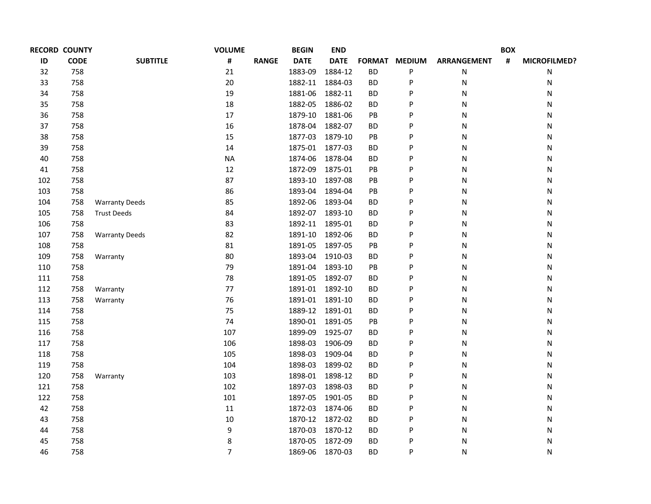| <b>RECORD COUNTY</b> |             |                       | <b>VOLUME</b>  |              | <b>BEGIN</b>    | <b>END</b>  |           |               |                    | <b>BOX</b> |              |
|----------------------|-------------|-----------------------|----------------|--------------|-----------------|-------------|-----------|---------------|--------------------|------------|--------------|
| ID                   | <b>CODE</b> | <b>SUBTITLE</b>       | #              | <b>RANGE</b> | <b>DATE</b>     | <b>DATE</b> |           | FORMAT MEDIUM | <b>ARRANGEMENT</b> | #          | MICROFILMED? |
| 32                   | 758         |                       | 21             |              | 1883-09         | 1884-12     | <b>BD</b> | P             | N                  |            | Ν            |
| 33                   | 758         |                       | 20             |              | 1882-11         | 1884-03     | <b>BD</b> | P             | N                  |            | N            |
| 34                   | 758         |                       | 19             |              | 1881-06         | 1882-11     | ВD        | P             | N                  |            | Ν            |
| 35                   | 758         |                       | 18             |              | 1882-05         | 1886-02     | <b>BD</b> | P             | N                  |            | N            |
| 36                   | 758         |                       | 17             |              | 1879-10         | 1881-06     | PB        | P             | N                  |            | Ν            |
| 37                   | 758         |                       | 16             |              | 1878-04         | 1882-07     | <b>BD</b> | P             | N                  |            | N            |
| 38                   | 758         |                       | 15             |              | 1877-03         | 1879-10     | PB        | P             | N                  |            | Ν            |
| 39                   | 758         |                       | 14             |              | 1875-01         | 1877-03     | ВD        | P             | N                  |            | N            |
| 40                   | 758         |                       | <b>NA</b>      |              | 1874-06         | 1878-04     | ВD        | P             | N                  |            | Ν            |
| 41                   | 758         |                       | 12             |              | 1872-09         | 1875-01     | PB        | P             | N                  |            | N            |
| 102                  | 758         |                       | 87             |              | 1893-10         | 1897-08     | PB        | P             | N                  |            | Ν            |
| 103                  | 758         |                       | 86             |              | 1893-04         | 1894-04     | PB        | P             | N                  |            | N            |
| 104                  | 758         | <b>Warranty Deeds</b> | 85             |              | 1892-06         | 1893-04     | ВD        | P             | Ν                  |            | Ν            |
| 105                  | 758         | <b>Trust Deeds</b>    | 84             |              | 1892-07         | 1893-10     | <b>BD</b> | P             | N                  |            | N            |
| 106                  | 758         |                       | 83             |              | 1892-11         | 1895-01     | ВD        | P             | Ν                  |            | N            |
| 107                  | 758         | <b>Warranty Deeds</b> | 82             |              | 1891-10         | 1892-06     | <b>BD</b> | P             | Ν                  |            | N            |
| 108                  | 758         |                       | 81             |              | 1891-05         | 1897-05     | PB        | P             | Ν                  |            | Ν            |
| 109                  | 758         | Warranty              | 80             |              | 1893-04         | 1910-03     | ВD        | P             | Ν                  |            | N            |
| 110                  | 758         |                       | 79             |              | 1891-04         | 1893-10     | PB        | P             | Ν                  |            | N            |
| 111                  | 758         |                       | 78             |              | 1891-05         | 1892-07     | ВD        | P             | Ν                  |            | N            |
| 112                  | 758         | Warranty              | 77             |              | 1891-01         | 1892-10     | ВD        | P             | Ν                  |            | N            |
| 113                  | 758         | Warranty              | 76             |              | 1891-01         | 1891-10     | ВD        | P             | N                  |            | N            |
| 114                  | 758         |                       | 75             |              | 1889-12         | 1891-01     | ВD        | P             | N                  |            | N            |
| 115                  | 758         |                       | 74             |              | 1890-01         | 1891-05     | PB        | P             | N                  |            | N            |
| 116                  | 758         |                       | 107            |              | 1899-09         | 1925-07     | ВD        | P             | N                  |            | Ν            |
| 117                  | 758         |                       | 106            |              | 1898-03         | 1906-09     | <b>BD</b> | P             | N                  |            | N            |
| 118                  | 758         |                       | 105            |              | 1898-03         | 1909-04     | <b>BD</b> | P             | N                  |            | Ν            |
| 119                  | 758         |                       | 104            |              | 1898-03         | 1899-02     | <b>BD</b> | P             | N                  |            | N            |
| 120                  | 758         | Warranty              | 103            |              | 1898-01         | 1898-12     | ВD        | P             | N                  |            | Ν            |
| 121                  | 758         |                       | 102            |              | 1897-03         | 1898-03     | <b>BD</b> | P             | N                  |            | N            |
| 122                  | 758         |                       | 101            |              | 1897-05         | 1901-05     | ВD        | P             | N                  |            | Ν            |
| 42                   | 758         |                       | 11             |              | 1872-03         | 1874-06     | ВD        | P             | N                  |            | N            |
| 43                   | 758         |                       | 10             |              | 1870-12 1872-02 |             | <b>BD</b> | P             | N                  |            | Ν            |
| 44                   | 758         |                       | 9              |              | 1870-03         | 1870-12     | ВD        | P             | N                  |            | Ν            |
| 45                   | 758         |                       | 8              |              | 1870-05         | 1872-09     | <b>BD</b> | P             | N                  |            | Ν            |
| 46                   | 758         |                       | $\overline{7}$ |              | 1869-06         | 1870-03     | ВD        | P             | N                  |            | N            |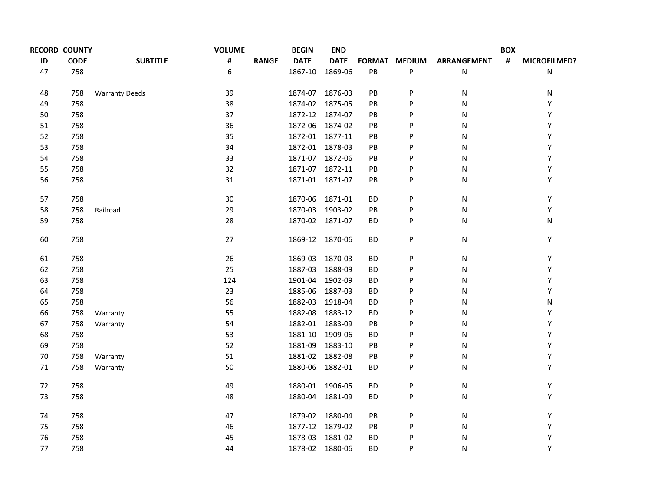| <b>RECORD COUNTY</b> |             |                       | <b>VOLUME</b>  |              | <b>BEGIN</b>    | <b>END</b>      |               |               |                    | <b>BOX</b> |              |
|----------------------|-------------|-----------------------|----------------|--------------|-----------------|-----------------|---------------|---------------|--------------------|------------|--------------|
| ID                   | <b>CODE</b> | <b>SUBTITLE</b>       | $\pmb{\sharp}$ | <b>RANGE</b> | <b>DATE</b>     | <b>DATE</b>     |               | FORMAT MEDIUM | <b>ARRANGEMENT</b> | #          | MICROFILMED? |
| 47                   | 758         |                       | 6              |              | 1867-10         | 1869-06         | $\mathsf{PB}$ | P             | ${\sf N}$          |            | N            |
| 48                   | 758         | <b>Warranty Deeds</b> | 39             |              | 1874-07         | 1876-03         | PB            | P             | ${\sf N}$          |            | N            |
| 49                   | 758         |                       | 38             |              | 1874-02         | 1875-05         | PB            | P             | $\mathsf{N}$       |            | Υ            |
| 50                   | 758         |                       | 37             |              | 1872-12         | 1874-07         | PB            | P             | N                  |            | Υ            |
| 51                   | 758         |                       | 36             |              | 1872-06         | 1874-02         | PB            | P             | ${\sf N}$          |            | Υ            |
| 52                   | 758         |                       | 35             |              |                 | 1872-01 1877-11 | PB            | P             | ${\sf N}$          |            | Υ            |
| 53                   | 758         |                       | 34             |              | 1872-01 1878-03 |                 | <b>PB</b>     | P             | N                  |            | Υ            |
| 54                   | 758         |                       | 33             |              |                 | 1871-07 1872-06 | PB            | P             | N                  |            | Υ            |
| 55                   | 758         |                       | 32             |              |                 | 1871-07 1872-11 | PB            | P             | ${\sf N}$          |            | Υ            |
| 56                   | 758         |                       | 31             |              |                 | 1871-01 1871-07 | PB            | P             | N                  |            | Υ            |
| 57                   | 758         |                       | 30             |              | 1870-06         | 1871-01         | <b>BD</b>     | P             | ${\sf N}$          |            | Y            |
| 58                   | 758         | Railroad              | 29             |              | 1870-03         | 1903-02         | PB            | P             | N                  |            | Y            |
| 59                   | 758         |                       | 28             |              | 1870-02 1871-07 |                 | ВD            | P             | ${\sf N}$          |            | N            |
| 60                   | 758         |                       | 27             |              |                 | 1869-12 1870-06 | <b>BD</b>     | P             | ${\sf N}$          |            | Y            |
| 61                   | 758         |                       | 26             |              | 1869-03         | 1870-03         | <b>BD</b>     | P             | ${\sf N}$          |            | Y            |
| 62                   | 758         |                       | 25             |              | 1887-03         | 1888-09         | <b>BD</b>     | P             | ${\sf N}$          |            | Υ            |
| 63                   | 758         |                       | 124            |              | 1901-04 1902-09 |                 | <b>BD</b>     | P             | $\mathsf{N}$       |            | Υ            |
| 64                   | 758         |                       | 23             |              | 1885-06         | 1887-03         | <b>BD</b>     | P             | N                  |            | Υ            |
| 65                   | 758         |                       | 56             |              | 1882-03         | 1918-04         | <b>BD</b>     | P             | ${\sf N}$          |            | N            |
| 66                   | 758         | Warranty              | 55             |              | 1882-08         | 1883-12         | <b>BD</b>     | P             | $\mathsf{N}$       |            | Υ            |
| 67                   | 758         | Warranty              | 54             |              | 1882-01 1883-09 |                 | PB            | P             | N                  |            | Υ            |
| 68                   | 758         |                       | 53             |              | 1881-10         | 1909-06         | BD            | P             | N                  |            | Υ            |
| 69                   | 758         |                       | 52             |              | 1881-09         | 1883-10         | PB            | P             | ${\sf N}$          |            | Υ            |
| 70                   | 758         | Warranty              | 51             |              | 1881-02 1882-08 |                 | $\mathsf{PB}$ | P             | N                  |            | Υ            |
| 71                   | 758         | Warranty              | 50             |              | 1880-06         | 1882-01         | BD            | P             | N                  |            | Υ            |
| 72                   | 758         |                       | 49             |              | 1880-01 1906-05 |                 | <b>BD</b>     | P             | ${\sf N}$          |            | Υ            |
| 73                   | 758         |                       | 48             |              | 1880-04         | 1881-09         | BD            | P             | N                  |            | Υ            |
| 74                   | 758         |                       | 47             |              | 1879-02 1880-04 |                 | PB            | P             | ${\sf N}$          |            | Υ            |
| 75                   | 758         |                       | 46             |              |                 | 1877-12 1879-02 | PB            | P             | N                  |            | Υ            |
| 76                   | 758         |                       | 45             |              | 1878-03         | 1881-02         | ВD            | P             | N                  |            | Υ            |
| 77                   | 758         |                       | 44             |              | 1878-02 1880-06 |                 | ВD            | P             | N                  |            | Υ            |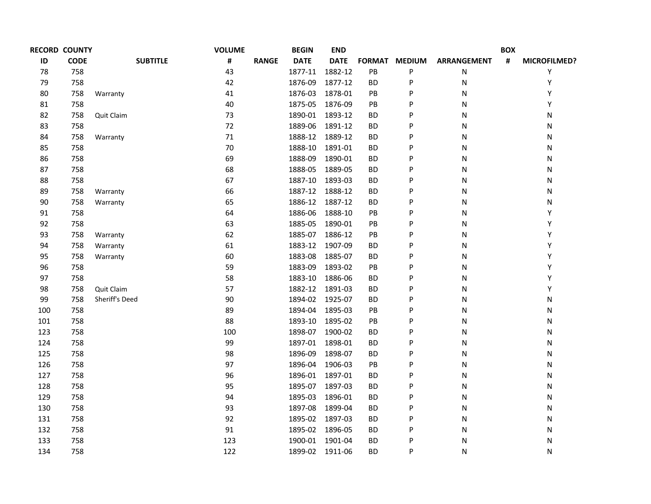| <b>RECORD COUNTY</b> |                 | <b>VOLUME</b> |              | <b>BEGIN</b> | <b>END</b>  |                                                                                                                                                       |   |                    | <b>BOX</b> |              |
|----------------------|-----------------|---------------|--------------|--------------|-------------|-------------------------------------------------------------------------------------------------------------------------------------------------------|---|--------------------|------------|--------------|
| <b>CODE</b>          | <b>SUBTITLE</b> | #             | <b>RANGE</b> | <b>DATE</b>  | <b>DATE</b> |                                                                                                                                                       |   | <b>ARRANGEMENT</b> | #          | MICROFILMED? |
| 758                  |                 | 43            |              | 1877-11      | 1882-12     | PB                                                                                                                                                    | P | N                  |            | Υ            |
| 758                  |                 | 42            |              | 1876-09      | 1877-12     | <b>BD</b>                                                                                                                                             | P | N                  |            | Υ            |
| 758                  | Warranty        | 41            |              | 1876-03      | 1878-01     | PB                                                                                                                                                    | P | N                  |            | Υ            |
| 758                  |                 | 40            |              | 1875-05      | 1876-09     | PB                                                                                                                                                    | P | N                  |            | Υ            |
| 758                  | Quit Claim      | 73            |              | 1890-01      | 1893-12     | BD                                                                                                                                                    | P | N                  |            | Ν            |
| 758                  |                 | 72            |              | 1889-06      | 1891-12     | BD                                                                                                                                                    | P | N                  |            | N            |
| 758                  | Warranty        | $71\,$        |              |              | 1889-12     | BD                                                                                                                                                    | P | N                  |            | Ν            |
| 758                  |                 | 70            |              | 1888-10      | 1891-01     | BD                                                                                                                                                    | P | N                  |            | N            |
| 758                  |                 | 69            |              | 1888-09      | 1890-01     | BD                                                                                                                                                    | P | N                  |            | Ν            |
| 758                  |                 | 68            |              | 1888-05      | 1889-05     | BD                                                                                                                                                    | P | N                  |            | Ν            |
| 758                  |                 | 67            |              |              | 1893-03     | BD                                                                                                                                                    | P | N                  |            | N            |
| 758                  | Warranty        | 66            |              |              | 1888-12     | BD                                                                                                                                                    | P | N                  |            | N            |
| 758                  | Warranty        | 65            |              |              | 1887-12     | BD                                                                                                                                                    | P | N                  |            | N            |
| 758                  |                 | 64            |              | 1886-06      | 1888-10     | PB                                                                                                                                                    | P | N                  |            | Y            |
| 758                  |                 | 63            |              | 1885-05      | 1890-01     | PB                                                                                                                                                    | P | N                  |            | Υ            |
| 758                  | Warranty        | 62            |              |              | 1886-12     | PB                                                                                                                                                    | P | N                  |            | Υ            |
| 758                  | Warranty        | 61            |              |              | 1907-09     | BD                                                                                                                                                    | P | N                  |            | Υ            |
| 758                  | Warranty        | 60            |              | 1883-08      | 1885-07     | BD                                                                                                                                                    | P | N                  |            | Υ            |
| 758                  |                 | 59            |              | 1883-09      | 1893-02     | PB                                                                                                                                                    | P | N                  |            | Υ            |
| 758                  |                 | 58            |              | 1883-10      | 1886-06     | BD                                                                                                                                                    | P | N                  |            | Υ            |
| 758                  | Quit Claim      | 57            |              |              | 1891-03     | <b>BD</b>                                                                                                                                             | P | N                  |            | Υ            |
| 758                  | Sheriff's Deed  | 90            |              | 1894-02      | 1925-07     | BD                                                                                                                                                    | P | N                  |            | N            |
| 758                  |                 | 89            |              | 1894-04      | 1895-03     | PB                                                                                                                                                    | P | N                  |            | N            |
| 758                  |                 | 88            |              | 1893-10      | 1895-02     | PB                                                                                                                                                    | P | N                  |            | N            |
| 758                  |                 | 100           |              | 1898-07      | 1900-02     | <b>BD</b>                                                                                                                                             | P | N                  |            | N            |
| 758                  |                 | 99            |              | 1897-01      | 1898-01     | <b>BD</b>                                                                                                                                             | P | N                  |            | N            |
| 758                  |                 | 98            |              | 1896-09      | 1898-07     | BD                                                                                                                                                    | P | N                  |            | Ν            |
| 758                  |                 | 97            |              | 1896-04      | 1906-03     | PB                                                                                                                                                    | P | N                  |            | N            |
| 758                  |                 | 96            |              | 1896-01      | 1897-01     | BD                                                                                                                                                    | P | N                  |            | Ν            |
| 758                  |                 | 95            |              | 1895-07      | 1897-03     | BD                                                                                                                                                    | P | N                  |            | N            |
| 758                  |                 | 94            |              | 1895-03      | 1896-01     | <b>BD</b>                                                                                                                                             | P | N                  |            | Ν            |
| 758                  |                 | 93            |              | 1897-08      | 1899-04     | BD                                                                                                                                                    | P | N                  |            | N            |
| 758                  |                 | 92            |              |              |             | BD                                                                                                                                                    | P | N                  |            | N            |
| 758                  |                 | 91            |              |              |             | BD                                                                                                                                                    | P | N                  |            | Ν            |
| 758                  |                 | 123           |              |              |             | BD                                                                                                                                                    | P | N                  |            | N            |
| 758                  |                 | 122           |              |              |             | ВD                                                                                                                                                    | P | N                  |            | N            |
|                      |                 |               |              |              |             | 1888-12<br>1887-10<br>1887-12<br>1886-12<br>1885-07<br>1883-12<br>1882-12<br>1895-02 1897-03<br>1895-02 1896-05<br>1900-01 1901-04<br>1899-02 1911-06 |   | FORMAT MEDIUM      |            |              |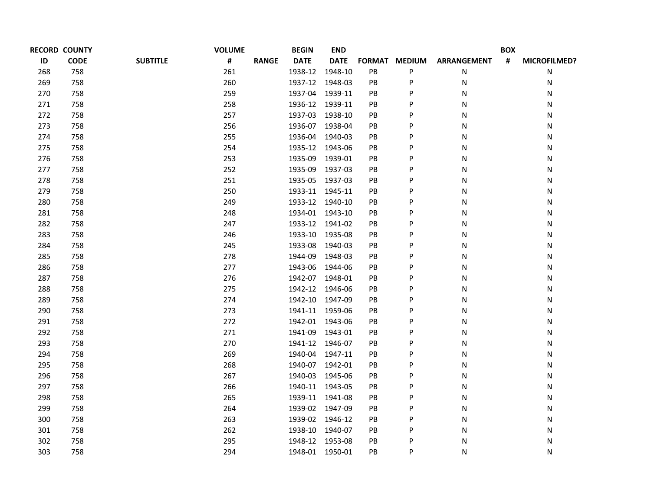| <b>RECORD COUNTY</b> |             |                 | <b>VOLUME</b> |              | <b>BEGIN</b>    | <b>END</b>  |            |                      |                    | <b>BOX</b>     |                     |
|----------------------|-------------|-----------------|---------------|--------------|-----------------|-------------|------------|----------------------|--------------------|----------------|---------------------|
| ID                   | <b>CODE</b> | <b>SUBTITLE</b> | #             | <b>RANGE</b> | <b>DATE</b>     | <b>DATE</b> |            | <b>FORMAT MEDIUM</b> | <b>ARRANGEMENT</b> | $\pmb{\sharp}$ | <b>MICROFILMED?</b> |
| 268                  | 758         |                 | 261           |              | 1938-12         | 1948-10     | PB         | P                    | N                  |                | N                   |
| 269                  | 758         |                 | 260           |              | 1937-12         | 1948-03     | PB         | P                    | N                  |                | N                   |
| 270                  | 758         |                 | 259           |              | 1937-04         | 1939-11     | PB         | P                    | N                  |                | N                   |
| 271                  | 758         |                 | 258           |              | 1936-12 1939-11 |             | PB         | P                    | N                  |                | N                   |
| 272                  | 758         |                 | 257           |              | 1937-03         | 1938-10     | PB         | P                    | N                  |                | N                   |
| 273                  | 758         |                 | 256           |              | 1936-07         | 1938-04     | PB         | P                    | N                  |                | N                   |
| 274                  | 758         |                 | 255           |              | 1936-04         | 1940-03     | PB         | P                    | N                  |                | N                   |
| 275                  | 758         |                 | 254           |              | 1935-12 1943-06 |             | PB         | P                    | N                  |                | N                   |
| 276                  | 758         |                 | 253           |              | 1935-09         | 1939-01     | PB         | P                    | N                  |                | N                   |
| 277                  | 758         |                 | 252           |              | 1935-09         | 1937-03     | PB         | P                    | N                  |                | N                   |
| 278                  | 758         |                 | 251           |              | 1935-05         | 1937-03     | PB         | P                    | N                  |                | N                   |
| 279                  | 758         |                 | 250           |              | 1933-11 1945-11 |             | PB         | P                    | N                  |                | N                   |
| 280                  | 758         |                 | 249           |              | 1933-12 1940-10 |             | PB         | P                    | N                  |                | N                   |
| 281                  | 758         |                 | 248           |              | 1934-01 1943-10 |             | PB         | P                    | N                  |                | N                   |
| 282                  | 758         |                 | 247           |              | 1933-12 1941-02 |             | PB         | P                    | N                  |                | N                   |
| 283                  | 758         |                 | 246           |              | 1933-10 1935-08 |             | PB         | P                    | N                  |                | N                   |
| 284                  | 758         |                 | 245           |              | 1933-08         | 1940-03     | PB         | P                    | N                  |                | N                   |
| 285                  | 758         |                 | 278           |              | 1944-09         | 1948-03     | PB         | P                    | N                  |                | N                   |
| 286                  | 758         |                 | 277           |              | 1943-06         | 1944-06     | PB         | P                    | N                  |                | N                   |
| 287                  | 758         |                 | 276           |              | 1942-07         | 1948-01     | PB         | P                    | N                  |                | N                   |
| 288                  | 758         |                 | 275           |              | 1942-12         | 1946-06     | PB         | P                    | N                  |                | N                   |
| 289                  | 758         |                 | 274           |              | 1942-10         | 1947-09     | PB         | P                    | N                  |                | N                   |
| 290                  | 758         |                 | 273           |              | 1941-11         | 1959-06     | PB         | P                    | N                  |                | N                   |
| 291                  | 758         |                 | 272           |              | 1942-01         | 1943-06     | PB         | P                    | N                  |                | N                   |
| 292                  | 758         |                 | 271           |              | 1941-09         | 1943-01     | PB         | P                    | N                  |                | N                   |
| 293                  | 758         |                 | 270           |              | 1941-12         | 1946-07     | PB         | P                    | N                  |                | N                   |
| 294                  | 758         |                 | 269           |              | 1940-04         | 1947-11     | PB         | P                    | N                  |                | Ν                   |
| 295                  | 758         |                 | 268           |              | 1940-07 1942-01 |             | PB         | P                    | N                  |                | N                   |
| 296                  | 758         |                 | 267           |              | 1940-03         | 1945-06     | ${\sf PB}$ | P                    | N                  |                | N                   |
| 297                  | 758         |                 | 266           |              | 1940-11         | 1943-05     | PB         | P                    | N                  |                | N                   |
| 298                  | 758         |                 | 265           |              | 1939-11         | 1941-08     | ${\sf PB}$ | P                    | N                  |                | N                   |
| 299                  | 758         |                 | 264           |              | 1939-02 1947-09 |             | PB         | P                    | N                  |                | N                   |
| 300                  | 758         |                 | 263           |              | 1939-02 1946-12 |             | ${\sf PB}$ | P                    | N                  |                | N                   |
| 301                  | 758         |                 | 262           |              | 1938-10         | 1940-07     | PB         | P                    | N                  |                | N                   |
| 302                  | 758         |                 | 295           |              | 1948-12         | 1953-08     | PB         | P                    | N                  |                | N                   |
| 303                  | 758         |                 | 294           |              | 1948-01         | 1950-01     | PB         | P                    | N                  |                | N                   |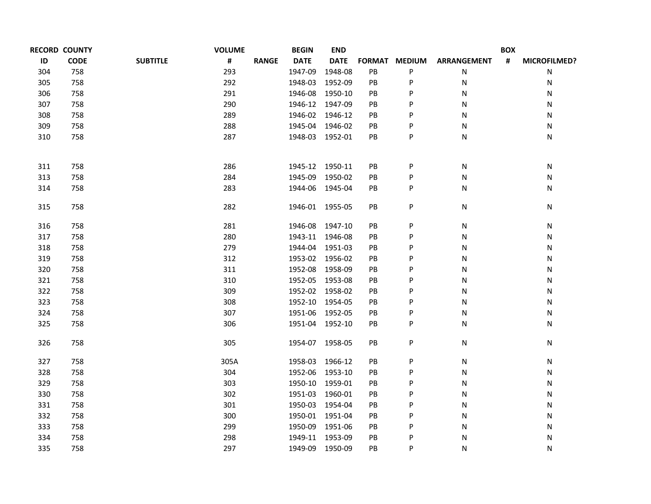|     | <b>RECORD COUNTY</b> |                 | <b>VOLUME</b>     | <b>BEGIN</b> | <b>END</b>      |            |               | <b>BOX</b>         |   |              |  |
|-----|----------------------|-----------------|-------------------|--------------|-----------------|------------|---------------|--------------------|---|--------------|--|
| ID  | <b>CODE</b>          | <b>SUBTITLE</b> | #<br><b>RANGE</b> | <b>DATE</b>  | <b>DATE</b>     |            | FORMAT MEDIUM | <b>ARRANGEMENT</b> | # | MICROFILMED? |  |
| 304 | 758                  |                 | 293               | 1947-09      | 1948-08         | PB         | P             | N                  |   | Ν            |  |
| 305 | 758                  |                 | 292               |              | 1948-03 1952-09 | PB         | P             | N                  |   | Ν            |  |
| 306 | 758                  |                 | 291               |              | 1946-08 1950-10 | PB         | P             | N                  |   | Ν            |  |
| 307 | 758                  |                 | 290               |              | 1946-12 1947-09 | PB         | P             | N                  |   | Ν            |  |
| 308 | 758                  |                 | 289               |              | 1946-02 1946-12 | <b>PB</b>  | P             | N                  |   | Ν            |  |
| 309 | 758                  |                 | 288               |              | 1945-04 1946-02 | PB         | P             | N                  |   | Ν            |  |
| 310 | 758                  |                 | 287               |              | 1948-03 1952-01 | PB         | P             | N                  |   | Ν            |  |
| 311 | 758                  |                 | 286               |              | 1945-12 1950-11 | PB         | P             | N                  |   | N            |  |
| 313 | 758                  |                 | 284               | 1945-09      | 1950-02         | PB         | P             | N                  |   | Ν            |  |
| 314 | 758                  |                 | 283               |              | 1944-06 1945-04 | PB         | P             | N                  |   | Ν            |  |
| 315 | 758                  |                 | 282               |              | 1946-01 1955-05 | ${\sf PB}$ | P             | N                  |   | Ν            |  |
| 316 | 758                  |                 | 281               |              | 1946-08 1947-10 | PB         | P             | N                  |   | Ν            |  |
| 317 | 758                  |                 | 280               |              | 1943-11 1946-08 | PB         | P             | N                  |   | Ν            |  |
| 318 | 758                  |                 | 279               |              | 1944-04 1951-03 | PB         | P             | N                  |   | Ν            |  |
| 319 | 758                  |                 | 312               |              | 1953-02 1956-02 | PB         | P             | N                  |   | N            |  |
| 320 | 758                  |                 | 311               |              | 1952-08 1958-09 | PB         | P             | N                  |   | Ν            |  |
| 321 | 758                  |                 | 310               |              | 1952-05 1953-08 | PB         | P             | N                  |   | Ν            |  |
| 322 | 758                  |                 | 309               |              | 1952-02 1958-02 | PB         | P             | N                  |   | Ν            |  |
| 323 | 758                  |                 | 308               | 1952-10      | 1954-05         | PB         | P             | N                  |   | Ν            |  |
| 324 | 758                  |                 | 307               | 1951-06      | 1952-05         | PB         | P             | N                  |   | Ν            |  |
| 325 | 758                  |                 | 306               |              | 1951-04 1952-10 | PB         | P             | N                  |   | Ν            |  |
| 326 | 758                  |                 | 305               |              | 1954-07 1958-05 | PB         | P             | N                  |   | N            |  |
| 327 | 758                  |                 | 305A              |              | 1958-03 1966-12 | PB         | P             | N                  |   | N            |  |
| 328 | 758                  |                 | 304               |              | 1952-06 1953-10 | PB         | P             | N                  |   | Ν            |  |
| 329 | 758                  |                 | 303               |              | 1950-10 1959-01 | <b>PB</b>  | P             | N                  |   | Ν            |  |
| 330 | 758                  |                 | 302               |              | 1951-03 1960-01 | PB         | P             | N                  |   | Ν            |  |
| 331 | 758                  |                 | 301               |              | 1950-03 1954-04 | PB         | P             | N                  |   | Ν            |  |
| 332 | 758                  |                 | 300               |              | 1950-01 1951-04 | PB         | P             | N                  |   | Ν            |  |
| 333 | 758                  |                 | 299               | 1950-09      | 1951-06         | <b>PB</b>  | P             | N                  |   | Ν            |  |
| 334 | 758                  |                 | 298               |              | 1949-11 1953-09 | PB         | P             | N                  |   | Ν            |  |
| 335 | 758                  |                 | 297               |              | 1949-09 1950-09 | PB         | P             | N                  |   | N            |  |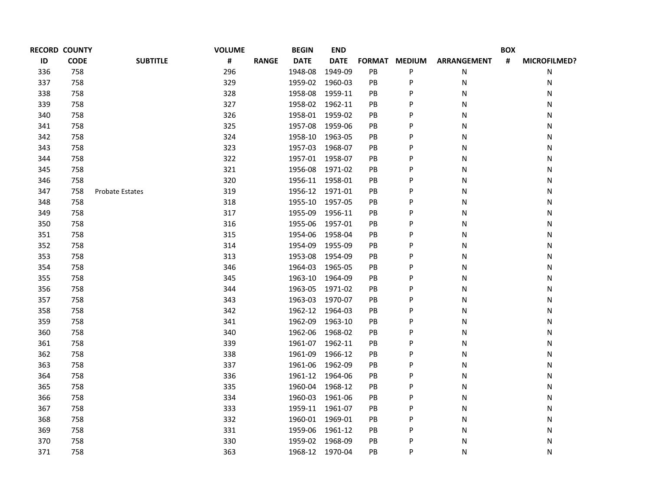| <b>RECORD COUNTY</b> |                        | <b>VOLUME</b> |              | <b>BEGIN</b> | <b>END</b>  |                                                                                                                                      |   |                    | <b>BOX</b> |              |
|----------------------|------------------------|---------------|--------------|--------------|-------------|--------------------------------------------------------------------------------------------------------------------------------------|---|--------------------|------------|--------------|
| <b>CODE</b>          | <b>SUBTITLE</b>        | #             | <b>RANGE</b> | <b>DATE</b>  | <b>DATE</b> |                                                                                                                                      |   | <b>ARRANGEMENT</b> | #          | MICROFILMED? |
| 758                  |                        | 296           |              | 1948-08      | 1949-09     | PB                                                                                                                                   | P | N                  |            | Ν            |
| 758                  |                        | 329           |              | 1959-02      | 1960-03     | PB                                                                                                                                   | P | N                  |            | Ν            |
| 758                  |                        | 328           |              | 1958-08      | 1959-11     | PB                                                                                                                                   | P | N                  |            | Ν            |
| 758                  |                        | 327           |              |              | 1962-11     | PB                                                                                                                                   | P | N                  |            | N            |
| 758                  |                        | 326           |              | 1958-01      | 1959-02     | PB                                                                                                                                   | P | N                  |            | N            |
| 758                  |                        | 325           |              | 1957-08      | 1959-06     | PB                                                                                                                                   | P | N                  |            | N            |
| 758                  |                        | 324           |              | 1958-10      | 1963-05     | PB                                                                                                                                   | P | N                  |            | N            |
| 758                  |                        | 323           |              | 1957-03      | 1968-07     | PB                                                                                                                                   | P | N                  |            | N            |
| 758                  |                        | 322           |              |              |             | PB                                                                                                                                   | P | N                  |            | N            |
| 758                  |                        | 321           |              | 1956-08      | 1971-02     | PB                                                                                                                                   | P | N                  |            | N            |
| 758                  |                        | 320           |              |              |             | PB                                                                                                                                   | P | Ν                  |            | Ν            |
| 758                  | <b>Probate Estates</b> | 319           |              |              |             | PB                                                                                                                                   | P | N                  |            | N            |
| 758                  |                        | 318           |              |              |             | PB                                                                                                                                   | P | Ν                  |            | N            |
| 758                  |                        | 317           |              | 1955-09      | 1956-11     | PB                                                                                                                                   | P | N                  |            | N            |
| 758                  |                        | 316           |              | 1955-06      | 1957-01     | PB                                                                                                                                   | P | Ν                  |            | N            |
| 758                  |                        | 315           |              | 1954-06      | 1958-04     | PB                                                                                                                                   | P | N                  |            | N            |
| 758                  |                        | 314           |              | 1954-09      | 1955-09     | PB                                                                                                                                   | P | N                  |            | N            |
| 758                  |                        | 313           |              | 1953-08      | 1954-09     | PB                                                                                                                                   | P | Ν                  |            | N            |
| 758                  |                        | 346           |              | 1964-03      | 1965-05     | PB                                                                                                                                   | P | Ν                  |            | N            |
| 758                  |                        | 345           |              | 1963-10      | 1964-09     | PB                                                                                                                                   | P | Ν                  |            | N            |
| 758                  |                        | 344           |              | 1963-05      | 1971-02     | PB                                                                                                                                   | P | N                  |            | N            |
| 758                  |                        | 343           |              | 1963-03      | 1970-07     | PB                                                                                                                                   | P | N                  |            | N            |
| 758                  |                        | 342           |              | 1962-12      | 1964-03     | PB                                                                                                                                   | P | N                  |            | N            |
| 758                  |                        | 341           |              | 1962-09      | 1963-10     | PB                                                                                                                                   | P | N                  |            | N            |
| 758                  |                        | 340           |              | 1962-06      | 1968-02     | PB                                                                                                                                   | P | N                  |            | Ν            |
| 758                  |                        | 339           |              |              | 1962-11     | PB                                                                                                                                   | P | N                  |            | N            |
| 758                  |                        | 338           |              | 1961-09      | 1966-12     | PB                                                                                                                                   | P | Ν                  |            | Ν            |
| 758                  |                        | 337           |              | 1961-06      | 1962-09     | PB                                                                                                                                   | P | N                  |            | Ν            |
| 758                  |                        | 336           |              | 1961-12      | 1964-06     | PB                                                                                                                                   | P | Ν                  |            | N            |
| 758                  |                        | 335           |              | 1960-04      | 1968-12     | PB                                                                                                                                   | P | N                  |            | Ν            |
| 758                  |                        | 334           |              | 1960-03      | 1961-06     | PB                                                                                                                                   | P | N                  |            | Ν            |
| 758                  |                        | 333           |              | 1959-11      | 1961-07     | PB                                                                                                                                   | P | N                  |            | N            |
| 758                  |                        | 332           |              |              |             | <b>PB</b>                                                                                                                            | P | N                  |            | Ν            |
| 758                  |                        | 331           |              | 1959-06      | 1961-12     | PB                                                                                                                                   | P | N                  |            | N            |
| 758                  |                        | 330           |              | 1959-02      | 1968-09     | PB                                                                                                                                   | P | N                  |            | Ν            |
| 758                  |                        | 363           |              |              |             | PB                                                                                                                                   | P | N                  |            | N            |
|                      |                        |               |              |              |             | 1958-02<br>1957-01 1958-07<br>1956-11 1958-01<br>1956-12 1971-01<br>1955-10 1957-05<br>1961-07<br>1960-01 1969-01<br>1968-12 1970-04 |   | FORMAT MEDIUM      |            |              |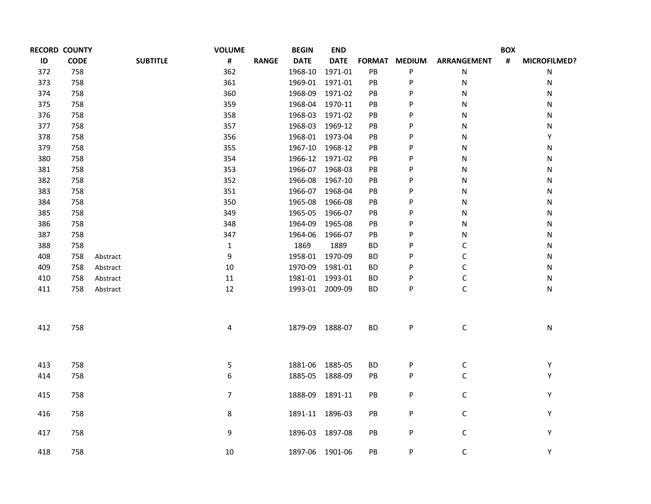|     | <b>RECORD COUNTY</b> |          |                 | <b>VOLUME</b>  |              | <b>BEGIN</b>    | <b>END</b>  |               |               |                    | <b>BOX</b>     |                     |
|-----|----------------------|----------|-----------------|----------------|--------------|-----------------|-------------|---------------|---------------|--------------------|----------------|---------------------|
| ID  | <b>CODE</b>          |          | <b>SUBTITLE</b> | #              | <b>RANGE</b> | <b>DATE</b>     | <b>DATE</b> | <b>FORMAT</b> | <b>MEDIUM</b> | <b>ARRANGEMENT</b> | $\pmb{\sharp}$ | <b>MICROFILMED?</b> |
| 372 | 758                  |          |                 | 362            |              | 1968-10         | 1971-01     | PB            | P             | N                  |                | N                   |
| 373 | 758                  |          |                 | 361            |              | 1969-01         | 1971-01     | PB            | P             | N                  |                | Ν                   |
| 374 | 758                  |          |                 | 360            |              | 1968-09         | 1971-02     | PB            | P             | N                  |                | N                   |
| 375 | 758                  |          |                 | 359            |              | 1968-04         | 1970-11     | PB            | P             | N                  |                | Ν                   |
| 376 | 758                  |          |                 | 358            |              | 1968-03         | 1971-02     | PB            | P             | N                  |                | Ν                   |
| 377 | 758                  |          |                 | 357            |              | 1968-03         | 1969-12     | PB            | P             | N                  |                | Ν                   |
| 378 | 758                  |          |                 | 356            |              | 1968-01 1973-04 |             | PB            | P             | N                  |                | Y                   |
| 379 | 758                  |          |                 | 355            |              | 1967-10 1968-12 |             | PB            | P             | N                  |                | N                   |
| 380 | 758                  |          |                 | 354            |              | 1966-12 1971-02 |             | PB            | P             | N                  |                | ${\sf N}$           |
| 381 | 758                  |          |                 | 353            |              | 1966-07 1968-03 |             | PB            | P             | N                  |                | N                   |
| 382 | 758                  |          |                 | 352            |              | 1966-08         | 1967-10     | PB            | P             | N                  |                | N                   |
| 383 | 758                  |          |                 | 351            |              | 1966-07 1968-04 |             | PB            | P             | N                  |                | N                   |
| 384 | 758                  |          |                 | 350            |              | 1965-08         | 1966-08     | PB            | P             | N                  |                | N                   |
| 385 | 758                  |          |                 | 349            |              | 1965-05         | 1966-07     | PB            | P             | N                  |                | N                   |
| 386 | 758                  |          |                 | 348            |              | 1964-09         | 1965-08     | PB            | P             | N                  |                | N                   |
| 387 | 758                  |          |                 | 347            |              | 1964-06         | 1966-07     | PB            | P             | N                  |                | N                   |
| 388 | 758                  |          |                 | $\mathbf{1}$   |              | 1869            | 1889        | <b>BD</b>     | P             | С                  |                | N                   |
| 408 | 758                  | Abstract |                 | 9              |              | 1958-01         | 1970-09     | ВD            | P             | С                  |                | N                   |
| 409 | 758                  | Abstract |                 | $10\,$         |              | 1970-09         | 1981-01     | ВD            | P             | С                  |                | N                   |
| 410 | 758                  | Abstract |                 | 11             |              | 1981-01 1993-01 |             | <b>BD</b>     | P             | C                  |                | Ν                   |
| 411 | 758                  | Abstract |                 | 12             |              | 1993-01 2009-09 |             | ВD            | P             | C                  |                | N                   |
| 412 | 758                  |          |                 | 4              |              | 1879-09 1888-07 |             | <b>BD</b>     | P             | $\mathsf C$        |                | N                   |
| 413 | 758                  |          |                 | 5              |              | 1881-06         | 1885-05     | <b>BD</b>     | P             | $\mathsf C$        |                | Υ                   |
| 414 | 758                  |          |                 | 6              |              | 1885-05         | 1888-09     | PB            | P             | $\mathsf C$        |                | Υ                   |
| 415 | 758                  |          |                 | $\overline{7}$ |              | 1888-09         | 1891-11     | PB            | P             | C                  |                | Y                   |
| 416 | 758                  |          |                 | 8              |              | 1891-11 1896-03 |             | PB            | P             | С                  |                | Y                   |
| 417 | 758                  |          |                 | 9              |              | 1896-03 1897-08 |             | PB            | P             | C                  |                | Υ                   |
| 418 | 758                  |          |                 | 10             |              | 1897-06 1901-06 |             | PB            | P             | C                  |                | Υ                   |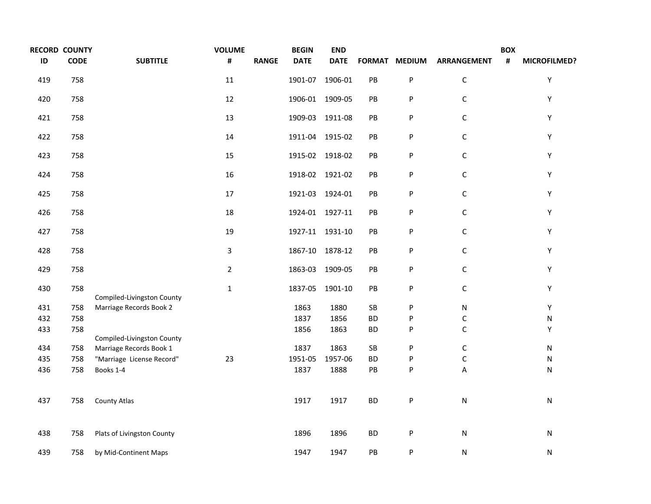| <b>RECORD COUNTY</b> |             |                            | <b>VOLUME</b>  |              | <b>BEGIN</b>    | <b>END</b>      |                        |               |                    | <b>BOX</b> |                     |
|----------------------|-------------|----------------------------|----------------|--------------|-----------------|-----------------|------------------------|---------------|--------------------|------------|---------------------|
| ID                   | <b>CODE</b> | <b>SUBTITLE</b>            | #              | <b>RANGE</b> | <b>DATE</b>     | <b>DATE</b>     |                        | FORMAT MEDIUM | <b>ARRANGEMENT</b> | #          | <b>MICROFILMED?</b> |
| 419                  | 758         |                            | 11             |              | 1901-07 1906-01 |                 | PB                     | P             | $\mathsf C$        |            | Υ                   |
| 420                  | 758         |                            | 12             |              | 1906-01 1909-05 |                 | PB                     | P             | $\mathsf C$        |            | Y                   |
| 421                  | 758         |                            | 13             |              |                 | 1909-03 1911-08 | $\mathsf{PB}$          | P             | $\mathsf C$        |            | Y                   |
| 422                  | 758         |                            | 14             |              |                 | 1911-04 1915-02 | PB                     | P             | $\mathsf C$        |            | Y                   |
| 423                  | 758         |                            | 15             |              |                 | 1915-02 1918-02 | PB                     | P             | $\mathsf C$        |            | Y                   |
| 424                  | 758         |                            | 16             |              |                 | 1918-02 1921-02 | PB                     | P             | $\mathsf C$        |            | Y                   |
| 425                  | 758         |                            | 17             |              |                 | 1921-03 1924-01 | $\mathsf{P}\mathsf{B}$ | ${\sf P}$     | $\mathsf C$        |            | Y                   |
| 426                  | 758         |                            | 18             |              |                 | 1924-01 1927-11 | PB                     | P             | $\mathsf C$        |            | Υ                   |
| 427                  | 758         |                            | 19             |              |                 | 1927-11 1931-10 | PB                     | P             | $\mathsf C$        |            | Y                   |
| 428                  | 758         |                            | 3              |              |                 | 1867-10 1878-12 | $\mathsf{P}\mathsf{B}$ | P             | $\mathsf C$        |            | Y                   |
| 429                  | 758         |                            | $\overline{2}$ |              | 1863-03 1909-05 |                 | $\mathsf{PB}$          | ${\sf P}$     | $\mathsf C$        |            | Υ                   |
| 430                  | 758         | Compiled-Livingston County | $\mathbf{1}$   |              | 1837-05         | 1901-10         | PB                     | P             | $\mathsf C$        |            | Y                   |
| 431                  | 758         | Marriage Records Book 2    |                |              | 1863            | 1880            | SB                     | P             | N                  |            | Υ                   |
| 432                  | 758         |                            |                |              | 1837            | 1856            | <b>BD</b>              | P             | $\mathsf C$        |            | ${\sf N}$           |
| 433                  | 758         | Compiled-Livingston County |                |              | 1856            | 1863            | <b>BD</b>              | P             | $\mathsf C$        |            | Υ                   |
| 434                  | 758         | Marriage Records Book 1    |                |              | 1837            | 1863            | ${\sf SB}$             | P             | $\mathsf C$        |            | N                   |
| 435                  | 758         | "Marriage License Record"  | 23             |              | 1951-05         | 1957-06         | <b>BD</b>              | P             | $\mathsf C$        |            | N                   |
| 436                  | 758         | Books 1-4                  |                |              | 1837            | 1888            | PB                     | P             | A                  |            | N                   |
| 437                  | 758         | County Atlas               |                |              | 1917            | 1917            | <b>BD</b>              | P             | ${\sf N}$          |            | ${\sf N}$           |
| 438                  | 758         | Plats of Livingston County |                |              | 1896            | 1896            | <b>BD</b>              | P             | ${\sf N}$          |            | ${\sf N}$           |
| 439                  | 758         | by Mid-Continent Maps      |                |              | 1947            | 1947            | PB                     | P             | N                  |            | N                   |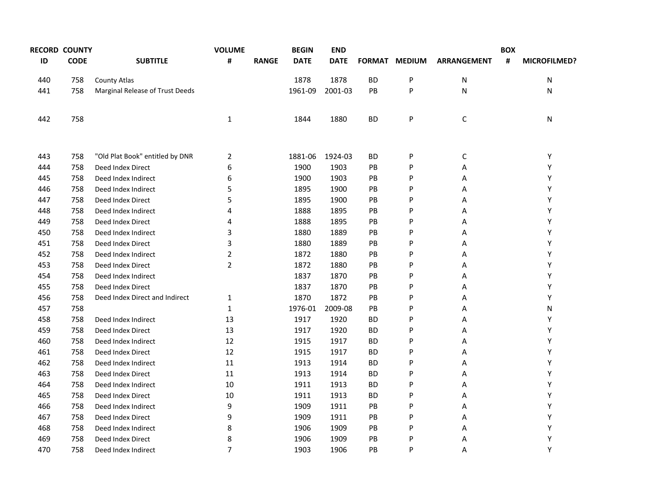|     | <b>RECORD COUNTY</b> |                                 | <b>VOLUME</b>  |              | <b>BEGIN</b> | <b>END</b>  |           |               |                    | <b>BOX</b> |                     |
|-----|----------------------|---------------------------------|----------------|--------------|--------------|-------------|-----------|---------------|--------------------|------------|---------------------|
| ID  | <b>CODE</b>          | <b>SUBTITLE</b>                 | #              | <b>RANGE</b> | <b>DATE</b>  | <b>DATE</b> |           | FORMAT MEDIUM | <b>ARRANGEMENT</b> | #          | <b>MICROFILMED?</b> |
| 440 | 758                  | <b>County Atlas</b>             |                |              | 1878         | 1878        | <b>BD</b> | P             | N                  |            | N                   |
| 441 | 758                  | Marginal Release of Trust Deeds |                |              | 1961-09      | 2001-03     | PB        | P             | N                  |            | N                   |
| 442 | 758                  |                                 | $\mathbf{1}$   |              | 1844         | 1880        | <b>BD</b> | P             | $\mathsf C$        |            | N                   |
| 443 | 758                  | "Old Plat Book" entitled by DNR | 2              |              | 1881-06      | 1924-03     | ВD        | P             | C                  |            | Y                   |
| 444 | 758                  | Deed Index Direct               | 6              |              | 1900         | 1903        | PB        | P             | Α                  |            | Υ                   |
| 445 | 758                  | Deed Index Indirect             | 6              |              | 1900         | 1903        | PB        | P             | А                  |            | Y                   |
| 446 | 758                  | Deed Index Indirect             | 5              |              | 1895         | 1900        | <b>PB</b> | P             | Α                  |            | Y                   |
| 447 | 758                  | Deed Index Direct               | 5              |              | 1895         | 1900        | PB        | P             | Α                  |            | Υ                   |
| 448 | 758                  | Deed Index Indirect             | 4              |              | 1888         | 1895        | PB        | P             | Α                  |            | Υ                   |
| 449 | 758                  | Deed Index Direct               | 4              |              | 1888         | 1895        | PB        | P             | Α                  |            | Υ                   |
| 450 | 758                  | Deed Index Indirect             | 3              |              | 1880         | 1889        | PB        | P             | А                  |            | Υ                   |
| 451 | 758                  | Deed Index Direct               | 3              |              | 1880         | 1889        | <b>PB</b> | P             | Α                  |            | Υ                   |
| 452 | 758                  | Deed Index Indirect             | $\overline{2}$ |              | 1872         | 1880        | PB        | P             | Α                  |            | Υ                   |
| 453 | 758                  | Deed Index Direct               | $\overline{2}$ |              | 1872         | 1880        | PB        | P             | Α                  |            | Υ                   |
| 454 | 758                  | Deed Index Indirect             |                |              | 1837         | 1870        | PB        | P             | Α                  |            | Υ                   |
| 455 | 758                  | Deed Index Direct               |                |              | 1837         | 1870        | PB        | P             | Α                  |            | Υ                   |
| 456 | 758                  | Deed Index Direct and Indirect  | $\mathbf{1}$   |              | 1870         | 1872        | PB        | P             | Α                  |            | Υ                   |
| 457 | 758                  |                                 | $\mathbf{1}$   |              | 1976-01      | 2009-08     | PB        | P             | Α                  |            | N                   |
| 458 | 758                  | Deed Index Indirect             | 13             |              | 1917         | 1920        | <b>BD</b> | P             | Α                  |            | Υ                   |
| 459 | 758                  | Deed Index Direct               | 13             |              | 1917         | 1920        | ВD        | P             | Α                  |            | Υ                   |
| 460 | 758                  | Deed Index Indirect             | 12             |              | 1915         | 1917        | <b>BD</b> | P             | Α                  |            | Υ                   |
| 461 | 758                  | Deed Index Direct               | 12             |              | 1915         | 1917        | <b>BD</b> | P             | Α                  |            | Υ                   |
| 462 | 758                  | Deed Index Indirect             | 11             |              | 1913         | 1914        | ВD        | P             | А                  |            | Υ                   |
| 463 | 758                  | Deed Index Direct               | 11             |              | 1913         | 1914        | ВD        | P             | А                  |            | Υ                   |
| 464 | 758                  | Deed Index Indirect             | 10             |              | 1911         | 1913        | <b>BD</b> | P             | А                  |            | Υ                   |
| 465 | 758                  | Deed Index Direct               | 10             |              | 1911         | 1913        | ВD        | P             | А                  |            | Υ                   |
| 466 | 758                  | Deed Index Indirect             | 9              |              | 1909         | 1911        | PB        | P             | Α                  |            | Υ                   |
| 467 | 758                  | Deed Index Direct               | 9              |              | 1909         | 1911        | PB        | P             | А                  |            | Υ                   |
| 468 | 758                  | Deed Index Indirect             | 8              |              | 1906         | 1909        | PB        | P             | А                  |            | Υ                   |
| 469 | 758                  | Deed Index Direct               | 8              |              | 1906         | 1909        | <b>PB</b> | P             | А                  |            | Υ                   |
| 470 | 758                  | Deed Index Indirect             | $\overline{7}$ |              | 1903         | 1906        | PB        | P             | Α                  |            | Υ                   |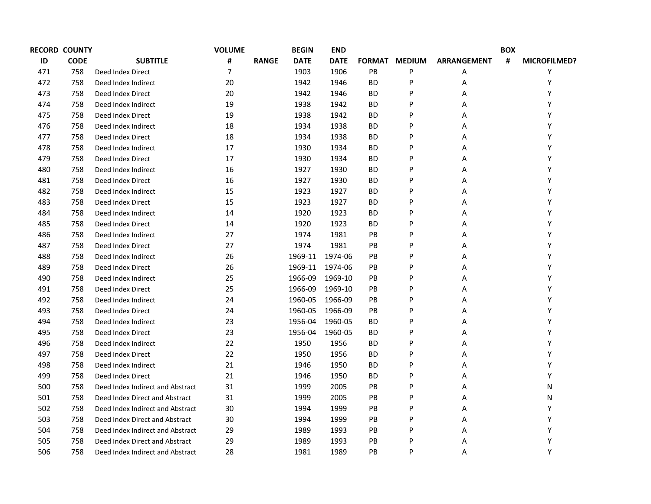|     | <b>RECORD COUNTY</b> |                                  | <b>VOLUME</b>  |              | <b>BEGIN</b> | <b>END</b>  |               |               |                    | <b>BOX</b> |              |
|-----|----------------------|----------------------------------|----------------|--------------|--------------|-------------|---------------|---------------|--------------------|------------|--------------|
| ID  | <b>CODE</b>          | <b>SUBTITLE</b>                  | #              | <b>RANGE</b> | <b>DATE</b>  | <b>DATE</b> | <b>FORMAT</b> | <b>MEDIUM</b> | <b>ARRANGEMENT</b> | #          | MICROFILMED? |
| 471 | 758                  | Deed Index Direct                | $\overline{7}$ |              | 1903         | 1906        | PB            | P             | Α                  |            | Υ            |
| 472 | 758                  | Deed Index Indirect              | 20             |              | 1942         | 1946        | <b>BD</b>     | P             | Α                  |            | Υ            |
| 473 | 758                  | Deed Index Direct                | 20             |              | 1942         | 1946        | <b>BD</b>     | P             | Α                  |            | Y            |
| 474 | 758                  | Deed Index Indirect              | 19             |              | 1938         | 1942        | <b>BD</b>     | P             | А                  |            | Υ            |
| 475 | 758                  | Deed Index Direct                | 19             |              | 1938         | 1942        | <b>BD</b>     | P             | Α                  |            | Y            |
| 476 | 758                  | Deed Index Indirect              | 18             |              | 1934         | 1938        | ВD            | P             | Α                  |            | Y            |
| 477 | 758                  | Deed Index Direct                | 18             |              | 1934         | 1938        | <b>BD</b>     | P             | Α                  |            | Y            |
| 478 | 758                  | Deed Index Indirect              | 17             |              | 1930         | 1934        | ВD            | P             | Α                  |            | Υ            |
| 479 | 758                  | Deed Index Direct                | 17             |              | 1930         | 1934        | <b>BD</b>     | P             | Α                  |            | Y            |
| 480 | 758                  | Deed Index Indirect              | 16             |              | 1927         | 1930        | ВD            | P             | Α                  |            | Y            |
| 481 | 758                  | Deed Index Direct                | 16             |              | 1927         | 1930        | ВD            | P             | Α                  |            | Υ            |
| 482 | 758                  | Deed Index Indirect              | 15             |              | 1923         | 1927        | ВD            | P             | Α                  |            | Υ            |
| 483 | 758                  | Deed Index Direct                | 15             |              | 1923         | 1927        | <b>BD</b>     | P             | Α                  |            | Υ            |
| 484 | 758                  | Deed Index Indirect              | 14             |              | 1920         | 1923        | ВD            | P             | Α                  |            | Y            |
| 485 | 758                  | Deed Index Direct                | 14             |              | 1920         | 1923        | <b>BD</b>     | P             | Α                  |            | Y            |
| 486 | 758                  | Deed Index Indirect              | 27             |              | 1974         | 1981        | PB            | P             | Α                  |            | Y            |
| 487 | 758                  | Deed Index Direct                | 27             |              | 1974         | 1981        | <b>PB</b>     | P             | Α                  |            | Y            |
| 488 | 758                  | Deed Index Indirect              | 26             |              | 1969-11      | 1974-06     | PB            | P             | Α                  |            | Y            |
| 489 | 758                  | Deed Index Direct                | 26             |              | 1969-11      | 1974-06     | <b>PB</b>     | P             | Α                  |            | Υ            |
| 490 | 758                  | Deed Index Indirect              | 25             |              | 1966-09      | 1969-10     | PB            | P             | Α                  |            | Υ            |
| 491 | 758                  | Deed Index Direct                | 25             |              | 1966-09      | 1969-10     | <b>PB</b>     | P             | Α                  |            | Υ            |
| 492 | 758                  | Deed Index Indirect              | 24             |              | 1960-05      | 1966-09     | PB            | P             | Α                  |            | Υ            |
| 493 | 758                  | Deed Index Direct                | 24             |              | 1960-05      | 1966-09     | PB            | P             | Α                  |            | Υ            |
| 494 | 758                  | Deed Index Indirect              | 23             |              | 1956-04      | 1960-05     | ВD            | P             | Α                  |            | Υ            |
| 495 | 758                  | Deed Index Direct                | 23             |              | 1956-04      | 1960-05     | <b>BD</b>     | P             | Α                  |            | Υ            |
| 496 | 758                  | Deed Index Indirect              | 22             |              | 1950         | 1956        | ВD            | P             | Α                  |            | Υ            |
| 497 | 758                  | Deed Index Direct                | 22             |              | 1950         | 1956        | <b>BD</b>     | P             | Α                  |            | Υ            |
| 498 | 758                  | Deed Index Indirect              | 21             |              | 1946         | 1950        | ВD            | P             | Α                  |            | Υ            |
| 499 | 758                  | Deed Index Direct                | 21             |              | 1946         | 1950        | <b>BD</b>     | P             | Α                  |            | Υ            |
| 500 | 758                  | Deed Index Indirect and Abstract | 31             |              | 1999         | 2005        | PB            | P             | А                  |            | Ν            |
| 501 | 758                  | Deed Index Direct and Abstract   | 31             |              | 1999         | 2005        | PB            | P             | Α                  |            | Ν            |
| 502 | 758                  | Deed Index Indirect and Abstract | 30             |              | 1994         | 1999        | PB            | P             | Α                  |            | Y            |
| 503 | 758                  | Deed Index Direct and Abstract   | 30             |              | 1994         | 1999        | <b>PB</b>     | P             | Α                  |            | Υ            |
| 504 | 758                  | Deed Index Indirect and Abstract | 29             |              | 1989         | 1993        | PB            | P             | А                  |            | Y            |
| 505 | 758                  | Deed Index Direct and Abstract   | 29             |              | 1989         | 1993        | <b>PB</b>     | P             | Α                  |            | Υ            |
| 506 | 758                  | Deed Index Indirect and Abstract | 28             |              | 1981         | 1989        | PB            | P             | Α                  |            | Υ            |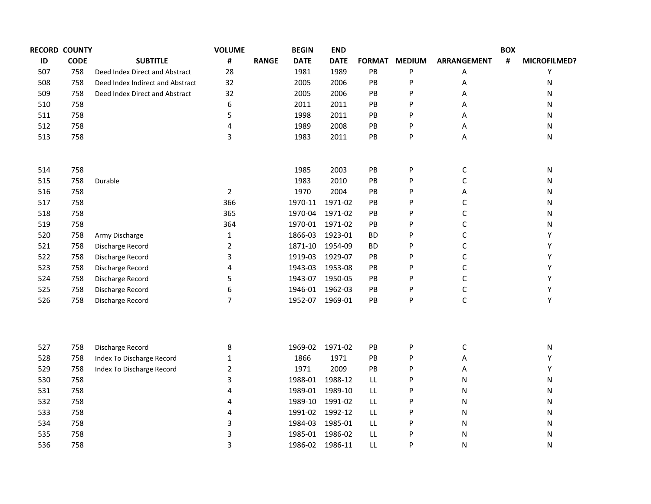|     | <b>RECORD COUNTY</b> |                                  | <b>VOLUME</b>  |              | <b>BEGIN</b>    | <b>END</b>      |               |               |                    | <b>BOX</b> |                     |
|-----|----------------------|----------------------------------|----------------|--------------|-----------------|-----------------|---------------|---------------|--------------------|------------|---------------------|
| ID  | <b>CODE</b>          | <b>SUBTITLE</b>                  | #              | <b>RANGE</b> | <b>DATE</b>     | <b>DATE</b>     | <b>FORMAT</b> | <b>MEDIUM</b> | <b>ARRANGEMENT</b> | #          | <b>MICROFILMED?</b> |
| 507 | 758                  | Deed Index Direct and Abstract   | 28             |              | 1981            | 1989            | PB            | P             | Α                  |            | Υ                   |
| 508 | 758                  | Deed Index Indirect and Abstract | 32             |              | 2005            | 2006            | PB            | P             | А                  |            | Ν                   |
| 509 | 758                  | Deed Index Direct and Abstract   | 32             |              | 2005            | 2006            | PB            | P             | Α                  |            | Ν                   |
| 510 | 758                  |                                  | 6              |              | 2011            | 2011            | PB            | P             | Α                  |            | Ν                   |
| 511 | 758                  |                                  | 5              |              | 1998            | 2011            | PB            | P             | А                  |            | Ν                   |
| 512 | 758                  |                                  | 4              |              | 1989            | 2008            | PB            | P             | А                  |            | Ν                   |
| 513 | 758                  |                                  | 3              |              | 1983            | 2011            | PB            | P             | A                  |            | Ν                   |
| 514 | 758                  |                                  |                |              | 1985            | 2003            | PB            | P             | С                  |            | Ν                   |
| 515 | 758                  | Durable                          |                |              | 1983            | 2010            | PB            | P             | С                  |            | Ν                   |
| 516 | 758                  |                                  | $\overline{2}$ |              | 1970            | 2004            | PB            | P             | Α                  |            | Ν                   |
| 517 | 758                  |                                  | 366            |              | 1970-11         | 1971-02         | PB            | P             | С                  |            | Ν                   |
| 518 | 758                  |                                  | 365            |              | 1970-04         | 1971-02         | PB            | P             | $\mathsf C$        |            | Ν                   |
| 519 | 758                  |                                  | 364            |              | 1970-01         | 1971-02         | PB            | P             | $\mathsf C$        |            | Ν                   |
| 520 | 758                  | Army Discharge                   | $\mathbf{1}$   |              | 1866-03         | 1923-01         | ВD            | P             | $\mathsf C$        |            | Υ                   |
| 521 | 758                  | Discharge Record                 | $\overline{2}$ |              | 1871-10         | 1954-09         | ВD            | P             | $\mathsf C$        |            | Υ                   |
| 522 | 758                  | Discharge Record                 | 3              |              | 1919-03         | 1929-07         | PB            | P             | $\mathsf C$        |            | Υ                   |
| 523 | 758                  | Discharge Record                 | 4              |              | 1943-03         | 1953-08         | PB            | P             | $\mathsf C$        |            | Υ                   |
| 524 | 758                  | Discharge Record                 | 5              |              | 1943-07 1950-05 |                 | PB            | P             | $\mathsf C$        |            | Υ                   |
| 525 | 758                  | Discharge Record                 | 6              |              |                 | 1946-01 1962-03 | PB            | P             | $\mathsf C$        |            | Υ                   |
| 526 | 758                  | Discharge Record                 | $\overline{7}$ |              | 1952-07 1969-01 |                 | PB            | P             | $\mathsf C$        |            | Υ                   |
|     |                      |                                  |                |              |                 |                 |               |               |                    |            |                     |
| 527 | 758                  | Discharge Record                 | 8              |              |                 | 1969-02 1971-02 | PB            | P             | C                  |            | Ν                   |
| 528 | 758                  | Index To Discharge Record        | $\mathbf{1}$   |              | 1866            | 1971            | PB            | P             | Α                  |            | Υ                   |
| 529 | 758                  | Index To Discharge Record        | $\overline{2}$ |              | 1971            | 2009            | PB            | P             | А                  |            | Υ                   |
| 530 | 758                  |                                  | 3              |              |                 | 1988-01 1988-12 | LL            | P             | N                  |            | Ν                   |
| 531 | 758                  |                                  | 4              |              |                 | 1989-01 1989-10 | LL            | P             | ${\sf N}$          |            | Ν                   |
| 532 | 758                  |                                  | 4              |              |                 | 1989-10 1991-02 | LL            | P             | N                  |            | Ν                   |
| 533 | 758                  |                                  | 4              |              |                 | 1991-02 1992-12 | LL            | P             | ${\sf N}$          |            | Ν                   |
| 534 | 758                  |                                  | 3              |              | 1984-03         | 1985-01         | LL            | P             | ${\sf N}$          |            | Ν                   |
| 535 | 758                  |                                  | 3              |              | 1985-01         | 1986-02         | LL            | P             | ${\sf N}$          |            | Ν                   |
| 536 | 758                  |                                  | 3              |              | 1986-02         | 1986-11         | LL            | P             | N                  |            | N                   |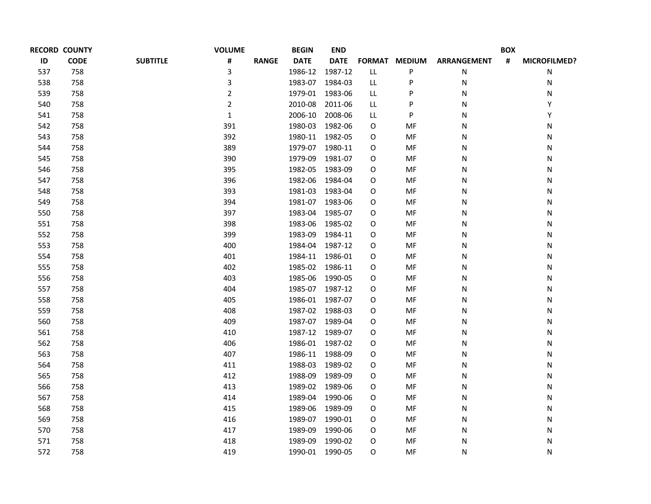|     | <b>RECORD COUNTY</b> |                 | <b>VOLUME</b>  |              | <b>BEGIN</b>    | <b>END</b>  |     |               |                    | <b>BOX</b> |              |
|-----|----------------------|-----------------|----------------|--------------|-----------------|-------------|-----|---------------|--------------------|------------|--------------|
| ID  | <b>CODE</b>          | <b>SUBTITLE</b> | #              | <b>RANGE</b> | <b>DATE</b>     | <b>DATE</b> |     | FORMAT MEDIUM | <b>ARRANGEMENT</b> | #          | MICROFILMED? |
| 537 | 758                  |                 | 3              |              | 1986-12         | 1987-12     | LL  | P             | N                  |            | Ν            |
| 538 | 758                  |                 | 3              |              | 1983-07         | 1984-03     | LL. | P             | N                  |            | N            |
| 539 | 758                  |                 | $\overline{2}$ |              | 1979-01         | 1983-06     | LL. | P             | N                  |            | Ν            |
| 540 | 758                  |                 | $\overline{2}$ |              | 2010-08         | 2011-06     | LL. | P             | N                  |            | Y            |
| 541 | 758                  |                 | $\mathbf{1}$   |              | 2006-10         | 2008-06     | LL. | P             | N                  |            | Y            |
| 542 | 758                  |                 | 391            |              | 1980-03         | 1982-06     | O   | MF            | N                  |            | Ν            |
| 543 | 758                  |                 | 392            |              | 1980-11 1982-05 |             | O   | MF            | N                  |            | N            |
| 544 | 758                  |                 | 389            |              | 1979-07         | 1980-11     | O   | MF            | N                  |            | N            |
| 545 | 758                  |                 | 390            |              | 1979-09         | 1981-07     | O   | MF            | N                  |            | N            |
| 546 | 758                  |                 | 395            |              | 1982-05         | 1983-09     | O   | MF            | N                  |            | N            |
| 547 | 758                  |                 | 396            |              | 1982-06         | 1984-04     | O   | MF            | N                  |            | Ν            |
| 548 | 758                  |                 | 393            |              | 1981-03         | 1983-04     | O   | MF            | N                  |            | N            |
| 549 | 758                  |                 | 394            |              | 1981-07 1983-06 |             | O   | MF            | Ν                  |            | Ν            |
| 550 | 758                  |                 | 397            |              | 1983-04         | 1985-07     | O   | MF            | N                  |            | N            |
| 551 | 758                  |                 | 398            |              | 1983-06         | 1985-02     | O   | MF            | Ν                  |            | N            |
| 552 | 758                  |                 | 399            |              | 1983-09         | 1984-11     | O   | MF            | Ν                  |            | N            |
| 553 | 758                  |                 | 400            |              | 1984-04         | 1987-12     | O   | MF            | N                  |            | N            |
| 554 | 758                  |                 | 401            |              | 1984-11         | 1986-01     | O   | MF            | Ν                  |            | N            |
| 555 | 758                  |                 | 402            |              | 1985-02         | 1986-11     | O   | MF            | N                  |            | N            |
| 556 | 758                  |                 | 403            |              | 1985-06         | 1990-05     | O   | MF            | Ν                  |            | N            |
| 557 | 758                  |                 | 404            |              | 1985-07         | 1987-12     | O   | MF            | N                  |            | N            |
| 558 | 758                  |                 | 405            |              | 1986-01         | 1987-07     | O   | MF            | Ν                  |            | N            |
| 559 | 758                  |                 | 408            |              | 1987-02         | 1988-03     | О   | MF            | N                  |            | N            |
| 560 | 758                  |                 | 409            |              | 1987-07         | 1989-04     | O   | MF            | Ν                  |            | N            |
| 561 | 758                  |                 | 410            |              | 1987-12         | 1989-07     | O   | MF            | Ν                  |            | N            |
| 562 | 758                  |                 | 406            |              | 1986-01         | 1987-02     | O   | MF            | N                  |            | N            |
| 563 | 758                  |                 | 407            |              | 1986-11         | 1988-09     | O   | MF            | Ν                  |            | Ν            |
| 564 | 758                  |                 | 411            |              | 1988-03         | 1989-02     | O   | MF            | N                  |            | Ν            |
| 565 | 758                  |                 | 412            |              | 1988-09         | 1989-09     | O   | MF            | N                  |            | Ν            |
| 566 | 758                  |                 | 413            |              | 1989-02         | 1989-06     | O   | MF            | N                  |            | Ν            |
| 567 | 758                  |                 | 414            |              | 1989-04         | 1990-06     | O   | MF            | N                  |            | Ν            |
| 568 | 758                  |                 | 415            |              | 1989-06         | 1989-09     | O   | MF            | N                  |            | Ν            |
| 569 | 758                  |                 | 416            |              | 1989-07         | 1990-01     | О   | MF            | N                  |            | Ν            |
| 570 | 758                  |                 | 417            |              | 1989-09         | 1990-06     | O   | MF            | N                  |            | Ν            |
| 571 | 758                  |                 | 418            |              | 1989-09         | 1990-02     | O   | MF            | N                  |            | Ν            |
| 572 | 758                  |                 | 419            |              | 1990-01         | 1990-05     | O   | MF            | N                  |            | N            |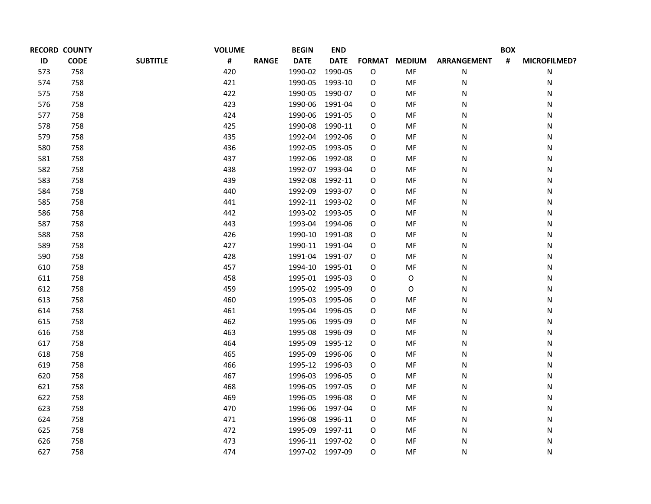| <b>RECORD COUNTY</b> |             |                 | <b>VOLUME</b> |              | <b>BEGIN</b><br><b>END</b> |             |   |               | <b>BOX</b>         |   |              |
|----------------------|-------------|-----------------|---------------|--------------|----------------------------|-------------|---|---------------|--------------------|---|--------------|
| ID                   | <b>CODE</b> | <b>SUBTITLE</b> | #             | <b>RANGE</b> | <b>DATE</b>                | <b>DATE</b> |   | FORMAT MEDIUM | <b>ARRANGEMENT</b> | # | MICROFILMED? |
| 573                  | 758         |                 | 420           |              | 1990-02                    | 1990-05     | O | MF            | N                  |   | Ν            |
| 574                  | 758         |                 | 421           |              | 1990-05                    | 1993-10     | O | MF            | N                  |   | Ν            |
| 575                  | 758         |                 | 422           |              | 1990-05                    | 1990-07     | O | MF            | N                  |   | Ν            |
| 576                  | 758         |                 | 423           |              | 1990-06                    | 1991-04     | O | MF            | N                  |   | N            |
| 577                  | 758         |                 | 424           |              | 1990-06                    | 1991-05     | O | MF            | N                  |   | N            |
| 578                  | 758         |                 | 425           |              | 1990-08                    | 1990-11     | O | MF            | N                  |   | Ν            |
| 579                  | 758         |                 | 435           |              | 1992-04                    | 1992-06     | O | MF            | N                  |   | N            |
| 580                  | 758         |                 | 436           |              | 1992-05                    | 1993-05     | O | MF            | N                  |   | N            |
| 581                  | 758         |                 | 437           |              | 1992-06                    | 1992-08     | O | MF            | N                  |   | N            |
| 582                  | 758         |                 | 438           |              | 1992-07                    | 1993-04     | O | MF            | N                  |   | N            |
| 583                  | 758         |                 | 439           |              | 1992-08                    | 1992-11     | O | MF            | N                  |   | Ν            |
| 584                  | 758         |                 | 440           |              | 1992-09                    | 1993-07     | O | MF            | N                  |   | N            |
| 585                  | 758         |                 | 441           |              | 1992-11 1993-02            |             | O | MF            | Ν                  |   | Ν            |
| 586                  | 758         |                 | 442           |              | 1993-02                    | 1993-05     | O | MF            | N                  |   | N            |
| 587                  | 758         |                 | 443           |              | 1993-04                    | 1994-06     | O | MF            | Ν                  |   | N            |
| 588                  | 758         |                 | 426           |              | 1990-10                    | 1991-08     | O | MF            | Ν                  |   | N            |
| 589                  | 758         |                 | 427           |              | 1990-11 1991-04            |             | O | MF            | N                  |   | N            |
| 590                  | 758         |                 | 428           |              | 1991-04                    | 1991-07     | O | MF            | Ν                  |   | N            |
| 610                  | 758         |                 | 457           |              | 1994-10                    | 1995-01     | O | MF            | N                  |   | N            |
| 611                  | 758         |                 | 458           |              | 1995-01                    | 1995-03     | O | O             | Ν                  |   | N            |
| 612                  | 758         |                 | 459           |              | 1995-02                    | 1995-09     | O | O             | Ν                  |   | N            |
| 613                  | 758         |                 | 460           |              | 1995-03                    | 1995-06     | O | MF            | N                  |   | N            |
| 614                  | 758         |                 | 461           |              | 1995-04                    | 1996-05     | O | MF            | N                  |   | N            |
| 615                  | 758         |                 | 462           |              | 1995-06                    | 1995-09     | O | MF            | N                  |   | N            |
| 616                  | 758         |                 | 463           |              | 1995-08                    | 1996-09     | O | MF            | N                  |   | N            |
| 617                  | 758         |                 | 464           |              | 1995-09                    | 1995-12     | O | MF            | N                  |   | N            |
| 618                  | 758         |                 | 465           |              | 1995-09                    | 1996-06     | O | MF            | N                  |   | Ν            |
| 619                  | 758         |                 | 466           |              | 1995-12                    | 1996-03     | O | MF            | N                  |   | Ν            |
| 620                  | 758         |                 | 467           |              | 1996-03                    | 1996-05     | 0 | MF            | N                  |   | Ν            |
| 621                  | 758         |                 | 468           |              | 1996-05                    | 1997-05     | O | MF            | N                  |   | Ν            |
| 622                  | 758         |                 | 469           |              | 1996-05                    | 1996-08     | 0 | MF            | N                  |   | Ν            |
| 623                  | 758         |                 | 470           |              | 1996-06                    | 1997-04     | O | MF            | N                  |   | Ν            |
| 624                  | 758         |                 | 471           |              | 1996-08                    | 1996-11     | 0 | MF            | N                  |   | Ν            |
| 625                  | 758         |                 | 472           |              | 1995-09                    | 1997-11     | O | MF            | N                  |   | Ν            |
| 626                  | 758         |                 | 473           |              | 1996-11                    | 1997-02     | O | MF            | N                  |   | Ν            |
| 627                  | 758         |                 | 474           |              | 1997-02                    | 1997-09     | O | MF            | N                  |   | N            |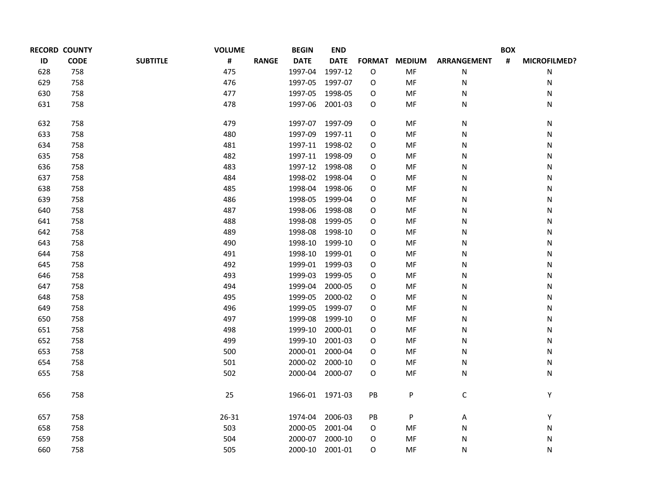|     | <b>RECORD COUNTY</b> |                 | <b>VOLUME</b>     | <b>BEGIN</b>    | <b>END</b>      |    |               |                    | <b>BOX</b>     |              |
|-----|----------------------|-----------------|-------------------|-----------------|-----------------|----|---------------|--------------------|----------------|--------------|
| ID  | <b>CODE</b>          | <b>SUBTITLE</b> | #<br><b>RANGE</b> | <b>DATE</b>     | <b>DATE</b>     |    | FORMAT MEDIUM | <b>ARRANGEMENT</b> | $\pmb{\sharp}$ | MICROFILMED? |
| 628 | 758                  |                 | 475               | 1997-04         | 1997-12         | O  | MF            | ${\sf N}$          |                | N            |
| 629 | 758                  |                 | 476               | 1997-05         | 1997-07         | O  | MF            | N                  |                | N            |
| 630 | 758                  |                 | 477               | 1997-05         | 1998-05         | O  | MF            | N                  |                | Ν            |
| 631 | 758                  |                 | 478               | 1997-06         | 2001-03         | O  | MF            | N                  |                | Ν            |
| 632 | 758                  |                 | 479               | 1997-07         | 1997-09         | 0  | MF            | N                  |                | N            |
| 633 | 758                  |                 | 480               | 1997-09         | 1997-11         | O  | MF            | N                  |                | N            |
| 634 | 758                  |                 | 481               | 1997-11 1998-02 |                 | O  | MF            | N                  |                | Ν            |
| 635 | 758                  |                 | 482               | 1997-11         | 1998-09         | O  | MF            | N                  |                | Ν            |
| 636 | 758                  |                 | 483               | 1997-12 1998-08 |                 | O  | MF            | N                  |                | Ν            |
| 637 | 758                  |                 | 484               | 1998-02 1998-04 |                 | O  | MF            | N                  |                | Ν            |
| 638 | 758                  |                 | 485               | 1998-04         | 1998-06         | О  | MF            | N                  |                | Ν            |
| 639 | 758                  |                 | 486               | 1998-05         | 1999-04         | 0  | MF            | N                  |                | N            |
| 640 | 758                  |                 | 487               | 1998-06         | 1998-08         | O  | MF            | N                  |                | Ν            |
| 641 | 758                  |                 | 488               | 1998-08         | 1999-05         | 0  | MF            | N                  |                | Ν            |
| 642 | 758                  |                 | 489               | 1998-08         | 1998-10         | O  | MF            | N                  |                | Ν            |
| 643 | 758                  |                 | 490               | 1998-10         | 1999-10         | O  | MF            | N                  |                | Ν            |
| 644 | 758                  |                 | 491               | 1998-10         | 1999-01         | О  | MF            | N                  |                | Ν            |
| 645 | 758                  |                 | 492               | 1999-01 1999-03 |                 | 0  | MF            | N                  |                | N            |
| 646 | 758                  |                 | 493               | 1999-03         | 1999-05         | О  | MF            | N                  |                | Ν            |
| 647 | 758                  |                 | 494               | 1999-04         | 2000-05         | O  | MF            | N                  |                | Ν            |
| 648 | 758                  |                 | 495               | 1999-05         | 2000-02         | О  | MF            | N                  |                | Ν            |
| 649 | 758                  |                 | 496               | 1999-05         | 1999-07         | O  | MF            | N                  |                | N            |
| 650 | 758                  |                 | 497               | 1999-08         | 1999-10         | О  | MF            | N                  |                | Ν            |
| 651 | 758                  |                 | 498               | 1999-10         | 2000-01         | O  | MF            | N                  |                | Ν            |
| 652 | 758                  |                 | 499               | 1999-10         | 2001-03         | O  | MF            | N                  |                | Ν            |
| 653 | 758                  |                 | 500               | 2000-01 2000-04 |                 | O  | MF            | N                  |                | Ν            |
| 654 | 758                  |                 | 501               |                 | 2000-02 2000-10 | O  | MF            | N                  |                | Ν            |
| 655 | 758                  |                 | 502               | 2000-04 2000-07 |                 | 0  | MF            | N                  |                | N            |
| 656 | 758                  |                 | 25                |                 | 1966-01 1971-03 | PB | P             | $\mathsf C$        |                | Υ            |
| 657 | 758                  |                 | 26-31             | 1974-04         | 2006-03         | PB | P             | A                  |                | Υ            |
| 658 | 758                  |                 | 503               | 2000-05         | 2001-04         | O  | MF            | N                  |                | Ν            |
| 659 | 758                  |                 | 504               |                 | 2000-07 2000-10 | O  | MF            | N                  |                | Ν            |
| 660 | 758                  |                 | 505               | 2000-10         | 2001-01         | O  | MF            | N                  |                | N            |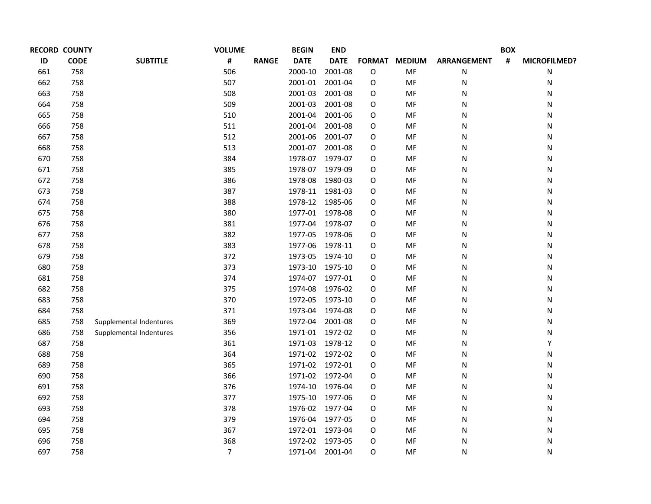| <b>RECORD COUNTY</b> |             |                         | <b>VOLUME</b>  |              | <b>BEGIN</b>    | <b>END</b>  |               |               |                    | <b>BOX</b> |              |
|----------------------|-------------|-------------------------|----------------|--------------|-----------------|-------------|---------------|---------------|--------------------|------------|--------------|
| ID                   | <b>CODE</b> | <b>SUBTITLE</b>         | #              | <b>RANGE</b> | <b>DATE</b>     | <b>DATE</b> | <b>FORMAT</b> | <b>MEDIUM</b> | <b>ARRANGEMENT</b> | #          | MICROFILMED? |
| 661                  | 758         |                         | 506            |              | 2000-10         | 2001-08     | O             | MF            | N                  |            | Ν            |
| 662                  | 758         |                         | 507            |              | 2001-01         | 2001-04     | O             | MF            | ${\sf N}$          |            | Ν            |
| 663                  | 758         |                         | 508            |              | 2001-03         | 2001-08     | 0             | MF            | N                  |            | Ν            |
| 664                  | 758         |                         | 509            |              | 2001-03         | 2001-08     | O             | MF            | N                  |            | Ν            |
| 665                  | 758         |                         | 510            |              | 2001-04         | 2001-06     | 0             | MF            | N                  |            | Ν            |
| 666                  | 758         |                         | 511            |              | 2001-04         | 2001-08     | O             | MF            | N                  |            | Ν            |
| 667                  | 758         |                         | 512            |              | 2001-06         | 2001-07     | 0             | MF            | N                  |            | Ν            |
| 668                  | 758         |                         | 513            |              | 2001-07         | 2001-08     | 0             | MF            | N                  |            | Ν            |
| 670                  | 758         |                         | 384            |              | 1978-07         | 1979-07     | 0             | MF            | N                  |            | Ν            |
| 671                  | 758         |                         | 385            |              | 1978-07         | 1979-09     | O             | MF            | N                  |            | Ν            |
| 672                  | 758         |                         | 386            |              | 1978-08         | 1980-03     | 0             | MF            | N                  |            | Ν            |
| 673                  | 758         |                         | 387            |              | 1978-11 1981-03 |             | O             | MF            | N                  |            | Ν            |
| 674                  | 758         |                         | 388            |              | 1978-12 1985-06 |             | 0             | MF            | N                  |            | Ν            |
| 675                  | 758         |                         | 380            |              | 1977-01 1978-08 |             | 0             | MF            | N                  |            | Ν            |
| 676                  | 758         |                         | 381            |              | 1977-04 1978-07 |             | 0             | MF            | N                  |            | Ν            |
| 677                  | 758         |                         | 382            |              | 1977-05 1978-06 |             | O             | MF            | N                  |            | Ν            |
| 678                  | 758         |                         | 383            |              | 1977-06         | 1978-11     | 0             | MF            | N                  |            | Ν            |
| 679                  | 758         |                         | 372            |              | 1973-05         | 1974-10     | 0             | MF            | N                  |            | Ν            |
| 680                  | 758         |                         | 373            |              | 1973-10         | 1975-10     | 0             | MF            | N                  |            | Ν            |
| 681                  | 758         |                         | 374            |              | 1974-07 1977-01 |             | 0             | MF            | N                  |            | Ν            |
| 682                  | 758         |                         | 375            |              | 1974-08         | 1976-02     | 0             | MF            | N                  |            | Ν            |
| 683                  | 758         |                         | 370            |              | 1972-05         | 1973-10     | 0             | MF            | N                  |            | Ν            |
| 684                  | 758         |                         | 371            |              | 1973-04         | 1974-08     | 0             | MF            | N                  |            | Ν            |
| 685                  | 758         | Supplemental Indentures | 369            |              | 1972-04         | 2001-08     | 0             | MF            | N                  |            | Ν            |
| 686                  | 758         | Supplemental Indentures | 356            |              | 1971-01         | 1972-02     | 0             | MF            | N                  |            | Ν            |
| 687                  | 758         |                         | 361            |              | 1971-03         | 1978-12     | 0             | MF            | N                  |            | Υ            |
| 688                  | 758         |                         | 364            |              | 1971-02         | 1972-02     | 0             | MF            | N                  |            | Ν            |
| 689                  | 758         |                         | 365            |              | 1971-02 1972-01 |             | 0             | MF            | ${\sf N}$          |            | Ν            |
| 690                  | 758         |                         | 366            |              | 1971-02         | 1972-04     | 0             | MF            | N                  |            | Ν            |
| 691                  | 758         |                         | 376            |              | 1974-10         | 1976-04     | O             | MF            | ${\sf N}$          |            | Ν            |
| 692                  | 758         |                         | 377            |              | 1975-10         | 1977-06     | 0             | MF            | ${\sf N}$          |            | Ν            |
| 693                  | 758         |                         | 378            |              | 1976-02         | 1977-04     | 0             | MF            | N                  |            | Ν            |
| 694                  | 758         |                         | 379            |              | 1976-04         | 1977-05     | 0             | MF            | N                  |            | Ν            |
| 695                  | 758         |                         | 367            |              | 1972-01 1973-04 |             | 0             | MF            | ${\sf N}$          |            | Ν            |
| 696                  | 758         |                         | 368            |              | 1972-02         | 1973-05     | 0             | MF            | N                  |            | Ν            |
| 697                  | 758         |                         | $\overline{7}$ |              | 1971-04         | 2001-04     | 0             | MF            | N                  |            | N            |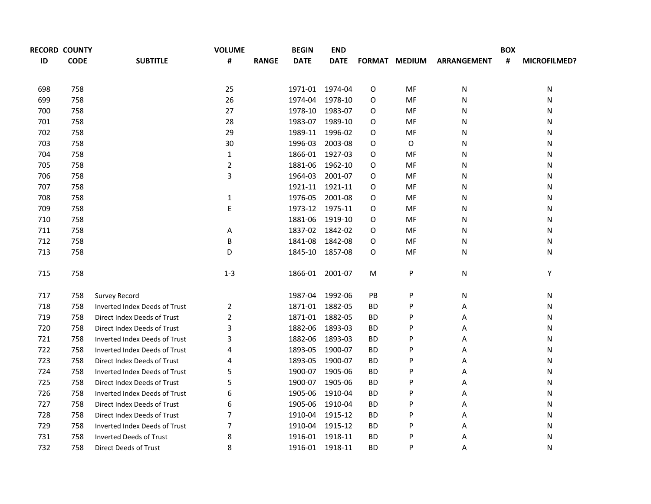|     | <b>RECORD COUNTY</b> |                                | <b>VOLUME</b>  |              | <b>BEGIN</b>    | <b>END</b>      |           |                      |                    | <b>BOX</b> |                     |
|-----|----------------------|--------------------------------|----------------|--------------|-----------------|-----------------|-----------|----------------------|--------------------|------------|---------------------|
| ID  | <b>CODE</b>          | <b>SUBTITLE</b>                | #              | <b>RANGE</b> | <b>DATE</b>     | <b>DATE</b>     |           | <b>FORMAT MEDIUM</b> | <b>ARRANGEMENT</b> | #          | <b>MICROFILMED?</b> |
| 698 | 758                  |                                | 25             |              |                 | 1971-01 1974-04 | O         | MF                   | N                  |            | N                   |
| 699 | 758                  |                                | 26             |              | 1974-04         | 1978-10         | O         | MF                   | N                  |            | N                   |
| 700 | 758                  |                                | 27             |              | 1978-10         | 1983-07         | O         | MF                   | N                  |            | N                   |
| 701 | 758                  |                                | 28             |              | 1983-07         | 1989-10         | O         | MF                   | N                  |            | N                   |
| 702 | 758                  |                                | 29             |              | 1989-11         | 1996-02         | O         | MF                   | N                  |            | N                   |
| 703 | 758                  |                                | 30             |              | 1996-03         | 2003-08         | 0         | $\mathsf O$          | N                  |            | N                   |
| 704 | 758                  |                                | $\mathbf 1$    |              |                 | 1866-01 1927-03 | O         | MF                   | N                  |            | N                   |
| 705 | 758                  |                                | $\overline{2}$ |              | 1881-06         | 1962-10         | O         | MF                   | N                  |            | N                   |
| 706 | 758                  |                                | $\overline{3}$ |              | 1964-03         | 2001-07         | O         | MF                   | N                  |            | N                   |
| 707 | 758                  |                                |                |              |                 | 1921-11 1921-11 | O         | MF                   | N                  |            | N                   |
| 708 | 758                  |                                | $\mathbf 1$    |              | 1976-05         | 2001-08         | 0         | MF                   | N                  |            | N                   |
| 709 | 758                  |                                | $\mathsf E$    |              |                 | 1973-12 1975-11 | O         | MF                   | N                  |            | N                   |
| 710 | 758                  |                                |                |              | 1881-06         | 1919-10         | O         | MF                   | N                  |            | N                   |
| 711 | 758                  |                                | Α              |              |                 | 1837-02 1842-02 | O         | MF                   | N                  |            | N                   |
| 712 | 758                  |                                | B              |              | 1841-08         | 1842-08         | O         | MF                   | N                  |            | N                   |
| 713 | 758                  |                                | D              |              |                 | 1845-10 1857-08 | 0         | MF                   | N                  |            | Ν                   |
| 715 | 758                  |                                | $1-3$          |              |                 | 1866-01 2001-07 | M         | P                    | N                  |            | Υ                   |
| 717 | 758                  | Survey Record                  |                |              |                 | 1987-04 1992-06 | PB        | P                    | N                  |            | N                   |
| 718 | 758                  | Inverted Index Deeds of Trust  | 2              |              |                 | 1871-01 1882-05 | <b>BD</b> | P                    | Α                  |            | N                   |
| 719 | 758                  | Direct Index Deeds of Trust    | $\overline{2}$ |              |                 | 1871-01 1882-05 | <b>BD</b> | P                    | Α                  |            | N                   |
| 720 | 758                  | Direct Index Deeds of Trust    | 3              |              | 1882-06         | 1893-03         | <b>BD</b> | P                    | Α                  |            | N                   |
| 721 | 758                  | Inverted Index Deeds of Trust  | 3              |              | 1882-06         | 1893-03         | BD        | P                    | Α                  |            | N                   |
| 722 | 758                  | Inverted Index Deeds of Trust  | 4              |              | 1893-05         | 1900-07         | <b>BD</b> | P                    | Α                  |            | N                   |
| 723 | 758                  | Direct Index Deeds of Trust    | 4              |              | 1893-05         | 1900-07         | <b>BD</b> | P                    | Α                  |            | N                   |
| 724 | 758                  | Inverted Index Deeds of Trust  | 5              |              | 1900-07         | 1905-06         | <b>BD</b> | P                    | Α                  |            | N                   |
| 725 | 758                  | Direct Index Deeds of Trust    | 5              |              | 1900-07         | 1905-06         | <b>BD</b> | P                    | Α                  |            | N                   |
| 726 | 758                  | Inverted Index Deeds of Trust  | 6              |              | 1905-06         | 1910-04         | BD        | P                    | Α                  |            | N                   |
| 727 | 758                  | Direct Index Deeds of Trust    | 6              |              | 1905-06         | 1910-04         | BD        | P                    | Α                  |            | N                   |
| 728 | 758                  | Direct Index Deeds of Trust    | 7              |              |                 | 1910-04 1915-12 | BD        | P                    | Α                  |            | N                   |
| 729 | 758                  | Inverted Index Deeds of Trust  | $\overline{7}$ |              |                 | 1910-04 1915-12 | <b>BD</b> | P                    | Α                  |            | N                   |
| 731 | 758                  | <b>Inverted Deeds of Trust</b> | 8              |              | 1916-01 1918-11 |                 | <b>BD</b> | P                    | А                  |            | N                   |
| 732 | 758                  | <b>Direct Deeds of Trust</b>   | 8              |              |                 | 1916-01 1918-11 | <b>BD</b> | P                    | Α                  |            | N                   |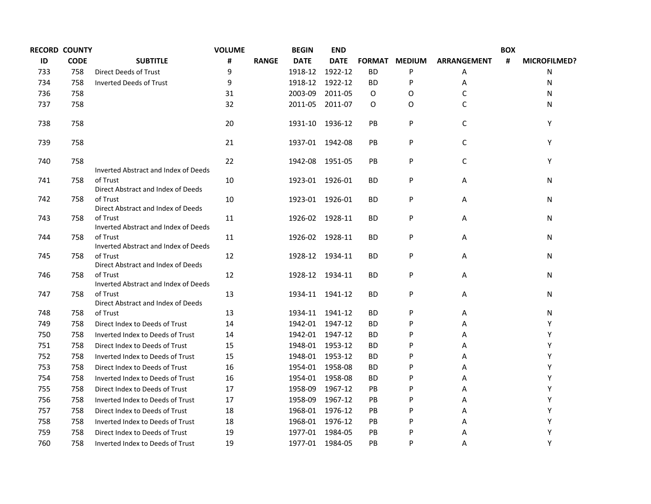|     | <b>RECORD COUNTY</b> |                                                  | <b>VOLUME</b> |              | <b>BEGIN</b>    | <b>END</b>      |               |               |                    | <b>BOX</b> |                     |
|-----|----------------------|--------------------------------------------------|---------------|--------------|-----------------|-----------------|---------------|---------------|--------------------|------------|---------------------|
| ID  | <b>CODE</b>          | <b>SUBTITLE</b>                                  | #             | <b>RANGE</b> | <b>DATE</b>     | <b>DATE</b>     | <b>FORMAT</b> | <b>MEDIUM</b> | <b>ARRANGEMENT</b> | #          | <b>MICROFILMED?</b> |
| 733 | 758                  | Direct Deeds of Trust                            | 9             |              | 1918-12         | 1922-12         | <b>BD</b>     | P             | Α                  |            | N                   |
| 734 | 758                  | <b>Inverted Deeds of Trust</b>                   | 9             |              |                 | 1918-12 1922-12 | <b>BD</b>     | P             | Α                  |            | N                   |
| 736 | 758                  |                                                  | 31            |              | 2003-09         | 2011-05         | 0             | 0             | C                  |            | N                   |
| 737 | 758                  |                                                  | 32            |              | 2011-05         | 2011-07         | 0             | O             | C                  |            | N                   |
| 738 | 758                  |                                                  | 20            |              | 1931-10 1936-12 |                 | PB            | P             | $\mathsf C$        |            | Y                   |
| 739 | 758                  |                                                  | 21            |              | 1937-01 1942-08 |                 | PB            | P             | $\mathsf C$        |            | Y                   |
| 740 | 758                  | Inverted Abstract and Index of Deeds             | 22            |              | 1942-08 1951-05 |                 | PB            | P             | $\mathsf C$        |            | Y                   |
| 741 | 758                  | of Trust<br>Direct Abstract and Index of Deeds   | 10            |              | 1923-01 1926-01 |                 | BD            | P             | Α                  |            | N                   |
| 742 | 758                  | of Trust<br>Direct Abstract and Index of Deeds   | 10            |              | 1923-01 1926-01 |                 | ВD            | P             | Α                  |            | N                   |
| 743 | 758                  | of Trust<br>Inverted Abstract and Index of Deeds | 11            |              | 1926-02 1928-11 |                 | ВD            | P             | Α                  |            | N                   |
| 744 | 758                  | of Trust<br>Inverted Abstract and Index of Deeds | 11            |              | 1926-02 1928-11 |                 | ВD            | P             | Α                  |            | N                   |
| 745 | 758                  | of Trust<br>Direct Abstract and Index of Deeds   | 12            |              | 1928-12 1934-11 |                 | ВD            | P             | A                  |            | N                   |
| 746 | 758                  | of Trust<br>Inverted Abstract and Index of Deeds | 12            |              | 1928-12 1934-11 |                 | BD            | P             | Α                  |            | N                   |
| 747 | 758                  | of Trust<br>Direct Abstract and Index of Deeds   | 13            |              | 1934-11 1941-12 |                 | ВD            | P             | Α                  |            | Ν                   |
| 748 | 758                  | of Trust                                         | 13            |              | 1934-11 1941-12 |                 | BD            | P             | Α                  |            | N                   |
| 749 | 758                  | Direct Index to Deeds of Trust                   | 14            |              | 1942-01         | 1947-12         | <b>BD</b>     | P             | Α                  |            | Y                   |
| 750 | 758                  | Inverted Index to Deeds of Trust                 | 14            |              | 1942-01         | 1947-12         | ВD            | P             | Α                  |            | Υ                   |
| 751 | 758                  | Direct Index to Deeds of Trust                   | 15            |              | 1948-01         | 1953-12         | <b>BD</b>     | P             | Α                  |            | Υ                   |
| 752 | 758                  | Inverted Index to Deeds of Trust                 | 15            |              | 1948-01 1953-12 |                 | <b>BD</b>     | P             | Α                  |            | Υ                   |
| 753 | 758                  | Direct Index to Deeds of Trust                   | 16            |              | 1954-01         | 1958-08         | ВD            | P             | Α                  |            | Υ                   |
| 754 | 758                  | Inverted Index to Deeds of Trust                 | 16            |              |                 | 1954-01 1958-08 | <b>BD</b>     | P             | Α                  |            | Υ                   |
| 755 | 758                  | Direct Index to Deeds of Trust                   | 17            |              | 1958-09         | 1967-12         | <b>PB</b>     | P             | A                  |            | Υ                   |
| 756 | 758                  | Inverted Index to Deeds of Trust                 | 17            |              | 1958-09         | 1967-12         | <b>PB</b>     | P             | Α                  |            | Υ                   |
| 757 | 758                  | Direct Index to Deeds of Trust                   | 18            |              | 1968-01 1976-12 |                 | <b>PB</b>     | P             | Α                  |            | Υ                   |
| 758 | 758                  | Inverted Index to Deeds of Trust                 | 18            |              | 1968-01 1976-12 |                 | <b>PB</b>     | P             | Α                  |            | Υ                   |
| 759 | 758                  | Direct Index to Deeds of Trust                   | 19            |              | 1977-01 1984-05 |                 | PB            | P             | Α                  |            | Υ                   |
| 760 | 758                  | Inverted Index to Deeds of Trust                 | 19            |              | 1977-01 1984-05 |                 | PB            | P             | Α                  |            | Υ                   |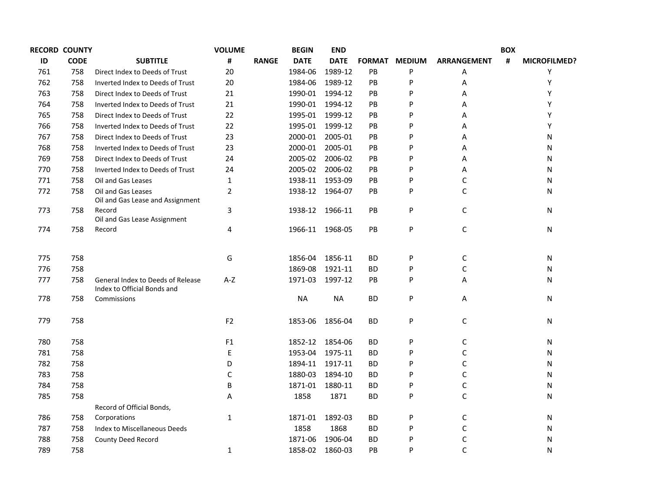|     | <b>RECORD COUNTY</b> |                                                                  | <b>VOLUME</b>  |              | <b>BEGIN</b>    | <b>END</b>      |           |               |                    | <b>BOX</b> |                     |
|-----|----------------------|------------------------------------------------------------------|----------------|--------------|-----------------|-----------------|-----------|---------------|--------------------|------------|---------------------|
| ID  | <b>CODE</b>          | <b>SUBTITLE</b>                                                  | #              | <b>RANGE</b> | <b>DATE</b>     | <b>DATE</b>     |           | FORMAT MEDIUM | <b>ARRANGEMENT</b> | #          | <b>MICROFILMED?</b> |
| 761 | 758                  | Direct Index to Deeds of Trust                                   | 20             |              | 1984-06         | 1989-12         | PB        | P             | Α                  |            | Υ                   |
| 762 | 758                  | Inverted Index to Deeds of Trust                                 | 20             |              | 1984-06         | 1989-12         | PB        | P             | Α                  |            | Υ                   |
| 763 | 758                  | Direct Index to Deeds of Trust                                   | 21             |              | 1990-01         | 1994-12         | PB        | P             | Α                  |            | Υ                   |
| 764 | 758                  | Inverted Index to Deeds of Trust                                 | 21             |              | 1990-01         | 1994-12         | PB        | P             | Α                  |            | Υ                   |
| 765 | 758                  | Direct Index to Deeds of Trust                                   | 22             |              | 1995-01         | 1999-12         | PB        | P             | Α                  |            | Υ                   |
| 766 | 758                  | Inverted Index to Deeds of Trust                                 | 22             |              | 1995-01         | 1999-12         | PB        | P             | Α                  |            | Υ                   |
| 767 | 758                  | Direct Index to Deeds of Trust                                   | 23             |              | 2000-01         | 2005-01         | PB        | P             | Α                  |            | N                   |
| 768 | 758                  | Inverted Index to Deeds of Trust                                 | 23             |              | 2000-01         | 2005-01         | PB        | P             | Α                  |            | N                   |
| 769 | 758                  | Direct Index to Deeds of Trust                                   | 24             |              | 2005-02         | 2006-02         | PB        | P             | Α                  |            | N                   |
| 770 | 758                  | Inverted Index to Deeds of Trust                                 | 24             |              | 2005-02         | 2006-02         | <b>PB</b> | P             | А                  |            | N                   |
| 771 | 758                  | Oil and Gas Leases                                               | $\mathbf{1}$   |              | 1938-11         | 1953-09         | PB        | P             | C                  |            | N                   |
| 772 | 758                  | Oil and Gas Leases<br>Oil and Gas Lease and Assignment           | $\overline{2}$ |              |                 | 1938-12 1964-07 | PB        | P             | C                  |            | N                   |
| 773 | 758                  | Record<br>Oil and Gas Lease Assignment                           | 3              |              | 1938-12 1966-11 |                 | PB        | P             | $\mathsf C$        |            | N                   |
| 774 | 758                  | Record                                                           | 4              |              |                 | 1966-11 1968-05 | PB        | P             | $\mathsf C$        |            | N                   |
| 775 | 758                  |                                                                  | G              |              | 1856-04         | 1856-11         | ВD        | P             | C                  |            | N                   |
| 776 | 758                  |                                                                  |                |              | 1869-08         | 1921-11         | ВD        | P             | C                  |            | N                   |
| 777 | 758                  | General Index to Deeds of Release<br>Index to Official Bonds and | $A-Z$          |              | 1971-03         | 1997-12         | <b>PB</b> | P             | Α                  |            | N                   |
| 778 | 758                  | Commissions                                                      |                |              | <b>NA</b>       | <b>NA</b>       | <b>BD</b> | P             | Α                  |            | N                   |
| 779 | 758                  |                                                                  | F <sub>2</sub> |              | 1853-06         | 1856-04         | BD        | P             | $\mathsf C$        |            | N                   |
| 780 | 758                  |                                                                  | F1             |              | 1852-12         | 1854-06         | ВD        | P             | C                  |            | N                   |
| 781 | 758                  |                                                                  | E              |              | 1953-04         | 1975-11         | <b>BD</b> | P             | C                  |            | N                   |
| 782 | 758                  |                                                                  | D              |              | 1894-11         | 1917-11         | ВD        | P             | C                  |            | N                   |
| 783 | 758                  |                                                                  | С              |              | 1880-03         | 1894-10         | BD        | P             | C                  |            | N                   |
| 784 | 758                  |                                                                  | B              |              | 1871-01         | 1880-11         | <b>BD</b> | P             | $\mathsf C$        |            | N                   |
| 785 | 758                  | Record of Official Bonds,                                        | Α              |              | 1858            | 1871            | ВD        | P             | $\mathsf C$        |            | N                   |
| 786 | 758                  | Corporations                                                     | $\mathbf 1$    |              | 1871-01         | 1892-03         | <b>BD</b> | P             | $\mathsf C$        |            | N                   |
| 787 | 758                  | Index to Miscellaneous Deeds                                     |                |              | 1858            | 1868            | ВD        | P             | C                  |            | N                   |
| 788 | 758                  | County Deed Record                                               |                |              | 1871-06         | 1906-04         | <b>BD</b> | P             | $\mathsf C$        |            | N                   |
| 789 | 758                  |                                                                  | $\mathbf{1}$   |              | 1858-02 1860-03 |                 | PB        | P             | $\mathsf C$        |            | N                   |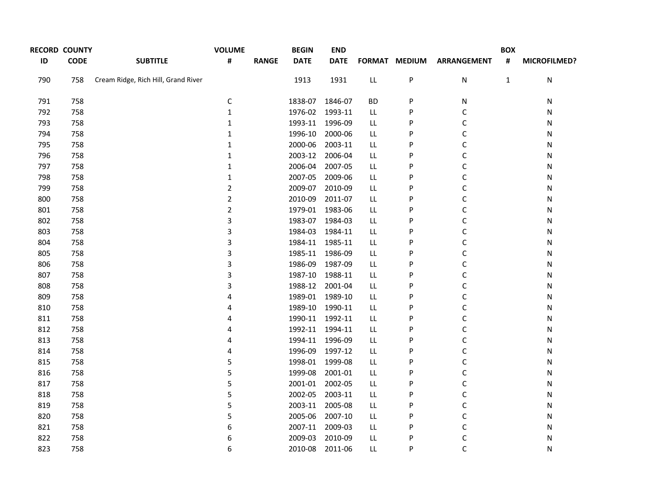|     | <b>RECORD COUNTY</b> |                                     | <b>VOLUME</b>  |              | <b>BEGIN</b>    | <b>END</b>  |            |               |                    | <b>BOX</b>   |              |
|-----|----------------------|-------------------------------------|----------------|--------------|-----------------|-------------|------------|---------------|--------------------|--------------|--------------|
| ID  | <b>CODE</b>          | <b>SUBTITLE</b>                     | #              | <b>RANGE</b> | <b>DATE</b>     | <b>DATE</b> |            | FORMAT MEDIUM | <b>ARRANGEMENT</b> | #            | MICROFILMED? |
| 790 | 758                  | Cream Ridge, Rich Hill, Grand River |                |              | 1913            | 1931        | ${\sf LL}$ | P             | ${\sf N}$          | $\mathbf{1}$ | ${\sf N}$    |
| 791 | 758                  |                                     | $\mathsf C$    |              | 1838-07         | 1846-07     | <b>BD</b>  | P             | N                  |              | Ν            |
| 792 | 758                  |                                     | $\mathbf{1}$   |              | 1976-02 1993-11 |             | LL         | P             | С                  |              | Ν            |
| 793 | 758                  |                                     | $\mathbf{1}$   |              | 1993-11 1996-09 |             | LL         | P             | $\mathsf C$        |              | Ν            |
| 794 | 758                  |                                     | $\mathbf{1}$   |              | 1996-10         | 2000-06     | LL.        | P             | $\mathsf C$        |              | Ν            |
| 795 | 758                  |                                     | $\mathbf 1$    |              | 2000-06         | 2003-11     | LL         | P             | $\mathsf C$        |              | N            |
| 796 | 758                  |                                     | $\mathbf 1$    |              | 2003-12 2006-04 |             | LL         | P             | $\mathsf C$        |              | Ν            |
| 797 | 758                  |                                     | $\mathbf{1}$   |              | 2006-04         | 2007-05     | LL         | P             | $\mathsf C$        |              | Ν            |
| 798 | 758                  |                                     | $\mathbf 1$    |              | 2007-05         | 2009-06     | LL         | P             | $\mathsf C$        |              | N            |
| 799 | 758                  |                                     | $\overline{2}$ |              | 2009-07         | 2010-09     | LL         | P             | C                  |              | Ν            |
| 800 | 758                  |                                     | $\overline{2}$ |              | 2010-09         | 2011-07     | LL         | P             | C                  |              | Ν            |
| 801 | 758                  |                                     | $\overline{2}$ |              | 1979-01 1983-06 |             | LL         | P             | C                  |              | N            |
| 802 | 758                  |                                     | 3              |              | 1983-07 1984-03 |             | LL         | P             | C                  |              | N            |
| 803 | 758                  |                                     | 3              |              | 1984-03         | 1984-11     | LL         | P             | C                  |              | Ν            |
| 804 | 758                  |                                     | 3              |              | 1984-11 1985-11 |             | LL         | P             | C                  |              | Ν            |
| 805 | 758                  |                                     | 3              |              | 1985-11 1986-09 |             | LL         | P             | C                  |              | N            |
| 806 | 758                  |                                     | 3              |              | 1986-09         | 1987-09     | LL         | P             | C                  |              | Ν            |
| 807 | 758                  |                                     | 3              |              | 1987-10         | 1988-11     | LL         | P             | C                  |              | Ν            |
| 808 | 758                  |                                     | 3              |              | 1988-12 2001-04 |             | LL         | P             | C                  |              | N            |
| 809 | 758                  |                                     | 4              |              | 1989-01 1989-10 |             | LL         | P             | C                  |              | Ν            |
| 810 | 758                  |                                     | 4              |              | 1989-10 1990-11 |             | LL         | P             | C                  |              | N            |
| 811 | 758                  |                                     | 4              |              | 1990-11 1992-11 |             | LL         | P             | C                  |              | Ν            |
| 812 | 758                  |                                     | 4              |              | 1992-11 1994-11 |             | LL         | P             | C                  |              | Ν            |
| 813 | 758                  |                                     | 4              |              | 1994-11 1996-09 |             | LL         | P             | C                  |              | N            |
| 814 | 758                  |                                     | 4              |              | 1996-09         | 1997-12     | LL.        | P             | C                  |              | Ν            |
| 815 | 758                  |                                     | 5              |              | 1998-01 1999-08 |             | LL         | P             | С                  |              | Ν            |
| 816 | 758                  |                                     | 5              |              | 1999-08         | 2001-01     | LL         | P             | C                  |              | N            |
| 817 | 758                  |                                     | 5              |              | 2001-01 2002-05 |             | LL         | P             | С                  |              | Ν            |
| 818 | 758                  |                                     | 5              |              | 2002-05         | 2003-11     | LL         | P             | С                  |              | Ν            |
| 819 | 758                  |                                     | $\mathsf S$    |              | 2003-11 2005-08 |             | LL         | P             | C                  |              | N            |
| 820 | 758                  |                                     | 5              |              | 2005-06         | 2007-10     | LL.        | P             | C                  |              | Ν            |
| 821 | 758                  |                                     | 6              |              | 2007-11 2009-03 |             | LL         | P             | С                  |              | Ν            |
| 822 | 758                  |                                     | 6              |              | 2009-03         | 2010-09     | LL         | P             | C                  |              | N            |
| 823 | 758                  |                                     | 6              |              | 2010-08         | 2011-06     | LL         | P             | C                  |              | N            |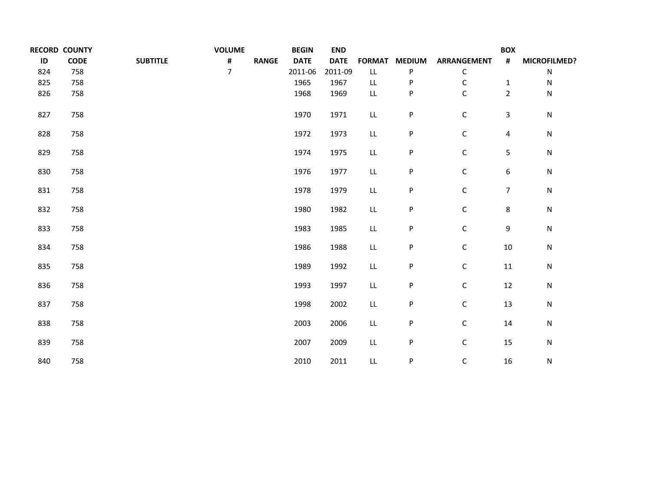|     | <b>RECORD COUNTY</b> |                 | <b>VOLUME</b>  |              | <b>BEGIN</b> | <b>END</b>  |               |               |                    | <b>BOX</b>       |              |
|-----|----------------------|-----------------|----------------|--------------|--------------|-------------|---------------|---------------|--------------------|------------------|--------------|
| ID  | <b>CODE</b>          | <b>SUBTITLE</b> | #              | <b>RANGE</b> | <b>DATE</b>  | <b>DATE</b> | <b>FORMAT</b> | <b>MEDIUM</b> | <b>ARRANGEMENT</b> | #                | MICROFILMED? |
| 824 | 758                  |                 | $\overline{7}$ |              | 2011-06      | 2011-09     | LL            | P             | С                  |                  | ${\sf N}$    |
| 825 | 758                  |                 |                |              | 1965         | 1967        | LL            | P             | С                  | $\mathbf{1}$     | N            |
| 826 | 758                  |                 |                |              | 1968         | 1969        | LL            | P             | C                  | $\overline{2}$   | N            |
| 827 | 758                  |                 |                |              | 1970         | 1971        | ${\sf LL}$    | P             | $\mathsf C$        | 3                | ${\sf N}$    |
| 828 | 758                  |                 |                |              | 1972         | 1973        | ${\sf LL}$    | P             | $\mathsf C$        | $\overline{4}$   | ${\sf N}$    |
| 829 | 758                  |                 |                |              | 1974         | 1975        | ${\sf LL}$    | P             | $\mathsf C$        | 5                | ${\sf N}$    |
| 830 | 758                  |                 |                |              | 1976         | 1977        | LL            | P             | $\mathsf C$        | 6                | ${\sf N}$    |
| 831 | 758                  |                 |                |              | 1978         | 1979        | ${\sf LL}$    | P             | $\mathsf C$        | $\boldsymbol{7}$ | ${\sf N}$    |
| 832 | 758                  |                 |                |              | 1980         | 1982        | ${\sf LL}$    | P             | $\mathsf C$        | $\,8\,$          | ${\sf N}$    |
| 833 | 758                  |                 |                |              | 1983         | 1985        | ${\sf LL}$    | P             | $\mathsf C$        | 9                | ${\sf N}$    |
| 834 | 758                  |                 |                |              | 1986         | 1988        | ${\sf LL}$    | P             | $\mathsf C$        | $10\,$           | ${\sf N}$    |
| 835 | 758                  |                 |                |              | 1989         | 1992        | LL            | P             | $\mathsf C$        | 11               | ${\sf N}$    |
| 836 | 758                  |                 |                |              | 1993         | 1997        | ${\sf LL}$    | P             | $\mathsf C$        | 12               | ${\sf N}$    |
| 837 | 758                  |                 |                |              | 1998         | 2002        | ${\sf LL}$    | P             | $\mathsf C$        | 13               | ${\sf N}$    |
| 838 | 758                  |                 |                |              | 2003         | 2006        | ${\sf LL}$    | P             | $\mathsf C$        | 14               | ${\sf N}$    |
| 839 | 758                  |                 |                |              | 2007         | 2009        | ${\sf LL}$    | P             | $\mathsf C$        | 15               | ${\sf N}$    |
| 840 | 758                  |                 |                |              | 2010         | 2011        | LL            | P             | $\mathsf C$        | 16               | ${\sf N}$    |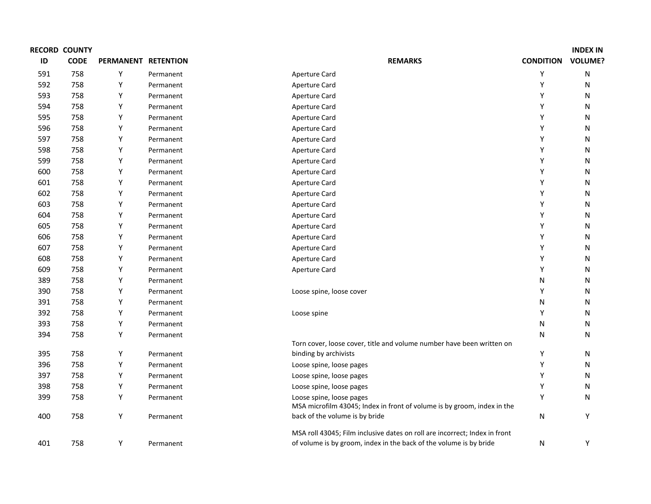| ID  | <b>RECORD COUNTY</b><br><b>CODE</b> |                     |           |                                                                                                     | <b>CONDITION</b> | <b>INDEX IN</b><br><b>VOLUME?</b> |
|-----|-------------------------------------|---------------------|-----------|-----------------------------------------------------------------------------------------------------|------------------|-----------------------------------|
|     |                                     | PERMANENT RETENTION |           | <b>REMARKS</b>                                                                                      |                  |                                   |
| 591 | 758                                 | Y                   | Permanent | Aperture Card                                                                                       | Υ                | N                                 |
| 592 | 758                                 | Y                   | Permanent | Aperture Card                                                                                       | Y                | N                                 |
| 593 | 758                                 | Y                   | Permanent | Aperture Card                                                                                       | Y                | N                                 |
| 594 | 758                                 | Y                   | Permanent | Aperture Card                                                                                       | Y                | N                                 |
| 595 | 758                                 | Y                   | Permanent | Aperture Card                                                                                       | Y                | N                                 |
| 596 | 758                                 | Y                   | Permanent | Aperture Card                                                                                       | Y                | N                                 |
| 597 | 758                                 | Y                   | Permanent | Aperture Card                                                                                       | Y                | N                                 |
| 598 | 758                                 | Y                   | Permanent | Aperture Card                                                                                       | Y                | N                                 |
| 599 | 758                                 | Y                   | Permanent | Aperture Card                                                                                       | Y                | N                                 |
| 600 | 758                                 | Y                   | Permanent | Aperture Card                                                                                       | Y                | N                                 |
| 601 | 758                                 | Y                   | Permanent | Aperture Card                                                                                       | Y                | N                                 |
| 602 | 758                                 | Y                   | Permanent | Aperture Card                                                                                       | Y                | N                                 |
| 603 | 758                                 | Y                   | Permanent | Aperture Card                                                                                       | Y                | N                                 |
| 604 | 758                                 | Y                   | Permanent | Aperture Card                                                                                       | Y                | N                                 |
| 605 | 758                                 | Y                   | Permanent | Aperture Card                                                                                       | Y                | N                                 |
| 606 | 758                                 | Y                   | Permanent | Aperture Card                                                                                       | Y                | N                                 |
| 607 | 758                                 | Y                   | Permanent | Aperture Card                                                                                       | Y                | N                                 |
| 608 | 758                                 | Y                   | Permanent | Aperture Card                                                                                       | Y                | N                                 |
| 609 | 758                                 | Y                   | Permanent | Aperture Card                                                                                       | Y                | N                                 |
| 389 | 758                                 | Y                   | Permanent |                                                                                                     | N                | N                                 |
| 390 | 758                                 | Y                   | Permanent | Loose spine, loose cover                                                                            | Y                | N                                 |
| 391 | 758                                 | Y                   | Permanent |                                                                                                     | N                | N                                 |
| 392 | 758                                 | Y                   | Permanent | Loose spine                                                                                         | Y                | N                                 |
| 393 | 758                                 | Y                   | Permanent |                                                                                                     | N                | N                                 |
| 394 | 758                                 | Υ                   | Permanent |                                                                                                     | N                | N                                 |
|     |                                     |                     |           | Torn cover, loose cover, title and volume number have been written on                               |                  |                                   |
| 395 | 758                                 | Y                   | Permanent | binding by archivists                                                                               | Υ                | N                                 |
| 396 | 758                                 | Y                   | Permanent | Loose spine, loose pages                                                                            | Υ                | N                                 |
| 397 | 758                                 | Y                   | Permanent | Loose spine, loose pages                                                                            | Υ                | N                                 |
| 398 | 758                                 | Y                   | Permanent | Loose spine, loose pages                                                                            | Υ                | N                                 |
| 399 | 758                                 | Y                   | Permanent | Loose spine, loose pages<br>MSA microfilm 43045; Index in front of volume is by groom, index in the | Υ                | N                                 |
| 400 | 758                                 | Y                   | Permanent | back of the volume is by bride                                                                      | N                | Υ                                 |
|     |                                     |                     |           | MSA roll 43045; Film inclusive dates on roll are incorrect; Index in front                          |                  |                                   |
| 401 | 758                                 | Y                   | Permanent | of volume is by groom, index in the back of the volume is by bride                                  | N                | Y                                 |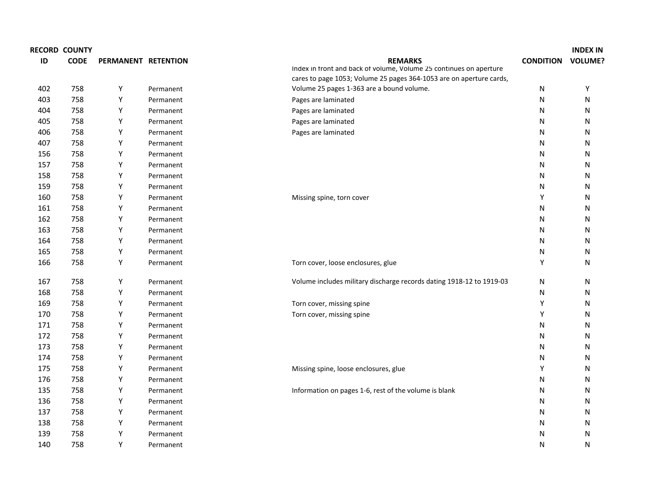|     | <b>RECORD COUNTY</b> |                     |           |                                                                                      |                  | <b>INDEX IN</b> |
|-----|----------------------|---------------------|-----------|--------------------------------------------------------------------------------------|------------------|-----------------|
| ID  | <b>CODE</b>          | PERMANENT RETENTION |           | <b>REMARKS</b><br>Index in front and back of volume, Volume 25 continues on aperture | <b>CONDITION</b> | <b>VOLUME?</b>  |
|     |                      |                     |           | cares to page 1053; Volume 25 pages 364-1053 are on aperture cards,                  |                  |                 |
| 402 | 758                  | Y                   | Permanent | Volume 25 pages 1-363 are a bound volume.                                            | N                | Υ               |
| 403 | 758                  | Υ                   | Permanent | Pages are laminated                                                                  | N                | N               |
| 404 | 758                  | Υ                   | Permanent | Pages are laminated                                                                  | N                | N               |
| 405 | 758                  | Y                   | Permanent | Pages are laminated                                                                  | N                | N               |
| 406 | 758                  | Υ                   | Permanent | Pages are laminated                                                                  | N                | N               |
| 407 | 758                  | Υ                   | Permanent |                                                                                      | N                | Ν               |
| 156 | 758                  | Υ                   | Permanent |                                                                                      | N                | Ν               |
| 157 | 758                  | Υ                   | Permanent |                                                                                      | N                | Ν               |
| 158 | 758                  | Υ                   | Permanent |                                                                                      | N                | N               |
| 159 | 758                  | Υ                   | Permanent |                                                                                      | N                | N               |
| 160 | 758                  | Υ                   | Permanent | Missing spine, torn cover                                                            | Υ                | N               |
| 161 | 758                  | Υ                   | Permanent |                                                                                      | N                | N               |
| 162 | 758                  | Υ                   | Permanent |                                                                                      | N                | Ν               |
| 163 | 758                  | Υ                   | Permanent |                                                                                      | N                | Ν               |
| 164 | 758                  | Υ                   | Permanent |                                                                                      | N                | Ν               |
| 165 | 758                  | Υ                   | Permanent |                                                                                      | N                | Ν               |
| 166 | 758                  | Υ                   | Permanent | Torn cover, loose enclosures, glue                                                   | Υ                | Ν               |
| 167 | 758                  | Υ                   | Permanent | Volume includes military discharge records dating 1918-12 to 1919-03                 | N                | Ν               |
| 168 | 758                  | Y                   | Permanent |                                                                                      | N                | Ν               |
| 169 | 758                  | Y                   | Permanent | Torn cover, missing spine                                                            | Υ                | Ν               |
| 170 | 758                  | Υ                   | Permanent | Torn cover, missing spine                                                            | Υ                | Ν               |
| 171 | 758                  | Υ                   | Permanent |                                                                                      | N                | Ν               |
| 172 | 758                  | Y                   | Permanent |                                                                                      | N                | Ν               |
| 173 | 758                  | Υ                   | Permanent |                                                                                      | N                | Ν               |
| 174 | 758                  | Υ                   | Permanent |                                                                                      | N                | Ν               |
| 175 | 758                  | Υ                   | Permanent | Missing spine, loose enclosures, glue                                                | Υ                | Ν               |
| 176 | 758                  | Υ                   | Permanent |                                                                                      | N                | N               |
| 135 | 758                  | Υ                   | Permanent | Information on pages 1-6, rest of the volume is blank                                | N                | N               |
| 136 | 758                  | Υ                   | Permanent |                                                                                      | N                | N               |
| 137 | 758                  | Y                   | Permanent |                                                                                      | N                | N               |
| 138 | 758                  | Υ                   | Permanent |                                                                                      | N                | N               |
| 139 | 758                  | Υ                   | Permanent |                                                                                      | N                | Ν               |
| 140 | 758                  | Υ                   | Permanent |                                                                                      | N                | N               |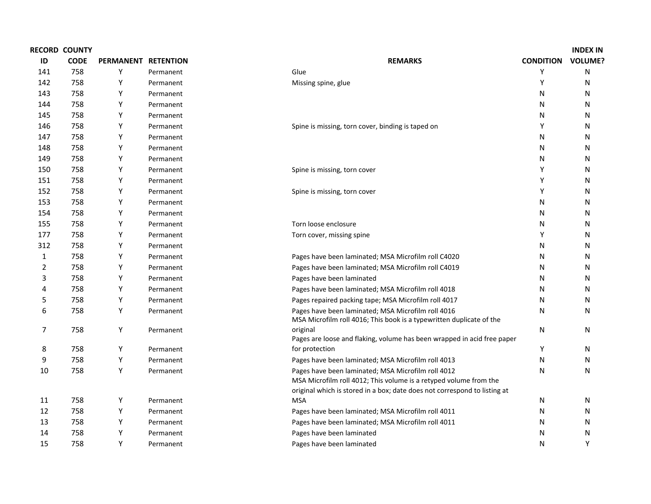|                | <b>RECORD COUNTY</b> |                     |           |                                                                                                                                                                                                      |                  | <b>INDEX IN</b> |
|----------------|----------------------|---------------------|-----------|------------------------------------------------------------------------------------------------------------------------------------------------------------------------------------------------------|------------------|-----------------|
| ID             | <b>CODE</b>          | PERMANENT RETENTION |           | <b>REMARKS</b>                                                                                                                                                                                       | <b>CONDITION</b> | <b>VOLUME?</b>  |
| 141            | 758                  | Y                   | Permanent | Glue                                                                                                                                                                                                 | Y                | N               |
| 142            | 758                  | Y                   | Permanent | Missing spine, glue                                                                                                                                                                                  | Y                | N               |
| 143            | 758                  | Y                   | Permanent |                                                                                                                                                                                                      | N                | N               |
| 144            | 758                  | Y                   | Permanent |                                                                                                                                                                                                      | N                | N               |
| 145            | 758                  | Y                   | Permanent |                                                                                                                                                                                                      | N                | N               |
| 146            | 758                  | Y                   | Permanent | Spine is missing, torn cover, binding is taped on                                                                                                                                                    | Y                | N               |
| 147            | 758                  | Y                   | Permanent |                                                                                                                                                                                                      | N                | N               |
| 148            | 758                  | Y                   | Permanent |                                                                                                                                                                                                      | N                | N               |
| 149            | 758                  | Y                   | Permanent |                                                                                                                                                                                                      | N                | N               |
| 150            | 758                  | Y                   | Permanent | Spine is missing, torn cover                                                                                                                                                                         | Y                | N               |
| 151            | 758                  | Υ                   | Permanent |                                                                                                                                                                                                      | Υ                | N               |
| 152            | 758                  | Υ                   | Permanent | Spine is missing, torn cover                                                                                                                                                                         | Υ                | N               |
| 153            | 758                  | Y                   | Permanent |                                                                                                                                                                                                      | Ν                | N               |
| 154            | 758                  | Y                   | Permanent |                                                                                                                                                                                                      | N                | N               |
| 155            | 758                  | Y                   | Permanent | Torn loose enclosure                                                                                                                                                                                 | N                | N               |
| 177            | 758                  | Y                   | Permanent | Torn cover, missing spine                                                                                                                                                                            | Y                | N               |
| 312            | 758                  | Y                   | Permanent |                                                                                                                                                                                                      | N                | N               |
| 1              | 758                  | Y                   | Permanent | Pages have been laminated; MSA Microfilm roll C4020                                                                                                                                                  | N                | N               |
| $\overline{2}$ | 758                  | Y                   | Permanent | Pages have been laminated; MSA Microfilm roll C4019                                                                                                                                                  | N                | N               |
| 3              | 758                  | Y                   | Permanent | Pages have been laminated                                                                                                                                                                            | N                | N               |
| 4              | 758                  | Y                   | Permanent | Pages have been laminated; MSA Microfilm roll 4018                                                                                                                                                   | N                | N               |
| 5              | 758                  | Y                   | Permanent | Pages repaired packing tape; MSA Microfilm roll 4017                                                                                                                                                 | N                | N               |
| 6              | 758                  | Y                   | Permanent | Pages have been laminated; MSA Microfilm roll 4016<br>MSA Microfilm roll 4016; This book is a typewritten duplicate of the                                                                           | N                | N               |
| $\overline{7}$ | 758                  | Y                   | Permanent | original<br>Pages are loose and flaking, volume has been wrapped in acid free paper                                                                                                                  | N                | ${\sf N}$       |
| 8              | 758                  | Y                   | Permanent | for protection                                                                                                                                                                                       | Υ                | N               |
| 9              | 758                  | Υ                   | Permanent | Pages have been laminated; MSA Microfilm roll 4013                                                                                                                                                   | N                | N               |
| 10             | 758                  | Y                   | Permanent | Pages have been laminated; MSA Microfilm roll 4012<br>MSA Microfilm roll 4012; This volume is a retyped volume from the<br>original which is stored in a box; date does not correspond to listing at | N                | N               |
| 11             | 758                  | Y                   | Permanent | <b>MSA</b>                                                                                                                                                                                           | N                | N               |
| 12             | 758                  | Y                   | Permanent | Pages have been laminated; MSA Microfilm roll 4011                                                                                                                                                   | N                | N               |
| 13             | 758                  | Y                   | Permanent | Pages have been laminated; MSA Microfilm roll 4011                                                                                                                                                   | N                | N               |
| 14             | 758                  | Υ                   | Permanent | Pages have been laminated                                                                                                                                                                            | N                | N               |
| 15             | 758                  | Y                   | Permanent | Pages have been laminated                                                                                                                                                                            | N                | Y               |
|                |                      |                     |           |                                                                                                                                                                                                      |                  |                 |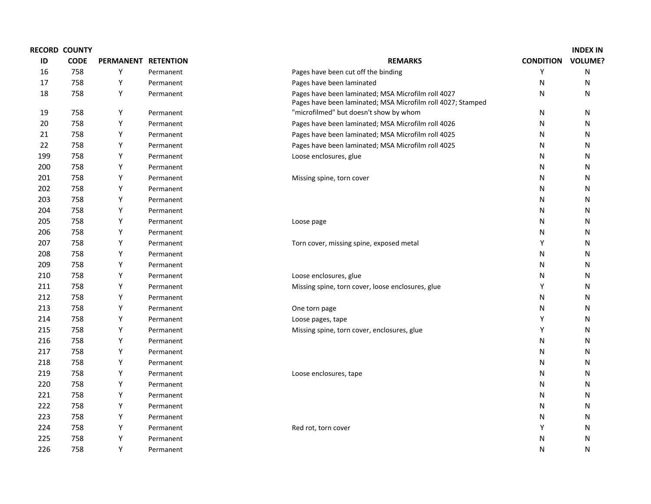|     | <b>RECORD COUNTY</b> |                     |           |                                                                                                                   |                  | <b>INDEX IN</b> |
|-----|----------------------|---------------------|-----------|-------------------------------------------------------------------------------------------------------------------|------------------|-----------------|
| ID  | <b>CODE</b>          | PERMANENT RETENTION |           | <b>REMARKS</b>                                                                                                    | <b>CONDITION</b> | <b>VOLUME?</b>  |
| 16  | 758                  | Y                   | Permanent | Pages have been cut off the binding                                                                               | Υ                | N               |
| 17  | 758                  | Y                   | Permanent | Pages have been laminated                                                                                         | N                | N               |
| 18  | 758                  | Υ                   | Permanent | Pages have been laminated; MSA Microfilm roll 4027<br>Pages have been laminated; MSA Microfilm roll 4027; Stamped | N                | Ν               |
| 19  | 758                  | Y                   | Permanent | "microfilmed" but doesn't show by whom                                                                            | N                | N               |
| 20  | 758                  | Υ                   | Permanent | Pages have been laminated; MSA Microfilm roll 4026                                                                | N                | N               |
| 21  | 758                  | Υ                   | Permanent | Pages have been laminated; MSA Microfilm roll 4025                                                                | N                | N               |
| 22  | 758                  | Υ                   | Permanent | Pages have been laminated; MSA Microfilm roll 4025                                                                | N                | N               |
| 199 | 758                  | Υ                   | Permanent | Loose enclosures, glue                                                                                            | N                | Ν               |
| 200 | 758                  | Υ                   | Permanent |                                                                                                                   | N                | N               |
| 201 | 758                  | Υ                   | Permanent | Missing spine, torn cover                                                                                         | N                | N               |
| 202 | 758                  | Y                   | Permanent |                                                                                                                   | N                | N               |
| 203 | 758                  | Υ                   | Permanent |                                                                                                                   | N                | Ν               |
| 204 | 758                  | Υ                   | Permanent |                                                                                                                   | N                | Ν               |
| 205 | 758                  | Υ                   | Permanent | Loose page                                                                                                        | N                | N               |
| 206 | 758                  | Υ                   | Permanent |                                                                                                                   | N                | N               |
| 207 | 758                  | Y                   | Permanent | Torn cover, missing spine, exposed metal                                                                          | Υ                | N               |
| 208 | 758                  | Υ                   | Permanent |                                                                                                                   | N                | Ν               |
| 209 | 758                  | Υ                   | Permanent |                                                                                                                   | N                | Ν               |
| 210 | 758                  | Υ                   | Permanent | Loose enclosures, glue                                                                                            | N                | N               |
| 211 | 758                  | Υ                   | Permanent | Missing spine, torn cover, loose enclosures, glue                                                                 | Y                | N               |
| 212 | 758                  | Y                   | Permanent |                                                                                                                   | N                | N               |
| 213 | 758                  | Υ                   | Permanent | One torn page                                                                                                     | N                | Ν               |
| 214 | 758                  | Υ                   | Permanent | Loose pages, tape                                                                                                 | Y                | Ν               |
| 215 | 758                  | Υ                   | Permanent | Missing spine, torn cover, enclosures, glue                                                                       | Y                | N               |
| 216 | 758                  | Υ                   | Permanent |                                                                                                                   | N                | N               |
| 217 | 758                  | Y                   | Permanent |                                                                                                                   | N                | N               |
| 218 | 758                  | Υ                   | Permanent |                                                                                                                   | N                | Ν               |
| 219 | 758                  | Υ                   | Permanent | Loose enclosures, tape                                                                                            | N                | Ν               |
| 220 | 758                  | Υ                   | Permanent |                                                                                                                   | N                | N               |
| 221 | 758                  | Υ                   | Permanent |                                                                                                                   | N                | N               |
| 222 | 758                  | Y                   | Permanent |                                                                                                                   | N                | N               |
| 223 | 758                  | Υ                   | Permanent |                                                                                                                   | N                | Ν               |
| 224 | 758                  | Υ                   | Permanent | Red rot, torn cover                                                                                               | Y                | Ν               |
| 225 | 758                  | Υ                   | Permanent |                                                                                                                   | N                | N               |
| 226 | 758                  | Y                   | Permanent |                                                                                                                   | N                | N               |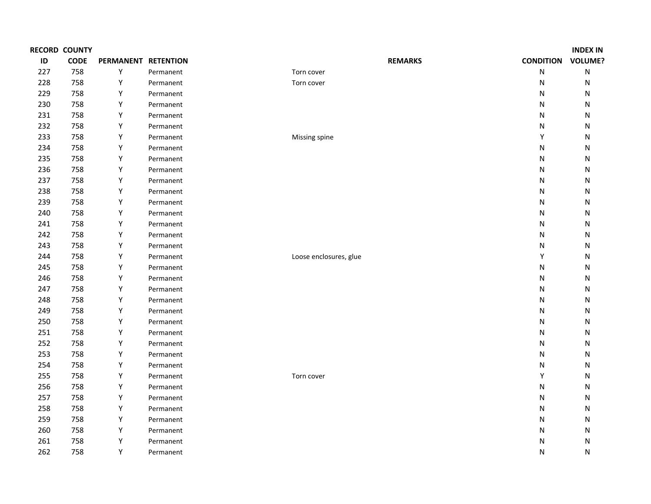|     | <b>RECORD COUNTY</b> |                     |           |                        |                  | <b>INDEX IN</b> |
|-----|----------------------|---------------------|-----------|------------------------|------------------|-----------------|
| ID  | CODE                 | PERMANENT RETENTION |           | <b>REMARKS</b>         | <b>CONDITION</b> | <b>VOLUME?</b>  |
| 227 | 758                  | Y                   | Permanent | Torn cover             | ${\sf N}$        | ${\sf N}$       |
| 228 | 758                  | Y                   | Permanent | Torn cover             | N                | N               |
| 229 | 758                  | Υ                   | Permanent |                        | N                | N               |
| 230 | 758                  | Υ                   | Permanent |                        | N                | N               |
| 231 | 758                  | Υ                   | Permanent |                        | ${\sf N}$        | N               |
| 232 | 758                  | Υ                   | Permanent |                        | N                | N               |
| 233 | 758                  | Υ                   | Permanent | Missing spine          | Υ                | N               |
| 234 | 758                  | Υ                   | Permanent |                        | ${\sf N}$        | N               |
| 235 | 758                  | Υ                   | Permanent |                        | $\mathsf{N}$     | N               |
| 236 | 758                  | Υ                   | Permanent |                        | N                | N               |
| 237 | 758                  | Υ                   | Permanent |                        | ${\sf N}$        | N               |
| 238 | 758                  | Υ                   | Permanent |                        | ${\sf N}$        | N               |
| 239 | 758                  | Υ                   | Permanent |                        | N                | N               |
| 240 | 758                  | Υ                   | Permanent |                        | N                | N               |
| 241 | 758                  | Υ                   | Permanent |                        | ${\sf N}$        | N               |
| 242 | 758                  | Υ                   | Permanent |                        | N                | N               |
| 243 | 758                  | Υ                   | Permanent |                        | N                | N               |
| 244 | 758                  | Υ                   | Permanent | Loose enclosures, glue | Υ                | N               |
| 245 | 758                  | Υ                   | Permanent |                        | ${\sf N}$        | N               |
| 246 | 758                  | Υ                   | Permanent |                        | N                | N               |
| 247 | 758                  | Υ                   | Permanent |                        | $\mathsf{N}$     | N               |
| 248 | 758                  | Υ                   | Permanent |                        | $\mathsf{N}$     | N               |
| 249 | 758                  | Υ                   | Permanent |                        | ${\sf N}$        | N               |
| 250 | 758                  | Υ                   | Permanent |                        | $\mathsf{N}$     | Ν               |
| 251 | 758                  | Υ                   | Permanent |                        | ${\sf N}$        | N               |
| 252 | 758                  | Υ                   | Permanent |                        | $\mathsf{N}$     | N               |
| 253 | 758                  | Υ                   | Permanent |                        | N                | N               |
| 254 | 758                  | Υ                   | Permanent |                        | N                | N               |
| 255 | 758                  | Υ                   | Permanent | Torn cover             | Υ                | N               |
| 256 | 758                  | Υ                   | Permanent |                        | $\mathsf{N}$     | N               |
| 257 | 758                  | Υ                   | Permanent |                        | N                | N               |
| 258 | 758                  | Υ                   | Permanent |                        | N                | N               |
| 259 | 758                  | Υ                   | Permanent |                        | $\mathsf{N}$     | N               |
| 260 | 758                  | Υ                   | Permanent |                        | N                | N               |
| 261 | 758                  | Υ                   | Permanent |                        | N                | Ν               |
| 262 | 758                  | Y                   | Permanent |                        | N                | N               |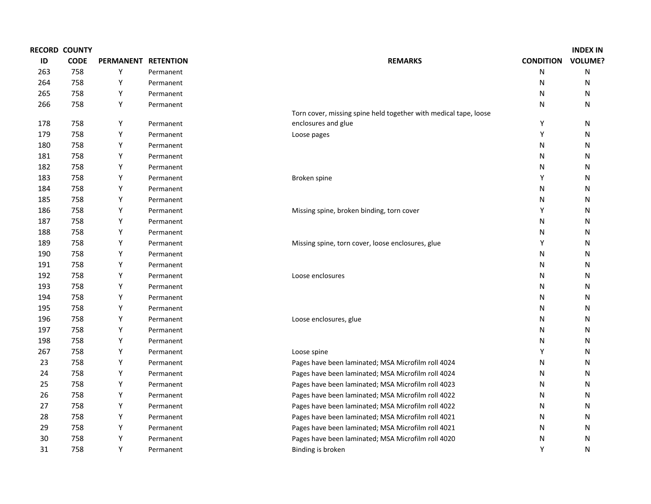|     | <b>RECORD COUNTY</b> |                     |           |                                                                  |                  | <b>INDEX IN</b> |
|-----|----------------------|---------------------|-----------|------------------------------------------------------------------|------------------|-----------------|
| ID  | <b>CODE</b>          | PERMANENT RETENTION |           | <b>REMARKS</b>                                                   | <b>CONDITION</b> | <b>VOLUME?</b>  |
| 263 | 758                  | Υ                   | Permanent |                                                                  | N                | N               |
| 264 | 758                  | Y                   | Permanent |                                                                  | N                | N               |
| 265 | 758                  | Y                   | Permanent |                                                                  | N                | N               |
| 266 | 758                  | Y                   | Permanent |                                                                  | N                | N               |
|     |                      |                     |           | Torn cover, missing spine held together with medical tape, loose |                  |                 |
| 178 | 758                  | Y                   | Permanent | enclosures and glue                                              | Y                | N               |
| 179 | 758                  | Y                   | Permanent | Loose pages                                                      | Υ                | N               |
| 180 | 758                  | Y                   | Permanent |                                                                  | N                | N               |
| 181 | 758                  | Y                   | Permanent |                                                                  | N                | N               |
| 182 | 758                  | Y                   | Permanent |                                                                  | N                | N               |
| 183 | 758                  | Υ                   | Permanent | Broken spine                                                     | Υ                | N               |
| 184 | 758                  | Υ                   | Permanent |                                                                  | N                | N               |
| 185 | 758                  | Y                   | Permanent |                                                                  | N                | N               |
| 186 | 758                  | Υ                   | Permanent | Missing spine, broken binding, torn cover                        | Υ                | N               |
| 187 | 758                  | Υ                   | Permanent |                                                                  | N                | N               |
| 188 | 758                  | Y                   | Permanent |                                                                  | N                | N               |
| 189 | 758                  | Y                   | Permanent | Missing spine, torn cover, loose enclosures, glue                | Υ                | N               |
| 190 | 758                  | Υ                   | Permanent |                                                                  | N                | N               |
| 191 | 758                  | Y                   | Permanent |                                                                  | N                | N               |
| 192 | 758                  | Y                   | Permanent | Loose enclosures                                                 | N                | N               |
| 193 | 758                  | Y                   | Permanent |                                                                  | N                | N               |
| 194 | 758                  | Y                   | Permanent |                                                                  | N                | N               |
| 195 | 758                  | Y                   | Permanent |                                                                  | N                | N               |
| 196 | 758                  | Y                   | Permanent | Loose enclosures, glue                                           | N                | N               |
| 197 | 758                  | Y                   | Permanent |                                                                  | N                | N               |
| 198 | 758                  | Y                   | Permanent |                                                                  | N                | N               |
| 267 | 758                  | Y                   | Permanent | Loose spine                                                      | Υ                | N               |
| 23  | 758                  | Y                   | Permanent | Pages have been laminated; MSA Microfilm roll 4024               | N                | N               |
| 24  | 758                  | Y                   | Permanent | Pages have been laminated; MSA Microfilm roll 4024               | N                | N               |
| 25  | 758                  | Y                   | Permanent | Pages have been laminated; MSA Microfilm roll 4023               | N                | N               |
| 26  | 758                  | Y                   | Permanent | Pages have been laminated; MSA Microfilm roll 4022               | N                | N               |
| 27  | 758                  | Y                   | Permanent | Pages have been laminated; MSA Microfilm roll 4022               | N                | N               |
| 28  | 758                  | Y                   | Permanent | Pages have been laminated; MSA Microfilm roll 4021               | N                | N               |
| 29  | 758                  | Y                   | Permanent | Pages have been laminated; MSA Microfilm roll 4021               | N                | N               |
| 30  | 758                  | Υ                   | Permanent | Pages have been laminated; MSA Microfilm roll 4020               | N                | N               |
| 31  | 758                  | Y                   | Permanent | Binding is broken                                                | Y                | N               |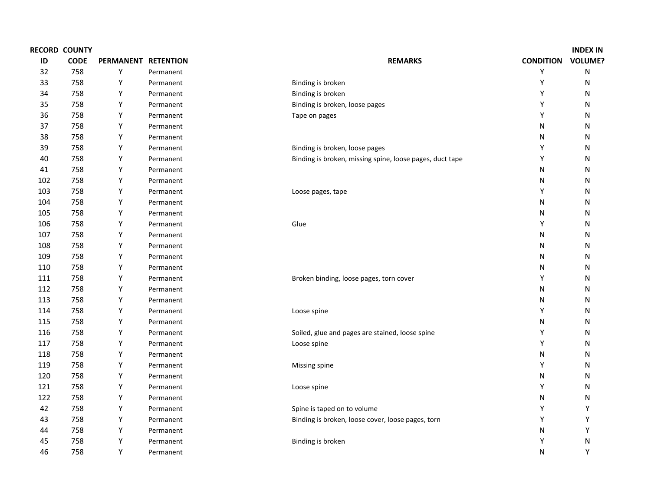|     | <b>RECORD COUNTY</b> |                     |           |                                                          |                  | <b>INDEX IN</b> |
|-----|----------------------|---------------------|-----------|----------------------------------------------------------|------------------|-----------------|
| ID  | <b>CODE</b>          | PERMANENT RETENTION |           | <b>REMARKS</b>                                           | <b>CONDITION</b> | <b>VOLUME?</b>  |
| 32  | 758                  | Y                   | Permanent |                                                          | Y                | N               |
| 33  | 758                  | Y                   | Permanent | Binding is broken                                        | Y                | N               |
| 34  | 758                  | Y                   | Permanent | Binding is broken                                        | Υ                | Ν               |
| 35  | 758                  | Y                   | Permanent | Binding is broken, loose pages                           | Υ                | N               |
| 36  | 758                  | Y                   | Permanent | Tape on pages                                            | Υ                | Ν               |
| 37  | 758                  | Y                   | Permanent |                                                          | $\mathsf{N}$     | N               |
| 38  | 758                  | Y                   | Permanent |                                                          | N                | Ν               |
| 39  | 758                  | Y                   | Permanent | Binding is broken, loose pages                           | Υ                | N               |
| 40  | 758                  | Y                   | Permanent | Binding is broken, missing spine, loose pages, duct tape | Υ                | N               |
| 41  | 758                  | Y                   | Permanent |                                                          | N                | N               |
| 102 | 758                  | Y                   | Permanent |                                                          | N                | Ν               |
| 103 | 758                  | Y                   | Permanent | Loose pages, tape                                        | Υ                | N               |
| 104 | 758                  | Y                   | Permanent |                                                          | N                | N               |
| 105 | 758                  | Y                   | Permanent |                                                          | N                | N               |
| 106 | 758                  | Υ                   | Permanent | Glue                                                     | Υ                | N               |
| 107 | 758                  | Υ                   | Permanent |                                                          | $\mathsf{N}$     | Ν               |
| 108 | 758                  | Y                   | Permanent |                                                          | N                | N               |
| 109 | 758                  | Y                   | Permanent |                                                          | N                | Ν               |
| 110 | 758                  | Y                   | Permanent |                                                          | N                | N               |
| 111 | 758                  | Y                   | Permanent | Broken binding, loose pages, torn cover                  | Υ                | N               |
| 112 | 758                  | Υ                   | Permanent |                                                          | N                | N               |
| 113 | 758                  | Y                   | Permanent |                                                          | N                | N               |
| 114 | 758                  | Υ                   | Permanent | Loose spine                                              | Υ                | N               |
| 115 | 758                  | Υ                   | Permanent |                                                          | N                | N               |
| 116 | 758                  | Y                   | Permanent | Soiled, glue and pages are stained, loose spine          | Υ                | N               |
| 117 | 758                  | Y                   | Permanent | Loose spine                                              | Y                | Ν               |
| 118 | 758                  | Y                   | Permanent |                                                          | N                | N               |
| 119 | 758                  | Y                   | Permanent | Missing spine                                            | Υ                | Ν               |
| 120 | 758                  | Y                   | Permanent |                                                          | N                | N               |
| 121 | 758                  | Y                   | Permanent | Loose spine                                              | Υ                | Ν               |
| 122 | 758                  | Y                   | Permanent |                                                          | N                | N               |
| 42  | 758                  | Y                   | Permanent | Spine is taped on to volume                              | Υ                | Υ               |
| 43  | 758                  | Y                   | Permanent | Binding is broken, loose cover, loose pages, torn        | Υ                | Y               |
| 44  | 758                  | Y                   | Permanent |                                                          | $\mathsf{N}$     | Υ               |
| 45  | 758                  | Y                   | Permanent | Binding is broken                                        | Υ                | Ν               |
| 46  | 758                  | Y                   | Permanent |                                                          | N                | Υ               |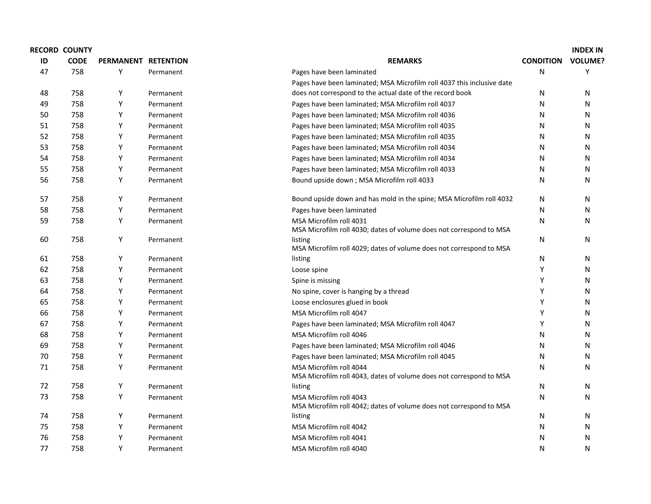|    | <b>RECORD COUNTY</b> |                     |           |                                                                                                |                  | <b>INDEX IN</b> |
|----|----------------------|---------------------|-----------|------------------------------------------------------------------------------------------------|------------------|-----------------|
| ID | <b>CODE</b>          | PERMANENT RETENTION |           | <b>REMARKS</b>                                                                                 | <b>CONDITION</b> | <b>VOLUME?</b>  |
| 47 | 758                  | Y                   | Permanent | Pages have been laminated                                                                      | N                | Y               |
|    |                      |                     |           | Pages have been laminated; MSA Microfilm roll 4037 this inclusive date                         |                  |                 |
| 48 | 758                  | Y                   | Permanent | does not correspond to the actual date of the record book                                      | N                | N               |
| 49 | 758                  | Y                   | Permanent | Pages have been laminated; MSA Microfilm roll 4037                                             | N                | N               |
| 50 | 758                  | Y                   | Permanent | Pages have been laminated; MSA Microfilm roll 4036                                             | N                | N               |
| 51 | 758                  | Y                   | Permanent | Pages have been laminated; MSA Microfilm roll 4035                                             | N                | N               |
| 52 | 758                  | Y                   | Permanent | Pages have been laminated; MSA Microfilm roll 4035                                             | N                | N               |
| 53 | 758                  | Y                   | Permanent | Pages have been laminated; MSA Microfilm roll 4034                                             | N                | N               |
| 54 | 758                  | Y                   | Permanent | Pages have been laminated; MSA Microfilm roll 4034                                             | N                | N               |
| 55 | 758                  | Y                   | Permanent | Pages have been laminated; MSA Microfilm roll 4033                                             | N                | N               |
| 56 | 758                  | Y                   | Permanent | Bound upside down ; MSA Microfilm roll 4033                                                    | N                | N               |
| 57 | 758                  | Y                   | Permanent | Bound upside down and has mold in the spine; MSA Microfilm roll 4032                           | N                | N               |
| 58 | 758                  | Υ                   | Permanent | Pages have been laminated                                                                      | N                | N               |
| 59 | 758                  | Υ                   | Permanent | MSA Microfilm roll 4031<br>MSA Microfilm roll 4030; dates of volume does not correspond to MSA | N                | N               |
| 60 | 758                  | Υ                   | Permanent | listing<br>MSA Microfilm roll 4029; dates of volume does not correspond to MSA                 | N                | ${\sf N}$       |
| 61 | 758                  | Y                   | Permanent | listing                                                                                        | N                | N               |
| 62 | 758                  | Y                   | Permanent | Loose spine                                                                                    | Y                | N               |
| 63 | 758                  | Y                   | Permanent | Spine is missing                                                                               | Υ                | N               |
| 64 | 758                  | Y                   | Permanent | No spine, cover is hanging by a thread                                                         | Υ                | N               |
| 65 | 758                  | Y                   | Permanent | Loose enclosures glued in book                                                                 | Υ                | N               |
| 66 | 758                  | Y                   | Permanent | MSA Microfilm roll 4047                                                                        | Υ                | N               |
| 67 | 758                  | Υ                   | Permanent | Pages have been laminated; MSA Microfilm roll 4047                                             | Υ                | N               |
| 68 | 758                  | Υ                   | Permanent | MSA Microfilm roll 4046                                                                        | N                | N               |
| 69 | 758                  | Y                   | Permanent | Pages have been laminated; MSA Microfilm roll 4046                                             | N                | N               |
| 70 | 758                  | Y                   | Permanent | Pages have been laminated; MSA Microfilm roll 4045                                             | N                | N               |
| 71 | 758                  | Υ                   | Permanent | MSA Microfilm roll 4044<br>MSA Microfilm roll 4043, dates of volume does not correspond to MSA | N                | N               |
| 72 | 758                  | Y                   | Permanent | listing                                                                                        | N                | N               |
| 73 | 758                  | Y                   | Permanent | MSA Microfilm roll 4043<br>MSA Microfilm roll 4042; dates of volume does not correspond to MSA | N                | N               |
| 74 | 758                  | Y                   | Permanent | listing                                                                                        | N                | N               |
| 75 | 758                  | Υ                   | Permanent | MSA Microfilm roll 4042                                                                        | N                | N               |
| 76 | 758                  | Υ                   | Permanent | MSA Microfilm roll 4041                                                                        | N                | Ν               |
| 77 | 758                  | Y                   | Permanent | MSA Microfilm roll 4040                                                                        | N                | Ν               |
|    |                      |                     |           |                                                                                                |                  |                 |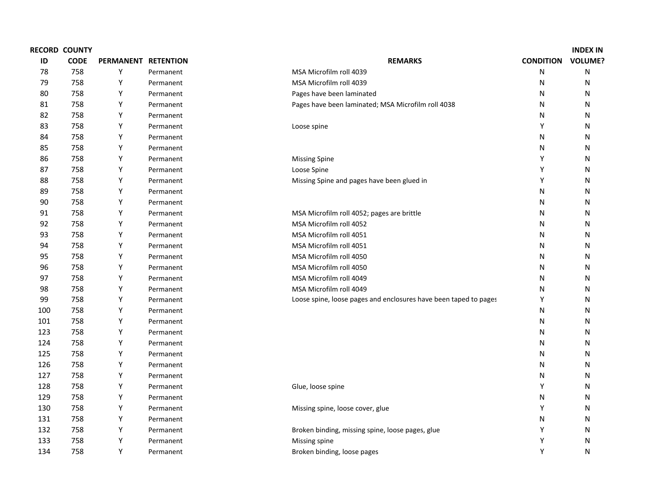|     | <b>RECORD COUNTY</b> |                     |           |                                                                  |                  | <b>INDEX IN</b> |
|-----|----------------------|---------------------|-----------|------------------------------------------------------------------|------------------|-----------------|
| ID  | <b>CODE</b>          | PERMANENT RETENTION |           | <b>REMARKS</b>                                                   | <b>CONDITION</b> | <b>VOLUME?</b>  |
| 78  | 758                  | Y                   | Permanent | MSA Microfilm roll 4039                                          | N                | N               |
| 79  | 758                  | Υ                   | Permanent | MSA Microfilm roll 4039                                          | N                | N               |
| 80  | 758                  | Υ                   | Permanent | Pages have been laminated                                        | N                | N               |
| 81  | 758                  | Υ                   | Permanent | Pages have been laminated; MSA Microfilm roll 4038               | N                | N               |
| 82  | 758                  | Υ                   | Permanent |                                                                  | N                | N               |
| 83  | 758                  | Υ                   | Permanent | Loose spine                                                      | Y                | N               |
| 84  | 758                  | Υ                   | Permanent |                                                                  | N                | N               |
| 85  | 758                  | Υ                   | Permanent |                                                                  | N                | N               |
| 86  | 758                  | Υ                   | Permanent | <b>Missing Spine</b>                                             | Y                | N               |
| 87  | 758                  | Υ                   | Permanent | Loose Spine                                                      | Y                | N               |
| 88  | 758                  | Υ                   | Permanent | Missing Spine and pages have been glued in                       | Y                | N               |
| 89  | 758                  | Υ                   | Permanent |                                                                  | N                | ${\sf N}$       |
| 90  | 758                  | Υ                   | Permanent |                                                                  | N                | N               |
| 91  | 758                  | Υ                   | Permanent | MSA Microfilm roll 4052; pages are brittle                       | N                | N               |
| 92  | 758                  | Υ                   | Permanent | MSA Microfilm roll 4052                                          | N                | N               |
| 93  | 758                  | Υ                   | Permanent | MSA Microfilm roll 4051                                          | N                | N               |
| 94  | 758                  | Υ                   | Permanent | MSA Microfilm roll 4051                                          | N                | N               |
| 95  | 758                  | Υ                   | Permanent | MSA Microfilm roll 4050                                          | N                | N               |
| 96  | 758                  | Υ                   | Permanent | MSA Microfilm roll 4050                                          | N                | N               |
| 97  | 758                  | Υ                   | Permanent | MSA Microfilm roll 4049                                          | N                | N               |
| 98  | 758                  | Υ                   | Permanent | MSA Microfilm roll 4049                                          | N                | N               |
| 99  | 758                  | Υ                   | Permanent | Loose spine, loose pages and enclosures have been taped to pages | Υ                | N               |
| 100 | 758                  | Υ                   | Permanent |                                                                  | N                | N               |
| 101 | 758                  | Υ                   | Permanent |                                                                  | Ν                | N               |
| 123 | 758                  | Υ                   | Permanent |                                                                  | N                | N               |
| 124 | 758                  | Y                   | Permanent |                                                                  | N                | N               |
| 125 | 758                  | Υ                   | Permanent |                                                                  | Ν                | N               |
| 126 | 758                  | Υ                   | Permanent |                                                                  | N                | N               |
| 127 | 758                  | Υ                   | Permanent |                                                                  | N                | N               |
| 128 | 758                  | Υ                   | Permanent | Glue, loose spine                                                | Y                | N               |
| 129 | 758                  | Y                   | Permanent |                                                                  | Ν                | N               |
| 130 | 758                  | Υ                   | Permanent | Missing spine, loose cover, glue                                 | Υ                | N               |
| 131 | 758                  | Υ                   | Permanent |                                                                  | N                | N               |
| 132 | 758                  | Υ                   | Permanent | Broken binding, missing spine, loose pages, glue                 | Υ                | N               |
| 133 | 758                  | Υ                   | Permanent | Missing spine                                                    | Υ                | N               |
| 134 | 758                  | Y                   | Permanent | Broken binding, loose pages                                      | Υ                | ${\sf N}$       |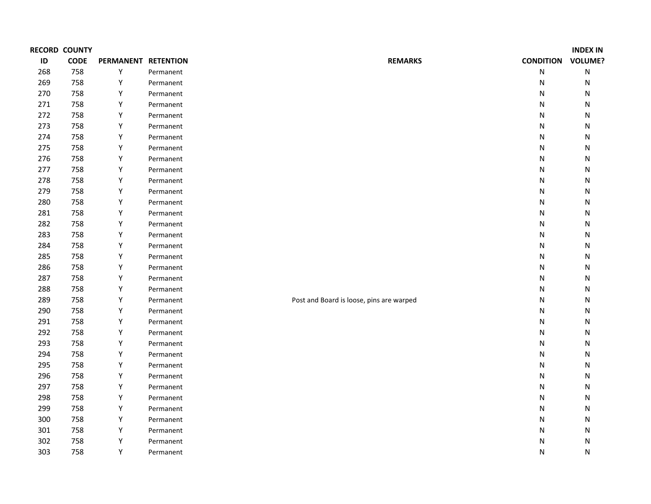|     | <b>RECORD COUNTY</b> |                     |           |                                          |                  | <b>INDEX IN</b> |
|-----|----------------------|---------------------|-----------|------------------------------------------|------------------|-----------------|
| ID  | <b>CODE</b>          | PERMANENT RETENTION |           | <b>REMARKS</b>                           | <b>CONDITION</b> | <b>VOLUME?</b>  |
| 268 | 758                  | Υ                   | Permanent |                                          | N                | ${\sf N}$       |
| 269 | 758                  | Υ                   | Permanent |                                          | N                | N               |
| 270 | 758                  | Υ                   | Permanent |                                          | N                | ${\sf N}$       |
| 271 | 758                  | Υ                   | Permanent |                                          | N                | N               |
| 272 | 758                  | Υ                   | Permanent |                                          | N                | N               |
| 273 | 758                  | Υ                   | Permanent |                                          | N                | N               |
| 274 | 758                  | Υ                   | Permanent |                                          | N                | N               |
| 275 | 758                  | Υ                   | Permanent |                                          | ${\sf N}$        | N               |
| 276 | 758                  | Υ                   | Permanent |                                          | N                | N               |
| 277 | 758                  | Υ                   | Permanent |                                          | ${\sf N}$        | N               |
| 278 | 758                  | Υ                   | Permanent |                                          | ${\sf N}$        | N               |
| 279 | 758                  | Υ                   | Permanent |                                          | N                | N               |
| 280 | 758                  | Υ                   | Permanent |                                          | N                | N               |
| 281 | 758                  | Y                   | Permanent |                                          | N                | N               |
| 282 | 758                  | Υ                   | Permanent |                                          | N                | N               |
| 283 | 758                  | Υ                   | Permanent |                                          | ${\sf N}$        | N               |
| 284 | 758                  | Υ                   | Permanent |                                          | N                | N               |
| 285 | 758                  | Υ                   | Permanent |                                          | N                | N               |
| 286 | 758                  | Υ                   | Permanent |                                          | ${\sf N}$        | N               |
| 287 | 758                  | Υ                   | Permanent |                                          | N                | N               |
| 288 | 758                  | Υ                   | Permanent |                                          | N                | N               |
| 289 | 758                  | Υ                   | Permanent | Post and Board is loose, pins are warped | N                | N               |
| 290 | 758                  | Υ                   | Permanent |                                          | N                | N               |
| 291 | 758                  | Υ                   | Permanent |                                          | N                | N               |
| 292 | 758                  | Υ                   | Permanent |                                          | N                | N               |
| 293 | 758                  | Υ                   | Permanent |                                          | N                | N               |
| 294 | 758                  | Υ                   | Permanent |                                          | N                | N               |
| 295 | 758                  | Υ                   | Permanent |                                          | N                | N               |
| 296 | 758                  | Υ                   | Permanent |                                          | N                | N               |
| 297 | 758                  | Υ                   | Permanent |                                          | N                | N               |
| 298 | 758                  | Υ                   | Permanent |                                          | N                | N               |
| 299 | 758                  | Υ                   | Permanent |                                          | N                | N               |
| 300 | 758                  | Υ                   | Permanent |                                          | N                | N               |
| 301 | 758                  | Υ                   | Permanent |                                          | N                | N               |
| 302 | 758                  | Υ                   | Permanent |                                          | Ν                | N               |
| 303 | 758                  | Υ                   | Permanent |                                          | N                | N               |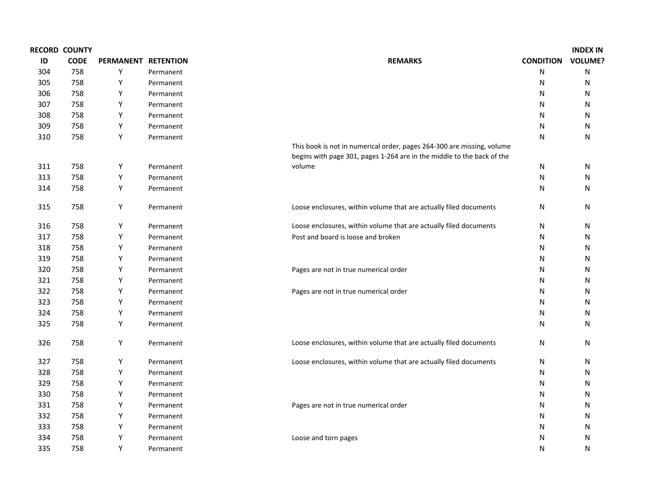|     | <b>RECORD COUNTY</b> |                     |           |                                                                                                                                                  |                  | <b>INDEX IN</b> |
|-----|----------------------|---------------------|-----------|--------------------------------------------------------------------------------------------------------------------------------------------------|------------------|-----------------|
| ID  | <b>CODE</b>          | PERMANENT RETENTION |           | <b>REMARKS</b>                                                                                                                                   | <b>CONDITION</b> | <b>VOLUME?</b>  |
| 304 | 758                  | Υ                   | Permanent |                                                                                                                                                  | N                | ${\sf N}$       |
| 305 | 758                  | Υ                   | Permanent |                                                                                                                                                  | N                | N               |
| 306 | 758                  | Υ                   | Permanent |                                                                                                                                                  | N                | N               |
| 307 | 758                  | Y                   | Permanent |                                                                                                                                                  | N                | N               |
| 308 | 758                  | Υ                   | Permanent |                                                                                                                                                  | N                | N               |
| 309 | 758                  | Υ                   | Permanent |                                                                                                                                                  | N                | N               |
| 310 | 758                  | Υ                   | Permanent |                                                                                                                                                  | N                | $\mathsf{N}$    |
|     |                      |                     |           | This book is not in numerical order, pages 264-300 are missing, volume<br>begins with page 301, pages 1-264 are in the middle to the back of the |                  |                 |
| 311 | 758                  | Υ                   | Permanent | volume                                                                                                                                           | N                | N               |
| 313 | 758                  | Υ                   | Permanent |                                                                                                                                                  | N                | N               |
| 314 | 758                  | Υ                   | Permanent |                                                                                                                                                  | N                | N               |
| 315 | 758                  | Υ                   | Permanent | Loose enclosures, within volume that are actually filed documents                                                                                | N                | N               |
| 316 | 758                  | Y                   | Permanent | Loose enclosures, within volume that are actually filed documents                                                                                | N                | N               |
| 317 | 758                  | Υ                   | Permanent | Post and board is loose and broken                                                                                                               | N                | N               |
| 318 | 758                  | Υ                   | Permanent |                                                                                                                                                  | N                | N               |
| 319 | 758                  | Υ                   | Permanent |                                                                                                                                                  | N                | N               |
| 320 | 758                  | Υ                   | Permanent | Pages are not in true numerical order                                                                                                            | N                | N               |
| 321 | 758                  | Y                   | Permanent |                                                                                                                                                  | N                | N               |
| 322 | 758                  | Υ                   | Permanent | Pages are not in true numerical order                                                                                                            | N                | N               |
| 323 | 758                  | Υ                   | Permanent |                                                                                                                                                  | N                | N               |
| 324 | 758                  | Υ                   | Permanent |                                                                                                                                                  | N                | N               |
| 325 | 758                  | Υ                   | Permanent |                                                                                                                                                  | N                | N               |
| 326 | 758                  | Υ                   | Permanent | Loose enclosures, within volume that are actually filed documents                                                                                | N                | N               |
| 327 | 758                  | Υ                   | Permanent | Loose enclosures, within volume that are actually filed documents                                                                                | N                | N               |
| 328 | 758                  | Υ                   | Permanent |                                                                                                                                                  | N                | N               |
| 329 | 758                  | Υ                   | Permanent |                                                                                                                                                  | N                | N               |
| 330 | 758                  | Υ                   | Permanent |                                                                                                                                                  | N                | N               |
| 331 | 758                  | Υ                   | Permanent | Pages are not in true numerical order                                                                                                            | N                | N               |
| 332 | 758                  | Υ                   | Permanent |                                                                                                                                                  | N                | N               |
| 333 | 758                  | Υ                   | Permanent |                                                                                                                                                  | N                | N               |
| 334 | 758                  | Υ                   | Permanent | Loose and torn pages                                                                                                                             | N                | N               |
| 335 | 758                  | Y                   | Permanent |                                                                                                                                                  | N                | N               |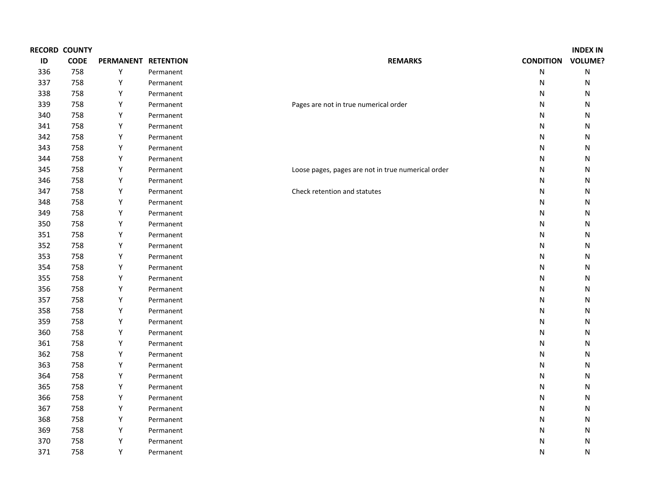|     | <b>RECORD COUNTY</b> |                     |           |                                                    |                  | <b>INDEX IN</b> |
|-----|----------------------|---------------------|-----------|----------------------------------------------------|------------------|-----------------|
| ID  | <b>CODE</b>          | PERMANENT RETENTION |           | <b>REMARKS</b>                                     | <b>CONDITION</b> | <b>VOLUME?</b>  |
| 336 | 758                  | Υ                   | Permanent |                                                    | ${\sf N}$        | ${\sf N}$       |
| 337 | 758                  | Υ                   | Permanent |                                                    | $\mathsf{N}$     | N               |
| 338 | 758                  | Υ                   | Permanent |                                                    | $\mathsf{N}$     | N               |
| 339 | 758                  | Υ                   | Permanent | Pages are not in true numerical order              | $\mathsf{N}$     | N               |
| 340 | 758                  | Υ                   | Permanent |                                                    | N                | N               |
| 341 | 758                  | Υ                   | Permanent |                                                    | $\mathsf{N}$     | N               |
| 342 | 758                  | Υ                   | Permanent |                                                    | N                | N               |
| 343 | 758                  | Υ                   | Permanent |                                                    | $\mathsf{N}$     | N               |
| 344 | 758                  | Υ                   | Permanent |                                                    | N                | N               |
| 345 | 758                  | Υ                   | Permanent | Loose pages, pages are not in true numerical order | $\mathsf{N}$     | N               |
| 346 | 758                  | Υ                   | Permanent |                                                    | $\mathsf{N}$     | N               |
| 347 | 758                  | Υ                   | Permanent | Check retention and statutes                       | $\mathsf{N}$     | N               |
| 348 | 758                  | Υ                   | Permanent |                                                    | $\mathsf{N}$     | N               |
| 349 | 758                  | Υ                   | Permanent |                                                    | $\mathsf{N}$     | N               |
| 350 | 758                  | Υ                   | Permanent |                                                    | $\mathsf{N}$     | N               |
| 351 | 758                  | Υ                   | Permanent |                                                    | $\mathsf{N}$     | N               |
| 352 | 758                  | Υ                   | Permanent |                                                    | N                | N               |
| 353 | 758                  | Υ                   | Permanent |                                                    | N                | N               |
| 354 | 758                  | Υ                   | Permanent |                                                    | $\mathsf{N}$     | N               |
| 355 | 758                  | Υ                   | Permanent |                                                    | N                | N               |
| 356 | 758                  | Υ                   | Permanent |                                                    | $\mathsf{N}$     | N               |
| 357 | 758                  | Υ                   | Permanent |                                                    | N                | N               |
| 358 | 758                  | Υ                   | Permanent |                                                    | $\mathsf{N}$     | N               |
| 359 | 758                  | Υ                   | Permanent |                                                    | $\mathsf{N}$     | N               |
| 360 | 758                  | Υ                   | Permanent |                                                    | $\mathsf{N}$     | N               |
| 361 | 758                  | Υ                   | Permanent |                                                    | N                | N               |
| 362 | 758                  | Υ                   | Permanent |                                                    | $\mathsf{N}$     | N               |
| 363 | 758                  | Υ                   | Permanent |                                                    | N                | N               |
| 364 | 758                  | Υ                   | Permanent |                                                    | $\mathsf{N}$     | N               |
| 365 | 758                  | Υ                   | Permanent |                                                    | N                | N               |
| 366 | 758                  | Υ                   | Permanent |                                                    | N                | N               |
| 367 | 758                  | Υ                   | Permanent |                                                    | N                | N               |
| 368 | 758                  | Υ                   | Permanent |                                                    | N                | N               |
| 369 | 758                  | Υ                   | Permanent |                                                    | N                | N               |
| 370 | 758                  | Υ                   | Permanent |                                                    | N                | N               |
| 371 | 758                  | Y                   | Permanent |                                                    | N                | Ν               |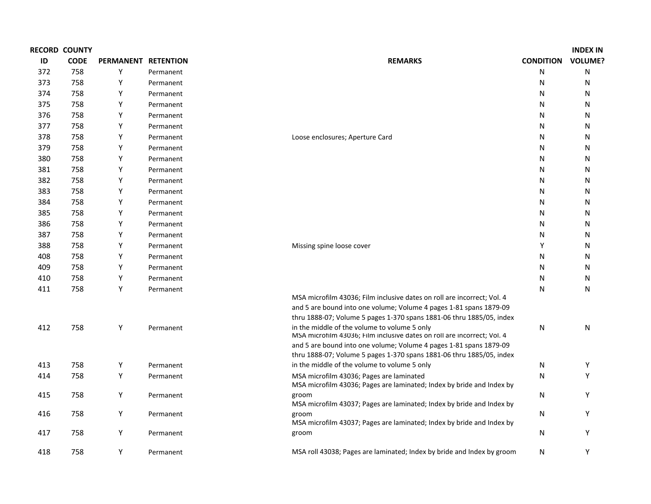|     | <b>RECORD COUNTY</b> |                     |           |                                                                                                                         |                  | <b>INDEX IN</b> |
|-----|----------------------|---------------------|-----------|-------------------------------------------------------------------------------------------------------------------------|------------------|-----------------|
| ID  | <b>CODE</b>          | PERMANENT RETENTION |           | <b>REMARKS</b>                                                                                                          | <b>CONDITION</b> | <b>VOLUME?</b>  |
| 372 | 758                  | Y                   | Permanent |                                                                                                                         | N                | N               |
| 373 | 758                  | Y                   | Permanent |                                                                                                                         | N                | N               |
| 374 | 758                  | Y                   | Permanent |                                                                                                                         | N                | N               |
| 375 | 758                  | Y                   | Permanent |                                                                                                                         | N                | N               |
| 376 | 758                  | Y                   | Permanent |                                                                                                                         | N                | N               |
| 377 | 758                  | Y                   | Permanent |                                                                                                                         | N                | N               |
| 378 | 758                  | Y                   | Permanent | Loose enclosures; Aperture Card                                                                                         | N                | N               |
| 379 | 758                  | Y                   | Permanent |                                                                                                                         | N                | N               |
| 380 | 758                  | Y                   | Permanent |                                                                                                                         | N                | N               |
| 381 | 758                  | Y                   | Permanent |                                                                                                                         | N                | N               |
| 382 | 758                  | Y                   | Permanent |                                                                                                                         | N                | N               |
| 383 | 758                  | Y                   | Permanent |                                                                                                                         | N                | N               |
| 384 | 758                  | Y                   | Permanent |                                                                                                                         | N                | N               |
| 385 | 758                  | Y                   | Permanent |                                                                                                                         | N                | N               |
| 386 | 758                  | Υ                   | Permanent |                                                                                                                         | N                | N               |
| 387 | 758                  | Y                   | Permanent |                                                                                                                         | N                | N               |
| 388 | 758                  | Υ                   | Permanent | Missing spine loose cover                                                                                               | Υ                | N               |
| 408 | 758                  | Y                   | Permanent |                                                                                                                         | N                | N               |
| 409 | 758                  | Y                   | Permanent |                                                                                                                         | N                | N               |
| 410 | 758                  | Y                   | Permanent |                                                                                                                         | N                | N               |
| 411 | 758                  | Y                   | Permanent |                                                                                                                         | N                | N               |
|     |                      |                     |           | MSA microfilm 43036; Film inclusive dates on roll are incorrect; Vol. 4                                                 |                  |                 |
|     |                      |                     |           | and 5 are bound into one volume; Volume 4 pages 1-81 spans 1879-09                                                      |                  |                 |
|     |                      |                     |           | thru 1888-07; Volume 5 pages 1-370 spans 1881-06 thru 1885/05, index                                                    |                  |                 |
| 412 | 758                  | Y                   | Permanent | in the middle of the volume to volume 5 only<br>MSA microfilm 43036; Film inclusive dates on roll are incorrect; Vol. 4 | N                | N               |
|     |                      |                     |           | and 5 are bound into one volume; Volume 4 pages 1-81 spans 1879-09                                                      |                  |                 |
|     |                      |                     |           | thru 1888-07; Volume 5 pages 1-370 spans 1881-06 thru 1885/05, index                                                    |                  |                 |
| 413 | 758                  | Y                   | Permanent | in the middle of the volume to volume 5 only                                                                            | N                | Y               |
| 414 | 758                  | Y                   | Permanent | MSA microfilm 43036; Pages are laminated<br>MSA microfilm 43036; Pages are laminated; Index by bride and Index by       | N                | Y               |
| 415 | 758                  | Y                   | Permanent | groom<br>MSA microfilm 43037; Pages are laminated; Index by bride and Index by                                          | N                | Y               |
| 416 | 758                  | Y                   | Permanent | groom<br>MSA microfilm 43037; Pages are laminated; Index by bride and Index by                                          | N                | Y               |
| 417 | 758                  | Y                   | Permanent | groom                                                                                                                   | N                | Y               |
| 418 | 758                  | Y                   | Permanent | MSA roll 43038; Pages are laminated; Index by bride and Index by groom                                                  | N                | Υ               |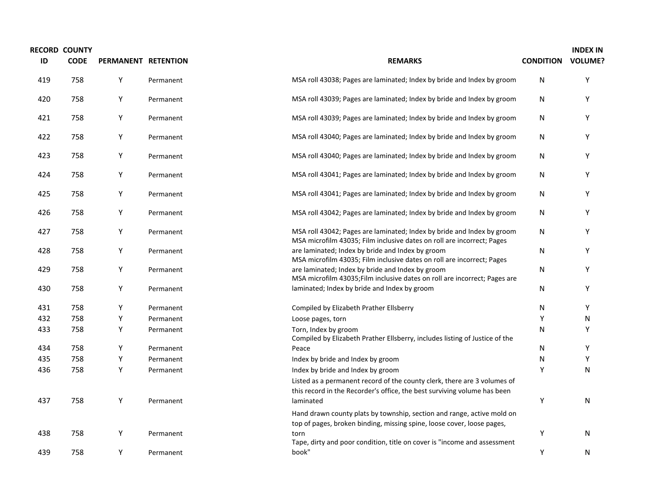| ID  | <b>RECORD COUNTY</b><br><b>CODE</b> | PERMANENT RETENTION |           | <b>REMARKS</b>                                                                                                                                                                            | <b>CONDITION VOLUME?</b> | <b>INDEX IN</b> |
|-----|-------------------------------------|---------------------|-----------|-------------------------------------------------------------------------------------------------------------------------------------------------------------------------------------------|--------------------------|-----------------|
| 419 | 758                                 | Υ                   | Permanent | MSA roll 43038; Pages are laminated; Index by bride and Index by groom                                                                                                                    | N                        | Υ               |
| 420 | 758                                 | Υ                   | Permanent | MSA roll 43039; Pages are laminated; Index by bride and Index by groom                                                                                                                    | N                        | Υ               |
| 421 | 758                                 | Υ                   | Permanent | MSA roll 43039; Pages are laminated; Index by bride and Index by groom                                                                                                                    | N                        | Υ               |
| 422 | 758                                 | Υ                   | Permanent | MSA roll 43040; Pages are laminated; Index by bride and Index by groom                                                                                                                    | N                        | Υ               |
| 423 | 758                                 | Y                   | Permanent | MSA roll 43040; Pages are laminated; Index by bride and Index by groom                                                                                                                    | N                        | Υ               |
| 424 | 758                                 | Υ                   | Permanent | MSA roll 43041; Pages are laminated; Index by bride and Index by groom                                                                                                                    | N                        | Υ               |
| 425 | 758                                 | Y                   | Permanent | MSA roll 43041; Pages are laminated; Index by bride and Index by groom                                                                                                                    | N                        | Υ               |
| 426 | 758                                 | Υ                   | Permanent | MSA roll 43042; Pages are laminated; Index by bride and Index by groom                                                                                                                    | N                        | Υ               |
| 427 | 758                                 | Y                   | Permanent | MSA roll 43042; Pages are laminated; Index by bride and Index by groom<br>MSA microfilm 43035; Film inclusive dates on roll are incorrect; Pages                                          | N                        | Υ               |
| 428 | 758                                 | Υ                   | Permanent | are laminated; Index by bride and Index by groom<br>MSA microfilm 43035; Film inclusive dates on roll are incorrect; Pages                                                                | N                        | Υ               |
| 429 | 758                                 | Υ                   | Permanent | are laminated; Index by bride and Index by groom<br>MSA microfilm 43035; Film inclusive dates on roll are incorrect; Pages are                                                            | N                        | Υ               |
| 430 | 758                                 | Υ                   | Permanent | laminated; Index by bride and Index by groom                                                                                                                                              | N                        | Υ               |
| 431 | 758                                 | Υ                   | Permanent | Compiled by Elizabeth Prather Ellsberry                                                                                                                                                   | N                        | Υ               |
| 432 | 758                                 | Y                   | Permanent | Loose pages, torn                                                                                                                                                                         | Y                        | N               |
| 433 | 758                                 | Υ                   | Permanent | Torn, Index by groom<br>Compiled by Elizabeth Prather Ellsberry, includes listing of Justice of the                                                                                       | N                        | Υ               |
| 434 | 758                                 | Υ                   | Permanent | Peace                                                                                                                                                                                     | N                        | Υ               |
| 435 | 758                                 | Υ                   | Permanent | Index by bride and Index by groom                                                                                                                                                         | N                        | Y               |
| 436 | 758                                 | Y                   | Permanent | Index by bride and Index by groom<br>Listed as a permanent record of the county clerk, there are 3 volumes of<br>this record in the Recorder's office, the best surviving volume has been | Y                        | Ν               |
| 437 | 758                                 | Υ                   | Permanent | laminated<br>Hand drawn county plats by township, section and range, active mold on<br>top of pages, broken binding, missing spine, loose cover, loose pages,                             | Υ                        | N               |
| 438 | 758                                 | Y                   | Permanent | torn<br>Tape, dirty and poor condition, title on cover is "income and assessment                                                                                                          | Υ                        | N               |
| 439 | 758                                 | Υ                   | Permanent | book"                                                                                                                                                                                     | Y                        | N               |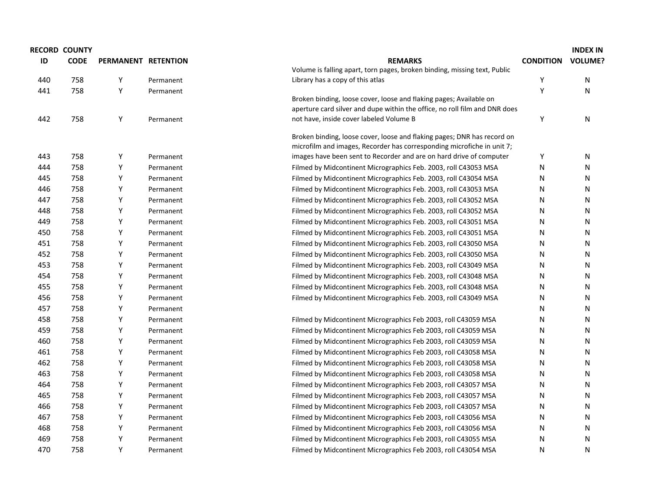|     | <b>RECORD COUNTY</b> |                     |           |                                                                            |                  | <b>INDEX IN</b> |
|-----|----------------------|---------------------|-----------|----------------------------------------------------------------------------|------------------|-----------------|
| ID  | <b>CODE</b>          | PERMANENT RETENTION |           | <b>REMARKS</b>                                                             | <b>CONDITION</b> | <b>VOLUME?</b>  |
|     |                      |                     |           | Volume is falling apart, torn pages, broken binding, missing text, Public  |                  |                 |
| 440 | 758                  | Y                   | Permanent | Library has a copy of this atlas                                           | Y                | N               |
| 441 | 758                  | Y                   | Permanent |                                                                            | Y                | N               |
|     |                      |                     |           | Broken binding, loose cover, loose and flaking pages; Available on         |                  |                 |
| 442 | 758                  |                     |           | aperture card silver and dupe within the office, no roll film and DNR does |                  |                 |
|     |                      | Υ                   | Permanent | not have, inside cover labeled Volume B                                    | Υ                | N               |
|     |                      |                     |           | Broken binding, loose cover, loose and flaking pages; DNR has record on    |                  |                 |
|     |                      |                     |           | microfilm and images, Recorder has corresponding microfiche in unit 7;     |                  |                 |
| 443 | 758                  | Y                   | Permanent | images have been sent to Recorder and are on hard drive of computer        | Υ                | N               |
| 444 | 758                  | Y                   | Permanent | Filmed by Midcontinent Micrographics Feb. 2003, roll C43053 MSA            | N                | N               |
| 445 | 758                  | Y                   | Permanent | Filmed by Midcontinent Micrographics Feb. 2003, roll C43054 MSA            | N                | N               |
| 446 | 758                  | Υ                   | Permanent | Filmed by Midcontinent Micrographics Feb. 2003, roll C43053 MSA            | N                | N               |
| 447 | 758                  | Y                   | Permanent | Filmed by Midcontinent Micrographics Feb. 2003, roll C43052 MSA            | N                | N               |
| 448 | 758                  | Y                   | Permanent | Filmed by Midcontinent Micrographics Feb. 2003, roll C43052 MSA            | N                | N               |
| 449 | 758                  | Y                   | Permanent | Filmed by Midcontinent Micrographics Feb. 2003, roll C43051 MSA            | N                | N               |
| 450 | 758                  | Y                   | Permanent | Filmed by Midcontinent Micrographics Feb. 2003, roll C43051 MSA            | N                | N               |
| 451 | 758                  | Y                   | Permanent | Filmed by Midcontinent Micrographics Feb. 2003, roll C43050 MSA            | N                | N               |
| 452 | 758                  | Y                   | Permanent | Filmed by Midcontinent Micrographics Feb. 2003, roll C43050 MSA            | N                | N               |
| 453 | 758                  | Y                   | Permanent | Filmed by Midcontinent Micrographics Feb. 2003, roll C43049 MSA            | N                | N               |
| 454 | 758                  | Y                   | Permanent | Filmed by Midcontinent Micrographics Feb. 2003, roll C43048 MSA            | N                | N               |
| 455 | 758                  | Y                   | Permanent | Filmed by Midcontinent Micrographics Feb. 2003, roll C43048 MSA            | N                | N               |
| 456 | 758                  | Y                   | Permanent | Filmed by Midcontinent Micrographics Feb. 2003, roll C43049 MSA            | N                | N               |
| 457 | 758                  | Υ                   | Permanent |                                                                            | N                | N               |
| 458 | 758                  | Y                   | Permanent | Filmed by Midcontinent Micrographics Feb 2003, roll C43059 MSA             | N                | N               |
| 459 | 758                  | Y                   | Permanent | Filmed by Midcontinent Micrographics Feb 2003, roll C43059 MSA             | N                | N               |
| 460 | 758                  | Υ                   | Permanent | Filmed by Midcontinent Micrographics Feb 2003, roll C43059 MSA             | N                | N               |
| 461 | 758                  | Y                   | Permanent | Filmed by Midcontinent Micrographics Feb 2003, roll C43058 MSA             | N                | N               |
| 462 | 758                  | Υ                   | Permanent | Filmed by Midcontinent Micrographics Feb 2003, roll C43058 MSA             | N                | N               |
| 463 | 758                  | Υ                   | Permanent | Filmed by Midcontinent Micrographics Feb 2003, roll C43058 MSA             | N                | N               |
| 464 | 758                  | Υ                   | Permanent | Filmed by Midcontinent Micrographics Feb 2003, roll C43057 MSA             | N                | N               |
| 465 | 758                  | Υ                   | Permanent | Filmed by Midcontinent Micrographics Feb 2003, roll C43057 MSA             | N                | N               |
| 466 | 758                  | Y                   | Permanent | Filmed by Midcontinent Micrographics Feb 2003, roll C43057 MSA             | N                | N               |
| 467 | 758                  | Y                   | Permanent | Filmed by Midcontinent Micrographics Feb 2003, roll C43056 MSA             | N                | N               |
| 468 | 758                  | Y                   | Permanent | Filmed by Midcontinent Micrographics Feb 2003, roll C43056 MSA             | N                | N               |
| 469 | 758                  | Υ                   | Permanent | Filmed by Midcontinent Micrographics Feb 2003, roll C43055 MSA             | N                | N               |
| 470 | 758                  | Υ                   | Permanent | Filmed by Midcontinent Micrographics Feb 2003, roll C43054 MSA             | N                | N               |
|     |                      |                     |           |                                                                            |                  |                 |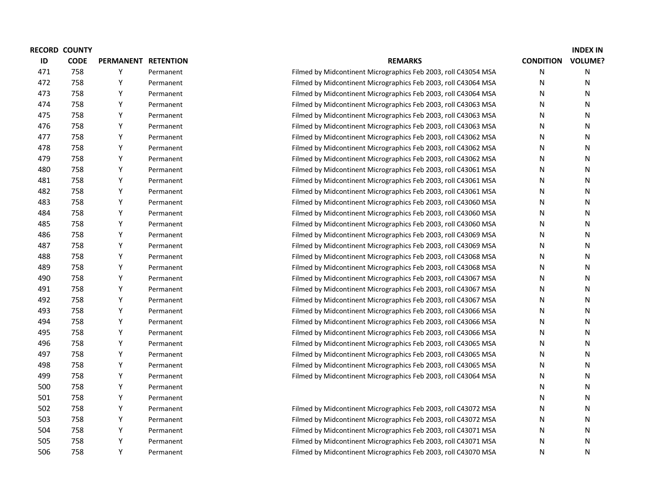| <b>RECORD COUNTY</b> |   |           |                                                                |                  | <b>INDEX IN</b> |
|----------------------|---|-----------|----------------------------------------------------------------|------------------|-----------------|
| <b>CODE</b>          |   |           | <b>REMARKS</b>                                                 | <b>CONDITION</b> | <b>VOLUME?</b>  |
| 758                  | Y | Permanent | Filmed by Midcontinent Micrographics Feb 2003, roll C43054 MSA | N                | Ν               |
| 758                  | Υ | Permanent | Filmed by Midcontinent Micrographics Feb 2003, roll C43064 MSA | N                | Ν               |
| 758                  | Υ | Permanent | Filmed by Midcontinent Micrographics Feb 2003, roll C43064 MSA | N                | Ν               |
| 758                  | Y | Permanent | Filmed by Midcontinent Micrographics Feb 2003, roll C43063 MSA | N                | Ν               |
| 758                  | Υ | Permanent | Filmed by Midcontinent Micrographics Feb 2003, roll C43063 MSA | N                | Ν               |
| 758                  | Υ | Permanent | Filmed by Midcontinent Micrographics Feb 2003, roll C43063 MSA | N                | N               |
| 758                  | Y | Permanent | Filmed by Midcontinent Micrographics Feb 2003, roll C43062 MSA | N                | Ν               |
| 758                  | Y | Permanent | Filmed by Midcontinent Micrographics Feb 2003, roll C43062 MSA | N                | Ν               |
| 758                  | Y | Permanent | Filmed by Midcontinent Micrographics Feb 2003, roll C43062 MSA | N                | Ν               |
| 758                  | Y | Permanent | Filmed by Midcontinent Micrographics Feb 2003, roll C43061 MSA | N                | Ν               |
| 758                  | Y | Permanent | Filmed by Midcontinent Micrographics Feb 2003, roll C43061 MSA | N                | Ν               |
| 758                  | Y | Permanent | Filmed by Midcontinent Micrographics Feb 2003, roll C43061 MSA | N                | Ν               |
| 758                  | Y | Permanent | Filmed by Midcontinent Micrographics Feb 2003, roll C43060 MSA | N                | Ν               |
| 758                  | Y | Permanent | Filmed by Midcontinent Micrographics Feb 2003, roll C43060 MSA | N                | Ν               |
| 758                  | Y | Permanent | Filmed by Midcontinent Micrographics Feb 2003, roll C43060 MSA | N                | Ν               |
| 758                  | Y | Permanent | Filmed by Midcontinent Micrographics Feb 2003, roll C43069 MSA | N                | Ν               |
| 758                  | Y | Permanent | Filmed by Midcontinent Micrographics Feb 2003, roll C43069 MSA | N                | Ν               |
| 758                  | Y | Permanent | Filmed by Midcontinent Micrographics Feb 2003, roll C43068 MSA | N                | Ν               |
| 758                  | Y | Permanent | Filmed by Midcontinent Micrographics Feb 2003, roll C43068 MSA | N                | Ν               |
| 758                  | Y | Permanent | Filmed by Midcontinent Micrographics Feb 2003, roll C43067 MSA | N                | Ν               |
| 758                  | Υ | Permanent | Filmed by Midcontinent Micrographics Feb 2003, roll C43067 MSA | N                | Ν               |
| 758                  | Y | Permanent | Filmed by Midcontinent Micrographics Feb 2003, roll C43067 MSA | N                | Ν               |
| 758                  | Υ | Permanent | Filmed by Midcontinent Micrographics Feb 2003, roll C43066 MSA | N                | Ν               |
| 758                  | Υ | Permanent | Filmed by Midcontinent Micrographics Feb 2003, roll C43066 MSA | N                | N               |
| 758                  | Y | Permanent | Filmed by Midcontinent Micrographics Feb 2003, roll C43066 MSA | N                | Ν               |
| 758                  | Y | Permanent | Filmed by Midcontinent Micrographics Feb 2003, roll C43065 MSA | N                | N               |
| 758                  | Y | Permanent | Filmed by Midcontinent Micrographics Feb 2003, roll C43065 MSA | N                | N               |
| 758                  | Y | Permanent | Filmed by Midcontinent Micrographics Feb 2003, roll C43065 MSA | N                | Ν               |
| 758                  | Y | Permanent | Filmed by Midcontinent Micrographics Feb 2003, roll C43064 MSA | N                | Ν               |
| 758                  | Y | Permanent |                                                                | N                | Ν               |
| 758                  | Y | Permanent |                                                                | N                | Ν               |
| 758                  | Y | Permanent | Filmed by Midcontinent Micrographics Feb 2003, roll C43072 MSA | N                | N               |
| 758                  | Y | Permanent | Filmed by Midcontinent Micrographics Feb 2003, roll C43072 MSA | N                | Ν               |
| 758                  | Y | Permanent | Filmed by Midcontinent Micrographics Feb 2003, roll C43071 MSA | N                | N               |
| 758                  | Υ | Permanent | Filmed by Midcontinent Micrographics Feb 2003, roll C43071 MSA | N                | Ν               |
| 758                  | Y | Permanent | Filmed by Midcontinent Micrographics Feb 2003, roll C43070 MSA | N                | Ν               |
|                      |   |           | PERMANENT RETENTION                                            |                  |                 |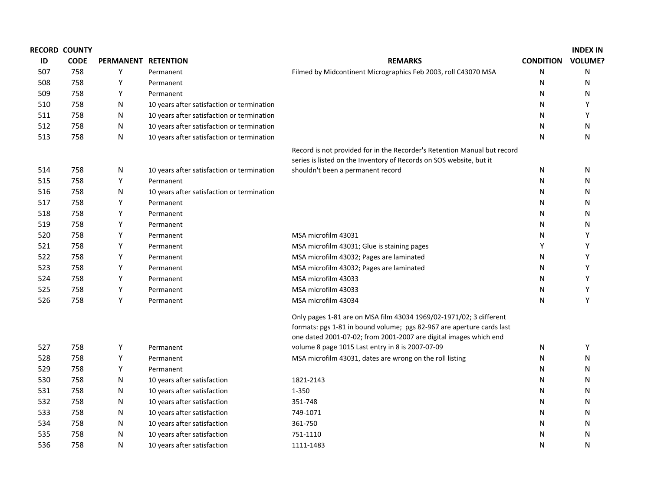|     | <b>RECORD COUNTY</b> |                     |                                            |                                                                          |                  | <b>INDEX IN</b> |
|-----|----------------------|---------------------|--------------------------------------------|--------------------------------------------------------------------------|------------------|-----------------|
| ID  | <b>CODE</b>          | PERMANENT RETENTION |                                            | <b>REMARKS</b>                                                           | <b>CONDITION</b> | <b>VOLUME?</b>  |
| 507 | 758                  | Y                   | Permanent                                  | Filmed by Midcontinent Micrographics Feb 2003, roll C43070 MSA           | N                | N               |
| 508 | 758                  | Υ                   | Permanent                                  |                                                                          | N                | N               |
| 509 | 758                  | Y                   | Permanent                                  |                                                                          | N                | N               |
| 510 | 758                  | N                   | 10 years after satisfaction or termination |                                                                          | N                | Υ               |
| 511 | 758                  | N                   | 10 years after satisfaction or termination |                                                                          | N                | Y               |
| 512 | 758                  | N                   | 10 years after satisfaction or termination |                                                                          | N                | N               |
| 513 | 758                  | N                   | 10 years after satisfaction or termination |                                                                          | N                | N               |
|     |                      |                     |                                            | Record is not provided for in the Recorder's Retention Manual but record |                  |                 |
|     |                      |                     |                                            | series is listed on the Inventory of Records on SOS website, but it      |                  |                 |
| 514 | 758                  | N                   | 10 years after satisfaction or termination | shouldn't been a permanent record                                        | N                | N               |
| 515 | 758                  | Y                   | Permanent                                  |                                                                          | N                | N               |
| 516 | 758                  | N                   | 10 years after satisfaction or termination |                                                                          | N                | N               |
| 517 | 758                  | Υ                   | Permanent                                  |                                                                          | N                | N               |
| 518 | 758                  | Y                   | Permanent                                  |                                                                          | N                | N               |
| 519 | 758                  | Y                   | Permanent                                  |                                                                          | N                | N               |
| 520 | 758                  | Y                   | Permanent                                  | MSA microfilm 43031                                                      | N                | Y               |
| 521 | 758                  | Υ                   | Permanent                                  | MSA microfilm 43031; Glue is staining pages                              | Υ                | Y               |
| 522 | 758                  | Y                   | Permanent                                  | MSA microfilm 43032; Pages are laminated                                 | N                | Y               |
| 523 | 758                  | Υ                   | Permanent                                  | MSA microfilm 43032; Pages are laminated                                 | N                | Y               |
| 524 | 758                  | Y                   | Permanent                                  | MSA microfilm 43033                                                      | N                | Y               |
| 525 | 758                  | Y                   | Permanent                                  | MSA microfilm 43033                                                      | N                | Y               |
| 526 | 758                  | Y                   | Permanent                                  | MSA microfilm 43034                                                      | N                | Y               |
|     |                      |                     |                                            | Only pages 1-81 are on MSA film 43034 1969/02-1971/02; 3 different       |                  |                 |
|     |                      |                     |                                            | formats: pgs 1-81 in bound volume; pgs 82-967 are aperture cards last    |                  |                 |
|     |                      |                     |                                            | one dated 2001-07-02; from 2001-2007 are digital images which end        |                  |                 |
| 527 | 758                  | Υ                   | Permanent                                  | volume 8 page 1015 Last entry in 8 is 2007-07-09                         | N                | Y               |
| 528 | 758                  | Υ                   | Permanent                                  | MSA microfilm 43031, dates are wrong on the roll listing                 | N                | N               |
| 529 | 758                  | Υ                   | Permanent                                  |                                                                          | N                | N               |
| 530 | 758                  | N                   | 10 years after satisfaction                | 1821-2143                                                                | N                | N               |
| 531 | 758                  | N                   | 10 years after satisfaction                | $1 - 350$                                                                | N                | N               |
| 532 | 758                  | N                   | 10 years after satisfaction                | 351-748                                                                  | N                | N               |
| 533 | 758                  | N                   | 10 years after satisfaction                | 749-1071                                                                 | N                | N               |
| 534 | 758                  | N                   | 10 years after satisfaction                | 361-750                                                                  | N                | N               |
| 535 | 758                  | N                   | 10 years after satisfaction                | 751-1110                                                                 | N                | N               |
| 536 | 758                  | N                   | 10 years after satisfaction                | 1111-1483                                                                | N                | N               |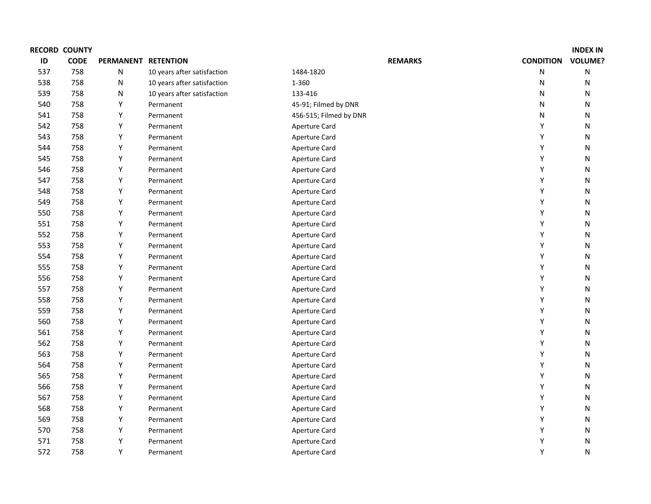|     | <b>RECORD COUNTY</b> |                     |                             |                        |                  | <b>INDEX IN</b> |
|-----|----------------------|---------------------|-----------------------------|------------------------|------------------|-----------------|
| ID  | <b>CODE</b>          | PERMANENT RETENTION |                             | <b>REMARKS</b>         | <b>CONDITION</b> | <b>VOLUME?</b>  |
| 537 | 758                  | N                   | 10 years after satisfaction | 1484-1820              | N                | ${\sf N}$       |
| 538 | 758                  | N                   | 10 years after satisfaction | 1-360                  | N                | N               |
| 539 | 758                  | N                   | 10 years after satisfaction | 133-416                | N                | N               |
| 540 | 758                  | Y                   | Permanent                   | 45-91; Filmed by DNR   | N                | N               |
| 541 | 758                  | Υ                   | Permanent                   | 456-515; Filmed by DNR | N                | N               |
| 542 | 758                  | Y                   | Permanent                   | <b>Aperture Card</b>   | Υ                | N               |
| 543 | 758                  | Y                   | Permanent                   | Aperture Card          | Υ                | N               |
| 544 | 758                  | Y                   | Permanent                   | Aperture Card          | Υ                | N               |
| 545 | 758                  | Υ                   | Permanent                   | <b>Aperture Card</b>   | Υ                | N               |
| 546 | 758                  | Υ                   | Permanent                   | Aperture Card          | Υ                | N               |
| 547 | 758                  | Υ                   | Permanent                   | Aperture Card          | Υ                | N               |
| 548 | 758                  | Υ                   | Permanent                   | Aperture Card          | Υ                | N               |
| 549 | 758                  | Y                   | Permanent                   | Aperture Card          | Υ                | N               |
| 550 | 758                  | Y                   | Permanent                   | Aperture Card          | Υ                | N               |
| 551 | 758                  | Y                   | Permanent                   | Aperture Card          | Υ                | N               |
| 552 | 758                  | Y                   | Permanent                   | Aperture Card          | Υ                | N               |
| 553 | 758                  | Y                   | Permanent                   | Aperture Card          | Υ                | N               |
| 554 | 758                  | Υ                   | Permanent                   | Aperture Card          | Υ                | ${\sf N}$       |
| 555 | 758                  | Υ                   | Permanent                   | <b>Aperture Card</b>   | Y                | N               |
| 556 | 758                  | Y                   | Permanent                   | Aperture Card          | Y                | N               |
| 557 | 758                  | Υ                   | Permanent                   | Aperture Card          | Υ                | N               |
| 558 | 758                  | Y                   | Permanent                   | Aperture Card          | Υ                | N               |
| 559 | 758                  | Y                   | Permanent                   | Aperture Card          | Υ                | N               |
| 560 | 758                  | Y                   | Permanent                   | Aperture Card          | Υ                | N               |
| 561 | 758                  | Y                   | Permanent                   | <b>Aperture Card</b>   | Υ                | N               |
| 562 | 758                  | Y                   | Permanent                   | Aperture Card          | Υ                | N               |
| 563 | 758                  | Υ                   | Permanent                   | Aperture Card          | Y                | N               |
| 564 | 758                  | Y                   | Permanent                   | Aperture Card          | Υ                | N               |
| 565 | 758                  | Y                   | Permanent                   | Aperture Card          | Y                | ${\sf N}$       |
| 566 | 758                  | Υ                   | Permanent                   | Aperture Card          | Y                | N               |
| 567 | 758                  | Y                   | Permanent                   | Aperture Card          | Y                | ${\sf N}$       |
| 568 | 758                  | Y                   | Permanent                   | Aperture Card          | Y                | N               |
| 569 | 758                  | Υ                   | Permanent                   | Aperture Card          | Υ                | N               |
| 570 | 758                  | Y                   | Permanent                   | <b>Aperture Card</b>   | Υ                | ${\sf N}$       |
| 571 | 758                  | Υ                   | Permanent                   | Aperture Card          | Y                | N               |
| 572 | 758                  | Υ                   | Permanent                   | Aperture Card          | Y                | N               |
|     |                      |                     |                             |                        |                  |                 |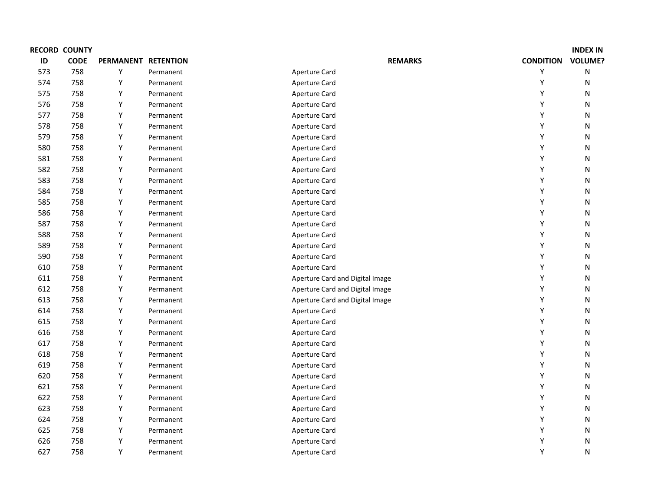|     | <b>RECORD COUNTY</b> |                     |           |                                 |                  | <b>INDEX IN</b> |
|-----|----------------------|---------------------|-----------|---------------------------------|------------------|-----------------|
| ID  | <b>CODE</b>          | PERMANENT RETENTION |           | <b>REMARKS</b>                  | <b>CONDITION</b> | <b>VOLUME?</b>  |
| 573 | 758                  | Y                   | Permanent | <b>Aperture Card</b>            | Υ                | ${\sf N}$       |
| 574 | 758                  | Y                   | Permanent | <b>Aperture Card</b>            | Y                | N               |
| 575 | 758                  | Y                   | Permanent | Aperture Card                   | Y                | N               |
| 576 | 758                  | Υ                   | Permanent | Aperture Card                   | Υ                | N               |
| 577 | 758                  | Υ                   | Permanent | Aperture Card                   | Υ                | N               |
| 578 | 758                  | Υ                   | Permanent | Aperture Card                   | Υ                | N               |
| 579 | 758                  | Υ                   | Permanent | Aperture Card                   | Υ                | N               |
| 580 | 758                  | Y                   | Permanent | Aperture Card                   | Υ                | N               |
| 581 | 758                  | Y                   | Permanent | <b>Aperture Card</b>            | Y                | N               |
| 582 | 758                  | Y                   | Permanent | Aperture Card                   | Υ                | N               |
| 583 | 758                  | Υ                   | Permanent | Aperture Card                   | Υ                | N               |
| 584 | 758                  | Υ                   | Permanent | Aperture Card                   | Υ                | N               |
| 585 | 758                  | Y                   | Permanent | Aperture Card                   | Υ                | N               |
| 586 | 758                  | Y                   | Permanent | Aperture Card                   | Υ                | N               |
| 587 | 758                  | Υ                   | Permanent | Aperture Card                   | Υ                | N               |
| 588 | 758                  | Y                   | Permanent | Aperture Card                   | Υ                | N               |
| 589 | 758                  | Y                   | Permanent | Aperture Card                   | Υ                | N               |
| 590 | 758                  | Y                   | Permanent | Aperture Card                   | Υ                | N               |
| 610 | 758                  | Y                   | Permanent | <b>Aperture Card</b>            | Υ                | N               |
| 611 | 758                  | Y                   | Permanent | Aperture Card and Digital Image | Υ                | N               |
| 612 | 758                  | Y                   | Permanent | Aperture Card and Digital Image | Υ                | N               |
| 613 | 758                  | Υ                   | Permanent | Aperture Card and Digital Image | Υ                | N               |
| 614 | 758                  | Y                   | Permanent | Aperture Card                   | Υ                | N               |
| 615 | 758                  | Y                   | Permanent | Aperture Card                   | Υ                | N               |
| 616 | 758                  | Y                   | Permanent | Aperture Card                   | Y                | N               |
| 617 | 758                  | Y                   | Permanent | Aperture Card                   | Υ                | ${\sf N}$       |
| 618 | 758                  | Y                   | Permanent | Aperture Card                   | Υ                | ${\sf N}$       |
| 619 | 758                  | Y                   | Permanent | Aperture Card                   | Y                | N               |
| 620 | 758                  | Υ                   | Permanent | Aperture Card                   | Υ                | N               |
| 621 | 758                  | Y                   | Permanent | Aperture Card                   | Υ                | N               |
| 622 | 758                  | Y                   | Permanent | Aperture Card                   | Υ                | ${\sf N}$       |
| 623 | 758                  | Y                   | Permanent | Aperture Card                   | Y                | N               |
| 624 | 758                  | Y                   | Permanent | Aperture Card                   | Υ                | ${\sf N}$       |
| 625 | 758                  | Y                   | Permanent | Aperture Card                   | Y                | N               |
| 626 | 758                  | Υ                   | Permanent | Aperture Card                   | Υ                | N               |
| 627 | 758                  | Υ                   | Permanent | Aperture Card                   | Υ                | N               |
|     |                      |                     |           |                                 |                  |                 |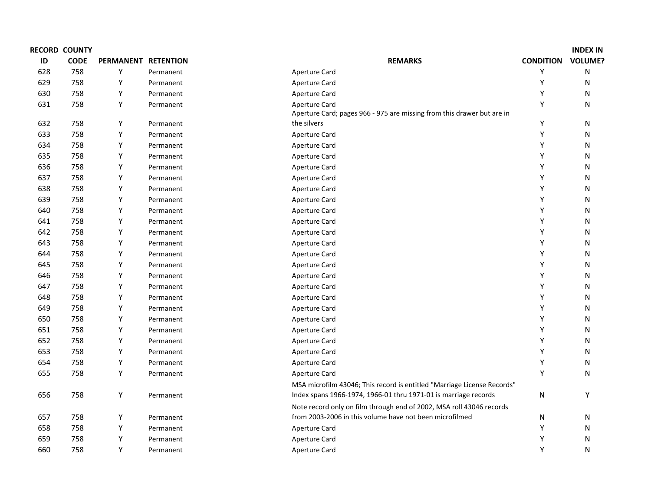|     | <b>RECORD COUNTY</b> |                     |           |                                                                                                |                  | <b>INDEX IN</b> |
|-----|----------------------|---------------------|-----------|------------------------------------------------------------------------------------------------|------------------|-----------------|
| ID  | <b>CODE</b>          | PERMANENT RETENTION |           | <b>REMARKS</b>                                                                                 | <b>CONDITION</b> | <b>VOLUME?</b>  |
| 628 | 758                  | Υ                   | Permanent | <b>Aperture Card</b>                                                                           | Υ                | ${\sf N}$       |
| 629 | 758                  | Y                   | Permanent | Aperture Card                                                                                  | Y                | N               |
| 630 | 758                  | Υ                   | Permanent | Aperture Card                                                                                  | Y                | N               |
| 631 | 758                  | Y                   | Permanent | <b>Aperture Card</b><br>Aperture Card; pages 966 - 975 are missing from this drawer but are in | Υ                | ${\sf N}$       |
| 632 | 758                  | Υ                   | Permanent | the silvers                                                                                    | Υ                | N               |
| 633 | 758                  | Υ                   | Permanent | <b>Aperture Card</b>                                                                           | Υ                | ${\sf N}$       |
| 634 | 758                  | Y                   | Permanent | Aperture Card                                                                                  | Υ                | ${\sf N}$       |
| 635 | 758                  | Υ                   |           |                                                                                                | Υ                |                 |
| 636 | 758                  | Υ                   | Permanent | Aperture Card                                                                                  | Υ                | N               |
|     |                      |                     | Permanent | Aperture Card                                                                                  | Υ                | ${\sf N}$       |
| 637 | 758                  | Y                   | Permanent | Aperture Card                                                                                  |                  | N               |
| 638 | 758                  | Υ                   | Permanent | Aperture Card                                                                                  | Υ                | ${\sf N}$       |
| 639 | 758                  | Y                   | Permanent | Aperture Card                                                                                  | Υ                | ${\sf N}$       |
| 640 | 758                  | Y                   | Permanent | Aperture Card                                                                                  | Y                | N               |
| 641 | 758                  | Υ                   | Permanent | Aperture Card                                                                                  | Υ                | ${\sf N}$       |
| 642 | 758                  | Υ                   | Permanent | Aperture Card                                                                                  | Υ                | ${\sf N}$       |
| 643 | 758                  | Υ                   | Permanent | Aperture Card                                                                                  | Υ                | N               |
| 644 | 758                  | Υ                   | Permanent | Aperture Card                                                                                  | Y                | N               |
| 645 | 758                  | Υ                   | Permanent | Aperture Card                                                                                  | Υ                | ${\sf N}$       |
| 646 | 758                  | Υ                   | Permanent | Aperture Card                                                                                  | Υ                | N               |
| 647 | 758                  | Υ                   | Permanent | Aperture Card                                                                                  | Y                | ${\sf N}$       |
| 648 | 758                  | Υ                   | Permanent | Aperture Card                                                                                  | Υ                | ${\sf N}$       |
| 649 | 758                  | Y                   | Permanent | Aperture Card                                                                                  | Υ                | ${\sf N}$       |
| 650 | 758                  | Υ                   | Permanent | Aperture Card                                                                                  | Y                | ${\sf N}$       |
| 651 | 758                  | Υ                   | Permanent | Aperture Card                                                                                  | Y                | ${\sf N}$       |
| 652 | 758                  | Y                   | Permanent | Aperture Card                                                                                  | Υ                | ${\sf N}$       |
| 653 | 758                  | Υ                   | Permanent | Aperture Card                                                                                  | Υ                | N               |
| 654 | 758                  | Υ                   | Permanent | Aperture Card                                                                                  | Υ                | ${\sf N}$       |
| 655 | 758                  | Υ                   | Permanent | Aperture Card                                                                                  | Υ                | ${\sf N}$       |
|     |                      |                     |           | MSA microfilm 43046; This record is entitled "Marriage License Records"                        |                  |                 |
| 656 | 758                  | Υ                   | Permanent | Index spans 1966-1974, 1966-01 thru 1971-01 is marriage records                                | N                | Y               |
|     |                      |                     |           | Note record only on film through end of 2002, MSA roll 43046 records                           |                  |                 |
| 657 | 758                  | Υ                   | Permanent | from 2003-2006 in this volume have not been microfilmed                                        | N                | N               |
| 658 | 758                  | Υ                   | Permanent | Aperture Card                                                                                  | Υ                | ${\sf N}$       |
| 659 | 758                  | Υ                   | Permanent | <b>Aperture Card</b>                                                                           | Υ                | ${\sf N}$       |
| 660 | 758                  | Υ                   | Permanent | <b>Aperture Card</b>                                                                           | Υ                | ${\sf N}$       |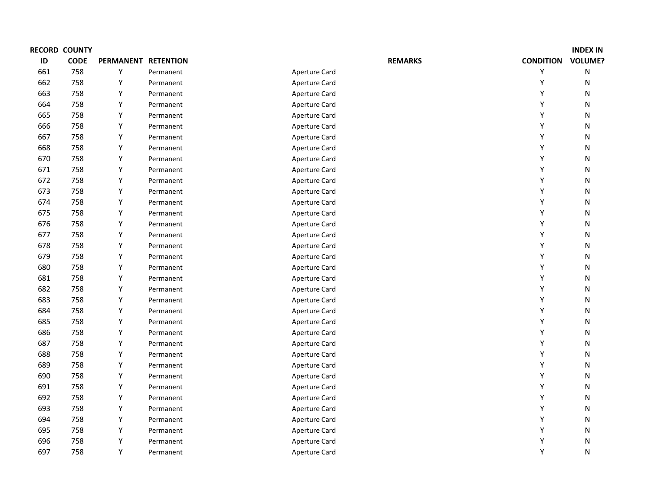|     | <b>RECORD COUNTY</b> |                  |                  |                      |                  | <b>INDEX IN</b> |
|-----|----------------------|------------------|------------------|----------------------|------------------|-----------------|
| ID  | <b>CODE</b>          | <b>PERMANENT</b> | <b>RETENTION</b> | <b>REMARKS</b>       | <b>CONDITION</b> | <b>VOLUME?</b>  |
| 661 | 758                  | Υ                | Permanent        | <b>Aperture Card</b> | Υ                | ${\sf N}$       |
| 662 | 758                  | Y                | Permanent        | <b>Aperture Card</b> | Y                | N               |
| 663 | 758                  | Υ                | Permanent        | Aperture Card        | Y                | N               |
| 664 | 758                  | Υ                | Permanent        | Aperture Card        | Υ                | N               |
| 665 | 758                  | Υ                | Permanent        | Aperture Card        | Υ                | N               |
| 666 | 758                  | Υ                | Permanent        | <b>Aperture Card</b> | Υ                | N               |
| 667 | 758                  | Υ                | Permanent        | Aperture Card        | Υ                | N               |
| 668 | 758                  | Υ                | Permanent        | Aperture Card        | Υ                | N               |
| 670 | 758                  | Y                | Permanent        | <b>Aperture Card</b> | Y                | N               |
| 671 | 758                  | Y                | Permanent        | Aperture Card        | Υ                | N               |
| 672 | 758                  | Y                | Permanent        | Aperture Card        | Υ                | N               |
| 673 | 758                  | Υ                | Permanent        | Aperture Card        | Υ                | N               |
| 674 | 758                  | Υ                | Permanent        | Aperture Card        | Υ                | N               |
| 675 | 758                  | Y                | Permanent        | Aperture Card        | Υ                | N               |
| 676 | 758                  | Υ                | Permanent        | Aperture Card        | Υ                | N               |
| 677 | 758                  | Y                | Permanent        | Aperture Card        | Υ                | N               |
| 678 | 758                  | Y                | Permanent        | Aperture Card        | Υ                | N               |
| 679 | 758                  | Y                | Permanent        | Aperture Card        | Υ                | N               |
| 680 | 758                  | Y                | Permanent        | Aperture Card        | Υ                | N               |
| 681 | 758                  | Υ                | Permanent        | Aperture Card        | Y                | N               |
| 682 | 758                  | Υ                | Permanent        | Aperture Card        | Y                | N               |
| 683 | 758                  | Y                | Permanent        | Aperture Card        | Υ                | N               |
| 684 | 758                  | Y                | Permanent        | Aperture Card        | Y                | N               |
| 685 | 758                  | Y                | Permanent        | Aperture Card        | Υ                | N               |
| 686 | 758                  | Y                | Permanent        | <b>Aperture Card</b> | Υ                | N               |
| 687 | 758                  | Y                | Permanent        | Aperture Card        | Υ                | N               |
| 688 | 758                  | Υ                | Permanent        | <b>Aperture Card</b> | Υ                | N               |
| 689 | 758                  | Y                | Permanent        | <b>Aperture Card</b> | Υ                | N               |
| 690 | 758                  | Y                | Permanent        | <b>Aperture Card</b> | Y                | N               |
| 691 | 758                  | Υ                | Permanent        | Aperture Card        | Υ                | N               |
| 692 | 758                  | Y                | Permanent        | <b>Aperture Card</b> | Υ                | N               |
| 693 | 758                  | Y                | Permanent        | <b>Aperture Card</b> | Υ                | N               |
| 694 | 758                  | Y                | Permanent        | <b>Aperture Card</b> | Υ                | N               |
| 695 | 758                  | Y                | Permanent        | Aperture Card        | Υ                | N               |
| 696 | 758                  | Y                | Permanent        | <b>Aperture Card</b> | Y                | N               |
| 697 | 758                  | Υ                | Permanent        | <b>Aperture Card</b> | Υ                | N               |
|     |                      |                  |                  |                      |                  |                 |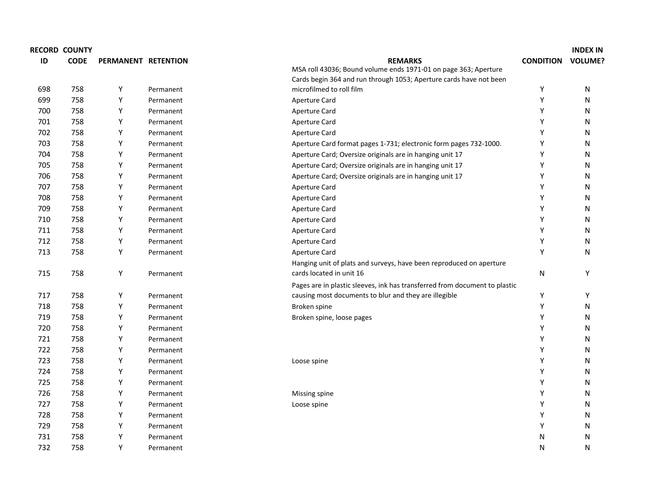|     | <b>RECORD COUNTY</b> |                     |           |                                                                            |                  | <b>INDEX IN</b> |
|-----|----------------------|---------------------|-----------|----------------------------------------------------------------------------|------------------|-----------------|
| ID  | <b>CODE</b>          | PERMANENT RETENTION |           | <b>REMARKS</b>                                                             | <b>CONDITION</b> | <b>VOLUME?</b>  |
|     |                      |                     |           | MSA roll 43036; Bound volume ends 1971-01 on page 363; Aperture            |                  |                 |
|     |                      |                     |           | Cards begin 364 and run through 1053; Aperture cards have not been         |                  |                 |
| 698 | 758                  | Y                   | Permanent | microfilmed to roll film                                                   | Υ                | N               |
| 699 | 758                  | Y                   | Permanent | Aperture Card                                                              | Υ                | N               |
| 700 | 758                  | Y                   | Permanent | Aperture Card                                                              | Υ                | N               |
| 701 | 758                  | Y                   | Permanent | Aperture Card                                                              | Υ                | N               |
| 702 | 758                  | Y                   | Permanent | Aperture Card                                                              | Y                | N               |
| 703 | 758                  | Y                   | Permanent | Aperture Card format pages 1-731; electronic form pages 732-1000.          | Υ                | N               |
| 704 | 758                  | Y                   | Permanent | Aperture Card; Oversize originals are in hanging unit 17                   | Υ                | N               |
| 705 | 758                  | Y                   | Permanent | Aperture Card; Oversize originals are in hanging unit 17                   | Υ                | N               |
| 706 | 758                  | Y                   | Permanent | Aperture Card; Oversize originals are in hanging unit 17                   | Υ                | N               |
| 707 | 758                  | Y                   | Permanent | Aperture Card                                                              | Υ                | N               |
| 708 | 758                  | Y                   | Permanent | Aperture Card                                                              | Υ                | N               |
| 709 | 758                  | Y                   | Permanent | <b>Aperture Card</b>                                                       | Υ                | N               |
| 710 | 758                  | Y                   | Permanent | Aperture Card                                                              | Υ                | N               |
| 711 | 758                  | Y                   | Permanent | Aperture Card                                                              | Υ                | N               |
| 712 | 758                  | Y                   | Permanent | Aperture Card                                                              | Υ                | N               |
| 713 | 758                  | Y                   | Permanent | Aperture Card                                                              | Υ                | N               |
|     |                      |                     |           | Hanging unit of plats and surveys, have been reproduced on aperture        |                  |                 |
| 715 | 758                  | Y                   | Permanent | cards located in unit 16                                                   | N                | Υ               |
|     |                      |                     |           | Pages are in plastic sleeves, ink has transferred from document to plastic |                  |                 |
| 717 | 758                  | Y                   | Permanent | causing most documents to blur and they are illegible                      | Υ                | Υ               |
| 718 | 758                  | Υ                   | Permanent | Broken spine                                                               | Υ                | N               |
| 719 | 758                  | Υ                   | Permanent | Broken spine, loose pages                                                  | Υ                | N               |
| 720 | 758                  | Υ                   | Permanent |                                                                            | Υ                | N               |
| 721 | 758                  | Υ                   | Permanent |                                                                            | Υ                | N               |
| 722 | 758                  | Y                   | Permanent |                                                                            | Υ                | N               |
| 723 | 758                  | Υ                   | Permanent | Loose spine                                                                | Υ                | N               |
| 724 | 758                  | Y                   | Permanent |                                                                            | Υ                | N               |
| 725 | 758                  | Y                   | Permanent |                                                                            | Υ                | N               |
| 726 | 758                  | Y                   | Permanent | Missing spine                                                              | Y                | N               |
| 727 | 758                  | Y                   | Permanent | Loose spine                                                                | Y                | N               |
| 728 | 758                  | Y                   | Permanent |                                                                            | Υ                | N               |
| 729 | 758                  | Y                   | Permanent |                                                                            | Υ                | N               |
| 731 | 758                  | Y                   | Permanent |                                                                            | N                | N               |
| 732 | 758                  | Y                   | Permanent |                                                                            | N                | N               |
|     |                      |                     |           |                                                                            |                  |                 |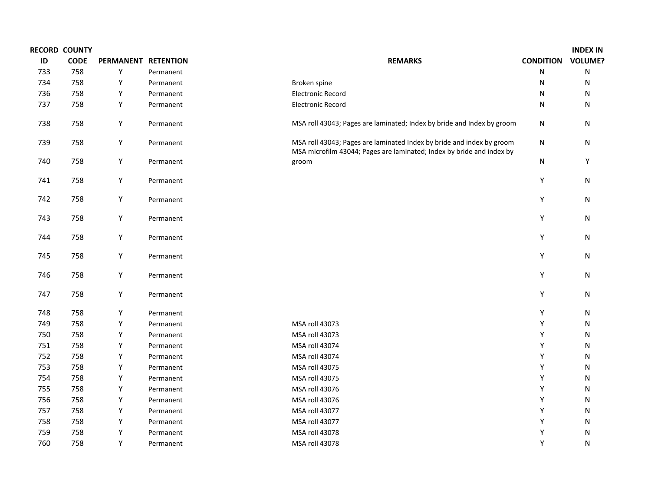|     | <b>RECORD COUNTY</b> |                     |           |                                                                                                                                                |                  | <b>INDEX IN</b> |
|-----|----------------------|---------------------|-----------|------------------------------------------------------------------------------------------------------------------------------------------------|------------------|-----------------|
| ID  | <b>CODE</b>          | PERMANENT RETENTION |           | <b>REMARKS</b>                                                                                                                                 | <b>CONDITION</b> | <b>VOLUME?</b>  |
| 733 | 758                  | Υ                   | Permanent |                                                                                                                                                | ${\sf N}$        | ${\sf N}$       |
| 734 | 758                  | Υ                   | Permanent | Broken spine                                                                                                                                   | N                | ${\sf N}$       |
| 736 | 758                  | Υ                   | Permanent | <b>Electronic Record</b>                                                                                                                       | N                | N               |
| 737 | 758                  | Υ                   | Permanent | <b>Electronic Record</b>                                                                                                                       | ${\sf N}$        | N               |
| 738 | 758                  | Y                   | Permanent | MSA roll 43043; Pages are laminated; Index by bride and Index by groom                                                                         | N                | N               |
| 739 | 758                  | Y                   | Permanent | MSA roll 43043; Pages are laminated Index by bride and index by groom<br>MSA microfilm 43044; Pages are laminated; Index by bride and index by | ${\sf N}$        | N               |
| 740 | 758                  | Υ                   | Permanent | groom                                                                                                                                          | N                | Y               |
| 741 | 758                  | Y                   | Permanent |                                                                                                                                                | Υ                | ${\sf N}$       |
| 742 | 758                  | Υ                   | Permanent |                                                                                                                                                | Υ                | ${\sf N}$       |
| 743 | 758                  | Y                   | Permanent |                                                                                                                                                | Υ                | ${\sf N}$       |
| 744 | 758                  | Y                   | Permanent |                                                                                                                                                | Υ                | N               |
| 745 | 758                  | Y                   | Permanent |                                                                                                                                                | Y                | ${\sf N}$       |
| 746 | 758                  | Υ                   | Permanent |                                                                                                                                                | Υ                | ${\sf N}$       |
| 747 | 758                  | Υ                   | Permanent |                                                                                                                                                | Υ                | ${\sf N}$       |
| 748 | 758                  | Υ                   | Permanent |                                                                                                                                                | Υ                | N               |
| 749 | 758                  | Υ                   | Permanent | MSA roll 43073                                                                                                                                 | Υ                | N               |
| 750 | 758                  | Υ                   | Permanent | MSA roll 43073                                                                                                                                 | Υ                | N               |
| 751 | 758                  | Υ                   | Permanent | MSA roll 43074                                                                                                                                 | Y                | N               |
| 752 | 758                  | Υ                   | Permanent | MSA roll 43074                                                                                                                                 | Y                | N               |
| 753 | 758                  | Υ                   | Permanent | MSA roll 43075                                                                                                                                 | Υ                | ${\sf N}$       |
| 754 | 758                  | Υ                   | Permanent | MSA roll 43075                                                                                                                                 | Υ                | ${\sf N}$       |
| 755 | 758                  | Υ                   | Permanent | MSA roll 43076                                                                                                                                 | Υ                | N               |
| 756 | 758                  | Υ                   | Permanent | MSA roll 43076                                                                                                                                 | Υ                | N               |
| 757 | 758                  | Υ                   | Permanent | MSA roll 43077                                                                                                                                 | Υ                | N               |
| 758 | 758                  | Υ                   | Permanent | MSA roll 43077                                                                                                                                 | Y                | N               |
| 759 | 758                  | Υ                   | Permanent | MSA roll 43078                                                                                                                                 | Υ                | N               |
| 760 | 758                  | Υ                   | Permanent | MSA roll 43078                                                                                                                                 | Υ                | ${\sf N}$       |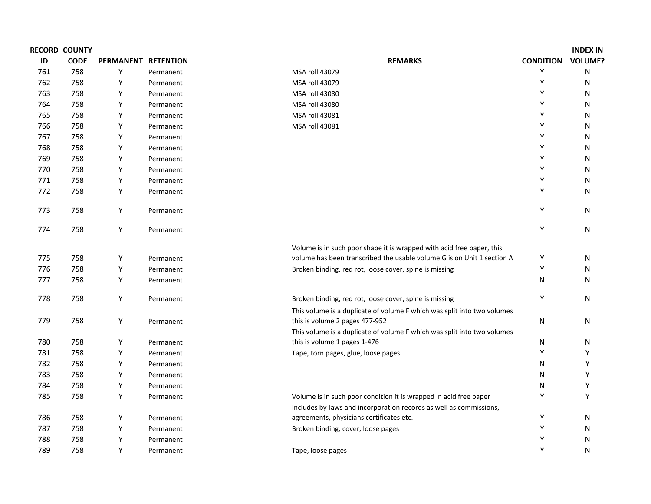|     | <b>RECORD COUNTY</b> |                     |           |                                                                         |                  | <b>INDEX IN</b> |
|-----|----------------------|---------------------|-----------|-------------------------------------------------------------------------|------------------|-----------------|
| ID  | <b>CODE</b>          | PERMANENT RETENTION |           | <b>REMARKS</b>                                                          | <b>CONDITION</b> | <b>VOLUME?</b>  |
| 761 | 758                  | Υ                   | Permanent | MSA roll 43079                                                          | Υ                | ${\sf N}$       |
| 762 | 758                  | Υ                   | Permanent | MSA roll 43079                                                          | Y                | ${\sf N}$       |
| 763 | 758                  | Υ                   | Permanent | MSA roll 43080                                                          | Y                | N               |
| 764 | 758                  | Υ                   | Permanent | MSA roll 43080                                                          | Y                | N               |
| 765 | 758                  | Υ                   | Permanent | MSA roll 43081                                                          | Y                | N               |
| 766 | 758                  | Υ                   | Permanent | MSA roll 43081                                                          | Y                | N               |
| 767 | 758                  | Υ                   | Permanent |                                                                         | Υ                | N               |
| 768 | 758                  | Υ                   | Permanent |                                                                         | Y                | N               |
| 769 | 758                  | Υ                   | Permanent |                                                                         | Y                | N               |
| 770 | 758                  | Υ                   | Permanent |                                                                         | Υ                | N               |
| 771 | 758                  | Υ                   | Permanent |                                                                         | Y                | N               |
| 772 | 758                  | Υ                   | Permanent |                                                                         | Υ                | N               |
| 773 | 758                  | Y                   | Permanent |                                                                         | Y                | N               |
| 774 | 758                  | Υ                   | Permanent |                                                                         | Y                | N               |
|     |                      |                     |           | Volume is in such poor shape it is wrapped with acid free paper, this   |                  |                 |
| 775 | 758                  | Y                   | Permanent | volume has been transcribed the usable volume G is on Unit 1 section A  | Υ                | N               |
| 776 | 758                  | Υ                   | Permanent | Broken binding, red rot, loose cover, spine is missing                  | Υ                | N               |
| 777 | 758                  | Υ                   | Permanent |                                                                         | N                | N               |
| 778 | 758                  | Y                   | Permanent | Broken binding, red rot, loose cover, spine is missing                  | Υ                | N               |
|     |                      |                     |           | This volume is a duplicate of volume F which was split into two volumes |                  |                 |
| 779 | 758                  | Υ                   | Permanent | this is volume 2 pages 477-952                                          | N                | N               |
|     |                      |                     |           | This volume is a duplicate of volume F which was split into two volumes |                  |                 |
| 780 | 758                  | Υ                   | Permanent | this is volume 1 pages 1-476                                            | N                | N               |
| 781 | 758                  | Υ                   | Permanent | Tape, torn pages, glue, loose pages                                     | Υ                | Υ               |
| 782 | 758                  | Υ                   | Permanent |                                                                         | N                | Υ               |
| 783 | 758                  | Y                   | Permanent |                                                                         | Ν                | Υ               |
| 784 | 758                  | Υ                   | Permanent |                                                                         | N                | Υ               |
| 785 | 758                  | Y                   | Permanent | Volume is in such poor condition it is wrapped in acid free paper       | Υ                | Υ               |
|     |                      |                     |           | Includes by-laws and incorporation records as well as commissions,      |                  |                 |
| 786 | 758                  | Υ                   | Permanent | agreements, physicians certificates etc.                                | Υ                | N               |
| 787 | 758                  | Υ                   | Permanent | Broken binding, cover, loose pages                                      | Y                | N               |
| 788 | 758                  | Υ                   | Permanent |                                                                         | Y                | N               |
| 789 | 758                  | Υ                   | Permanent | Tape, loose pages                                                       | Υ                | ${\sf N}$       |
|     |                      |                     |           |                                                                         |                  |                 |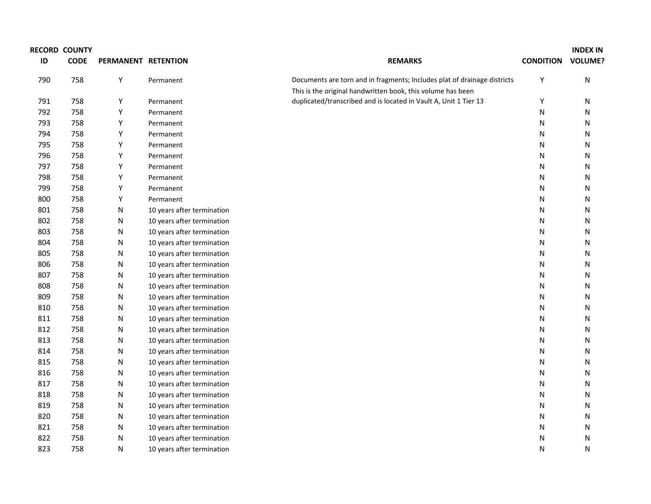|     | <b>RECORD COUNTY</b> |                     |                            |                                                                          |                  | <b>INDEX IN</b> |
|-----|----------------------|---------------------|----------------------------|--------------------------------------------------------------------------|------------------|-----------------|
| ID  | <b>CODE</b>          | PERMANENT RETENTION |                            | <b>REMARKS</b>                                                           | <b>CONDITION</b> | <b>VOLUME?</b>  |
| 790 | 758                  | Υ                   | Permanent                  | Documents are torn and in fragments; Includes plat of drainage districts | Υ                | ${\sf N}$       |
|     |                      |                     |                            | This is the original handwritten book, this volume has been              |                  |                 |
| 791 | 758                  | Υ                   | Permanent                  | duplicated/transcribed and is located in Vault A, Unit 1 Tier 13         | Υ                | N               |
| 792 | 758                  | Υ                   | Permanent                  |                                                                          | N                | N               |
| 793 | 758                  | Υ                   | Permanent                  |                                                                          | N                | N               |
| 794 | 758                  | Υ                   | Permanent                  |                                                                          | N                | N               |
| 795 | 758                  | Υ                   | Permanent                  |                                                                          | N                | N               |
| 796 | 758                  | Υ                   | Permanent                  |                                                                          | N                | N               |
| 797 | 758                  | Υ                   | Permanent                  |                                                                          | N                | N               |
| 798 | 758                  | Υ                   | Permanent                  |                                                                          | N                | N               |
| 799 | 758                  | Υ                   | Permanent                  |                                                                          | N                | N               |
| 800 | 758                  | Υ                   | Permanent                  |                                                                          | N                | N               |
| 801 | 758                  | Ν                   | 10 years after termination |                                                                          | N                | N               |
| 802 | 758                  | Ν                   | 10 years after termination |                                                                          | N                | N               |
| 803 | 758                  | Ν                   | 10 years after termination |                                                                          | N                | N               |
| 804 | 758                  | Ν                   | 10 years after termination |                                                                          | N                | N               |
| 805 | 758                  | Ν                   | 10 years after termination |                                                                          | N                | N               |
| 806 | 758                  | Ν                   | 10 years after termination |                                                                          | N                | N               |
| 807 | 758                  | Ν                   | 10 years after termination |                                                                          | N                | N               |
| 808 | 758                  | Ν                   | 10 years after termination |                                                                          | N                | N               |
| 809 | 758                  | Ν                   | 10 years after termination |                                                                          | N                | N               |
| 810 | 758                  | Ν                   | 10 years after termination |                                                                          | N                | $\mathsf{N}$    |
| 811 | 758                  | Ν                   | 10 years after termination |                                                                          | N                | N               |
| 812 | 758                  | Ν                   | 10 years after termination |                                                                          | N                | N               |
| 813 | 758                  | N                   | 10 years after termination |                                                                          | N                | $\mathsf{N}$    |
| 814 | 758                  | Ν                   | 10 years after termination |                                                                          | N                | N               |
| 815 | 758                  | Ν                   | 10 years after termination |                                                                          | N                | $\mathsf{N}$    |
| 816 | 758                  | N                   | 10 years after termination |                                                                          | N                | $\mathsf{N}$    |
| 817 | 758                  | Ν                   | 10 years after termination |                                                                          | N                | N               |
| 818 | 758                  | Ν                   | 10 years after termination |                                                                          | N                | $\mathsf{N}$    |
| 819 | 758                  | N                   | 10 years after termination |                                                                          | N                | $\mathsf{N}$    |
| 820 | 758                  | N                   | 10 years after termination |                                                                          | N                | N               |
| 821 | 758                  | Ν                   | 10 years after termination |                                                                          | N                | $\mathsf{N}$    |
| 822 | 758                  | N                   | 10 years after termination |                                                                          | N                | N               |
| 823 | 758                  | N                   | 10 years after termination |                                                                          | N                | N               |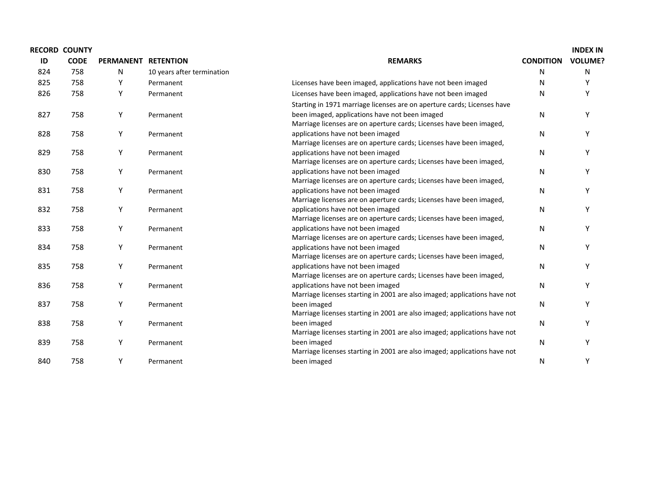|     | <b>RECORD COUNTY</b> |                     |                            |                                                                                          |                  | <b>INDEX IN</b> |
|-----|----------------------|---------------------|----------------------------|------------------------------------------------------------------------------------------|------------------|-----------------|
| ID  | <b>CODE</b>          | PERMANENT RETENTION |                            | <b>REMARKS</b>                                                                           | <b>CONDITION</b> | <b>VOLUME?</b>  |
| 824 | 758                  | N                   | 10 years after termination |                                                                                          | N                | N               |
| 825 | 758                  | Υ                   | Permanent                  | Licenses have been imaged, applications have not been imaged                             | N                |                 |
| 826 | 758                  | Υ                   | Permanent                  | Licenses have been imaged, applications have not been imaged                             | N                | Υ               |
|     |                      |                     |                            | Starting in 1971 marriage licenses are on aperture cards; Licenses have                  |                  |                 |
| 827 | 758                  | Y                   | Permanent                  | been imaged, applications have not been imaged                                           | N                | Υ               |
|     |                      |                     |                            | Marriage licenses are on aperture cards; Licenses have been imaged,                      |                  |                 |
| 828 | 758                  | Y                   | Permanent                  | applications have not been imaged                                                        | N                | Υ               |
|     |                      |                     |                            | Marriage licenses are on aperture cards; Licenses have been imaged,                      |                  |                 |
| 829 | 758                  | Y                   | Permanent                  | applications have not been imaged                                                        | N                | Υ               |
|     |                      |                     |                            | Marriage licenses are on aperture cards; Licenses have been imaged,                      |                  |                 |
| 830 | 758                  | Υ                   | Permanent                  | applications have not been imaged                                                        | N                |                 |
|     |                      |                     |                            | Marriage licenses are on aperture cards; Licenses have been imaged,                      |                  |                 |
| 831 | 758                  | Y                   | Permanent                  | applications have not been imaged                                                        | N                | Y               |
|     |                      |                     |                            | Marriage licenses are on aperture cards; Licenses have been imaged,                      |                  |                 |
| 832 | 758                  | Y                   | Permanent                  | applications have not been imaged                                                        | $\mathsf{N}$     |                 |
|     |                      |                     |                            | Marriage licenses are on aperture cards; Licenses have been imaged,                      |                  |                 |
| 833 | 758                  | Y                   | Permanent                  | applications have not been imaged                                                        | N                | Υ               |
|     |                      |                     |                            | Marriage licenses are on aperture cards; Licenses have been imaged,                      |                  |                 |
| 834 | 758                  | Y                   | Permanent                  | applications have not been imaged                                                        | N                | Υ               |
|     |                      |                     |                            | Marriage licenses are on aperture cards; Licenses have been imaged,                      |                  |                 |
| 835 | 758                  | Υ                   | Permanent                  | applications have not been imaged                                                        | N                | ٧               |
|     |                      |                     |                            | Marriage licenses are on aperture cards; Licenses have been imaged,                      |                  |                 |
| 836 | 758                  | Υ                   | Permanent                  | applications have not been imaged                                                        | N                | ٧               |
|     |                      |                     |                            | Marriage licenses starting in 2001 are also imaged; applications have not                |                  |                 |
| 837 | 758                  | Y                   | Permanent                  | been imaged                                                                              | N                |                 |
|     |                      |                     |                            | Marriage licenses starting in 2001 are also imaged; applications have not                |                  | Υ               |
| 838 | 758                  | Y                   | Permanent                  | been imaged<br>Marriage licenses starting in 2001 are also imaged; applications have not | $\mathsf{N}$     |                 |
|     |                      |                     |                            |                                                                                          |                  | Υ               |
| 839 | 758                  | Y                   | Permanent                  | been imaged<br>Marriage licenses starting in 2001 are also imaged; applications have not | N                |                 |
| 840 | 758                  | Y                   | Permanent                  | been imaged                                                                              | N                | Υ               |
|     |                      |                     |                            |                                                                                          |                  |                 |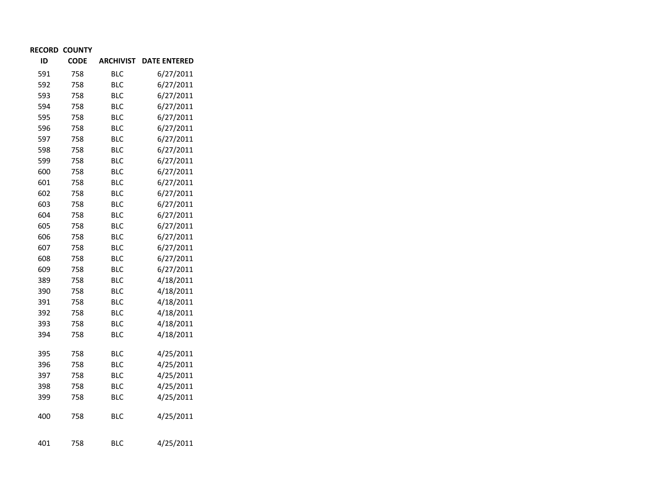| ID  | <b>CODE</b> | <b>ARCHIVIST</b> | <b>DATE ENTERED</b> |
|-----|-------------|------------------|---------------------|
| 591 | 758         | BLC              | 6/27/2011           |
| 592 | 758         | <b>BLC</b>       | 6/27/2011           |
| 593 | 758         | <b>BLC</b>       | 6/27/2011           |
| 594 | 758         | <b>BLC</b>       | 6/27/2011           |
| 595 | 758         | <b>BLC</b>       | 6/27/2011           |
| 596 | 758         | <b>BLC</b>       | 6/27/2011           |
| 597 | 758         | <b>BLC</b>       | 6/27/2011           |
| 598 | 758         | <b>BLC</b>       | 6/27/2011           |
| 599 | 758         | <b>BLC</b>       | 6/27/2011           |
| 600 | 758         | <b>BLC</b>       | 6/27/2011           |
| 601 | 758         | <b>BLC</b>       | 6/27/2011           |
| 602 | 758         | <b>BLC</b>       | 6/27/2011           |
| 603 | 758         | <b>BLC</b>       | 6/27/2011           |
| 604 | 758         | <b>BLC</b>       | 6/27/2011           |
| 605 | 758         | <b>BLC</b>       | 6/27/2011           |
| 606 | 758         | <b>BLC</b>       | 6/27/2011           |
| 607 | 758         | <b>BLC</b>       | 6/27/2011           |
| 608 | 758         | <b>BLC</b>       | 6/27/2011           |
| 609 | 758         | <b>BLC</b>       | 6/27/2011           |
| 389 | 758         | <b>BLC</b>       | 4/18/2011           |
| 390 | 758         | <b>BLC</b>       | 4/18/2011           |
| 391 | 758         | <b>BLC</b>       | 4/18/2011           |
| 392 | 758         | <b>BLC</b>       | 4/18/2011           |
| 393 | 758         | <b>BLC</b>       | 4/18/2011           |
| 394 | 758         | <b>BLC</b>       | 4/18/2011           |
|     |             |                  |                     |
| 395 | 758         | <b>BLC</b>       | 4/25/2011           |
| 396 | 758         | <b>BLC</b>       | 4/25/2011           |
| 397 | 758         | <b>BLC</b>       | 4/25/2011           |
| 398 | 758         | <b>BLC</b>       | 4/25/2011           |
| 399 | 758         | <b>BLC</b>       | 4/25/2011           |
| 400 | 758         | <b>BLC</b>       | 4/25/2011           |
| 401 | 758         | <b>BLC</b>       | 4/25/2011           |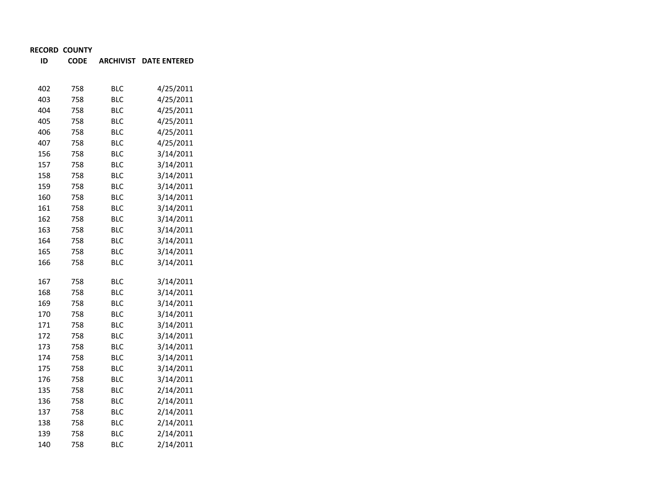**IDCODE ARCHIVIST DATE ENTERED**

| 402 | 758 | <b>BLC</b> | 4/25/2011 |
|-----|-----|------------|-----------|
| 403 | 758 | <b>BLC</b> | 4/25/2011 |
| 404 | 758 | <b>BLC</b> | 4/25/2011 |
| 405 | 758 | <b>BLC</b> | 4/25/2011 |
| 406 | 758 | <b>BLC</b> | 4/25/2011 |
| 407 | 758 | <b>BLC</b> | 4/25/2011 |
| 156 | 758 | <b>BLC</b> | 3/14/2011 |
| 157 | 758 | <b>BLC</b> | 3/14/2011 |
| 158 | 758 | <b>BLC</b> | 3/14/2011 |
| 159 | 758 | <b>BLC</b> | 3/14/2011 |
| 160 | 758 | <b>BLC</b> | 3/14/2011 |
| 161 | 758 | <b>BLC</b> | 3/14/2011 |
| 162 | 758 | <b>BLC</b> | 3/14/2011 |
| 163 | 758 | <b>BLC</b> | 3/14/2011 |
| 164 | 758 | <b>BLC</b> | 3/14/2011 |
| 165 | 758 | <b>BLC</b> | 3/14/2011 |
| 166 | 758 | <b>BLC</b> | 3/14/2011 |
|     |     |            |           |
| 167 | 758 | <b>BLC</b> | 3/14/2011 |
| 168 | 758 | <b>BLC</b> | 3/14/2011 |
| 169 | 758 | <b>BLC</b> | 3/14/2011 |
| 170 | 758 | <b>BLC</b> | 3/14/2011 |
| 171 | 758 | <b>BLC</b> | 3/14/2011 |
| 172 | 758 | <b>BLC</b> | 3/14/2011 |
| 173 | 758 | <b>BLC</b> | 3/14/2011 |
| 174 | 758 | <b>BLC</b> | 3/14/2011 |
| 175 | 758 | <b>BLC</b> | 3/14/2011 |
| 176 | 758 | <b>BLC</b> | 3/14/2011 |
| 135 | 758 | <b>BLC</b> | 2/14/2011 |
| 136 | 758 | <b>BLC</b> | 2/14/2011 |
| 137 | 758 | <b>BLC</b> | 2/14/2011 |
| 138 | 758 | <b>BLC</b> | 2/14/2011 |
| 139 | 758 | <b>BLC</b> | 2/14/2011 |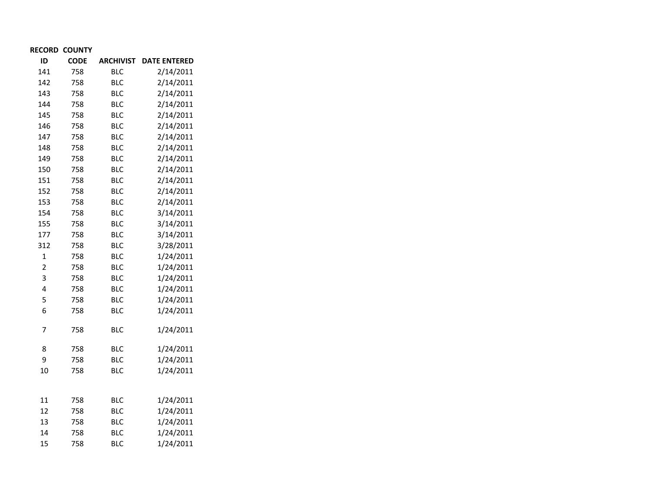| ID             | <b>CODE</b> | <b>ARCHIVIST</b> | <b>DATE ENTERED</b> |
|----------------|-------------|------------------|---------------------|
| 141            | 758         | <b>BLC</b>       | 2/14/2011           |
| 142            | 758         | <b>BLC</b>       | 2/14/2011           |
| 143            | 758         | <b>BLC</b>       | 2/14/2011           |
| 144            | 758         | <b>BLC</b>       | 2/14/2011           |
| 145            | 758         | <b>BLC</b>       | 2/14/2011           |
| 146            | 758         | <b>BLC</b>       | 2/14/2011           |
| 147            | 758         | <b>BLC</b>       | 2/14/2011           |
| 148            | 758         | <b>BLC</b>       | 2/14/2011           |
| 149            | 758         | <b>BLC</b>       | 2/14/2011           |
| 150            | 758         | <b>BLC</b>       | 2/14/2011           |
| 151            | 758         | <b>BLC</b>       | 2/14/2011           |
| 152            | 758         | <b>BLC</b>       | 2/14/2011           |
| 153            | 758         | <b>BLC</b>       | 2/14/2011           |
| 154            | 758         | <b>BLC</b>       | 3/14/2011           |
| 155            | 758         | <b>BLC</b>       | 3/14/2011           |
| 177            | 758         | <b>BLC</b>       | 3/14/2011           |
| 312            | 758         | <b>BLC</b>       | 3/28/2011           |
| $\mathbf{1}$   | 758         | <b>BLC</b>       | 1/24/2011           |
| $\overline{c}$ | 758         | <b>BLC</b>       | 1/24/2011           |
| 3              | 758         | <b>BLC</b>       | 1/24/2011           |
| 4              | 758         | <b>BLC</b>       | 1/24/2011           |
| 5              | 758         | <b>BLC</b>       | 1/24/2011           |
| 6              | 758         | <b>BLC</b>       | 1/24/2011           |
| 7              | 758         | <b>BLC</b>       | 1/24/2011           |
| 8              | 758         | <b>BLC</b>       | 1/24/2011           |
| 9              | 758         | <b>BLC</b>       | 1/24/2011           |
| 10             | 758         | <b>BLC</b>       | 1/24/2011           |
|                |             |                  |                     |
| 11             | 758         | <b>BLC</b>       | 1/24/2011           |
| 12             | 758         | <b>BLC</b>       | 1/24/2011           |
| 13             | 758         | <b>BLC</b>       | 1/24/2011           |
| 14             | 758         | <b>BLC</b>       | 1/24/2011           |
| 15             | 758         | <b>BLC</b>       | 1/24/2011           |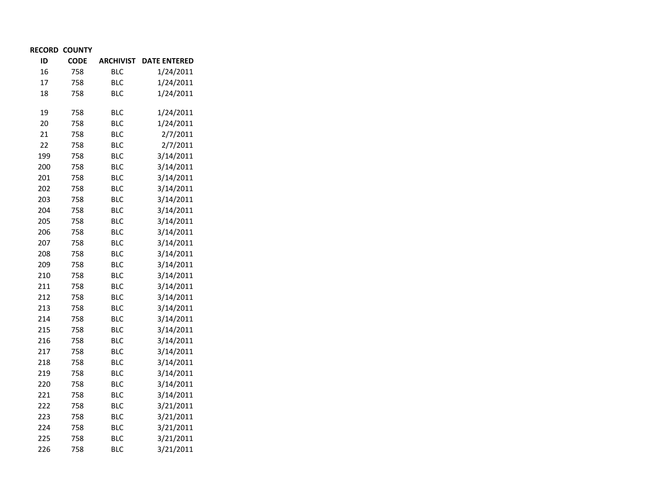| ID  | <b>CODE</b> | <b>ARCHIVIST</b> | <b>DATE ENTERED</b> |
|-----|-------------|------------------|---------------------|
| 16  | 758         | <b>BLC</b>       | 1/24/2011           |
| 17  | 758         | <b>BLC</b>       | 1/24/2011           |
| 18  | 758         | <b>BLC</b>       | 1/24/2011           |
| 19  | 758         | <b>BLC</b>       | 1/24/2011           |
| 20  | 758         | <b>BLC</b>       | 1/24/2011           |
| 21  | 758         | <b>BLC</b>       | 2/7/2011            |
| 22  | 758         | <b>BLC</b>       | 2/7/2011            |
| 199 | 758         | <b>BLC</b>       | 3/14/2011           |
| 200 | 758         | <b>BLC</b>       | 3/14/2011           |
| 201 | 758         | <b>BLC</b>       | 3/14/2011           |
| 202 | 758         | <b>BLC</b>       | 3/14/2011           |
| 203 | 758         | <b>BLC</b>       | 3/14/2011           |
| 204 | 758         | <b>BLC</b>       | 3/14/2011           |
| 205 | 758         | <b>BLC</b>       | 3/14/2011           |
| 206 | 758         | <b>BLC</b>       | 3/14/2011           |
| 207 | 758         | <b>BLC</b>       | 3/14/2011           |
| 208 | 758         | <b>BLC</b>       | 3/14/2011           |
| 209 | 758         | <b>BLC</b>       | 3/14/2011           |
| 210 | 758         | <b>BLC</b>       | 3/14/2011           |
| 211 | 758         | <b>BLC</b>       | 3/14/2011           |
| 212 | 758         | <b>BLC</b>       | 3/14/2011           |
| 213 | 758         | <b>BLC</b>       | 3/14/2011           |
| 214 | 758         | <b>BLC</b>       | 3/14/2011           |
| 215 | 758         | <b>BLC</b>       | 3/14/2011           |
| 216 | 758         | <b>BLC</b>       | 3/14/2011           |
| 217 | 758         | <b>BLC</b>       | 3/14/2011           |
| 218 | 758         | <b>BLC</b>       | 3/14/2011           |
| 219 | 758         | <b>BLC</b>       | 3/14/2011           |
| 220 | 758         | <b>BLC</b>       | 3/14/2011           |
| 221 | 758         | <b>BLC</b>       | 3/14/2011           |
| 222 | 758         | <b>BLC</b>       | 3/21/2011           |
| 223 | 758         | <b>BLC</b>       | 3/21/2011           |
| 224 | 758         | <b>BLC</b>       | 3/21/2011           |
| 225 | 758         | <b>BLC</b>       | 3/21/2011           |
| 226 | 758         | BLC              | 3/21/2011           |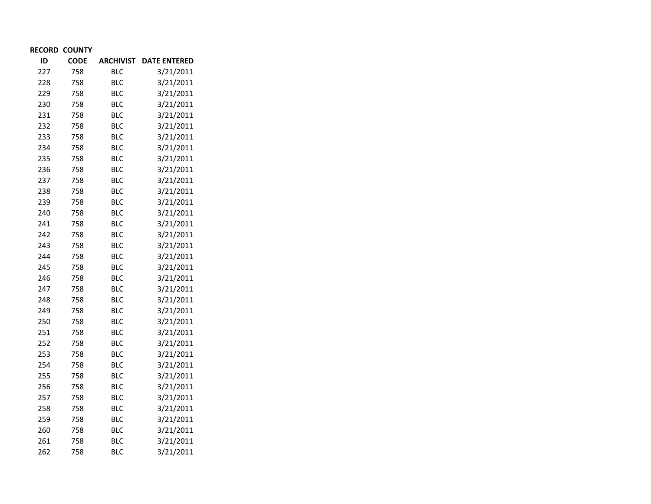| ID  | <b>CODE</b> | <b>ARCHIVIST</b> | <b>DATE ENTERED</b> |
|-----|-------------|------------------|---------------------|
| 227 | 758         | <b>BLC</b>       | 3/21/2011           |
| 228 | 758         | <b>BLC</b>       | 3/21/2011           |
| 229 | 758         | <b>BLC</b>       | 3/21/2011           |
| 230 | 758         | <b>BLC</b>       | 3/21/2011           |
| 231 | 758         | <b>BLC</b>       | 3/21/2011           |
| 232 | 758         | <b>BLC</b>       | 3/21/2011           |
| 233 | 758         | <b>BLC</b>       | 3/21/2011           |
| 234 | 758         | <b>BLC</b>       | 3/21/2011           |
| 235 | 758         | <b>BLC</b>       | 3/21/2011           |
| 236 | 758         | <b>BLC</b>       | 3/21/2011           |
| 237 | 758         | <b>BLC</b>       | 3/21/2011           |
| 238 | 758         | <b>BLC</b>       | 3/21/2011           |
| 239 | 758         | <b>BLC</b>       | 3/21/2011           |
| 240 | 758         | <b>BLC</b>       | 3/21/2011           |
| 241 | 758         | <b>BLC</b>       | 3/21/2011           |
| 242 | 758         | <b>BLC</b>       | 3/21/2011           |
| 243 | 758         | <b>BLC</b>       | 3/21/2011           |
| 244 | 758         | <b>BLC</b>       | 3/21/2011           |
| 245 | 758         | <b>BLC</b>       | 3/21/2011           |
| 246 | 758         | <b>BLC</b>       | 3/21/2011           |
| 247 | 758         | <b>BLC</b>       | 3/21/2011           |
| 248 | 758         | <b>BLC</b>       | 3/21/2011           |
| 249 | 758         | <b>BLC</b>       | 3/21/2011           |
| 250 | 758         | <b>BLC</b>       | 3/21/2011           |
| 251 | 758         | <b>BLC</b>       | 3/21/2011           |
| 252 | 758         | <b>BLC</b>       | 3/21/2011           |
| 253 | 758         | <b>BLC</b>       | 3/21/2011           |
| 254 | 758         | <b>BLC</b>       | 3/21/2011           |
| 255 | 758         | <b>BLC</b>       | 3/21/2011           |
| 256 | 758         | <b>BLC</b>       | 3/21/2011           |
| 257 | 758         | <b>BLC</b>       | 3/21/2011           |
| 258 | 758         | <b>BLC</b>       | 3/21/2011           |
| 259 | 758         | <b>BLC</b>       | 3/21/2011           |
| 260 | 758         | <b>BLC</b>       | 3/21/2011           |
| 261 | 758         | <b>BLC</b>       | 3/21/2011           |
| 262 | 758         | <b>BLC</b>       | 3/21/2011           |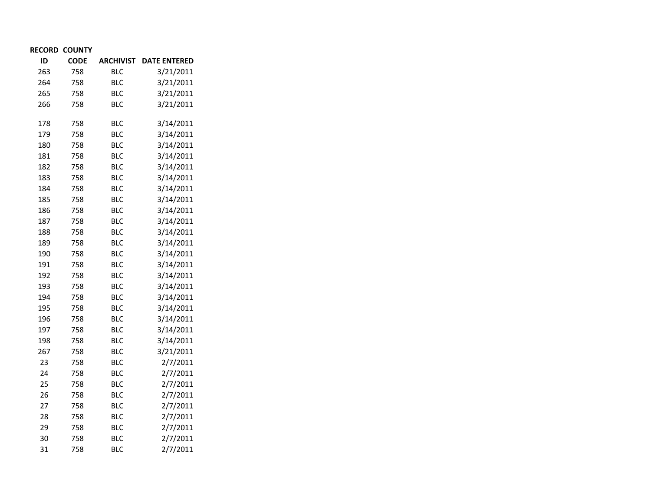| <b>RECORD COUNTY</b> |  |
|----------------------|--|
|----------------------|--|

| ID  | <b>CODE</b> | <b>ARCHIVIST</b> | <b>DATE ENTERED</b> |
|-----|-------------|------------------|---------------------|
| 263 | 758         | <b>BLC</b>       | 3/21/2011           |
| 264 | 758         | <b>BLC</b>       | 3/21/2011           |
| 265 | 758         | <b>BLC</b>       | 3/21/2011           |
| 266 | 758         | <b>BLC</b>       | 3/21/2011           |
| 178 | 758         | <b>BLC</b>       | 3/14/2011           |
| 179 | 758         | <b>BLC</b>       | 3/14/2011           |
| 180 | 758         | <b>BLC</b>       | 3/14/2011           |
| 181 | 758         | <b>BLC</b>       | 3/14/2011           |
| 182 | 758         | <b>BLC</b>       | 3/14/2011           |
| 183 | 758         | <b>BLC</b>       | 3/14/2011           |
| 184 | 758         | <b>BLC</b>       | 3/14/2011           |
| 185 | 758         | <b>BLC</b>       | 3/14/2011           |
| 186 | 758         | <b>BLC</b>       | 3/14/2011           |
| 187 | 758         | <b>BLC</b>       | 3/14/2011           |
| 188 | 758         | <b>BLC</b>       | 3/14/2011           |
| 189 | 758         | <b>BLC</b>       | 3/14/2011           |
| 190 | 758         | <b>BLC</b>       | 3/14/2011           |
| 191 | 758         | <b>BLC</b>       | 3/14/2011           |
| 192 | 758         | <b>BLC</b>       | 3/14/2011           |
| 193 | 758         | <b>BLC</b>       | 3/14/2011           |
| 194 | 758         | <b>BLC</b>       | 3/14/2011           |
| 195 | 758         | <b>BLC</b>       | 3/14/2011           |
| 196 | 758         | <b>BLC</b>       | 3/14/2011           |
| 197 | 758         | <b>BLC</b>       | 3/14/2011           |
| 198 | 758         | <b>BLC</b>       | 3/14/2011           |
| 267 | 758         | <b>BLC</b>       | 3/21/2011           |
| 23  | 758         | <b>BLC</b>       | 2/7/2011            |
| 24  | 758         | <b>BLC</b>       | 2/7/2011            |
| 25  | 758         | <b>BLC</b>       | 2/7/2011            |
| 26  | 758         | <b>BLC</b>       | 2/7/2011            |
| 27  | 758         | <b>BLC</b>       | 2/7/2011            |
| 28  | 758         | <b>BLC</b>       | 2/7/2011            |
| 29  | 758         | <b>BLC</b>       | 2/7/2011            |
| 30  | 758         | <b>BLC</b>       | 2/7/2011            |
| 31  | 758         | <b>BLC</b>       | 2/7/2011            |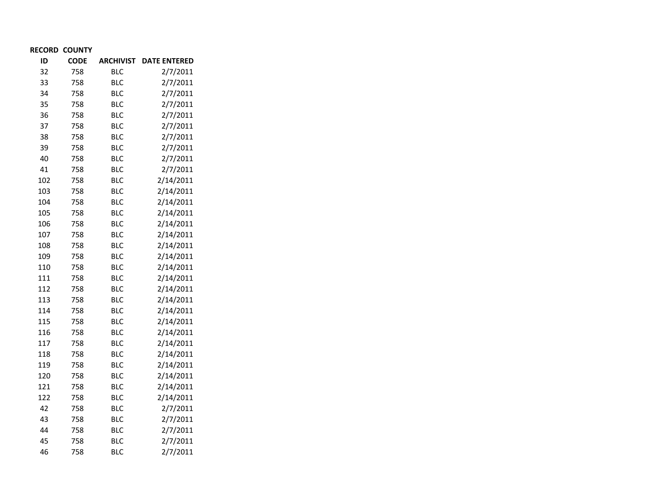| ID  | <b>CODE</b> | <b>ARCHIVIST</b> | <b>DATE ENTERED</b> |
|-----|-------------|------------------|---------------------|
| 32  | 758         | BLC              | 2/7/2011            |
| 33  | 758         | <b>BLC</b>       | 2/7/2011            |
| 34  | 758         | <b>BLC</b>       | 2/7/2011            |
| 35  | 758         | <b>BLC</b>       | 2/7/2011            |
| 36  | 758         | <b>BLC</b>       | 2/7/2011            |
| 37  | 758         | <b>BLC</b>       | 2/7/2011            |
| 38  | 758         | <b>BLC</b>       | 2/7/2011            |
| 39  | 758         | <b>BLC</b>       | 2/7/2011            |
| 40  | 758         | <b>BLC</b>       | 2/7/2011            |
| 41  | 758         | <b>BLC</b>       | 2/7/2011            |
| 102 | 758         | <b>BLC</b>       | 2/14/2011           |
| 103 | 758         | <b>BLC</b>       | 2/14/2011           |
| 104 | 758         | <b>BLC</b>       | 2/14/2011           |
| 105 | 758         | <b>BLC</b>       | 2/14/2011           |
| 106 | 758         | <b>BLC</b>       | 2/14/2011           |
| 107 | 758         | <b>BLC</b>       | 2/14/2011           |
| 108 | 758         | <b>BLC</b>       | 2/14/2011           |
| 109 | 758         | <b>BLC</b>       | 2/14/2011           |
| 110 | 758         | <b>BLC</b>       | 2/14/2011           |
| 111 | 758         | <b>BLC</b>       | 2/14/2011           |
| 112 | 758         | <b>BLC</b>       | 2/14/2011           |
| 113 | 758         | <b>BLC</b>       | 2/14/2011           |
| 114 | 758         | <b>BLC</b>       | 2/14/2011           |
| 115 | 758         | <b>BLC</b>       | 2/14/2011           |
| 116 | 758         | <b>BLC</b>       | 2/14/2011           |
| 117 | 758         | <b>BLC</b>       | 2/14/2011           |
| 118 | 758         | <b>BLC</b>       | 2/14/2011           |
| 119 | 758         | <b>BLC</b>       | 2/14/2011           |
| 120 | 758         | <b>BLC</b>       | 2/14/2011           |
| 121 | 758         | <b>BLC</b>       | 2/14/2011           |
| 122 | 758         | <b>BLC</b>       | 2/14/2011           |
| 42  | 758         | <b>BLC</b>       | 2/7/2011            |
| 43  | 758         | <b>BLC</b>       | 2/7/2011            |
| 44  | 758         | <b>BLC</b>       | 2/7/2011            |
| 45  | 758         | <b>BLC</b>       | 2/7/2011            |
| 46  | 758         | <b>BLC</b>       | 2/7/2011            |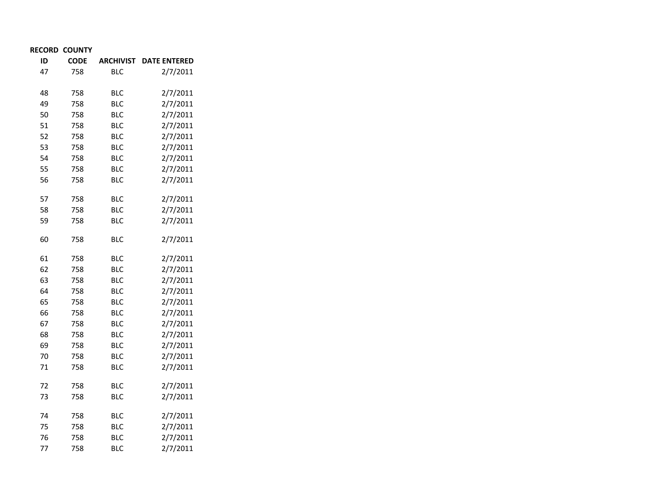| ID | <b>CODE</b> | <b>ARCHIVIST</b> | <b>DATE ENTERED</b> |
|----|-------------|------------------|---------------------|
| 47 | 758         | BLC              | 2/7/2011            |
|    |             |                  |                     |
| 48 | 758         | <b>BLC</b>       | 2/7/2011            |
| 49 | 758         | <b>BLC</b>       | 2/7/2011            |
| 50 | 758         | <b>BLC</b>       | 2/7/2011            |
| 51 | 758         | <b>BLC</b>       | 2/7/2011            |
| 52 | 758         | <b>BLC</b>       | 2/7/2011            |
| 53 | 758         | <b>BLC</b>       | 2/7/2011            |
| 54 | 758         | <b>BLC</b>       | 2/7/2011            |
| 55 | 758         | <b>BLC</b>       | 2/7/2011            |
| 56 | 758         | <b>BLC</b>       | 2/7/2011            |
| 57 | 758         | <b>BLC</b>       | 2/7/2011            |
| 58 | 758         | <b>BLC</b>       | 2/7/2011            |
| 59 | 758         | <b>BLC</b>       | 2/7/2011            |
| 60 | 758         | <b>BLC</b>       | 2/7/2011            |
| 61 | 758         | <b>BLC</b>       | 2/7/2011            |
| 62 | 758         | <b>BLC</b>       | 2/7/2011            |
| 63 | 758         | <b>BLC</b>       | 2/7/2011            |
| 64 | 758         | <b>BLC</b>       | 2/7/2011            |
| 65 | 758         | <b>BLC</b>       | 2/7/2011            |
| 66 | 758         | <b>BLC</b>       | 2/7/2011            |
| 67 | 758         | <b>BLC</b>       | 2/7/2011            |
| 68 | 758         | <b>BLC</b>       | 2/7/2011            |
| 69 | 758         | <b>BLC</b>       | 2/7/2011            |
| 70 | 758         | <b>BLC</b>       | 2/7/2011            |
| 71 | 758         | BLC              | 2/7/2011            |
| 72 | 758         | BLC              | 2/7/2011            |
| 73 | 758         | <b>BLC</b>       | 2/7/2011            |
| 74 | 758         | <b>BLC</b>       | 2/7/2011            |
| 75 | 758         | <b>BLC</b>       | 2/7/2011            |
| 76 | 758         | <b>BLC</b>       | 2/7/2011            |
| 77 | 758         | BLC              | 2/7/2011            |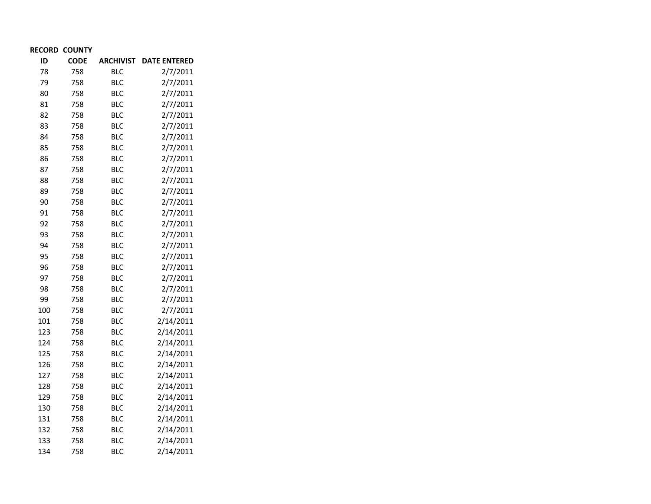| ID  | <b>CODE</b> | <b>ARCHIVIST</b> | <b>DATE ENTERED</b> |
|-----|-------------|------------------|---------------------|
| 78  | 758         | <b>BLC</b>       | 2/7/2011            |
| 79  | 758         | <b>BLC</b>       | 2/7/2011            |
| 80  | 758         | <b>BLC</b>       | 2/7/2011            |
| 81  | 758         | <b>BLC</b>       | 2/7/2011            |
| 82  | 758         | <b>BLC</b>       | 2/7/2011            |
| 83  | 758         | <b>BLC</b>       | 2/7/2011            |
| 84  | 758         | <b>BLC</b>       | 2/7/2011            |
| 85  | 758         | <b>BLC</b>       | 2/7/2011            |
| 86  | 758         | <b>BLC</b>       | 2/7/2011            |
| 87  | 758         | <b>BLC</b>       | 2/7/2011            |
| 88  | 758         | <b>BLC</b>       | 2/7/2011            |
| 89  | 758         | <b>BLC</b>       | 2/7/2011            |
| 90  | 758         | <b>BLC</b>       | 2/7/2011            |
| 91  | 758         | <b>BLC</b>       | 2/7/2011            |
| 92  | 758         | <b>BLC</b>       | 2/7/2011            |
| 93  | 758         | <b>BLC</b>       | 2/7/2011            |
| 94  | 758         | <b>BLC</b>       | 2/7/2011            |
| 95  | 758         | <b>BLC</b>       | 2/7/2011            |
| 96  | 758         | <b>BLC</b>       | 2/7/2011            |
| 97  | 758         | <b>BLC</b>       | 2/7/2011            |
| 98  | 758         | <b>BLC</b>       | 2/7/2011            |
| 99  | 758         | <b>BLC</b>       | 2/7/2011            |
| 100 | 758         | <b>BLC</b>       | 2/7/2011            |
| 101 | 758         | <b>BLC</b>       | 2/14/2011           |
| 123 | 758         | <b>BLC</b>       | 2/14/2011           |
| 124 | 758         | <b>BLC</b>       | 2/14/2011           |
| 125 | 758         | <b>BLC</b>       | 2/14/2011           |
| 126 | 758         | <b>BLC</b>       | 2/14/2011           |
| 127 | 758         | <b>BLC</b>       | 2/14/2011           |
| 128 | 758         | <b>BLC</b>       | 2/14/2011           |
| 129 | 758         | <b>BLC</b>       | 2/14/2011           |
| 130 | 758         | <b>BLC</b>       | 2/14/2011           |
| 131 | 758         | <b>BLC</b>       | 2/14/2011           |
| 132 | 758         | <b>BLC</b>       | 2/14/2011           |
| 133 | 758         | <b>BLC</b>       | 2/14/2011           |
| 134 | 758         | <b>BLC</b>       | 2/14/2011           |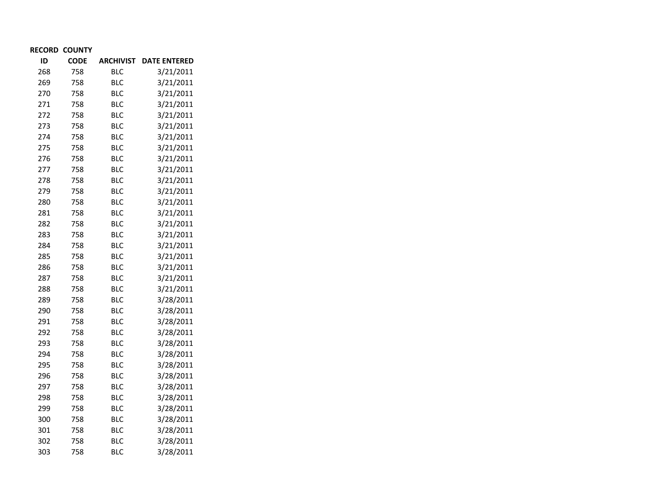| ID  | <b>CODE</b> | <b>ARCHIVIST</b> | <b>DATE ENTERED</b> |
|-----|-------------|------------------|---------------------|
| 268 | 758         | <b>BLC</b>       | 3/21/2011           |
| 269 | 758         | <b>BLC</b>       | 3/21/2011           |
| 270 | 758         | <b>BLC</b>       | 3/21/2011           |
| 271 | 758         | <b>BLC</b>       | 3/21/2011           |
| 272 | 758         | <b>BLC</b>       | 3/21/2011           |
| 273 | 758         | <b>BLC</b>       | 3/21/2011           |
| 274 | 758         | <b>BLC</b>       | 3/21/2011           |
| 275 | 758         | <b>BLC</b>       | 3/21/2011           |
| 276 | 758         | <b>BLC</b>       | 3/21/2011           |
| 277 | 758         | <b>BLC</b>       | 3/21/2011           |
| 278 | 758         | <b>BLC</b>       | 3/21/2011           |
| 279 | 758         | <b>BLC</b>       | 3/21/2011           |
| 280 | 758         | <b>BLC</b>       | 3/21/2011           |
| 281 | 758         | <b>BLC</b>       | 3/21/2011           |
| 282 | 758         | <b>BLC</b>       | 3/21/2011           |
| 283 | 758         | <b>BLC</b>       | 3/21/2011           |
| 284 | 758         | <b>BLC</b>       | 3/21/2011           |
| 285 | 758         | <b>BLC</b>       | 3/21/2011           |
| 286 | 758         | <b>BLC</b>       | 3/21/2011           |
| 287 | 758         | <b>BLC</b>       | 3/21/2011           |
| 288 | 758         | <b>BLC</b>       | 3/21/2011           |
| 289 | 758         | <b>BLC</b>       | 3/28/2011           |
| 290 | 758         | <b>BLC</b>       | 3/28/2011           |
| 291 | 758         | <b>BLC</b>       | 3/28/2011           |
| 292 | 758         | <b>BLC</b>       | 3/28/2011           |
| 293 | 758         | <b>BLC</b>       | 3/28/2011           |
| 294 | 758         | <b>BLC</b>       | 3/28/2011           |
| 295 | 758         | <b>BLC</b>       | 3/28/2011           |
| 296 | 758         | <b>BLC</b>       | 3/28/2011           |
| 297 | 758         | <b>BLC</b>       | 3/28/2011           |
| 298 | 758         | <b>BLC</b>       | 3/28/2011           |
| 299 | 758         | <b>BLC</b>       | 3/28/2011           |
| 300 | 758         | <b>BLC</b>       | 3/28/2011           |
| 301 | 758         | <b>BLC</b>       | 3/28/2011           |
| 302 | 758         | <b>BLC</b>       | 3/28/2011           |
| 303 | 758         | <b>BLC</b>       | 3/28/2011           |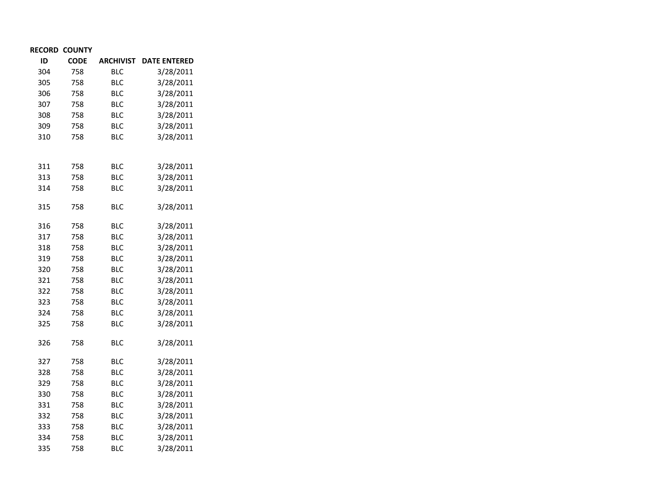| ID  | <b>CODE</b> | <b>ARCHIVIST</b> | <b>DATE ENTERED</b> |
|-----|-------------|------------------|---------------------|
| 304 | 758         | <b>BLC</b>       | 3/28/2011           |
| 305 | 758         | <b>BLC</b>       | 3/28/2011           |
| 306 | 758         | <b>BLC</b>       | 3/28/2011           |
| 307 | 758         | <b>BLC</b>       | 3/28/2011           |
| 308 | 758         | <b>BLC</b>       | 3/28/2011           |
| 309 | 758         | <b>BLC</b>       | 3/28/2011           |
| 310 | 758         | <b>BLC</b>       | 3/28/2011           |
|     |             |                  |                     |
| 311 | 758         | <b>BLC</b>       | 3/28/2011           |
| 313 | 758         | <b>BLC</b>       | 3/28/2011           |
| 314 | 758         | <b>BLC</b>       | 3/28/2011           |
| 315 | 758         | <b>BLC</b>       | 3/28/2011           |
| 316 | 758         | <b>BLC</b>       | 3/28/2011           |
| 317 | 758         | <b>BLC</b>       | 3/28/2011           |
| 318 | 758         | <b>BLC</b>       | 3/28/2011           |
| 319 | 758         | <b>BLC</b>       | 3/28/2011           |
| 320 | 758         | <b>BLC</b>       | 3/28/2011           |
| 321 | 758         | <b>BLC</b>       | 3/28/2011           |
| 322 | 758         | <b>BLC</b>       | 3/28/2011           |
| 323 | 758         | <b>BLC</b>       | 3/28/2011           |
| 324 | 758         | <b>BLC</b>       | 3/28/2011           |
| 325 | 758         | <b>BLC</b>       | 3/28/2011           |
| 326 | 758         | BLC              | 3/28/2011           |
| 327 | 758         | <b>BLC</b>       | 3/28/2011           |
| 328 | 758         | <b>BLC</b>       | 3/28/2011           |
| 329 | 758         | <b>BLC</b>       | 3/28/2011           |
| 330 | 758         | <b>BLC</b>       | 3/28/2011           |
| 331 | 758         | <b>BLC</b>       | 3/28/2011           |
| 332 | 758         | <b>BLC</b>       | 3/28/2011           |
| 333 | 758         | <b>BLC</b>       | 3/28/2011           |
| 334 | 758         | <b>BLC</b>       | 3/28/2011           |
| 335 | 758         | <b>BLC</b>       | 3/28/2011           |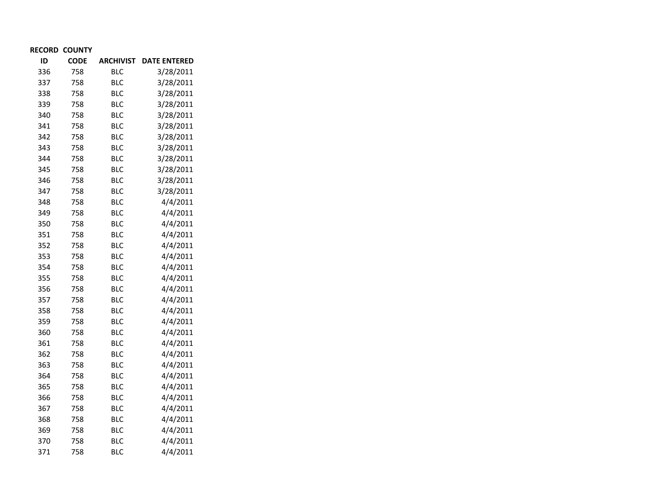| ID  | <b>CODE</b> | <b>ARCHIVIST</b> | <b>DATE ENTERED</b> |
|-----|-------------|------------------|---------------------|
| 336 | 758         | <b>BLC</b>       | 3/28/2011           |
| 337 | 758         | <b>BLC</b>       | 3/28/2011           |
| 338 | 758         | <b>BLC</b>       | 3/28/2011           |
| 339 | 758         | <b>BLC</b>       | 3/28/2011           |
| 340 | 758         | <b>BLC</b>       | 3/28/2011           |
| 341 | 758         | <b>BLC</b>       | 3/28/2011           |
| 342 | 758         | <b>BLC</b>       | 3/28/2011           |
| 343 | 758         | <b>BLC</b>       | 3/28/2011           |
| 344 | 758         | <b>BLC</b>       | 3/28/2011           |
| 345 | 758         | <b>BLC</b>       | 3/28/2011           |
| 346 | 758         | <b>BLC</b>       | 3/28/2011           |
| 347 | 758         | <b>BLC</b>       | 3/28/2011           |
| 348 | 758         | <b>BLC</b>       | 4/4/2011            |
| 349 | 758         | <b>BLC</b>       | 4/4/2011            |
| 350 | 758         | <b>BLC</b>       | 4/4/2011            |
| 351 | 758         | <b>BLC</b>       | 4/4/2011            |
| 352 | 758         | <b>BLC</b>       | 4/4/2011            |
| 353 | 758         | <b>BLC</b>       | 4/4/2011            |
| 354 | 758         | <b>BLC</b>       | 4/4/2011            |
| 355 | 758         | <b>BLC</b>       | 4/4/2011            |
| 356 | 758         | <b>BLC</b>       | 4/4/2011            |
| 357 | 758         | <b>BLC</b>       | 4/4/2011            |
| 358 | 758         | <b>BLC</b>       | 4/4/2011            |
| 359 | 758         | <b>BLC</b>       | 4/4/2011            |
| 360 | 758         | <b>BLC</b>       | 4/4/2011            |
| 361 | 758         | <b>BLC</b>       | 4/4/2011            |
| 362 | 758         | BLC              | 4/4/2011            |
| 363 | 758         | <b>BLC</b>       | 4/4/2011            |
| 364 | 758         | <b>BLC</b>       | 4/4/2011            |
| 365 | 758         | <b>BLC</b>       | 4/4/2011            |
| 366 | 758         | <b>BLC</b>       | 4/4/2011            |
| 367 | 758         | <b>BLC</b>       | 4/4/2011            |
| 368 | 758         | <b>BLC</b>       | 4/4/2011            |
| 369 | 758         | <b>BLC</b>       | 4/4/2011            |
| 370 | 758         | <b>BLC</b>       | 4/4/2011            |
| 371 | 758         | BLC              | 4/4/2011            |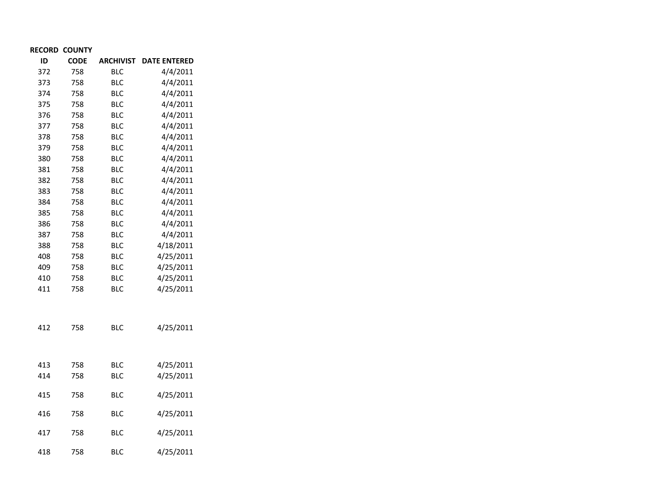| ID  | <b>CODE</b> | <b>ARCHIVIST</b> | <b>DATE ENTERED</b> |
|-----|-------------|------------------|---------------------|
| 372 | 758         | BLC              | 4/4/2011            |
| 373 | 758         | <b>BLC</b>       | 4/4/2011            |
| 374 | 758         | <b>BLC</b>       | 4/4/2011            |
| 375 | 758         | <b>BLC</b>       | 4/4/2011            |
| 376 | 758         | <b>BLC</b>       | 4/4/2011            |
| 377 | 758         | <b>BLC</b>       | 4/4/2011            |
| 378 | 758         | <b>BLC</b>       | 4/4/2011            |
| 379 | 758         | <b>BLC</b>       | 4/4/2011            |
| 380 | 758         | <b>BLC</b>       | 4/4/2011            |
| 381 | 758         | <b>BLC</b>       | 4/4/2011            |
| 382 | 758         | <b>BLC</b>       | 4/4/2011            |
| 383 | 758         | <b>BLC</b>       | 4/4/2011            |
| 384 | 758         | <b>BLC</b>       | 4/4/2011            |
| 385 | 758         | <b>BLC</b>       | 4/4/2011            |
| 386 | 758         | <b>BLC</b>       | 4/4/2011            |
| 387 | 758         | <b>BLC</b>       | 4/4/2011            |
| 388 | 758         | <b>BLC</b>       | 4/18/2011           |
| 408 | 758         | <b>BLC</b>       | 4/25/2011           |
| 409 | 758         | <b>BLC</b>       | 4/25/2011           |
| 410 | 758         | <b>BLC</b>       | 4/25/2011           |
| 411 | 758         | <b>BLC</b>       | 4/25/2011           |
|     |             |                  |                     |
| 412 | 758         | <b>BLC</b>       | 4/25/2011           |
|     |             |                  |                     |
| 413 | 758         | <b>BLC</b>       | 4/25/2011           |
| 414 | 758         | <b>BLC</b>       | 4/25/2011           |
| 415 | 758         | <b>BLC</b>       | 4/25/2011           |
| 416 | 758         | BLC              | 4/25/2011           |
| 417 | 758         | BLC              | 4/25/2011           |
| 418 | 758         | <b>BLC</b>       | 4/25/2011           |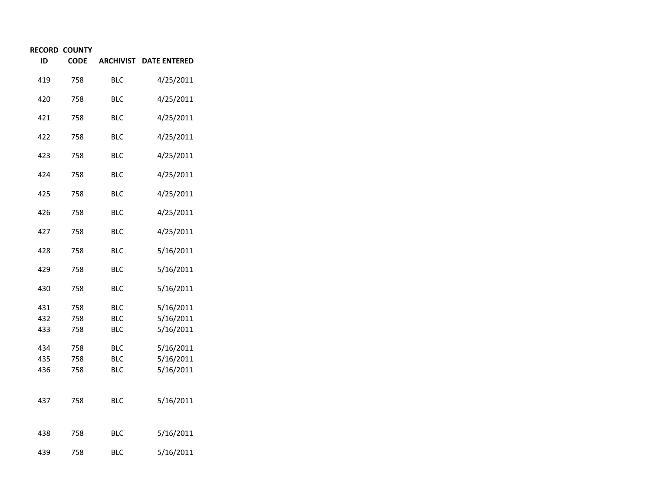| ID         | <b>CODE</b> | <b>ARCHIVIST</b>  | <b>DATE ENTERED</b>    |
|------------|-------------|-------------------|------------------------|
| 419        | 758         | BLC               | 4/25/2011              |
| 420        | 758         | BLC               | 4/25/2011              |
| 421        | 758         | <b>BLC</b>        | 4/25/2011              |
| 422        | 758         | BLC               | 4/25/2011              |
| 423        | 758         | <b>BLC</b>        | 4/25/2011              |
| 424        | 758         | BLC               | 4/25/2011              |
| 425        | 758         | <b>BLC</b>        | 4/25/2011              |
| 426        | 758         | BLC               | 4/25/2011              |
| 427        | 758         | BLC               | 4/25/2011              |
| 428        | 758         | BLC               | 5/16/2011              |
| 429        | 758         | <b>BLC</b>        | 5/16/2011              |
| 430        | 758         | BLC               | 5/16/2011              |
| 431        | 758         | <b>BLC</b>        | 5/16/2011              |
| 432<br>433 | 758<br>758  | <b>BLC</b><br>BLC | 5/16/2011<br>5/16/2011 |
| 434        | 758         | BLC               | 5/16/2011              |
| 435        | 758         | <b>BLC</b>        | 5/16/2011              |
| 436        | 758         | BLC               | 5/16/2011              |
|            |             |                   |                        |
| 437        | 758         | <b>BLC</b>        | 5/16/2011              |
|            |             |                   |                        |
| 438        | 758         | <b>BLC</b>        | 5/16/2011              |
| 439        | 758         | BLC               | 5/16/2011              |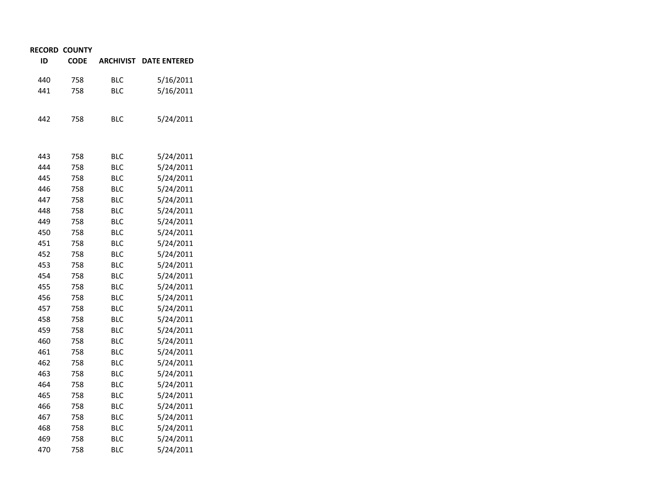| ID  | <b>CODE</b> | <b>ARCHIVIST</b> | <b>DATE ENTERED</b> |
|-----|-------------|------------------|---------------------|
| 440 | 758         | BLC              | 5/16/2011           |
| 441 | 758         | <b>BLC</b>       | 5/16/2011           |
|     |             |                  |                     |
| 442 | 758         | BLC              | 5/24/2011           |
|     |             |                  |                     |
| 443 | 758         | BLC              | 5/24/2011           |
| 444 | 758         | <b>BLC</b>       | 5/24/2011           |
| 445 | 758         | <b>BLC</b>       | 5/24/2011           |
| 446 | 758         | <b>BLC</b>       | 5/24/2011           |
| 447 | 758         | <b>BLC</b>       | 5/24/2011           |
| 448 | 758         | BLC              | 5/24/2011           |
| 449 | 758         | <b>BLC</b>       | 5/24/2011           |
| 450 | 758         | BLC              | 5/24/2011           |
| 451 | 758         | <b>BLC</b>       | 5/24/2011           |
| 452 | 758         | <b>BLC</b>       | 5/24/2011           |
| 453 | 758         | <b>BLC</b>       | 5/24/2011           |
| 454 | 758         | <b>BLC</b>       | 5/24/2011           |
| 455 | 758         | <b>BLC</b>       | 5/24/2011           |
| 456 | 758         | BLC              | 5/24/2011           |
| 457 | 758         | <b>BLC</b>       | 5/24/2011           |
| 458 | 758         | BLC              | 5/24/2011           |
| 459 | 758         | <b>BLC</b>       | 5/24/2011           |
| 460 | 758         | <b>BLC</b>       | 5/24/2011           |
| 461 | 758         | <b>BLC</b>       | 5/24/2011           |
| 462 | 758         | BLC              | 5/24/2011           |
| 463 | 758         | <b>BLC</b>       | 5/24/2011           |
| 464 | 758         | <b>BLC</b>       | 5/24/2011           |
| 465 | 758         | <b>BLC</b>       | 5/24/2011           |
| 466 | 758         | <b>BLC</b>       | 5/24/2011           |
| 467 | 758         | <b>BLC</b>       | 5/24/2011           |
| 468 | 758         | <b>BLC</b>       | 5/24/2011           |
| 469 | 758         | <b>BLC</b>       | 5/24/2011           |
| 470 | 758         | <b>BLC</b>       | 5/24/2011           |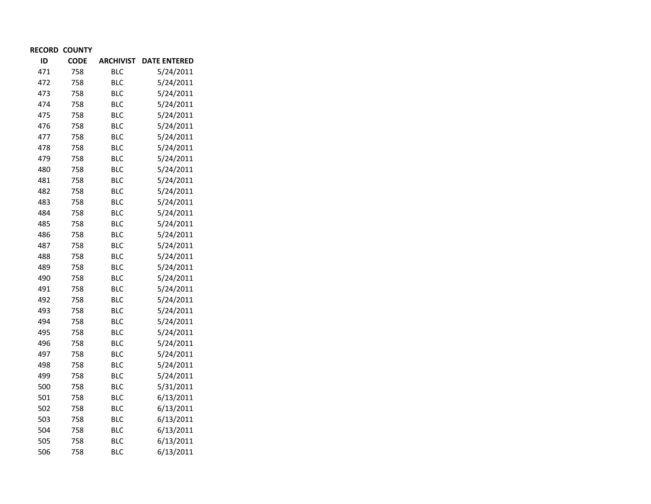| ID  | <b>CODE</b> | <b>ARCHIVIST</b> | <b>DATE ENTERED</b> |
|-----|-------------|------------------|---------------------|
| 471 | 758         | <b>BLC</b>       | 5/24/2011           |
| 472 | 758         | <b>BLC</b>       | 5/24/2011           |
| 473 | 758         | <b>BLC</b>       | 5/24/2011           |
| 474 | 758         | <b>BLC</b>       | 5/24/2011           |
| 475 | 758         | <b>BLC</b>       | 5/24/2011           |
| 476 | 758         | <b>BLC</b>       | 5/24/2011           |
| 477 | 758         | <b>BLC</b>       | 5/24/2011           |
| 478 | 758         | <b>BLC</b>       | 5/24/2011           |
| 479 | 758         | <b>BLC</b>       | 5/24/2011           |
| 480 | 758         | <b>BLC</b>       | 5/24/2011           |
| 481 | 758         | <b>BLC</b>       | 5/24/2011           |
| 482 | 758         | <b>BLC</b>       | 5/24/2011           |
| 483 | 758         | <b>BLC</b>       | 5/24/2011           |
| 484 | 758         | <b>BLC</b>       | 5/24/2011           |
| 485 | 758         | <b>BLC</b>       | 5/24/2011           |
| 486 | 758         | <b>BLC</b>       | 5/24/2011           |
| 487 | 758         | <b>BLC</b>       | 5/24/2011           |
| 488 | 758         | <b>BLC</b>       | 5/24/2011           |
| 489 | 758         | <b>BLC</b>       | 5/24/2011           |
| 490 | 758         | <b>BLC</b>       | 5/24/2011           |
| 491 | 758         | <b>BLC</b>       | 5/24/2011           |
| 492 | 758         | <b>BLC</b>       | 5/24/2011           |
| 493 | 758         | <b>BLC</b>       | 5/24/2011           |
| 494 | 758         | <b>BLC</b>       | 5/24/2011           |
| 495 | 758         | <b>BLC</b>       | 5/24/2011           |
| 496 | 758         | <b>BLC</b>       | 5/24/2011           |
| 497 | 758         | <b>BLC</b>       | 5/24/2011           |
| 498 | 758         | <b>BLC</b>       | 5/24/2011           |
| 499 | 758         | <b>BLC</b>       | 5/24/2011           |
| 500 | 758         | <b>BLC</b>       | 5/31/2011           |
| 501 | 758         | <b>BLC</b>       | 6/13/2011           |
| 502 | 758         | <b>BLC</b>       | 6/13/2011           |
| 503 | 758         | <b>BLC</b>       | 6/13/2011           |
| 504 | 758         | <b>BLC</b>       | 6/13/2011           |
| 505 | 758         | <b>BLC</b>       | 6/13/2011           |
| 506 | 758         | <b>BLC</b>       | 6/13/2011           |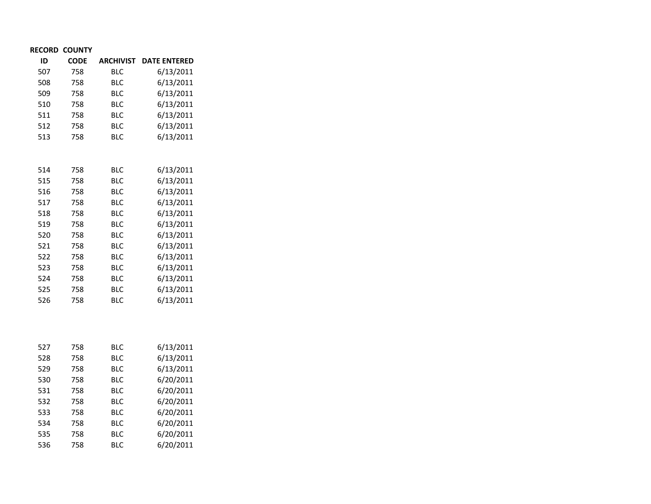| <b>RECORD COUNTY</b> |  |
|----------------------|--|

536 758

| ID  | <b>CODE</b> | <b>ARCHIVIST</b> | <b>DATE ENTERED</b> |
|-----|-------------|------------------|---------------------|
| 507 | 758         | <b>BLC</b>       | 6/13/2011           |
| 508 | 758         | <b>BLC</b>       | 6/13/2011           |
| 509 | 758         | <b>BLC</b>       | 6/13/2011           |
| 510 | 758         | <b>BLC</b>       | 6/13/2011           |
| 511 | 758         | <b>BLC</b>       | 6/13/2011           |
| 512 | 758         | <b>BLC</b>       | 6/13/2011           |
| 513 | 758         | <b>BLC</b>       | 6/13/2011           |
|     |             |                  |                     |
|     |             |                  |                     |
| 514 | 758         | <b>BLC</b>       | 6/13/2011           |
| 515 | 758         | <b>BLC</b>       | 6/13/2011           |
| 516 | 758         | <b>BLC</b>       | 6/13/2011           |
| 517 | 758         | <b>BLC</b>       | 6/13/2011           |
| 518 | 758         | <b>BLC</b>       | 6/13/2011           |
| 519 | 758         | <b>BLC</b>       | 6/13/2011           |
| 520 | 758         | <b>BLC</b>       | 6/13/2011           |
| 521 | 758         | <b>BLC</b>       | 6/13/2011           |
| 522 | 758         | <b>BLC</b>       | 6/13/2011           |
| 523 | 758         | <b>BLC</b>       | 6/13/2011           |
| 524 | 758         | <b>BLC</b>       | 6/13/2011           |
| 525 | 758         | <b>BLC</b>       | 6/13/2011           |
| 526 | 758         | <b>BLC</b>       | 6/13/2011           |
|     |             |                  |                     |
|     |             |                  |                     |
| 527 | 758         | <b>BLC</b>       | 6/13/2011           |
| 528 | 758         | <b>BLC</b>       | 6/13/2011           |
| 529 | 758         | <b>BLC</b>       | 6/13/2011           |
| 530 | 758         | <b>BLC</b>       | 6/20/2011           |
| 531 | 758         | <b>BLC</b>       | 6/20/2011           |
| 532 | 758         | <b>BLC</b>       | 6/20/2011           |
| 533 | 758         | <b>BLC</b>       | 6/20/2011           |
| 534 | 758         | <b>BLC</b>       | 6/20/2011           |
| 535 | 758         | <b>BLC</b>       | 6/20/2011           |

BLC 6/20/2011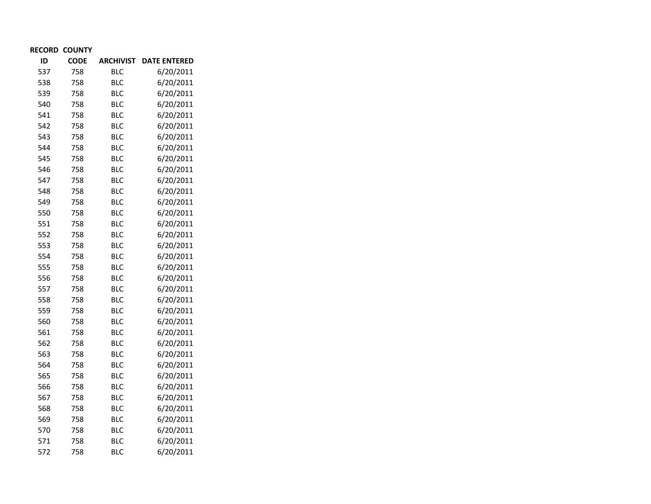| <b>RECORD COUNTY</b> |  |
|----------------------|--|
|----------------------|--|

| ID  | <b>CODE</b> | <b>ARCHIVIST</b> | <b>DATE ENTERED</b> |
|-----|-------------|------------------|---------------------|
| 537 | 758         | <b>BLC</b>       | 6/20/2011           |
| 538 | 758         | <b>BLC</b>       | 6/20/2011           |
| 539 | 758         | <b>BLC</b>       | 6/20/2011           |
| 540 | 758         | <b>BLC</b>       | 6/20/2011           |
| 541 | 758         | <b>BLC</b>       | 6/20/2011           |
| 542 | 758         | <b>BLC</b>       | 6/20/2011           |
| 543 | 758         | <b>BLC</b>       | 6/20/2011           |
| 544 | 758         | <b>BLC</b>       | 6/20/2011           |
| 545 | 758         | <b>BLC</b>       | 6/20/2011           |
| 546 | 758         | <b>BLC</b>       | 6/20/2011           |
| 547 | 758         | <b>BLC</b>       | 6/20/2011           |
| 548 | 758         | <b>BLC</b>       | 6/20/2011           |
| 549 | 758         | <b>BLC</b>       | 6/20/2011           |
| 550 | 758         | <b>BLC</b>       | 6/20/2011           |
| 551 | 758         | <b>BLC</b>       | 6/20/2011           |
| 552 | 758         | <b>BLC</b>       | 6/20/2011           |
| 553 | 758         | <b>BLC</b>       | 6/20/2011           |
| 554 | 758         | <b>BLC</b>       | 6/20/2011           |
| 555 | 758         | <b>BLC</b>       | 6/20/2011           |
| 556 | 758         | <b>BLC</b>       | 6/20/2011           |
| 557 | 758         | <b>BLC</b>       | 6/20/2011           |
| 558 | 758         | <b>BLC</b>       | 6/20/2011           |
| 559 | 758         | <b>BLC</b>       | 6/20/2011           |
| 560 | 758         | <b>BLC</b>       | 6/20/2011           |
| 561 | 758         | <b>BLC</b>       | 6/20/2011           |
| 562 | 758         | <b>BLC</b>       | 6/20/2011           |
| 563 | 758         | <b>BLC</b>       | 6/20/2011           |
| 564 | 758         | <b>BLC</b>       | 6/20/2011           |
| 565 | 758         | <b>BLC</b>       | 6/20/2011           |
| 566 | 758         | <b>BLC</b>       | 6/20/2011           |
| 567 | 758         | <b>BLC</b>       | 6/20/2011           |
| 568 | 758         | <b>BLC</b>       | 6/20/2011           |
| 569 | 758         | <b>BLC</b>       | 6/20/2011           |
| 570 | 758         | <b>BLC</b>       | 6/20/2011           |
| 571 | 758         | <b>BLC</b>       | 6/20/2011           |
| 572 | 758         | <b>BLC</b>       | 6/20/2011           |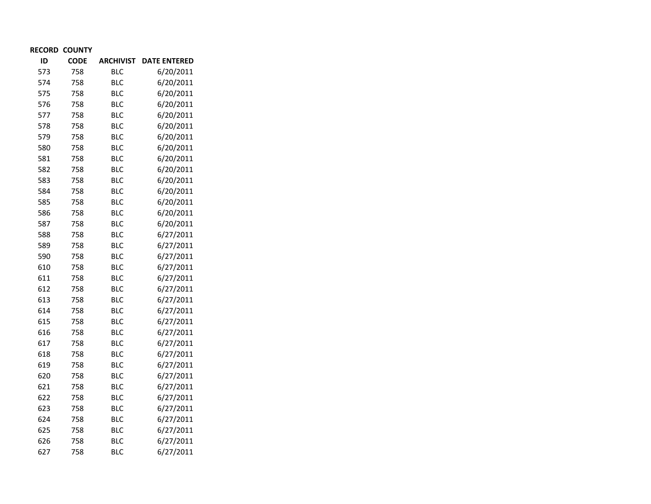| <b>RECORD COUNTY</b> |  |
|----------------------|--|
|----------------------|--|

| ID  | <b>CODE</b> | <b>ARCHIVIST</b> | <b>DATE ENTERED</b> |
|-----|-------------|------------------|---------------------|
| 573 | 758         | <b>BLC</b>       | 6/20/2011           |
| 574 | 758         | <b>BLC</b>       | 6/20/2011           |
| 575 | 758         | <b>BLC</b>       | 6/20/2011           |
| 576 | 758         | <b>BLC</b>       | 6/20/2011           |
| 577 | 758         | <b>BLC</b>       | 6/20/2011           |
| 578 | 758         | <b>BLC</b>       | 6/20/2011           |
| 579 | 758         | <b>BLC</b>       | 6/20/2011           |
| 580 | 758         | <b>BLC</b>       | 6/20/2011           |
| 581 | 758         | <b>BLC</b>       | 6/20/2011           |
| 582 | 758         | <b>BLC</b>       | 6/20/2011           |
| 583 | 758         | BLC              | 6/20/2011           |
| 584 | 758         | BLC              | 6/20/2011           |
| 585 | 758         | <b>BLC</b>       | 6/20/2011           |
| 586 | 758         | <b>BLC</b>       | 6/20/2011           |
| 587 | 758         | <b>BLC</b>       | 6/20/2011           |
| 588 | 758         | <b>BLC</b>       | 6/27/2011           |
| 589 | 758         | <b>BLC</b>       | 6/27/2011           |
| 590 | 758         | <b>BLC</b>       | 6/27/2011           |
| 610 | 758         | <b>BLC</b>       | 6/27/2011           |
| 611 | 758         | <b>BLC</b>       | 6/27/2011           |
| 612 | 758         | <b>BLC</b>       | 6/27/2011           |
| 613 | 758         | <b>BLC</b>       | 6/27/2011           |
| 614 | 758         | <b>BLC</b>       | 6/27/2011           |
| 615 | 758         | <b>BLC</b>       | 6/27/2011           |
| 616 | 758         | <b>BLC</b>       | 6/27/2011           |
| 617 | 758         | <b>BLC</b>       | 6/27/2011           |
| 618 | 758         | <b>BLC</b>       | 6/27/2011           |
| 619 | 758         | <b>BLC</b>       | 6/27/2011           |
| 620 | 758         | <b>BLC</b>       | 6/27/2011           |
| 621 | 758         | <b>BLC</b>       | 6/27/2011           |
| 622 | 758         | <b>BLC</b>       | 6/27/2011           |
| 623 | 758         | <b>BLC</b>       | 6/27/2011           |
| 624 | 758         | <b>BLC</b>       | 6/27/2011           |
| 625 | 758         | <b>BLC</b>       | 6/27/2011           |
| 626 | 758         | <b>BLC</b>       | 6/27/2011           |
| 627 | 758         | BLC              | 6/27/2011           |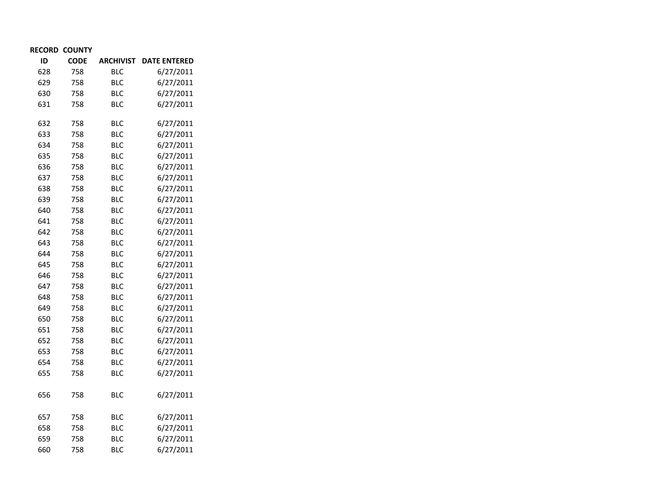| <b>RECORD COUNTY</b> |  |
|----------------------|--|
|----------------------|--|

| ID  | <b>CODE</b> | <b>ARCHIVIST</b> | <b>DATE ENTERED</b> |
|-----|-------------|------------------|---------------------|
| 628 | 758         | <b>BLC</b>       | 6/27/2011           |
| 629 | 758         | <b>BLC</b>       | 6/27/2011           |
| 630 | 758         | <b>BLC</b>       | 6/27/2011           |
| 631 | 758         | <b>BLC</b>       | 6/27/2011           |
| 632 | 758         | <b>BLC</b>       | 6/27/2011           |
| 633 | 758         | <b>BLC</b>       | 6/27/2011           |
| 634 | 758         | <b>BLC</b>       | 6/27/2011           |
| 635 | 758         | <b>BLC</b>       | 6/27/2011           |
| 636 | 758         | <b>BLC</b>       | 6/27/2011           |
| 637 | 758         | <b>BLC</b>       | 6/27/2011           |
| 638 | 758         | <b>BLC</b>       | 6/27/2011           |
| 639 | 758         | <b>BLC</b>       | 6/27/2011           |
| 640 | 758         | <b>BLC</b>       | 6/27/2011           |
| 641 | 758         | <b>BLC</b>       | 6/27/2011           |
| 642 | 758         | <b>BLC</b>       | 6/27/2011           |
| 643 | 758         | <b>BLC</b>       | 6/27/2011           |
| 644 | 758         | <b>BLC</b>       | 6/27/2011           |
| 645 | 758         | <b>BLC</b>       | 6/27/2011           |
| 646 | 758         | <b>BLC</b>       | 6/27/2011           |
| 647 | 758         | <b>BLC</b>       | 6/27/2011           |
| 648 | 758         | <b>BLC</b>       | 6/27/2011           |
| 649 | 758         | <b>BLC</b>       | 6/27/2011           |
| 650 | 758         | <b>BLC</b>       | 6/27/2011           |
| 651 | 758         | <b>BLC</b>       | 6/27/2011           |
| 652 | 758         | <b>BLC</b>       | 6/27/2011           |
| 653 | 758         | <b>BLC</b>       | 6/27/2011           |
| 654 | 758         | <b>BLC</b>       | 6/27/2011           |
| 655 | 758         | <b>BLC</b>       | 6/27/2011           |
| 656 | 758         | <b>BLC</b>       | 6/27/2011           |
| 657 | 758         | <b>BLC</b>       | 6/27/2011           |
| 658 | 758         | <b>BLC</b>       | 6/27/2011           |
| 659 | 758         | <b>BLC</b>       | 6/27/2011           |
| 660 | 758         | <b>BLC</b>       | 6/27/2011           |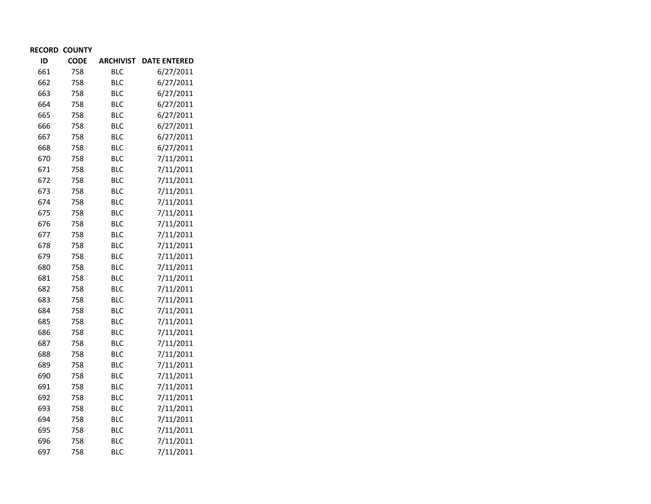| ID  | <b>CODE</b> | <b>ARCHIVIST</b> | <b>DATE ENTERED</b> |
|-----|-------------|------------------|---------------------|
| 661 | 758         | <b>BLC</b>       | 6/27/2011           |
| 662 | 758         | <b>BLC</b>       | 6/27/2011           |
| 663 | 758         | <b>BLC</b>       | 6/27/2011           |
| 664 | 758         | <b>BLC</b>       | 6/27/2011           |
| 665 | 758         | <b>BLC</b>       | 6/27/2011           |
| 666 | 758         | <b>BLC</b>       | 6/27/2011           |
| 667 | 758         | <b>BLC</b>       | 6/27/2011           |
| 668 | 758         | <b>BLC</b>       | 6/27/2011           |
| 670 | 758         | <b>BLC</b>       | 7/11/2011           |
| 671 | 758         | <b>BLC</b>       | 7/11/2011           |
| 672 | 758         | <b>BLC</b>       | 7/11/2011           |
| 673 | 758         | <b>BLC</b>       | 7/11/2011           |
| 674 | 758         | <b>BLC</b>       | 7/11/2011           |
| 675 | 758         | <b>BLC</b>       | 7/11/2011           |
| 676 | 758         | <b>BLC</b>       | 7/11/2011           |
| 677 | 758         | <b>BLC</b>       | 7/11/2011           |
| 678 | 758         | <b>BLC</b>       | 7/11/2011           |
| 679 | 758         | <b>BLC</b>       | 7/11/2011           |
| 680 | 758         | <b>BLC</b>       | 7/11/2011           |
| 681 | 758         | <b>BLC</b>       | 7/11/2011           |
| 682 | 758         | <b>BLC</b>       | 7/11/2011           |
| 683 | 758         | <b>BLC</b>       | 7/11/2011           |
| 684 | 758         | <b>BLC</b>       | 7/11/2011           |
| 685 | 758         | <b>BLC</b>       | 7/11/2011           |
| 686 | 758         | <b>BLC</b>       | 7/11/2011           |
| 687 | 758         | <b>BLC</b>       | 7/11/2011           |
| 688 | 758         | <b>BLC</b>       | 7/11/2011           |
| 689 | 758         | <b>BLC</b>       | 7/11/2011           |
| 690 | 758         | <b>BLC</b>       | 7/11/2011           |
| 691 | 758         | <b>BLC</b>       | 7/11/2011           |
| 692 | 758         | <b>BLC</b>       | 7/11/2011           |
| 693 | 758         | <b>BLC</b>       | 7/11/2011           |
| 694 | 758         | <b>BLC</b>       | 7/11/2011           |
| 695 | 758         | <b>BLC</b>       | 7/11/2011           |
| 696 | 758         | <b>BLC</b>       | 7/11/2011           |
| 697 | 758         | <b>BLC</b>       | 7/11/2011           |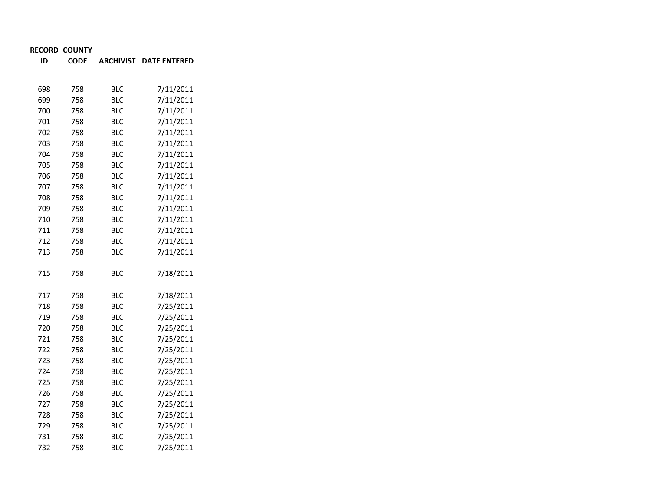**IDCODE ARCHIVIST DATE ENTERED**

| 698 | 758 | <b>BLC</b> | 7/11/2011 |
|-----|-----|------------|-----------|
| 699 | 758 | <b>BLC</b> | 7/11/2011 |
| 700 | 758 | <b>BLC</b> | 7/11/2011 |
| 701 | 758 | <b>BLC</b> | 7/11/2011 |
| 702 | 758 | <b>BLC</b> | 7/11/2011 |
| 703 | 758 | <b>BLC</b> | 7/11/2011 |
| 704 | 758 | <b>BLC</b> | 7/11/2011 |
| 705 | 758 | <b>BLC</b> | 7/11/2011 |
| 706 | 758 | <b>BLC</b> | 7/11/2011 |
| 707 | 758 | <b>BLC</b> | 7/11/2011 |
| 708 | 758 | <b>BLC</b> | 7/11/2011 |
| 709 | 758 | <b>BLC</b> | 7/11/2011 |
| 710 | 758 | <b>BLC</b> | 7/11/2011 |
| 711 | 758 | <b>BLC</b> | 7/11/2011 |
| 712 | 758 | <b>BLC</b> | 7/11/2011 |
| 713 | 758 | <b>BLC</b> | 7/11/2011 |
|     |     |            |           |
| 715 | 758 | <b>BLC</b> | 7/18/2011 |
|     |     |            |           |
| 717 | 758 | <b>BLC</b> | 7/18/2011 |
| 718 | 758 | <b>BLC</b> | 7/25/2011 |
| 719 | 758 | <b>BLC</b> | 7/25/2011 |
| 720 | 758 | <b>BLC</b> | 7/25/2011 |
| 721 | 758 | <b>BLC</b> | 7/25/2011 |
| 722 | 758 | <b>BLC</b> | 7/25/2011 |
| 723 | 758 | <b>BLC</b> | 7/25/2011 |
| 724 | 758 | <b>BLC</b> | 7/25/2011 |
| 725 | 758 | <b>BLC</b> | 7/25/2011 |
| 726 | 758 | <b>BLC</b> | 7/25/2011 |
| 727 | 758 | <b>BLC</b> | 7/25/2011 |
| 728 | 758 | <b>BLC</b> | 7/25/2011 |
| 729 | 758 | <b>BLC</b> | 7/25/2011 |
| 731 | 758 | <b>BLC</b> | 7/25/2011 |
| 732 | 758 | BLC        | 7/25/2011 |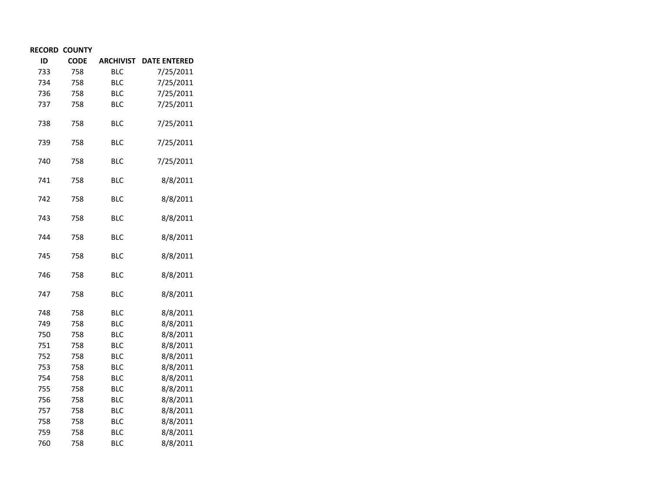| ID  | <b>CODE</b> | <b>ARCHIVIST</b> | <b>DATE ENTERED</b> |
|-----|-------------|------------------|---------------------|
| 733 | 758         | <b>BLC</b>       | 7/25/2011           |
| 734 | 758         | <b>BLC</b>       | 7/25/2011           |
| 736 | 758         | <b>BLC</b>       | 7/25/2011           |
| 737 | 758         | <b>BLC</b>       | 7/25/2011           |
| 738 | 758         | <b>BLC</b>       | 7/25/2011           |
| 739 | 758         | <b>BLC</b>       | 7/25/2011           |
| 740 | 758         | <b>BLC</b>       | 7/25/2011           |
| 741 | 758         | BLC              | 8/8/2011            |
| 742 | 758         | <b>BLC</b>       | 8/8/2011            |
| 743 | 758         | <b>BLC</b>       | 8/8/2011            |
| 744 | 758         | <b>BLC</b>       | 8/8/2011            |
| 745 | 758         | <b>BLC</b>       | 8/8/2011            |
| 746 | 758         | <b>BLC</b>       | 8/8/2011            |
| 747 | 758         | <b>BLC</b>       | 8/8/2011            |
| 748 | 758         | <b>BLC</b>       | 8/8/2011            |
| 749 | 758         | <b>BLC</b>       | 8/8/2011            |
| 750 | 758         | <b>BLC</b>       | 8/8/2011            |
| 751 | 758         | <b>BLC</b>       | 8/8/2011            |
| 752 | 758         | <b>BLC</b>       | 8/8/2011            |
| 753 | 758         | <b>BLC</b>       | 8/8/2011            |
| 754 | 758         | <b>BLC</b>       | 8/8/2011            |
| 755 | 758         | <b>BLC</b>       | 8/8/2011            |
| 756 | 758         | <b>BLC</b>       | 8/8/2011            |
| 757 | 758         | <b>BLC</b>       | 8/8/2011            |
| 758 | 758         | <b>BLC</b>       | 8/8/2011            |
| 759 | 758         | <b>BLC</b>       | 8/8/2011            |
| 760 | 758         | <b>BLC</b>       | 8/8/2011            |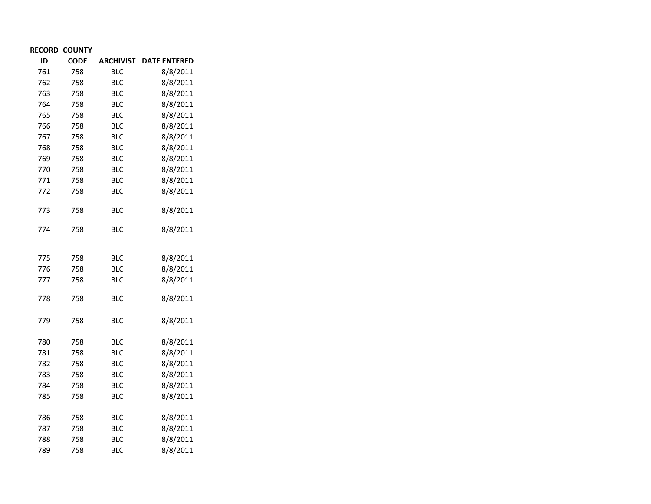| ID  | <b>CODE</b> | <b>ARCHIVIST</b> | <b>DATE ENTERED</b> |
|-----|-------------|------------------|---------------------|
| 761 | 758         | <b>BLC</b>       | 8/8/2011            |
| 762 | 758         | BLC              | 8/8/2011            |
| 763 | 758         | <b>BLC</b>       | 8/8/2011            |
| 764 | 758         | <b>BLC</b>       | 8/8/2011            |
| 765 | 758         | <b>BLC</b>       | 8/8/2011            |
| 766 | 758         | <b>BLC</b>       | 8/8/2011            |
| 767 | 758         | <b>BLC</b>       | 8/8/2011            |
| 768 | 758         | <b>BLC</b>       | 8/8/2011            |
| 769 | 758         | <b>BLC</b>       | 8/8/2011            |
| 770 | 758         | <b>BLC</b>       | 8/8/2011            |
| 771 | 758         | <b>BLC</b>       | 8/8/2011            |
| 772 | 758         | <b>BLC</b>       | 8/8/2011            |
| 773 | 758         | <b>BLC</b>       | 8/8/2011            |
| 774 | 758         | <b>BLC</b>       | 8/8/2011            |
| 775 | 758         | <b>BLC</b>       | 8/8/2011            |
| 776 | 758         | <b>BLC</b>       | 8/8/2011            |
| 777 | 758         | <b>BLC</b>       | 8/8/2011            |
| 778 | 758         | <b>BLC</b>       | 8/8/2011            |
| 779 | 758         | BLC              | 8/8/2011            |
| 780 | 758         | <b>BLC</b>       | 8/8/2011            |
| 781 | 758         | <b>BLC</b>       | 8/8/2011            |
| 782 | 758         | <b>BLC</b>       | 8/8/2011            |
| 783 | 758         | <b>BLC</b>       | 8/8/2011            |
| 784 | 758         | <b>BLC</b>       | 8/8/2011            |
| 785 | 758         | <b>BLC</b>       | 8/8/2011            |
| 786 | 758         | <b>BLC</b>       | 8/8/2011            |
| 787 | 758         | <b>BLC</b>       | 8/8/2011            |
| 788 | 758         | <b>BLC</b>       | 8/8/2011            |
| 789 | 758         | <b>BLC</b>       | 8/8/2011            |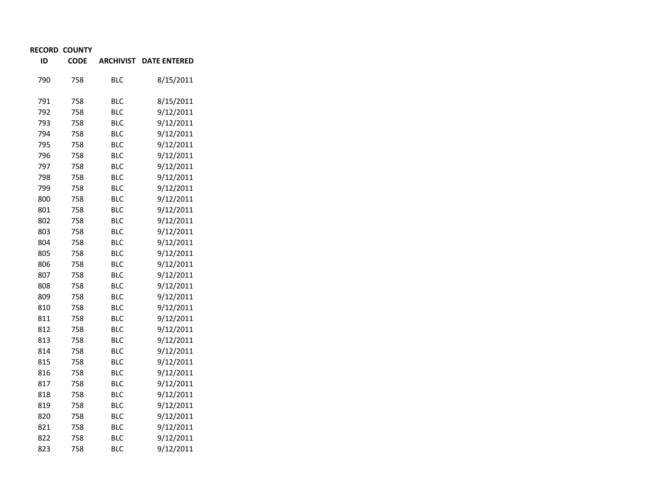| ID  | <b>CODE</b> | <b>ARCHIVIST</b> | <b>DATE ENTERED</b> |
|-----|-------------|------------------|---------------------|
| 790 | 758         | <b>BLC</b>       | 8/15/2011           |
| 791 | 758         | <b>BLC</b>       | 8/15/2011           |
| 792 | 758         | <b>BLC</b>       | 9/12/2011           |
| 793 | 758         | <b>BLC</b>       | 9/12/2011           |
| 794 | 758         | <b>BLC</b>       | 9/12/2011           |
| 795 | 758         | <b>BLC</b>       | 9/12/2011           |
| 796 | 758         | <b>BLC</b>       | 9/12/2011           |
| 797 | 758         | <b>BLC</b>       | 9/12/2011           |
| 798 | 758         | <b>BLC</b>       | 9/12/2011           |
| 799 | 758         | <b>BLC</b>       | 9/12/2011           |
| 800 | 758         | <b>BLC</b>       | 9/12/2011           |
| 801 | 758         | <b>BLC</b>       | 9/12/2011           |
| 802 | 758         | <b>BLC</b>       | 9/12/2011           |
| 803 | 758         | <b>BLC</b>       | 9/12/2011           |
| 804 | 758         | <b>BLC</b>       | 9/12/2011           |
| 805 | 758         | <b>BLC</b>       | 9/12/2011           |
| 806 | 758         | <b>BLC</b>       | 9/12/2011           |
| 807 | 758         | <b>BLC</b>       | 9/12/2011           |
| 808 | 758         | <b>BLC</b>       | 9/12/2011           |
| 809 | 758         | <b>BLC</b>       | 9/12/2011           |
| 810 | 758         | <b>BLC</b>       | 9/12/2011           |
| 811 | 758         | <b>BLC</b>       | 9/12/2011           |
| 812 | 758         | <b>BLC</b>       | 9/12/2011           |
| 813 | 758         | <b>BLC</b>       | 9/12/2011           |
| 814 | 758         | <b>BLC</b>       | 9/12/2011           |
| 815 | 758         | <b>BLC</b>       | 9/12/2011           |
| 816 | 758         | <b>BLC</b>       | 9/12/2011           |
| 817 | 758         | <b>BLC</b>       | 9/12/2011           |
| 818 | 758         | <b>BLC</b>       | 9/12/2011           |
| 819 | 758         | <b>BLC</b>       | 9/12/2011           |
| 820 | 758         | <b>BLC</b>       | 9/12/2011           |
| 821 | 758         | <b>BLC</b>       | 9/12/2011           |
| 822 | 758         | <b>BLC</b>       | 9/12/2011           |
| 823 | 758         | <b>BLC</b>       | 9/12/2011           |